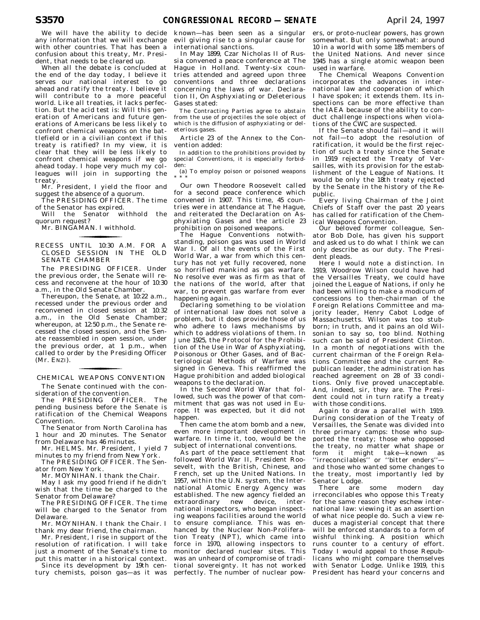We will have the ability to decide any information that we will exchange with other countries. That has been a confusion about this treaty, Mr. President, that needs to be cleared up.

When all the debate is concluded at the end of the day today, I believe it serves our national interest to go ahead and ratify the treaty. I believe it will contribute to a more peaceful world. Like all treaties, it lacks perfection. But the acid test is: Will this generation of Americans and future generations of Americans be less likely to confront chemical weapons on the battlefield or in a civilian context if this treaty is ratified? In my view, it is clear that they will be less likely to confront chemical weapons if we go ahead today. I hope very much my colleagues will join in supporting the treaty.

Mr. President, I yield the floor and suggest the absence of a quorum.

The PRESIDING OFFICER. The time

of the Senator has expired.<br>Will the Senator withhold the Will the Senator quorum request?

for the control of the control of

Mr. BINGAMAN. I withhold.

RECESS UNTIL 10:30 A.M. FOR A CLOSED SESSION IN THE OLD SENATE CHAMBER

The PRESIDING OFFICER. Under the previous order, the Senate will recess and reconvene at the hour of 10:30 a.m., in the Old Senate Chamber.

Thereupon, the Senate, at 10:22 a.m., recessed under the previous order and reconvened in closed session at 10:32 a.m., in the Old Senate Chamber; whereupon, at 12:50 p.m., the Senate recessed the closed session, and the Senate reassembled in open session, under the previous order, at 1 p.m., when called to order by the Presiding Officer (Mr. E NZI).

CHEMICAL WEAPONS CONVENTION for the control of the control of

The Senate continued with the consideration of the convention.

The PRESIDING OFFICER. The pending business before the Senate is ratification of the Chemical Weapons Convention.

The Senator from North Carolina has 1 hour and 20 minutes. The Senator from Delaware has 46 minutes.

Mr. HELMS. Mr. President, I yield 7 minutes to my friend from New York.

The PRESIDING OFFICER. The Senator from New York.

Mr. MOYNIHAN. I thank the Chair.

May I ask my good friend if he didn't wish that the time be charged to the Senator from Delaware?

The PRESIDING OFFICER. The time will be charged to the Senator from Delaware.

Mr. MOYNIHAN. I thank the Chair. I thank my dear friend, the chairman.

Mr. President, I rise in support of the resolution of ratification. I will take just a moment of the Senate's time to put this matter in a historical context.

Since its development by 19th century chemists, poison gas—as it was

known—has been seen as a singular evil giving rise to a singular cause for international sanctions.

In May 1899, Czar Nicholas II of Russia convened a peace conference at The Hague in Holland. Twenty-six countries attended and agreed upon three conventions and three declarations concerning the laws of war. Declaration II, On Asphyxiating or Deleterious Gases stated:

The Contracting Parties agree to abstain from the use of projectiles the sole object of which is the diffusion of asphyxiating or deleterious gases.

Article 23 of the Annex to the Convention added:

In addition to the prohibitions provided by special Conventions, it is especially forbidden:

(a) To employ poison or poisoned weapons \* \* \*

Our own Theodore Roosevelt called for a second peace conference which convened in 1907. This time, 45 countries were in attendance at The Hague, and reiterated the Declaration on Asphyxiating Gases and the article 23 prohibition on poisoned weapons.

The Hague Conventions notwithstanding, poison gas was used in World War I. Of all the events of the First World War, a war from which this century has not yet fully recovered, none so horrified mankind as gas warfare. No resolve ever was as firm as that of the nations of the world, after that war, to prevent gas warfare from ever happening again.

Declaring something to be violation of international law does not solve a problem, but it does provide those of us who adhere to laws mechanisms by which to address violations of them. In June 1925, the Protocol for the Prohibition of the Use in War of Asphyxiating, Poisonous or Other Gases, and of Bacteriological Methods of Warfare was signed in Geneva. This reaffirmed the Hague prohibition and added biological weapons to the declaration.

In the Second World War that followed, such was the power of that commitment that gas was not used in Europe. It was expected, but it did not happen.

Then came the atom bomb and a new, even more important development in warfare. In time it, too, would be the subject of international conventions.

As part of the peace settlement that followed World War II, President Roosevelt, with the British, Chinese, and French, set up the United Nations. In 1957, within the U.N. system, the International Atomic Energy Agency was established. The new agency fielded an extraordinary new device, international inspectors, who began inspecting weapons facilities around the world to ensure compliance. This was enhanced by the Nuclear Non-Proliferation Treaty (NPT), which came into force in 1970, allowing inspectors to monitor declared nuclear sites. This was an unheard of compromise of traditional sovereignty. It has not worked perfectly. The number of nuclear pow-

ers, or proto-nuclear powers, has grown somewhat. But only somewhat: around 10 in a world with some 185 members of the United Nations. And never since 1945 has a single atomic weapon been used in warfare.

The Chemical Weapons Convention incorporates the advances in international law and cooperation of which I have spoken; it extends them. Its inspections can be more effective than the IAEA because of the ability to conduct challenge inspections when violations of the CWC are suspected.

If the Senate should fail—and it will not fail—to adopt the resolution of ratification, it would be the first rejection of such a treaty since the Senate in 1919 rejected the Treaty of Versailles, with its provision for the establishment of the League of Nations. It would be only the 18th treaty rejected by the Senate in the history of the Republic.

Every living Chairman of the Joint Chiefs of Staff over the past 20 years has called for ratification of the Chemical Weapons Convention.

Our beloved former colleague, Senator Bob Dole, has given his support and asked us to do what I think we can only describe as our duty. The President pleads.

Here I would note a distinction. In 1919, Woodrow Wilson could have had the Versailles Treaty, we could have joined the League of Nations, if only he had been willing to make a modicum of concessions to then-chairman of the Foreign Relations Committee and majority leader, Henry Cabot Lodge of Massachusetts. Wilson was too stubborn; in truth, and it pains an old Wilsonian to say so, too blind. Nothing such can be said of President Clinton. In a month of negotiations with the current chairman of the Foreign Relations Committee and the current Republican leader, the administration has reached agreement on 28 of 33 conditions. Only five proved unacceptable. And, indeed, sir, they are. The President could not in turn ratify a treaty with those conditions.

Again to draw a parallel with 1919. During consideration of the Treaty of Versailles, the Senate was divided into three primary camps: those who supported the treaty; those who opposed the treaty, no matter what shape or form it might take—known as ''irreconcilables'' or ''bitter enders'' and those who wanted some changes to the treaty, most importantly led by

Senator Lodge.<br>There are are some modern day irreconcilables who oppose this Treaty for the same reason they eschew international law: viewing it as an assertion of what nice people do. Such a view reduces a magisterial concept that there will be enforced standards to a form of wishful thinking. A position which runs counter to a century of effort. Today I would appeal to those Republicans who might compare themselves with Senator Lodge. Unlike 1919, this President has heard your concerns and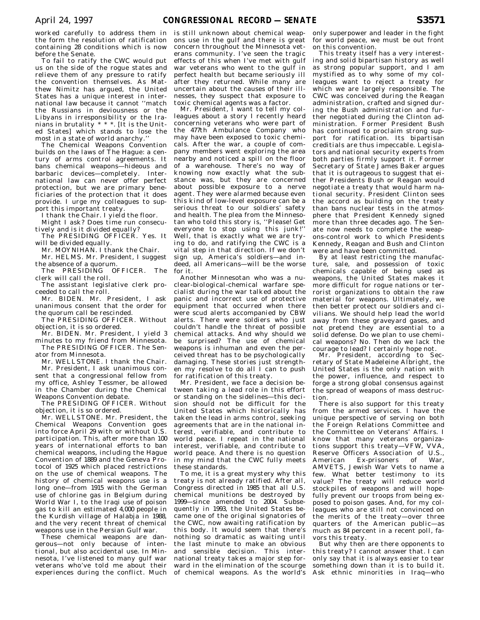worked carefully to address them in the form the resolution of ratification containing 28 conditions which is now before the Senate.

To fail to ratify the CWC would put us on the side of the rogue states and relieve them of any pressure to ratify the convention themselves. As Matthew Nimitz has argued, the United States has a unique interest in international law because it cannot ''match the Russians in deviousness or the Libyans in irresponsibility or the Iranians in brutality  $* * *$ . [It is the United States] which stands to lose the most in a state of world anarchy.''

The Chemical Weapons Convention builds on the laws of The Hague: a century of arms control agreements. It bans chemical weapons—hideous and barbaric devices—completely. International law can never offer perfect protection, but we are primary beneficiaries of the protection that it does provide. I urge my colleagues to support this important treaty.

I thank the Chair. I yield the floor.

Might I ask? Does time run consecutively and is it divided equally?

The PRESIDING OFFICER. Yes. It will be divided equally.

Mr. MOYNIHAN. I thank the Chair.

Mr. HELMS. Mr. President, I suggest the absence of a quorum.

The PRESIDING OFFICER. The clerk will call the roll.

The assistant legislative clerk proceeded to call the roll.

Mr. BIDEN. Mr. President, I ask unanimous consent that the order for the quorum call be rescinded.

The PRESIDING OFFICER. Without objection, it is so ordered.

Mr. BIDEN. Mr. President, I yield 3 minutes to my friend from Minnesota. The PRESIDING OFFICER. The Sen-

ator from Minnesota.

Mr. WELLSTONE. I thank the Chair. Mr. President, I ask unanimous consent that a congressional fellow from my office, Ashley Tessmer, be allowed in the Chamber during the Chemical Weapons Convention debate.

The PRESIDING OFFICER. Without objection, it is so ordered.

Mr. WELLSTONE. Mr. President, the Chemical Weapons Convention goes into force April 29 with or without  $\overline{U}$ .S. participation. This, after more than 100 years of international efforts to ban chemical weapons, including the Hague Convention of 1889 and the Geneva Protocol of 1925 which placed restrictions on the use of chemical weapons. The history of chemical weapons use is a long one—from 1915 with the German use of chlorine gas in Belgium during World War I, to the Iraqi use of poison gas to kill an estimated 4,000 people in the Kurdish village of Halabja in 1988, and the very recent threat of chemical weapons use in the Persian Gulf war.

These chemical weapons are dangerous—not only because of intentional, but also accidental use. In Minnesota, I've listened to many gulf war veterans who've told me about their experiences during the conflict. Much

is still unknown about chemical weapons use in the gulf and there is great concern throughout the Minnesota veterans community. I've seen the tragic effects of this when I've met with gulf war veterans who went to the gulf in perfect health but became seriously ill after they returned. While many are uncertain about the causes of their illnesses, they suspect that exposure to toxic chemical agents was a factor.

Mr. President, I want to tell my colleagues about a story I recently heard concerning veterans who were part of the 477th Ambulance Company who may have been exposed to toxic chemicals. After the war, a couple of company members went exploring the area nearby and noticed a spill on the floor of a warehouse. There's no way of knowing now exactly what the substance was, but they are concerned about possible exposure to a nerve agent. They were alarmed because even this kind of low-level exposure can be a serious threat to our soldiers' safety and health. The plea from the Minnesotan who told this story is, ''Please! Get everyone to stop using this junk!'' Well, that is exactly what we are trying to do, and ratifying the CWC is a vital step in that direction. If we don't sign up, America's soldiers—and indeed, all Americans—will be the worse for it.

Another Minnesotan who was a nuclear-biological-chemical warfare specialist during the war talked about the panic and incorrect use of protective equipment that occurred when there were scud alerts accompanied by CBW alerts. There were soldiers who just couldn't handle the threat of possible chemical attacks. And why should we be surprised? The use of chemical weapons is inhuman and even the perceived threat has to be psychologically damaging. These stories just strengthen my resolve to do all I can to push for ratification of this treaty.

Mr. President, we face a decision between taking a lead role in this effort or standing on the sidelines—this decision should not be difficult for the United States which historically has taken the lead in arms control, seeking agreements that are in the national interest, verifiable, and contribute to world peace. I repeat in the national interest, verifiable, and contribute to world peace. And there is no question in my mind that the CWC fully meets these standards.

To me, it is a great mystery why this treaty is not already ratified. After all, Congress directed in 1985 that all U.S. chemical munitions be destroyed by 1999—since amended to 2004. Subsequently in 1993, the United States became one of the original signatories of the CWC, now awaiting ratification by this body. It would seem that there's nothing so dramatic as waiting until the last minute to make an obvious and sensible decision. This international treaty takes a major step forward in the elimination of the scourge of chemical weapons. As the world's

only superpower and leader in the fight for world peace, we must be out front on this convention.

This treaty itself has a very interesting and solid bipartisan history as well as strong popular support, and I am mystified as to why some of my colleagues want to reject a treaty for which we are largely responsible. The CWC was conceived during the Reagan administration, crafted and signed during the Bush administration and further negotiated during the Clinton administration. Former President Bush has continued to proclaim strong support for ratification. Its bipartisan creditials are thus impeccable. Legislators and national security experts from both parties firmly support it. Former Secretary of State James Baker argues that it is outrageous to suggest that either Presidents Bush or Reagan would negotiate a treaty that would harm national security. President Clinton sees the accord as building on the treaty than bans nuclear tests in the atmosphere that President Kennedy signed more than three decades ago. The Senate now needs to complete the weapons-control work to which Presidents Kennedy, Reagan and Bush and Clinton were and have been committed.

By at least restricting the manufacture, sale, and possession of toxic chemicals capable of being used as weapons, the United States makes it more difficult for rogue nations or terrorist organizations to obtain the raw material for weapons. Ultimately, we then better protect our soldiers and civilians. We should help lead the world away from these graveyard gases, and not pretend they are essential to a solid defense. Do we plan to use chemical weapons? No. Then do we lack the courage to lead? I certainly hope not.

Mr. President, according to Secretary of State Madeleine Albright, the United States is the only nation with the power, influence, and respect to forge a strong global consensus against the spread of weapons of mass destruction.

There is also support for this treaty from the armed services. I have the unique perspective of serving on both the Foreign Relations Committee and the Committee on Veterans' Affairs. I know that many veterans organizations support this treaty—VFW, VVA, Reserve Officers Association of U.S.,<br>American Ex-prisoners of War, American Ex-prisoners of AMVETS, Jewish War Vets to name a few. What better testimony to its value? The treaty will reduce world stockpiles of weapons and will hopefully prevent our troops from being exposed to poison gases. And, for my colleagues who are still not convinced on the merits of the treaty—over three quarters of the American public—as much as 84 percent in a recent poll, favors this treaty.

But why then are there opponents to this treaty? I cannot answer that. I can only say that it is always easier to tear something down than it is to build it. Ask ethnic minorities in Iraq—who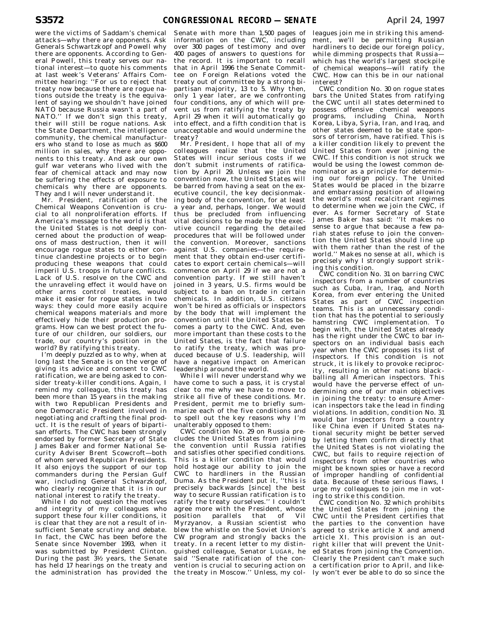were the victims of Saddam's chemical attacks—why there are opponents. Ask Generals Schwartzkopf and Powell why there are opponents. According to General Powell, this treaty serves our national interest—to quote his comments at last week's Veterans' Affairs Committee hearing: ''For us to reject that treaty now because there are rogue nations outside the treaty is the equivalent of saying we shouldn't have joined NATO because Russia wasn't a part of NATO." If we don't sign this treaty, their will still be rogue nations. Ask the State Department, the intelligence community, the chemical manufacturers who stand to lose as much as \$600 million in sales, why there are opponents to this treaty. And ask our own gulf war veterans who lived with the fear of chemical attack and may now be suffering the effects of exposure to chemicals why there are opponents. They and I will never understand it.

Mr. President, ratification of the Chemical Weapons Convention is crucial to all nonproliferation efforts. If America's message to the world is that the United States is not deeply concerned about the production of weapons of mass destruction, then it will encourage rogue states to either continue clandestine projects or to begin producing these weapons that could imperil U.S. troops in future conflicts. Lack of U.S. resolve on the CWC and the unraveling effect it would have on other arms control treaties, would make it easier for rogue states in two ways: they could more easily acquire chemical weapons materials and more effectively hide their production programs. How can we best protect the future of our children, our soldiers, our trade, our country's position in the world? By ratifying this treaty.

I'm deeply puzzled as to why, when at long last the Senate is on the verge of giving its advice and consent to CWC ratification, we are being asked to consider treaty-killer conditions. Again, I remind my colleague, this treaty has been more than 15 years in the making with two Republican Presidents and one Democratic President involved in negotiating and crafting the final product. It is the result of years of bipartisan efforts. The CWC has been strongly endorsed by former Secretary of State James Baker and former National Security Adviser Brent Scowcroft—both of whom served Republican Presidents. It also enjoys the support of our top commanders during the Persian Gulf war, including General Schwarzkopf, who clearly recognize that it is in our national interest to ratify the treaty.

While I do not question the motives and integrity of my colleagues who support these four killer conditions, it is clear that they are not a result of insufficient Senate scrutiny and debate. In fact, the CWC has been before the Senate since November 1993, when it was submitted by President Clinton. During the past  $3\frac{1}{2}$  years, the Senate has held 17 hearings on the treaty and the administration has provided the

Senate with more than 1,500 pages of information on the CWC, including over 300 pages of testimony and over 400 pages of answers to questions for the record. It is important to recall that in April 1996 the Senate Committee on Foreign Relations voted the treaty out of committee by a strong bipartisan majority, 13 to 5. Why then, only 1 year later, are we confronting four conditions, any of which will prevent us from ratifying the treaty by April 29 when it will automatically go into effect, and a fifth condition that is unacceptable and would undermine the treaty?

Mr. President, I hope that all of my colleagues realize that the United States will incur serious costs if we don't submit instruments of ratification by April 29. Unless we join the convention now, the United States will be barred from having a seat on the executive council, the key decisionmaking body of the convention, for at least a year and, perhaps, longer. We would thus be precluded from influencing vital decisions to be made by the executive council regarding the detailed procedures that will be followed under the convention. Moreover, sanctions against U.S. companies—the requirement that they obtain end-user certificates to export certain chemicals—will commence on April 29 if we are not a convention party. If we still haven't joined in 3 years, U.S. firms would be subject to a ban on trade in certain chemicals. In addition, U.S. citizens won't be hired as officials or inspectors by the body that will implement the convention until the United States becomes a party to the CWC. And, even more important than these costs to the United States, is the fact that failure to ratify the treaty, which was produced because of U.S. leadership, will have a negative impact on American leadership around the world.

While I will never understand why we have come to such a pass, it is crystal clear to me why we have to move to strike all five of these conditions. Mr. President, permit me to briefly summarize each of the five conditions and to spell out the key reasons why I'm unalterably opposed to them:

CWC condition No. 29 on Russia precludes the United States from joining the convention until Russia ratifies and satisfies other specified conditions. This is a killer condition that would hold hostage our ability to join the CWC to hardliners in the Russian Duma. As the President put it, ''this is precisely backwards [since] the best way to secure Russian ratification is to ratify the treaty ourselves.'' I couldn't agree more with the President, whose<br>position parallels that of Vil position parallels that of Vil Myrzyanov, a Russian scientist who blew the whistle on the Soviet Union's CW program and strongly backs the treaty. In a recent letter to my distinguished colleague, Senator LUGAR, he said ''Senate ratification of the convention is crucial to securing action on the treaty in Moscow.'' Unless, my col-

leagues join me in striking this amendment, we'll be permitting Russian hardliners to decide our foreign policy, while dimming prospects that Russia which has the world's largest stockpile of chemical weapons—will ratify the CWC. How can this be in our national interest?

CWC condition No. 30 on rogue states bars the United States from ratifying the CWC until all states determined to possess offensive chemical weapons programs, including China, North Korea, Libya, Syria, Iran, and Iraq, and other states deemed to be state sponsors of terrorism, have ratified. This is a killer condition likely to prevent the United States from ever joining the CWC. If this condition is not struck we would be using the lowest common denominator as a principle for determining our foreign policy. The United States would be placed in the bizarre and embarrassing position of allowing the world's most recalcitrant regimes to determine when we join the CWC, if ever. As former Secretary of State James Baker has said: ''It makes no sense to argue that because a few pariah states refuse to join the convention the United States should line up with them rather than the rest of the world.'' Makes no sense at all, which is precisely why I strongly support striking this condition.

CWC condition No. 31 on barring CWC inspectors from a number of countries such as Cuba, Iran, Iraq, and North Korea, from ever entering the United States as part of CWC inspection teams. This is an unnecessary condition that has the potential to seriously hamstring CWC implementation. To begin with, the United States already has the right under the CWC to bar inspectors on an individual basis each year when the CWC proposes its list of inspectors. If this condition is not struck, it is likely to provoke reciprocity, resulting in other nations blackballing all American inspectors. This would have the perverse effect of undermining one of our main objectives in joining the treaty: to ensure American inspectors take the lead in finding violations. In addition, condition No. 31 would bar inspectors from a country like China even if United States national security might be better served by letting them confirm directly that the United States is not violating the CWC, but fails to require rejection of inspectors from other countries who might be known spies or have a record of improper handling of confidential data. Because of these serious flaws, I urge my colleagues to join me in voting to strike this condition.

CWC condition No. 32 which prohibits the United States from joining the CWC until the President certifies that the parties to the convention have agreed to strike article X and amend article XI. This provision is an outright killer that will prevent the United States from joining the Convention. Clearly the President can't make such a certification prior to April, and likely won't ever be able to do so since the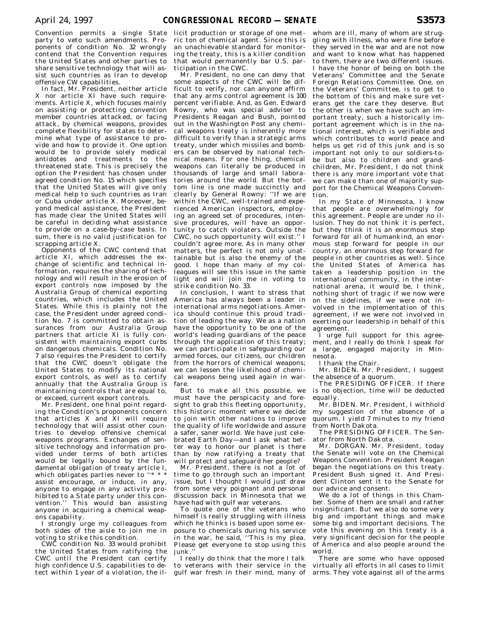Convention permits a single State party to veto such amendments. Proponents of condition No. 32 wrongly contend that the Convention requires the United States and other parties to share sensitive technology that will assist such countries as Iran to develop offensive CW capabilities.

In fact, Mr. President, neither article X nor article XI have such requirements. Article X, which focuses mainly on assisting or protecting convention member countries attacked, or facing attack, by chemical weapons, provides complete flexibility for states to determine what type of assistance to provide and how to provide it. One option would be to provide solely medical antidotes and treatments to the threatened state. This is precisely the option the President has chosen under agreed condition No. 15 which specifies that the United States will give only medical help to such countries as Iran or Cuba under article X. Moreover, beyond medical assistance, the President has made clear the United States will be careful in deciding what assistance to provide on a case-by-case basis. In sum, there is no valid justification for scrapping article X.

Opponents of the CWC contend that article XI, which addresses the exchange of scientific and technical information, requires the sharing of technology and will result in the erosion of export controls now imposed by the Australia Group of chemical exporting countries, which includes the United States. While this is plainly not the case, the President under agreed condition No. 7 is committed to obtain assurances from our Australia Group partners that article XI is fully consistent with maintaining export curbs on dangerous chemicals. Condition No. 7 also requires the President to certify that the CWC doesn't obligate the United States to modify its national export controls, as well as to certify annually that the Australia Group is maintaining controls that are equal to, or exceed, current export controls.

Mr. President, one final point regarding the Condition's proponents concern that articles X and XI will require technology that will assist other countries to develop offensive chemical weapons programs. Exchanges of sensitive technology and information provided under terms of both articles would be legally bound by the fundamental obligation of treaty article I, which obligates parties never to "\* \* \* assist encourage, or induce, in any, anyone to engage in any activity prohibited to a State party under this convention.'' This would ban assisting anyone in acquiring a chemical weapons capability.

I strongly urge my colleagues from both sides of the aisle to join me in voting to strike this condition.

CWC condition No. 33 would prohibit the United States from ratifying the CWC until the President can certify high confidence U.S. capabilities to detect within 1 year of a violation, the il-

licit production or storage of one metric ton of chemical agent. Since this is an unachievable standard for monitoring the treaty, this is a killer condition that would permanently bar U.S. participation in the CWC.

Mr. President, no one can deny that some aspects of the CWC will be difficult to verify, nor can anyone affirm that any arms control agreement is 100 percent verifiable. And, as Gen. Edward Rowny, who was special adviser to Presidents Reagan and Bush, pointed out in the Washington Post any chemical weapons treaty is inherently more difficult to verify than a strategic arms treaty, under which missiles and bombers can be observed by national technical means. For one thing, chemical weapons can literally be produced in thousands of large and small laboratories around the world. But the bottom line is one made succinctly and clearly by General Rowny: ''If we are within the CWC, well-trained and experienced American inspectors, employing an agreed set of procedures, intensive procedures, will have an opportunity to catch violaters. Outside the CWC, no such opportunity will exist.'' I couldn't agree more. As in many other matters, the perfect is not only unattainable but is also the enemy of the good. I hope than many of my colleagues will see this issue in the same light and will join me in voting to strike condition No. 33.

In conclusion, I want to stress that America has always been a leader in international arms negotiations. America should continue this proud tradition of leading the way. We as a nation have the opportunity to be one of the world's leading guardians of the peace through the application of this treaty; we can participate in safeguarding our armed forces, our citizens, our children from the horrors of chemical weapons; we can lessen the likelihood of chemical weapons being used again in warfare.

But to make all this possible, we must have the perspicacity and foresight to grab this fleeting opportunity, this historic moment where we decide to join with other nations to improve the quality of life worldwide and assure a safer, saner world. We have just celebrated Earth Day—and I ask what better way to honor our planet is there than by now ratifying a treaty that will protect and safeguard her people?

Mr. President, there is not a lot of time to go through such an important issue, but I thought I would just draw from some very poignant and personal discussion back in Minnesota that we have had with gulf war veterans.

To quote one of the veterans who himself is really struggling with illness which he thinks is based upon some exposure to chemicals during his service in the war, he said, ''This is my plea. Please get everyone to stop using this junk.''

I really do think that the more I talk to veterans with their service in the gulf war fresh in their mind, many of

whom are ill, many of whom are struggling with illness, who were fine before they served in the war and are not now and want to know what has happened to them, there are two different issues. I have the honor of being on both the Veterans' Committee and the Senate Foreign Relations Committee. One, on the Veterans' Committee, is to get to the bottom of this and make sure veterans get the care they deserve. But the other is when we have such an important treaty, such a historically important agreement which is in the national interest, which is verifiable and which contributes to world peace and helps us get rid of this junk and is so important not only to our soldiers-tobe but also to children and grandchildren, Mr. President, I do not think there is any more important vote that we can make than one of majority support for the Chemical Weapons Convention.

In my State of Minnesota, I know that people are overwhelmingly for this agreement. People are under no illusion. They do not think it is perfect, but they think it is an enormous step forward for all of humankind, an enormous step forward for people in our country, an enormous step forward for people in other countries as well. Since the United States of America has taken a leadership position in the international community, in the international arena, it would be, I think, nothing short of tragic if we now were on the sidelines, if we were not involved in the implementation of this agreement, if we were not involved in exerting our leadership in behalf of this agreement.

I urge full support for this agreement, and I really do think I speak for a large, engaged majority in Minnesota.

I thank the Chair.

Mr. BIDEN. Mr. President, I suggest the absence of a quorum.

The PRESIDING OFFICER. If there is no objection, time will be deducted equally.

Mr. BIDEN. Mr. President, I withhold my suggestion of the absence of a quorum. I yield 7 minutes to my friend from North Dakota.

The PRESIDING OFFICER. The Senator from North Dakota.

Mr. DORGAN. Mr. President, today the Senate will vote on the Chemical Weapons Convention. President Reagan began the negotiations on this treaty. President Bush signed it. And President Clinton sent it to the Senate for our advice and consent.

We do a lot of things in this Chamber. Some of them are small and rather insignificant. But we also do some very big and important things and make some big and important decisions. The vote this evening on this treaty is a very significant decision for the people of America and also people around the world.

There are some who have opposed virtually all efforts in all cases to limit arms. They vote against all of the arms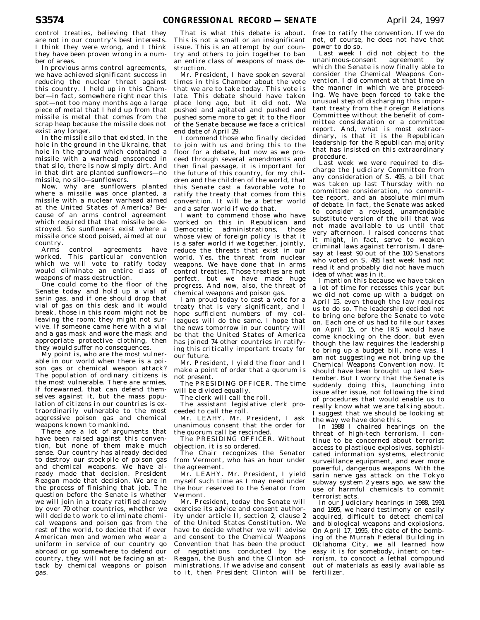control treaties, believing that they are not in our country's best interests. I think they were wrong, and I think they have been proven wrong in a number of areas.

In previous arms control agreements, we have achieved significant success in reducing the nuclear threat against this country. I held up in this Chamber—in fact, somewhere right near this spot—not too many months ago a large piece of metal that I held up from that missile is metal that comes from the scrap heap because the missile does not exist any longer.

In the missile silo that existed, in the hole in the ground in the Ukraine, that hole in the ground which contained a missile with a warhead ensconced in that silo, there is now simply dirt. And in that dirt are planted sunflowers—no missile, no silo—sunflowers.

Now, why are sunflowers planted where a missile was once planted, a missile with a nuclear warhead aimed at the United States of America? Because of an arms control agreement which required that that missile be destroyed. So sunflowers exist where a missile once stood poised, aimed at our country.

Arms control agreements have worked. This particular convention which we will vote to ratify today would eliminate an entire class of weapons of mass destruction.

One could come to the floor of the Senate today and hold up a vial of sarin gas, and if one should drop that vial of gas on this desk and it would break, those in this room might not be leaving the room; they might not survive. If someone came here with a vial and a gas mask and wore the mask and appropriate protective clothing, then they would suffer no consequences.

My point is, who are the most vulnerable in our world when there is a poison gas or chemical weapon attack? The population of ordinary citizens is the most vulnerable. There are armies, if forewarned, that can defend themselves against it, but the mass population of citizens in our countries is extraordinarily vulnerable to the most aggressive poison gas and chemical weapons known to mankind.

There are a lot of arguments that have been raised against this convention, but none of them make much sense. Our country has already decided to destroy our stockpile of poison gas and chemical weapons. We have already made that decision. President Reagan made that decision. We are in the process of finishing that job. The question before the Senate is whether we will join in a treaty ratified already by over 70 other countries, whether we will decide to work to eliminate chemical weapons and poison gas from the rest of the world, to decide that if ever American men and women who wear a uniform in service of our country go abroad or go somewhere to defend our country, they will not be facing an attack by chemical weapons or poison gas.

That is what this debate is about. This is not a small or an insignificant issue. This is an attempt by our country and others to join together to ban an entire class of weapons of mass destruction.

Mr. President, I have spoken several times in this Chamber about the vote that we are to take today. This vote is late. This debate should have taken place long ago, but it did not. We pushed and agitated and pushed and pushed some more to get it to the floor of the Senate because we face a critical end date of April 29.

I commend those who finally decided to join with us and bring this to the floor for a debate, but now as we proceed through several amendments and then final passage, it is important for the future of this country, for my children and the children of the world, that this Senate cast a favorable vote to ratify the treaty that comes from this convention. It will be a better world and a safer world if we do that.

I want to commend those who have worked on this in Republican and Democratic administrations, those whose view of foreign policy is that it is a safer world if we together, jointly, reduce the threats that exist in our world. Yes, the threat from nuclear weapons. We have done that in arms control treaties. Those treaties are not perfect, but we have made huge progress. And now, also, the threat of chemical weapons and poison gas.

I am proud today to cast a vote for a treaty that is very significant, and I hope sufficient numbers of my colleagues will do the same. I hope that the news tomorrow in our country will be that the United States of America has joined 74 other countries in ratifying this critically important treaty for our future.

Mr. President, I yield the floor and I make a point of order that a quorum is not present.

The PRESIDING OFFICER. The time will be divided equally.

The clerk will call the roll.

The assistant legislative clerk proceeded to call the roll.

Mr. LEAHY. Mr. President, I ask unanimous consent that the order for the quorum call be rescinded.

The PRESIDING OFFICER. Without objection, it is so ordered.

The Chair recognizes the Senator from Vermont, who has an hour under the agreement.

Mr. LEAHY. Mr. President, I yield myself such time as I may need under the hour reserved to the Senator from Vermont.

Mr. President, today the Senate will exercise its advice and consent authority under article II, section 2, clause 2 of the United States Constitution. We have to decide whether we will advise and consent to the Chemical Weapons Convention that has been the product of negotiations conducted by the Reagan, the Bush and the Clinton administrations. If we advise and consent to it, then President Clinton will be

free to ratify the convention. If we do not, of course, he does not have that power to do so.

Last week I did not object to the<br>nanimous-consent agreement by unanimous-consent agreement by which the Senate is now finally able to consider the Chemical Weapons Convention. I did comment at that time on the manner in which we are proceeding. We have been forced to take the unusual step of discharging this important treaty from the Foreign Relations Committee without the benefit of committee consideration or a committee report. And, what is most extraordinary, is that it is the Republican leadership for the Republican majority that has insisted on this extraordinary procedure.

Last week we were required to discharge the Judiciary Committee from any consideration of S. 495, a bill that was taken up last Thursday with no committee consideration, no committee report, and an absolute minimum of debate. In fact, the Senate was asked to consider a revised, unamendable substitute version of the bill that was not made available to us until that very afternoon. I raised concerns that it might, in fact, serve to weaken criminal laws against terrorism. I daresay at least 90 out of the 100 Senators who voted on S. 495 last week had not read it and probably did not have much idea of what was in it.

I mention this because we have taken a lot of time for recesses this year but we did not come up with a budget on April 15, even though the law requires us to do so. The leadership decided not to bring one before the Senate to vote on. Each one of us had to file our taxes on April 15, or the IRS would have come knocking on the door, but even though the law requires the leadership to bring up a budget bill, none was. I am not suggesting we not bring up the Chemical Weapons Convention now. It should have been brought up last September. But I worry that the Senate is suddenly doing this, launching into issue after issue, not following the kind of procedures that would enable us to really know what we are talking about. I suggest that we should be looking at the way we have done this.

In 1988 I chaired hearings on the threat of high-tech terrorism. I continue to be concerned about terrorist access to plastique explosives, sophisticated information systems, electronic surveillance equipment, and ever more powerful, dangerous weapons. With the sarin nerve gas attack on the Tokyo subway system 2 years ago, we saw the use of harmful chemicals to commit terrorist acts.

In our Judiciary hearings in 1988, 1991 and 1995, we heard testimony on easily acquired, difficult to detect chemical and biological weapons and explosions. On April 17, 1995, the date of the bombing of the Murrah Federal Building in Oklahoma City, we all learned how easy it is for somebody, intent on terrorism, to concoct a lethal compound out of materials as easily available as fertilizer.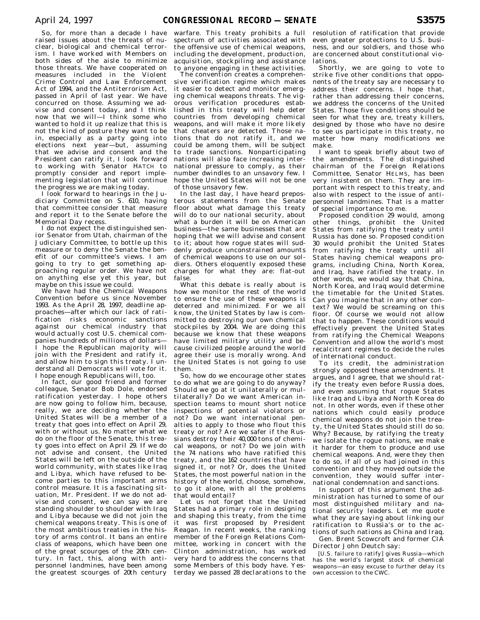So, for more than a decade I have raised issues about the threats of nuclear, biological and chemical terrorism. I have worked with Members on both sides of the aisle to minimize those threats. We have cooperated on measures included in the Violent Crime Control and Law Enforcement Act of 1994, and the Antiterrorism Act, passed in April of last year. We have concurred on those. Assuming we advise and consent today, and I think now that we will—I think some who wanted to hold it up realize that this is not the kind of posture they want to be in, especially as a party going into elections next year—but, assuming that we advise and consent and the President can ratify it, I look forward to working with Senator HATCH to promptly consider and report implementing legislation that will continue the progress we are making today.

I look forward to hearings in the Judiciary Committee on S. 610, having that committee consider that measure and report it to the Senate before the Memorial Day recess.

I do not expect the distinguished senior Senator from Utah, chairman of the Judiciary Committee, to bottle up this measure or to deny the Senate the benefit of our committee's views. I am going to try to get something approaching regular order. We have not on anything else yet this year, but maybe on this issue we could.

We have had the Chemical Weapons Convention before us since November 1993. As the April 28, 1997, deadline approaches—after which our lack of ratification risks economic sanctions against our chemical industry that would actually cost U.S. chemical companies hundreds of millions of dollars— I hope the Republican majority will join with the President and ratify it, and allow him to sign this treaty. I understand all Democrats will vote for it. I hope enough Republicans will, too.

In fact, our good friend and former colleague, Senator Bob Dole, endorsed ratification yesterday. I hope others are now going to follow him, because, really, we are deciding whether the United States will be a member of a treaty that goes into effect on April 29, with or without us. No matter what we do on the floor of the Senate, this treaty goes into effect on April 29. If we do not advise and consent, the United States will be left on the outside of the world community, with states like Iraq and Libya, which have refused to become parties to this important arms control measure. It is a fascinating situation, Mr. President. If we do not advise and consent, we can say we are standing shoulder to shoulder with Iraq and Libya because we did not join the chemical weapons treaty. This is one of the most ambitious treaties in the history of arms control. It bans an entire class of weapons, which have been one of the great scourges of the 20th century. In fact, this, along with antipersonnel landmines, have been among the greatest scourges of 20th century

warfare. This treaty prohibits a full spectrum of activities associated with the offensive use of chemical weapons, including the development, production, acquisition, stockpiling and assistance to anyone engaging in these activities.

The convention creates a comprehensive verification regime which makes it easier to detect and monitor emerging chemical weapons threats. The vigorous verification procedures established in this treaty will help deter countries from developing chemical weapons, and will make it more likely that cheaters are detected. Those nations that do not ratify it, and we could be among them, will be subject to trade sanctions. Nonparticipating nations will also face increasing international pressure to comply, as their number dwindles to an unsavory few. I hope the United States will not be one of those unsavory few.

In the last day, I have heard preposterous statements from the Senate floor about what damage this treaty will do to our national security, about what a burden it will be on American business—the same businesses that are hoping that we will advise and consent to it; about how rogue states will suddenly produce unconstrained amounts of chemical weapons to use on our soldiers. Others eloquently exposed these charges for what they are: flat-out false.

What this debate is really about is how we monitor the rest of the world to ensure the use of these weapons is deterred and minimized. For we all know, the United States by law is committed to destroying our own chemical stockpiles by 2004. We are doing this because we know that these weapons have limited military utility and because civilized people around the world agree their use is morally wrong. And the United States is not going to use them.

So, how do we encourage other states to do what we are going to do anyway? Should we go at it unilaterally or multilaterally? Do we want American inspection teams to mount short notice inspections of potential violators or not? Do we want international penalties to apply to those who flout this treaty or not? Are we safer if the Russians destroy their 40,000 tons of chemical weapons, or not? Do we join with the 74 nations who have ratified this treaty, and the 162 countries that have signed it, or not? Or, does the United States, the most powerful nation in the history of the world, choose, somehow, to go it alone, with all the problems that would entail?

Let us not forget that the United States had a primary role in designing and shaping this treaty, from the time it was first proposed by President Reagan. In recent weeks, the ranking member of the Foreign Relations Committee, working in concert with the Clinton administration, has worked very hard to address the concerns that some Members of this body have. Yesterday we passed 28 declarations to the

resolution of ratification that provide even greater protections to U.S. business, and our soldiers, and those who are concerned about constitutional violations.

Shortly, we are going to vote to strike five other conditions that opponents of the treaty say are necessary to address their concerns. I hope that, rather than addressing their concerns, we address the concerns of the United States. Those five conditions should be seen for what they are, treaty killers, designed by those who have no desire to see us participate in this treaty, no matter how many modifications we make.

I want to speak briefly about two of the amendments. The distinguished chairman of the Foreign Relations Committee, Senator HELMS, has been very insistent on them. They are important with respect to this treaty, and also with respect to the issue of antipersonnel landmines. That is a matter of special importance to me.

Proposed condition 29 would, among other things, prohibit the United States from ratifying the treaty until Russia has done so. Proposed condition 30 would prohibit the United States from ratifying the treaty until all States having chemical weapons programs, including China, North Korea, and Iraq, have ratified the treaty. In other words, we would say that China, North Korea, and Iraq would determine the timetable for the United States. Can you imagine that in any other context? We would be screaming on this floor. Of course we would not allow that to happen. These conditions would effectively prevent the United States from ratifying the Chemical Weapons Convention and allow the world's most recalcitrant regimes to decide the rules of international conduct.

To its credit, the administration strongly opposed these amendments. It argues, and I agree, that we should ratify the treaty even before Russia does, and even assuming that rogue States like Iraq and Libya and North Korea do not. In other words, even if these other nations which could easily produce chemical weapons do not join the treaty, the United States should still do so. Why? Because, by ratifying the treaty we isolate the rogue nations, we make it harder for them to produce and use chemical weapons. And, were they then to do so, if all of us had joined in this convention and they moved outside the convention, they would suffer international condemnation and sanctions.

In support of this argument the administration has turned to some of our most distinguished military and national security leaders. Let me quote what they are saying about linking our ratification to Russia's or to the actions of such nations as China and Iraq.

Gen. Brent Scowcroft and former CIA Director John Deutch say:

[U.S. failure to ratify] gives Russia—which has the world's largest stock of chemical weapons—an easy excuse to further delay its own accession to the CWC.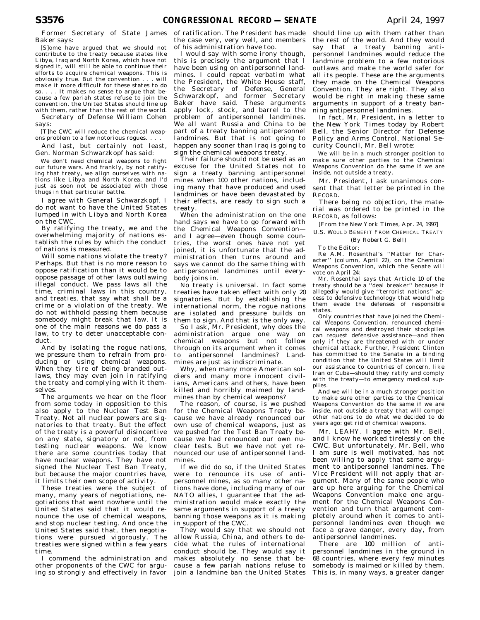Former Secretary of State James Baker says:

[S]ome have argued that we should not contribute to the treaty because states like Libya, Iraq and North Korea, which have not signed it, will still be able to continue their efforts to acquire chemical weapons. This is obviously true. But the convention . . . will make it more difficult for these states to do so. . . . It makes no sense to argue that because a few pariah states refuse to join the convention, the United States should line up with them, rather than the rest of the world. Secretary of Defense William Cohen

says:

[T]he CWC will reduce the chemical weapons problem to a few notorious rogues. . . .

And last, but certainly not least, Gen. Norman Schwarzkopf has said:

We don't need chemical weapons to fight our future wars. And frankly, by not ratifying that treaty, we align ourselves with nations like Libya and North Korea, and I'd just as soon not be associated with those thugs in that particular battle.

I agree with General Schwarzkopf. I do not want to have the United States lumped in with Libya and North Korea on the CWC.

By ratifying the treaty, we and the overwhelming majority of nations establish the rules by which the conduct of nations is measured.

Will some nations violate the treaty? Perhaps. But that is no more reason to oppose ratification than it would be to oppose passage of other laws outlawing illegal conduct. We pass laws all the time, criminal laws in this country, and treaties, that say what shall be a crime or a violation of the treaty. We do not withhold passing them because somebody might break that law. It is one of the main reasons we do pass a law, to try to deter unacceptable conduct.

And by isolating the rogue nations, we pressure them to refrain from producing or using chemical weapons. When they tire of being branded outlaws, they may even join in ratifying the treaty and complying with it themselves.

The arguments we hear on the floor from some today in opposition to this also apply to the Nuclear Test Ban Treaty. Not all nuclear powers are signatories to that treaty. But the effect of the treaty is a powerful disincentive on any state, signatory or not, from testing nuclear weapons. We know there are some countries today that have nuclear weapons. They have not signed the Nuclear Test Ban Treaty, but because the major countries have, it limits their own scope of activity.

These treaties were the subject of many, many years of negotiations, negotiations that went nowhere until the United States said that it would renounce the use of chemical weapons, and stop nuclear testing. And once the United States said that, then negotiations were pursued vigorously. The treaties were signed within a few years time.

I commend the administration and other proponents of the CWC for arguing so strongly and effectively in favor of ratification. The President has made the case very, very well, and members of his administration have too.

I would say with some irony though, this is precisely the argument that I have been using on antipersonnel landmines. I could repeat verbatim what the President, the White House staff, the Secretary of Defense, General Schwarzkopf, and former Secretary Baker have said. These arguments apply lock, stock, and barrel to the problem of antipersonnel landmines. .<br>We all want Russia and China to be part of a treaty banning antipersonnel landmines. But that is not going to happen any sooner than Iraq is going to sign the chemical weapons treaty.

Their failure should not be used as an excuse for the United States not to sign a treaty banning antipersonnel mines when 100 other nations, including many that have produced and used landmines or have been devastated by their effects, are ready to sign such a treaty.

When the administration on the one hand says we have to go forward with the Chemical Weapons Convention and I agree—even though some countries, the worst ones have not yet joined, it is unfortunate that the administration then turns around and says we cannot do the same thing with antipersonnel landmines until everybody joins in.

No treaty is universal. In fact some treaties have taken effect with only 20 signatories. But by establishing the international norm, the rogue nations are isolated and pressure builds on them to sign. And that is the only way.

So I ask, Mr. President, why does the administration argue one way on chemical weapons but not follow through on its argument when it comes to antipersonnel landmines? Landmines are just as indiscriminate.

Why, when many more American soldiers and many more innocent civilians, Americans and others, have been killed and horribly maimed by landmines than by chemical weapons?

The reason, of course, is we pushed for the Chemical Weapons Treaty because we have already renounced our own use of chemical weapons, just as we pushed for the Test Ban Treaty because we had renounced our own nuclear tests. But we have not yet renounced our use of antipersonnel landmines.

If we did do so, if the United States were to renounce its use of antipersonnel mines, as so many other nations have done, including many of our NATO allies, I guarantee that the administration would make exactly the same arguments in support of a treaty banning those weapons as it is making in support of the CWC.

They would say that we should not allow Russia, China, and others to decide what the rules of international conduct should be. They would say it makes absolutely no sense that because a few pariah nations refuse to join a landmine ban the United States

should line up with them rather than the rest of the world. And they would say that a treaty banning antipersonnel landmines would reduce the landmine problem to a few notorious outlaws and make the world safer for all its people. These are the arguments they made on the Chemical Weapons Convention. They are right. They also would be right in making these same arguments in support of a treaty banning antipersonnel landmines.

In fact, Mr. President, in a letter to the New York Times today by Robert Bell, the Senior Director for Defense Policy and Arms Control, National Security Council, Mr. Bell wrote:

We will be in a much stronger position to make sure other parties to the Chemical Weapons Convention do the same if we are inside, not outside a treaty.

Mr. President, I ask unanimous consent that that letter be printed in the RECORD.

There being no objection, the material was ordered to be printed in the RECORD, as follows:

[From the New York Times, Apr. 24, 1997]

U.S. WOULD BENEFIT FROM CHEMICAL TREATY (By Robert G. Bell)

To the Editor:

Re A.M. Rosenthal's ''Matter for Character'' (column, April 22), on the Chemical Weapons Convention, which the Senate will vote on April 24:

Mr. Rosenthal says that Article 10 of the treaty should be a ''deal breaker'' because it allegedly would give ''terrorist nations'' access to defensive technology that would help them evade the defenses of responsible states.

Only countries that have joined the Chemical Weapons Convention, renounced chemical weapons and destroyed their stockpiles can request defensive assistance—and then only if they are threatened with or under chemical attack. Further, President Clinton has committed to the Senate in a binding condition that the United States will limit our assistance to countries of concern, like Iran or Cuba—should they ratify and comply with the treaty—to emergency medical supplies.

And we will be in a much stronger position to make sure other parties to the Chemical Weapons Convention do the same if we are inside, not outside a treaty that will compel other nations to do what we decided to do years ago: get rid of chemical weapons.

Mr. LEAHY. I agree with Mr. Bell, and I know he worked tirelessly on the CWC. But unfortunately, Mr. Bell, who I am sure is well motivated, has not been willing to apply that same argument to antipersonnel landmines. The Vice President will not apply that argument. Many of the same people who are up here arguing for the Chemical Weapons Convention make one argument for the Chemical Weapons Convention and turn that argument completely around when it comes to antipersonnel landmines even though we face a grave danger, every day, from antipersonnel landmines.

There are 100 million of antipersonnel landmines in the ground in 68 countries, where every few minutes somebody is maimed or killed by them. This is, in many ways, a greater danger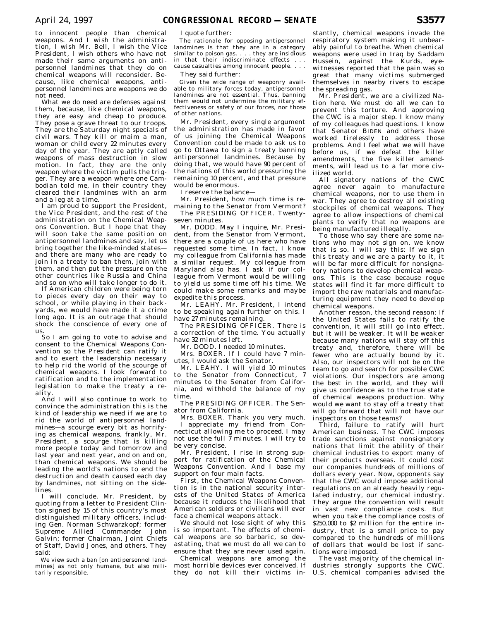to innocent people than chemical weapons. And I wish the administration, I wish Mr. Bell, I wish the Vice President, I wish others who have not made their same arguments on antipersonnel landmines that they do on chemical weapons will reconsider. Because, like chemical weapons, antipersonnel landmines are weapons we do not need.

What we do need are defenses against them, because, like chemical weapons, they are easy and cheap to produce. They pose a grave threat to our troops. They are the Saturday night specials of civil wars. They kill or maim a man, woman or child every 22 minutes every day of the year. They are aptly called weapons of mass destruction in slow motion. In fact, they are the only weapon where the victim pulls the trigger. They are a weapon where one Cambodian told me, in their country they cleared their landmines with an arm and a leg at a time.

I am proud to support the President, the Vice President, and the rest of the administration on the Chemical Weapons Convention. But I hope that they will soon take the same position on antipersonnel landmines and say, let us bring together the like-minded states and there are many who are ready to join in a treaty to ban them, join with them, and then put the pressure on the other countries like Russia and China and so on who will take longer to do it.

If American children were being torn to pieces every day on their way to school, or while playing in their backyards, we would have made it a crime long ago. It is an outrage that should shock the conscience of every one of us.

So I am going to vote to advise and consent to the Chemical Weapons Convention so the President can ratify it and to exert the leadership necessary to help rid the world of the scourge of chemical weapons. I look forward to ratification and to the implementation legislation to make the treaty a reality.

And I will also continue to work to convince the administration this is the kind of leadership we need if we are to rid the world of antipersonnel landmines—a scourge every bit as horrifying as chemical weapons, frankly, Mr. President, a scourge that is killing more people today and tomorrow and last year and next year, and on and on, than chemical weapons. We should be leading the world's nations to end the destruction and death caused each day by landmines, not sitting on the sidelines.

I will conclude, Mr. President, by quoting from a letter to President Clinton signed by 15 of this country's most distinguished military officers, including Gen. Norman Schwarzkopf; former Supreme Allied Commander John Galvin; former Chairman, Joint Chiefs of Staff, David Jones, and others. They said:

We view such a ban [on antipersonnel landmines] as not only humane, but also militarily responsible.

# I quote further:

The rationale for opposing antipersonnel landmines is that they are in a category similar to poison gas. . . . they are insidious in that their indiscriminate effects . . . cause casualties among innocent people. . . .

They said further:

Given the wide range of weaponry available to military forces today, antipersonnel landmines are not essential. Thus, banning them would not undermine the military effectiveness or safety of our forces, nor those of other nations.

Mr. President, every single argument the administration has made in favor of us joining the Chemical Weapons Convention could be made to ask us to go to Ottawa to sign a treaty banning antipersonnel landmines. Because by doing that, we would have 90 percent of the nations of this world pressuring the remaining 10 percent, and that pressure would be enormous.

I reserve the balance—

Mr. President, how much time is remaining to the Senator from Vermont?

The PRESIDING OFFICER. Twentyseven minutes.

Mr. DODD. May I inquire, Mr. President, from the Senator from Vermont, there are a couple of us here who have requested some time. In fact, I know my colleague from California has made a similar request. My colleague from Maryland also has. I ask if our colleague from Vermont would be willing to yield us some time off his time. We could make some remarks and maybe expedite this process.

Mr. LEAHY. Mr. President, I intend to be speaking again further on this. I have 27 minutes remaining.

The PRESIDING OFFICER. There is a correction of the time. You actually have 32 minutes left.

Mr. DODD. I needed 10 minutes.

Mrs. BOXER. If I could have 7 minutes, I would ask the Senator.

Mr. LEAHY. I will yield 10 minutes to the Senator from Connecticut, 7 minutes to the Senator from California, and withhold the balance of my time.

The PRESIDING OFFICER. The Senator from California.

Mrs. BOXER. Thank you very much. I appreciate my friend from Connecticut allowing me to proceed. I may not use the full  $\tilde{7}$  minutes. I will try to be very concise.

Mr. President, I rise in strong support for ratification of the Chemical Weapons Convention. And I base my support on four main facts.

First, the Chemical Weapons Convention is in the national security interests of the United States of America because it reduces the likelihood that American soldiers or civilians will ever face a chemical weapons attack.

We should not lose sight of why this is so important. The effects of chemical weapons are so barbaric, so devastating, that we must do all we can to ensure that they are never used again.

Chemical weapons are among the most horrible devices ever conceived. If they do not kill their victims in-

stantly, chemical weapons invade the respiratory system making it unbearably painful to breathe. When chemical weapons were used in Iraq by Saddam Hussein, against the Kurds, eyewitnesses reported that the pain was so great that many victims submerged themselves in nearby rivers to escape the spreading gas.

Mr. President, we are a civilized Nation here. We must do all we can to prevent this torture. And approving the CWC is a major step. I know many of my colleagues had questions. I know that Senator BIDEN and others have worked tirelessly to address those problems. And I feel what we will have before us, if we defeat the killer amendments, the five killer amendments, will lead us to a far more civilized world.

All signatory nations of the CWC agree never again to manufacture chemical weapons, nor to use them in war. They agree to destroy all existing stockpiles of chemical weapons. They agree to allow inspections of chemical plants to verify that no weapons are being manufactured illegally.

To those who say there are some nations who may not sign on, we know that is so. I will say this: If we sign this treaty and we are a party to it, it will be far more difficult for nonsignatory nations to develop chemical weapons. This is the case because rogue states will find it far more difficult to import the raw materials and manufacturing equipment they need to develop chemical weapons.

Another reason, the second reason: If the United States fails to ratify the convention, it will still go into effect, but it will be weaker. It will be weaker because many nations will stay off this treaty and, therefore, there will be fewer who are actually bound by it. Also, our inspectors will not be on the team to go and search for possible CWC violations. Our inspectors are among the best in the world, and they will give us confidence as to the true state of chemical weapons production. Why would we want to stay off a treaty that will go forward that will not have our inspectors on those teams?

Third, failure to ratify will hurt American business. The CWC imposes trade sanctions against nonsignatory nations that limit the ability of their chemical industries to export many of their products overseas. It could cost our companies hundreds of millions of dollars every year. Now, opponents say that the CWC would impose additional regulations on an already heavily regulated industry, our chemical industry. They argue the convention will result in vast new compliance costs. But when you take the compliance costs of \$250,000 to \$2 million for the entire industry, that is a small price to pay compared to the hundreds of millions of dollars that would be lost if sanctions were imposed.

The vast majority of the chemical industries strongly supports the CWC. U.S. chemical companies advised the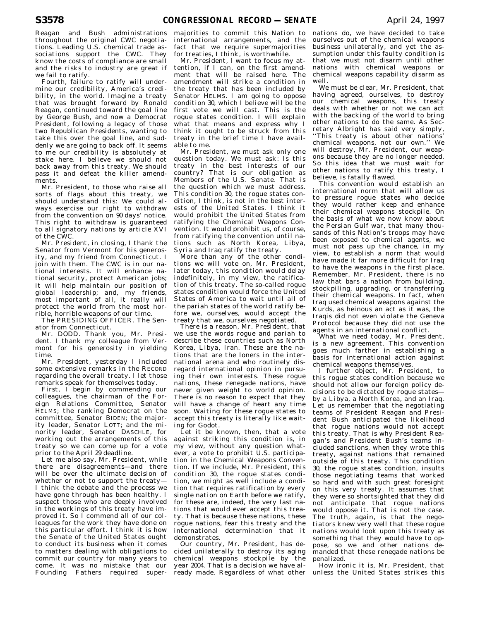Reagan and Bush administrations throughout the original CWC negotiations. Leading U.S. chemical trade associations support the CWC. They know the costs of compliance are small and the risks to industry are great if we fail to ratify.

Fourth, failure to ratify will undermine our credibility, America's credibility, in the world. Imagine a treaty that was brought forward by Ronald Reagan, continued toward the goal line by George Bush, and now a Democrat President, following a legacy of those two Republican Presidents, wanting to take this over the goal line, and suddenly we are going to back off. It seems to me our credibility is absolutely at stake here. I believe we should not back away from this treaty. We should pass it and defeat the killer amendments.

Mr. President, to those who raise all sorts of flags about this treaty, we should understand this: We could always exercise our right to withdraw from the convention on 90 days' notice. This right to withdraw is guaranteed to all signatory nations by article XVI of the CWC.

Mr. President, in closing, I thank the Senator from Vermont for his generosity, and my friend from Connecticut. I join with them. The CWC is in our national interests. It will enhance national security, protect American jobs; it will help maintain our position of global leadership; and, my friends, most important of all, it really will protect the world from the most horrible, horrible weapons of our time.

The PRESIDING OFFICER. The Senator from Connecticut.

Mr. DODD. Thank you, Mr. President. I thank my colleague from Vermont for his generosity in yielding time.

Mr. President, yesterday I included some extensive remarks in the RECORD regarding the overall treaty. I let those remarks speak for themselves today.

First, I begin by commending our colleagues, the chairman of the Foreign Relations Committee, Senator HELMS; the ranking Democrat on the committee, Senator BIDEN; the majority leader, Senator LOTT; and the minority leader, Senator DASCHLE, for working out the arrangements of this treaty so we can come up for a vote prior to the April 29 deadline.

Let me also say, Mr. President, while there are disagreements—and there will be over the ultimate decision of whether or not to support the treaty— I think the debate and the process we have gone through has been healthy. I suspect those who are deeply involved in the workings of this treaty have improved it. So I commend all of our colleagues for the work they have done on this particular effort. I think it is how the Senate of the United States ought to conduct its business when it comes to matters dealing with obligations to commit our country for many years to come. It was no mistake that our Founding Fathers required super-

majorities to commit this Nation to international arrangements, and the fact that we require supermajorities for treaties, I think, is worthwhile.

Mr. President, I want to focus my attention, if I can, on the first amendment that will be raised here. The amendment will strike a condition in the treaty that has been included by Senator HELMS. I am going to oppose condition 30, which I believe will be the first vote we will cast. This is the rogue states condition. I will explain what that means and express why I think it ought to be struck from this treaty in the brief time I have available to me.

Mr. President, we must ask only one question today. We must ask: Is this treaty in the best interests of our country? That is our obligation as Members of the U.S. Senate. That is the question which we must address. This condition 30, the rogue states condition, I think, is not in the best interests of the United States. I think it would prohibit the United States from ratifying the Chemical Weapons Convention. It would prohibit us, of course, from ratifying the convention until nations such as North Korea, Libya, Syria and Iraq ratify the treaty.

More than any of the other conditions we will vote on, Mr. President, later today, this condition would delay indefinitely, in my view, the ratification of this treaty. The so-called rogue states condition would force the United States of America to wait until all of the pariah states of the world ratify before we, ourselves, would accept the treaty that we, ourselves negotiated.

There is a reason, Mr. President, that we use the words rogue and pariah to describe these countries such as North Korea, Libya, Iran. These are the nations that are the loners in the international arena and who routinely disregard international opinion in pursuing their own interests. These rogue nations, these renegade nations, have never given weight to world opinion. There is no reason to expect that they will have a change of heart any time soon. Waiting for these rogue states to accept this treaty is literally like waiting for Godot.

Let it be known, then, that a vote against striking this condition is, in my view, without any question whatever, a vote to prohibit U.S. participation in the Chemical Weapons Convention. If we include, Mr. President, this condition 30, the rogue states condition, we might as well include a condition that requires ratification by every single nation on Earth before we ratify, for these are, indeed, the very last nations that would ever accept this treaty. That is because these nations, these rogue nations, fear this treaty and the international determination that it demonstrates.

Our country, Mr. President, has decided unilaterally to destroy its aging chemical weapons stockpile by the year 2004. That is a decision we have already made. Regardless of what other

nations do, we have decided to take ourselves out of the chemical weapons business unilaterally, and yet the assumption under this faulty condition is that we must not disarm until other nations with chemical weapons or chemical weapons capability disarm as well.

We must be clear, Mr. President, that having agreed, ourselves, to destroy our chemical weapons, this treaty deals with whether or not we can act with the backing of the world to bring other nations to do the same. As Secretary Albright has said very simply, ''This treaty is about other nations' chemical weapons, not our own.'' We will destroy, Mr. President, our weapons because they are no longer needed. So this idea that we must wait for other nations to ratify this treaty, I believe, is fatally flawed.

This convention would establish an international norm that will allow us to pressure rogue states who decide they would rather keep and enhance their chemical weapons stockpile. On the basis of what we now know about the Persian Gulf war, that many thousands of this Nation's troops may have been exposed to chemical agents, we must not pass up the chance, in my view, to establish a norm that would have made it far more difficult for Iraq to have the weapons in the first place. Remember, Mr. President, there is no law that bars a nation from building, stockpiling, upgrading, or transferring their chemical weapons. In fact, when Iraq used chemical weapons against the Kurds, as heinous an act as it was, the Iraqis did not even violate the Geneva Protocol because they did not use the agents in an international conflict.

What we need today, Mr. President, is a new agreement. This convention goes much farther in establishing a basis for international action against chemical weapons themselves.

I further object, Mr. President, to this rogue states condition because we should not allow our foreign policy decisions to be dictated by rogue states by a Libya, a North Korea, and an Iraq. Let us remember that the negotiating teams of President Reagan and President Bush anticipated the likelihood that rogue nations would not accept this treaty. That is why President Reagan's and President Bush's teams included sanctions, when they wrote this treaty, against nations that remained outside of this treaty. This condition 30, the rogue states condition, insults those negotiating teams that worked so hard and with such great foresight on this very treaty. It assumes that they were so shortsighted that they did not anticipate that rogue nations would oppose it. That is not the case. The truth, again, is that the negotiators knew very well that these rogue nations would look upon this treaty as something that they would have to oppose, so we and other nations demanded that these renegade nations be penalized.

How ironic it is, Mr. President, that unless the United States strikes this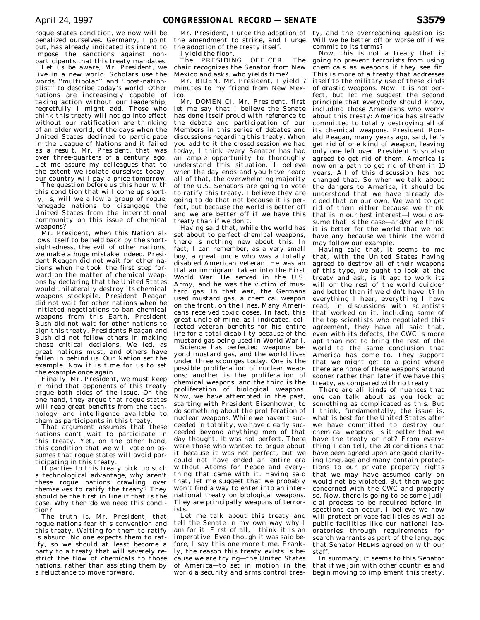rogue states condition, we now will be penalized ourselves. Germany, I point out, has already indicated its intent to impose the sanctions against nonparticipants that this treaty mandates.

Let us be aware, Mr. President, we live in a new world. Scholars use the words ''multipolar'' and ''post-nationalist'' to describe today's world. Other nations are increasingly capable of taking action without our leadership, regretfully I might add. Those who think this treaty will not go into effect without our ratification are thinking of an older world, of the days when the United States declined to participate in the League of Nations and it failed as a result. Mr. President, that was over three-quarters of a century ago. Let me assure my colleagues that to the extent we isolate ourselves today, our country will pay a price tomorrow.

The question before us this hour with this condition that will come up shortly, is, will we allow a group of rogue, renegade nations to disengage the United States from the international community on this issue of chemical weapons?

Mr. President, when this Nation allows itself to be held back by the shortsightedness, the evil of other nations, we make a huge mistake indeed. President Reagan did not wait for other nations when he took the first step forward on the matter of chemical weapons by declaring that the United States would unilaterally destroy its chemical weapons stockpile. President Reagan did not wait for other nations when he initiated negotiations to ban chemical weapons from this Earth. President Bush did not wait for other nations to sign this treaty. Presidents Reagan and Bush did not follow others in making those critical decisions. We led, as great nations must, and others have fallen in behind us. Our Nation set the example. Now it is time for us to set the example once again.

Finally, Mr. President, we must keep in mind that opponents of this treaty argue both sides of the issue. On the one hand, they argue that rogue states will reap great benefits from the technology and intelligence available to them as participants in this treaty.

That argument assumes that these nations can't wait to participate in this treaty. Yet, on the other hand, this condition that we will vote on assumes that rogue states will avoid participating in this treaty.

If parties to this treaty pick up such a technological advantage, why aren't these rogue nations crawling over themselves to ratify the treaty? They should be the first in line if that is the case. Why then do we need this condition?

The truth is, Mr. President, that rogue nations fear this convention and this treaty. Waiting for them to ratify is absurd. No one expects them to ratify, so we should at least become a party to a treaty that will severely restrict the flow of chemicals to those nations, rather than assisting them by a reluctance to move forward.

Mr. President, I urge the adoption of the amendment to strike, and I urge the adoption of the treaty itself.

I yield the floor. The PRESIDING OFFICER. The chair recognizes the Senator from New

Mexico and asks, who yields time? Mr. BIDEN. Mr. President, I yield 7 minutes to my friend from New Mexico.

Mr. DOMENICI. Mr. President, first let me say that I believe the Senate has done itself proud with reference to the debate and participation of our Members in this series of debates and discussions regarding this treaty. When you add to it the closed session we had today, I think every Senator has had an ample opportunity to thoroughly understand this situation. I believe when the day ends and you have heard all of that, the overwhelming majority of the U.S. Senators are going to vote to ratify this treaty. I believe they are going to do that not because it is perfect, but because the world is better off and we are better off if we have this treaty than if we don't.

Having said that, while the world has set about to perfect chemical weapons, there is nothing new about this. In fact, I can remember, as a very small boy, a great uncle who was a totally disabled American veteran. He was an Italian immigrant taken into the First World War. He served in the U.S. Army, and he was the victim of mustard gas. In that war, the Germans used mustard gas, a chemical weapon on the front, on the lines. Many Americans received toxic doses. In fact, this great uncle of mine, as I indicated, collected veteran benefits for his entire life for a total disability because of the mustard gas being used in World War I.

Science has perfected weapons beyond mustard gas, and the world lives under three scourges today. One is the possible proliferation of nuclear weapons; another is the proliferation of chemical weapons, and the third is the proliferation of biological weapons. Now, we have attempted in the past, starting with President Eisenhower, to do something about the proliferation of nuclear weapons. While we haven't succeeded in totality, we have clearly succeeded beyond anything men of that day thought. It was not perfect. There were those who wanted to argue about it because it was not perfect, but we could not have ended an entire era without Atoms for Peace and everything that came with it. Having said that, let me suggest that we probably won't find a way to enter into an international treaty on biological weapons. They are principally weapons of terrorists.

Let me talk about this treaty and tell the Senate in my own way why I am for it. First of all, I think it is an imperative. Even though it was said before, I say this one more time. Frankly, the reason this treaty exists is because we are trying—the United States of America—to set in motion in the world a security and arms control trea-

ty, and the overreaching question is: Will we be better off or worse off if we commit to its terms?

Now, this is not a treaty that is going to prevent terrorists from using chemicals as weapons if they see fit. This is more of a treaty that addresses itself to the military use of these kinds of drastic weapons. Now, it is not perfect, but let me suggest the second principle that everybody should know, including those Americans who worry about this treaty: America has already committed to totally destroying all of its chemical weapons. President Ronald Reagan, many years ago, said, let's get rid of one kind of weapon, leaving only one left over. President Bush also agreed to get rid of them. America is now on a path to get rid of them in 10 years. All of this discussion has not changed that. So when we talk about the dangers to America, it should be understood that we have already decided that on our own. We want to get rid of them either because we think that is in our best interest—I would assume that is the case—and/or we think it is better for the world that we not have any because we think the world may follow our example.

Having said that, it seems to me that, with the United States having agreed to destroy all of their weapons of this type, we ought to look at the treaty and ask, is it apt to work its will on the rest of the world quicker and better than if we didn't have it? In everything I hear, everything I have read, in discussions with scientists that worked on it, including some of the top scientists who negotiated this agreement, they have all said that, even with its defects, the CWC is more apt than not to bring the rest of the world to the same conclusion that America has come to. They support that we might get to a point where there are none of these weapons around sooner rather than later if we have this treaty, as compared with no treaty.

There are all kinds of nuances that one can talk about as you look at something as complicated as this. But I think, fundamentally, the issue is: what is best for the United States after we have committed to destroy our chemical weapons, is it better that we have the treaty or not? From everything I can tell, the 28 conditions that have been agreed upon are good clarifying language and many contain protections to our private property rights that we may have assumed early on would not be violated. But then we got concerned with the CWC and properly so. Now, there is going to be some judicial process to be required before inspections can occur. I believe we now will protect private facilities as well as public facilities like our national laboratories through requirements for search warrants as part of the language that Senator HELMS agreed on with our staff.

In summary, it seems to this Senator that if we join with other countries and begin moving to implement this treaty,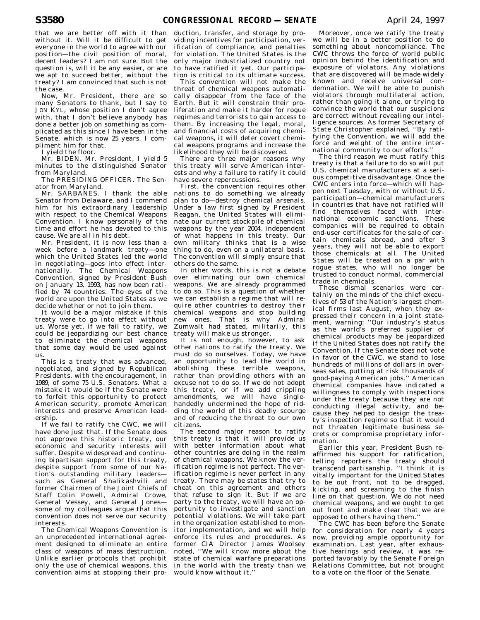that we are better off with it than without it. Will it be difficult to get everyone in the world to agree with our position—the civil position of moral, decent leaders? I am not sure. But the question is, will it be any easier, or are we apt to succeed better, without the treaty? I am convinced that such is not the case.

Now, Mr. President, there are so many Senators to thank, but I say to JON KYL, whose position I don't agree with, that I don't believe anybody has done a better job on something as complicated as this since I have been in the Senate, which is now 25 years. I compliment him for that.

I yield the floor.

Mr. BIDEN. Mr. President, I yield 5 minutes to the distinguished Senator from Maryland.

The PRESIDING OFFICER. The Senator from Maryland.

Mr. SARBANES. I thank the able Senator from Delaware, and I commend him for his extraordinary leadership with respect to the Chemical Weapons Convention. I know personally of the time and effort he has devoted to this cause. We are all in his debt.

Mr. President, it is now less than a week before a landmark treaty—one which the United States led the world in negotiating—goes into effect internationally. The Chemical Weapons Convention, signed by President Bush on January 13, 1993, has now been ratified by  $74$  countries. The eyes of the world are upon the United States as we decide whether or not to join them.

It would be a major mistake if this treaty were to go into effect without us. Worse yet, if we fail to ratify, we could be jeopardizing our best chance to eliminate the chemical weapons that some day would be used against us.

This is a treaty that was advanced, negotiated, and signed by Republican Presidents, with the encouragement, in 1989, of some 75 U.S. Senators. What a mistake it would be if the Senate were to forfeit this opportunity to protect American security, promote American interests and preserve American leadership.

If we fail to ratify the CWC, we will have done just that. If the Senate does not approve this historic treaty, our economic and security interests will suffer. Despite widespread and continuing bipartisan support for this treaty, despite support from some of our Nation's outstanding military leaders such as General Shalikashvili and former Chairmen of the Joint Chiefs of Staff Colin Powell, Admiral Crowe, General Vessey, and General Jones some of my colleagues argue that this convention does not serve our security interests.

The Chemical Weapons Convention is an unprecedented international agreement designed to eliminate an entire class of weapons of mass destruction. Unlike earlier protocols that prohibit only the use of chemical weapons, this convention aims at stopping their pro-

duction, transfer, and storage by providing incentives for participation, verification of compliance, and penalties for violation. The United States is the only major industrialized country not to have ratified it yet. Our participation is critical to its ultimate success.

This convention will not make the threat of chemical weapons automatically disappear from the face of the Earth. But it will constrain their proliferation and make it harder for rogue regimes and terrorists to gain access to them. By increasing the legal, moral, and financial costs of acquiring chemical weapons, it will deter covert chemical weapons programs and increase the likelihood they will be discovered.

There are three major reasons why this treaty will serve American interests and why a failure to ratify it could have severe repercussions.

First, the convention requires other nations to do something we already plan to do—destroy chemical arsenals. Under a law first signed by President Reagan, the United States will eliminate our current stockpile of chemical weapons by the year 2004, independent of what happens in this treaty. Our own military thinks that is a wise thing to do, even on a unilateral basis. The convention will simply ensure that others do the same.

In other words, this is not a debate over eliminating our own chemical weapons. We are already programmed to do so. This is a question of whether we can establish a regime that will require other countries to destroy their chemical weapons and stop building new ones. That is why Admiral Zumwalt had stated, militarily, this treaty will make us stronger.

It is not enough, however, to ask other nations to ratify the treaty. We must do so ourselves. Today, we have an opportunity to lead the world in abolishing these terrible weapons, rather than providing others with an excuse not to do so. If we do not adopt this treaty, or if we add crippling amendments, we will have singlehandedly undermined the hope of ridding the world of this deadly scourge and of reducing the threat to our own citizens.

The second major reason to ratify this treaty is that it will provide us with better information about what other countries are doing in the realm of chemical weapons. We know the verification regime is not perfect. The verification regime is never perfect in any treaty. There may be states that try to cheat on this agreement and others that refuse to sign it. But if we are party to the treaty, we will have an opportunity to investigate and sanction potential violations. We will take part in the organization established to monitor implementation, and we will help enforce its rules and procedures. As former CIA Director James Woolsey noted, ''We will know more about the state of chemical warfare preparations in the world with the treaty than we would know without it.''

Moreover, once we ratify the treaty we will be in a better position to do something about noncompliance. The CWC throws the force of world public opinion behind the identification and exposure of violators. Any violations that are discovered will be made widely known and receive universal condemnation. We will be able to punish violators through multilateral action, rather than going it alone, or trying to convince the world that our suspicions are correct without revealing our intelligence sources. As former Secretary of State Christopher explained, ''By ratifying the Convention, we will add the force and weight of the entire international community to our efforts.''

The third reason we must ratify this treaty is that a failure to do so will put U.S. chemical manufacturers at a serious competitive disadvantage. Once the CWC enters into force—which will happen next Tuesday, with or without U.S. participation—chemical manufacturers in countries that have not ratified will find themselves faced with inter-<br>national economic sanctions. These national economic sanctions. companies will be required to obtain end-user certificates for the sale of certain chemicals abroad, and after 3 years, they will not be able to export those chemicals at all. The United States will be treated on a par with rogue states, who will no longer be trusted to conduct normal, commercial trade in chemicals.

These dismal scenarios were certainly on the minds of the chief executives of 53 of the Nation's largest chemical firms last August, when they expressed their concern in a joint statement, warning: ''Our industry's status as the world's preferred supplier of chemical products may be jeopardized if the United States does not ratify the Convention. If the Senate does not vote in favor of the CWC, we stand to lose hundreds of millions of dollars in overseas sales, putting at risk thousands of good-paying American jobs.'' American chemical companies have indicated a willingness to comply with inspections under the treaty because they are not conducting illegal activity, and because they helped to design the treaty's inspection regime so that it would not threaten legitimate business secrets or compromise proprietary information.

Earlier this year, President Bush reaffirmed his support for ratification, telling reporters the treaty should transcend partisanship. ''I think it is vitally important for the United States to be out front, not to be dragged, kicking, and screaming to the finish line on that question. We do not need chemical weapons, and we ought to get out front and make clear that we are opposed to others having them.''

The CWC has been before the Senate for consideration for nearly 4 years now, providing ample opportunity for examination. Last year, after exhaustive hearings and review, it was reported favorably by the Senate Foreign Relations Committee, but not brought to a vote on the floor of the Senate.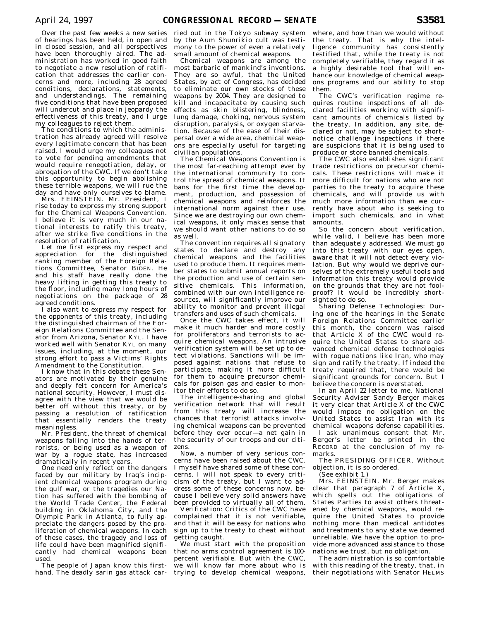Over the past few weeks a new series of hearings has been held, in open and in closed session, and all perspectives have been thoroughly aired. The administration has worked in good faith to negotiate a new resolution of ratification that addresses the earlier concerns and more, including 28 agreed conditions, declarations, statements, and understandings. The remaining five conditions that have been proposed will undercut and place in jeopardy the effectiveness of this treaty, and I urge my colleagues to reject them.

The conditions to which the administration has already agreed will resolve every legitimate concern that has been raised. I would urge my colleagues not to vote for pending amendments that would require renegotiation, delay, or abrogation of the CWC. If we don't take this opportunity to begin abolishing these terrible weapons, we will rue the day and have only ourselves to blame.

Mrs. FEINSTEIN. Mr. President, I rise today to express my strong support for the Chemical Weapons Convention. I believe it is very much in our national interests to ratify this treaty, after we strike five conditions in the resolution of ratification.

Let me first express my respect and appreciation for the distinguished ranking member of the Foreign Relations Committee, Senator BIDEN. He and his staff have really done the heavy lifting in getting this treaty to the floor, including many long hours of negotiations on the package of 28 agreed conditions.

I also want to express my respect for the opponents of this treaty, including the distinguished chairman of the Foreign Relations Committee and the Senator from Arizona, Senator KYL. I have worked well with Senator KYL on many issues, including, at the moment, our strong effort to pass a Victims' Rights Amendment to the Constitution.

I know that in this debate these Senators are motivated by their genuine and deeply felt concern for America's national security. However, I must disagree with the view that we would be better off without this treaty, or by passing a resolution of ratification that essentially renders the treaty meaningless.

Mr. President, the threat of chemical weapons falling into the hands of terrorists, or being used as a weapon of war by a rogue state, has increased dramatically in recent years.

One need only reflect on the dangers faced by our military by Iraq's incipient chemical weapons program during the gulf war, or the tragedies our Nation has suffered with the bombing of the World Trade Center, the Federal building in Oklahoma City, and the Olympic Park in Atlanta, to fully appreciate the dangers posed by the proliferation of chemical weapons. In each of these cases, the tragedy and loss of life could have been magnified significantly had chemical weapons been used.

The people of Japan know this firsthand. The deadly sarin gas attack car-

ried out in the Tokyo subway system by the Aum Shunrikio cult was testimony to the power of even a relatively small amount of chemical weapons.

Chemical weapons are among the most barbaric of mankind's inventions. They are so awful, that the United States, by act of Congress, has decided to eliminate our own stocks of these weapons by 2004. They are designed to kill and incapacitate by causing such effects as skin blistering, blindness, lung damage, choking, nervous system disruption, paralysis, or oxygen starvation. Because of the ease of their dispersal over a wide area, chemical weapons are especially useful for targeting civilian populations.

The Chemical Weapons Convention is the most far-reaching attempt ever by the international community to control the spread of chemical weapons. It bans for the first time the development, production, and possession of chemical weapons and reinforces the international norm against their use. Since we are destroying our own chemical weapons, it only makes sense that we should want other nations to do so as well.

The convention requires all signatory states to declare and destroy any chemical weapons and the facilities used to produce them. It requires member states to submit annual reports on the production and use of certain sensitive chemicals. This information, combined with our own intelligence resources, will significantly improve our ability to monitor and prevent illegal transfers and uses of such chemicals.

Once the CWC takes effect, it will make it much harder and more costly for proliferators and terrorists to acquire chemical weapons. An intrusive verification system will be set up to detect violations. Sanctions will be imposed against nations that refuse to participate, making it more difficult for them to acquire precursor chemicals for poison gas and easier to monitor their efforts to do so.

The intelligence-sharing and global verification network that will result from this treaty will increase the chances that terrorist attacks involving chemical weapons can be prevented before they ever occur—a net gain in the security of our troops and our citizens.

Now, a number of very serious concerns have been raised about the CWC. I myself have shared some of these concerns. I will not speak to every criticism of the treaty, but I want to address some of these concerns now, because I believe very solid answers have been provided to virtually all of them.

Verification: Critics of the CWC have complained that it is not verifiable, and that it will be easy for nations who sign up to the treaty to cheat without getting caught.

We must start with the proposition that no arms control agreement is 100 percent verifiable. But with the CWC, we will know far more about who is trying to develop chemical weapons,

where, and how than we would without the treaty. That is why the intelligence community has consistently testified that, while the treaty is not completely verifiable, they regard it as a highly desirable tool that will enhance our knowledge of chemical weapons programs and our ability to stop them.

The CWC's verification regime requires routine inspections of all declared facilities working with significant amounts of chemicals listed by the treaty. In addition, any site, declared or not, may be subject to shortnotice challenge inspections if there are suspicions that it is being used to produce or store banned chemicals.

The CWC also establishes significant trade restrictions on precursor chemicals. These restrictions will make it more difficult for nations who are not parties to the treaty to acquire these chemicals, and will provide us with much more information than we currently have about who is seeking to import such chemicals, and in what amounts.

So the concern about verification, while valid, I believe has been more than adequately addressed. We must go into this treaty with our eyes open, aware that it will not detect every violation. But why would we deprive ourselves of the extremely useful tools and information this treaty would provide on the grounds that they are not foolproof? It would be incredibly shortsighted to do so.

Sharing Defense Technologies: During one of the hearings in the Senate Foreign Relations Committee earlier this month, the concern was raised that Article X of the CWC would require the United States to share advanced chemical defense technologies with rogue nations like Iran, who may sign and ratify the treaty. If indeed the treaty required that, there would be significant grounds for concern. But I believe the concern is overstated.

In an April 22 letter to me, National Security Adviser Sandy Berger makes it very clear that Article X of the CWC would impose no obligation on the United States to assist Iran with its chemical weapons defense capabilities.

I ask unanimous consent that Mr. Berger's letter be printed in the RECORD at the conclusion of my remarks.

The PRESIDING OFFICER. Without objection, it is so ordered.

(See exhibit 1.)

Mrs. FEINSTEIN. Mr. Berger makes clear that paragraph 7 of Article X, which spells out the obligations of States Parties to assist others threatened by chemical weapons, would require the United States to provide nothing more than medical antidotes and treatments to any state we deemed unreliable. We have the option to provide more advanced assistance to those nations we trust, but no obligation.

The administration is so comfortable with this reading of the treaty, that, in their negotiations with Senator HELMS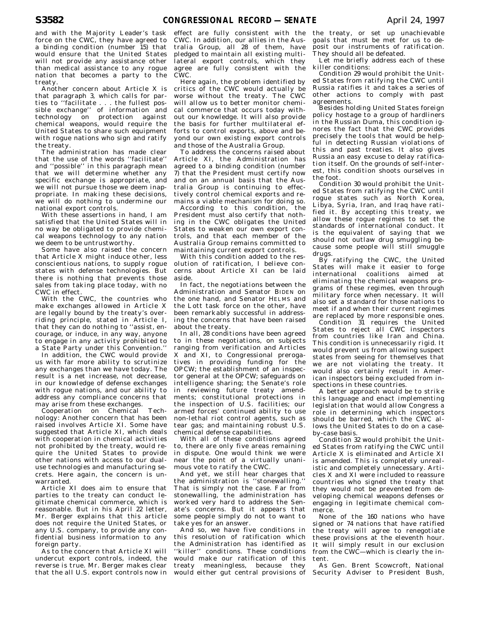and with the Majority Leader's task force on the CWC, they have agreed to a binding condition (number 15) that would ensure that the United States will not provide any assistance other than medical assistance to any rogue nation that becomes a party to the treaty.

Another concern about Article X is that paragraph 3, which calls for parties to ''facilitate . . . the fullest possible exchange'' of information and technology on protection against chemical weapons, would require the United States to share such equipment with rogue nations who sign and ratify the treaty.

The administration has made clear that the use of the words ''facilitate'' and ''possible'' in this paragraph mean that we will determine whether any specific exchange is appropriate, and we will not pursue those we deem inappropriate. In making these decisions, we will do nothing to undermine our national export controls.

With these assertions in hand, I am satisfied that the United States will in no way be obligated to provide chemical weapons technology to any nation we deem to be untrustworthy.

Some have also raised the concern that Article X might induce other, less conscientious nations, to supply rogue states with defense technologies. But there is nothing that prevents those sales from taking place today, with no CWC in effect.

With the CWC, the countries who make exchanges allowed in Article X are legally bound by the treaty's overriding principle, stated in Article I, that they can do nothing to ''assist, encourage, or induce, in any way, anyone to engage in any activity prohibited to a State Party under this Convention.''

In addition, the CWC would provide us with far more ability to scrutinize any exchanges than we have today. The result is a net increase, not decrease, in our knowledge of defense exchanges with rogue nations, and our ability to address any compliance concerns that may arise from these exchanges.

Cooperation on Chemical Technology: Another concern that has been raised involves Article XI. Some have suggested that Article XI, which deals with cooperation in chemical activities not prohibited by the treaty, would require the United States to provide other nations with access to our dualuse technologies and manufacturing secrets. Here again, the concern is unwarranted.

Article XI does aim to ensure that parties to the treaty can conduct legitimate chemical commerce, which is reasonable. But in his April 22 letter, Mr. Berger explains that this article does not require the United States, or any U.S. company, to provide any confidential business information to any foreign party.

As to the concern that Article XI will undercut export controls, indeed, the reverse is true. Mr. Berger makes clear that the all U.S. export controls now in

effect are fully consistent with the CWC. In addition, our allies in the Australia Group, all 28 of them, have pledged to maintain all existing multilateral export controls, which they agree are fully consistent with the CWC.

Here again, the problem identified by critics of the CWC would actually be worse without the treaty. The CWC will allow us to better monitor chemical commerce that occurs today without our knowledge. It will also provide the basis for further multilateral efforts to control exports, above and beyond our own existing export controls and those of the Australia Group.

To address the concerns raised about Article XI, the Administration has agreed to a binding condition (number 7) that the President must certify now and on an annual basis that the Australia Group is continuing to effectively control chemical exports and remains a viable mechanism for doing so.

According to this condition, the President must also certify that nothing in the CWC obligates the United States to weaken our own export controls, and that each member of the Australia Group remains committed to maintaining current export controls.

With this condition added to the resolution of ratification, I believe concerns about Article XI can be laid aside.

In fact, the negotiations between the Administration and Senator BIDEN on the one hand, and Senator HELMS and the Lott task force on the other, have been remarkably successful in addressing the concerns that have been raised about the treaty.

In all, 28 conditions have been agreed to in these negotiations, on subjects ranging from verification and Articles X and XI, to Congressional prerogatives in providing funding for the OPCW; the establishment of an inspector general at the OPCW; safeguards on intelligence sharing; the Senate's role in reviewing future treaty amendments; constitutional protections in the inspection of U.S. facilities; our armed forces' continued ability to use non-lethal riot control agents, such as tear gas; and maintaining robust U.S. chemical defense capabilities.

With all of these conditions agreed to, there are only five areas remaining in dispute. One would think we were near the point of a virtually unanimous vote to ratify the CWC.

And yet, we still hear charges that the administration is ''stonewalling.'' That is simply not the case. Far from stonewalling, the administration has worked very hard to address the Senate's concerns. But it appears that some people simply do not to want to take yes for an answer.

And so, we have five conditions in this resolution of ratification which the Administration has identified as ''killer'' conditions. These conditions would make our ratification of this treaty meaningless, because they would either gut central provisions of

the treaty, or set up unachievable goals that must be met for us to deposit our instruments of ratification. They should all be defeated.

Let me briefly address each of these killer conditions:

Condition 29 would prohibit the United States from ratifying the CWC until Russia ratifies it and takes a series of other actions to comply with past agreements.

Besides holding United States foreign policy hostage to a group of hardliners in the Russian Duma, this condition ignores the fact that the CWC provides precisely the tools that would be helpful in detecting Russian violations of this and past treaties. It also gives Russia an easy excuse to delay ratification itself. On the grounds of self-interest, this condition shoots ourselves in the foot.

Condition 30 would prohibit the United States from ratifying the CWC until rogue states such as North Korea, Libya, Syria, Iran, and Iraq have ratified it. By accepting this treaty, we allow these rogue regimes to set the standards of international conduct. It is the equivalent of saying that we should not outlaw drug smuggling because some people will still smuggle drugs.

By ratifying the CWC, the United States will make it easier to forge international coalitions aimed at eliminating the chemical weapons programs of these regimes, even through military force when necessary. It will also set a standard for those nations to meet if and when their current regimes are replaced by more responsible ones.

Condition  $3$ <sup>1</sup> requires the United States to reject all CWC inspectors from countries like Iran and China. This condition is unnecessarily rigid. It would prevent us from allowing suspect states from seeing for themselves that we are not violating the treaty. It would also certainly result in American inspectors being excluded from inspections in these countries.

A better approach would be to strike this language and enact implementing legislation that would allow Congress a role in determining which inspectors should be barred, which the CWC allows the United States to do on a caseby-case basis.

Condition 32 would prohibit the United States from ratifying the CWC until Article X is eliminated and Article XI is amended. This is completely unrealistic and completely unnecessary. Articles X and XI were included to reassure countries who signed the treaty that they would not be prevented from developing chemical weapons defenses or engaging in legitimate chemical commerce.

None of the 160 nations who have signed or 74 nations that have ratified the treaty will agree to renegotiate these provisions at the eleventh hour. It will simply result in our exclusion from the CWC—which is clearly the intent.

As Gen. Brent Scowcroft, National Security Adviser to President Bush,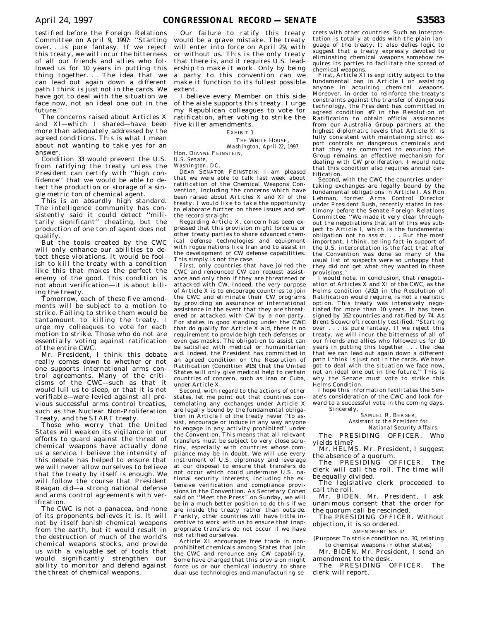testified before the Foreign Relations Committee on April 9, 1997: ''Starting over. . .is pure fantasy. If we reject this treaty, we will incur the bitterness of all our friends and allies who followed us for 10 years in putting this thing together. . . The idea that we can lead out again down a different path I think is just not in the cards. We have got to deal with the situation we face now, not an ideal one out in the future.''

The concerns raised about Articles X and XI—which I shared—have been more than adequately addressed by the agreed conditions. This is what I mean about not wanting to take yes for an answer.

Condition 33 would prevent the U.S. from ratifying the treaty unless the President can certify with ''high confidence" that we would be able to detect the production or storage of a single metric ton of chemical agent.

This is an absurdly high standard. The intelligence community has consistently said it could detect ''militarily significant'' cheating, but the production of one ton of agent does not qualify.

But the tools created by the CWC will only enhance our abilities to detect these violations. It would be foolish to kill the treaty with a condition like this that makes the perfect the enemy of the good. This condition is not about verification—it is about killing the treaty.

Tomorrow, each of these five amendments will be subject to a motion to strike. Failing to strike them would be tantamount to killing the treaty. I urge my colleagues to vote for each motion to strike. Those who do not are essentially voting against ratification of the entire CWC.

Mr. President, I think this debate really comes down to whether or not one supports international arms control agreements. Many of the criticisms of the CWC—such as that it would lull us to sleep, or that it is not verifiable—were levied against all previous successful arms control treaties, such as the Nuclear Non-Proliferation Treaty, and the START treaty.

Those who worry that the United States will weaken its vigilance in our efforts to guard against the threat of chemical weapons have actually done us a service.  $\hat{I}$  believe the intensity of this debate has helped to ensure that we will never allow ourselves to believe that the treaty by itself is enough. We will follow the course that President Reagan did—a strong national defense and arms control agreements with verification.

The CWC is not a panacea, and none of its proponents believes it is. It will not by itself banish chemical weapons from the earth, but it would result in the destruction of much of the world's chemical weapons stocks, and provide us with a valuable set of tools that would significantly strengthen our ability to monitor and defend against the threat of chemical weapons.

Our failure to ratify this treaty would be a grave mistake. The treaty will enter into force on April 29, with or without us. This is the only treaty that there is, and it requires U.S. leadership to make it work. Only by being a party to this convention can we make it function to its fullest possible extent.

I believe every Member on this side of the aisle supports this treaty. I urge my Republican colleagues to vote for ratification, after voting to strike the five killer amendments.

EXHIBIT 1

THE WHITE HOUSE, *Washington, April 22, 1997.* Hon. DIANNE FEINSTEIN

*U.S. Senate,*

*Washington, DC.*

DEAR SENATOR FEINSTEIN: I am pleased that we were able to talk last week about ratification of the Chemical Weapons Convention, including the concerns which have been raised about Articles X and XI of the treaty. I would like to take the opportunity to elaborate further on these issues and set the record straight.

Regarding Article X, concern has been expressed that this provision might force us or other treaty parties to share advanced chemical defense technologies and equipment with rogue nations like Iran and to assist in the development of CW defense capabilities. This simply is not the case.

First, only countries that have joined the CWC and renounced CW can request assistance and only then if they are threatened or attacked with CW. Indeed, the very purpose of Article X is to encourage countries to join the CWC and eliminate their CW programs by providing an assurance of international assistance in the event that they are threatened or attacked with CW by a non-party. For states in good standing under the CWC that do qualify for Article  $\breve{X}$  aid, there is no requirement to provide high tech defenses or even gas masks. The obligation to assist can be satisfied with medical or humanitarian aid. Indeed, the President has committed in an agreed condition on the Resolution of Ratification (Condition #15) that the United States will only give medical help to certain countries of concern, such as Iran or Cuba, under Article X.

Second, with regard to the actions of other states, let me point out that countries contemplating any exchanges under Article X are legally bound by the fundamental obligation in Article I of the treaty never ''to assist, encourage or induce in any way anyone to engage in any activity prohibited'' under the Convention. This means that all relevant transfers must be subject to very close scrutiny, especially with countries whose compliance may be in doubt. We will use every instrument of U.S. diplomacy and leverage at our disposal to ensure that transfers do not occur which could undermine U.S. national security interests, including the extensive verification and compliance provisions in the Convention. As Secretary Cohen said on ''Meet the Press'' on Sunday, we will be in a much better position to do this if we are inside the treaty rather than outside. Frankly, other countries will have little incentive to work with us to ensure that inappropriate transfers do not occur if we have not ratified ourselves.

Article XI encourages free trade in nonprohibited chemicals among States that join the CWC and renounce any CW capability. Some have charged that this provision might force us or our chemical industry to share dual-use technologies and manufacturing se-

crets with other countries. Such an interpretation is totally at odds with the plain language of the treaty. It also defies logic to suggest that a treaty expressly devoted to eliminating chemical weapons somehow requires its parties to facilitate the spread of

chemical weapons. First, Article XI is explicitly subject to the fundamental ban in Article I on assisting anyone in acquiring chemical weapons. Moreover, in order to reinforce the treaty's constraints against the transfer of dangerous technology, the President has committed in agreed condition #7 in the Resolution of Ratification to obtain official assurances from our Australia Group partners at the highest diplomatic levels that Article XI is fully consistent with maintaining strict export controls on dangerous chemicals and that they are committed to ensuring the Group remains an effective mechanism for dealing with CW proliferation. I would note that this condition also requires annual certification.

Second, with the CWC the countries undertaking exchanges are legally bound by the fundamental obligations in Article I. As Ron Lehman, former Arms Control Director under President Bush, recently stated in testimony before the Senate Foreign Relations Committee: "We made it very clear throughout the negotiations that all of this was subject to Article I, which is the fundamental obligation not to assist. . . . But the most important, I think, telling fact in support of the U.S. interpretation is the fact that after the Convention was done so many of the usual list of suspects were so unhappy that they did not get what they wanted in these provisions.''

I would note, in conclusion, that renegotiation of Articles X and XI of the CWC, as the Helms condition (#32) in the Resolution of Ratification would require, is not a realistic option. This treaty was intensively negotiated for more than 10 years. It has been signed by 162 countries and ratified by 74. As Brent Scowcroft recently testified, ''Starting over . . . is pure fantasy. If we reject this treaty, we will incur the bitterness of all of our friends and allies who followed us for 10 years in putting this together . . . the idea that we can lead out again down a different path I think is just not in the cards. We have got to deal with the situation we face now, not an ideal one out in the future.'' This is why the Senate must vote to strike this Helms Condition.

I hope this information facilitates the Senate's consideration of the CWC and look forward to a successful vote in the coming days. Sincerely,

SAMUEL R. BERGER,

# *Assistant to the President for*

*National Security Affairs.*

The PRESIDING OFFICER. Who yields time?

Mr. HELMS. Mr. President, I suggest the absence of a quorum.

The PRESIDING OFFICER. The clerk will call the roll. The time will be equally divided.

The legislative clerk proceeded to call the roll.

Mr. BIDEN. Mr. President, I ask unanimous consent that the order for the quorum call be rescinded.

The PRESIDING OFFICER. Without objection, it is so ordered.

# AMENDMENT NO. 47

(Purpose: To strike condition no. 30, relating to chemical weapons in other states)

Mr. BIDEN. Mr. President, I send an amendment to the desk.

The PRESIDING OFFICER. The clerk will report.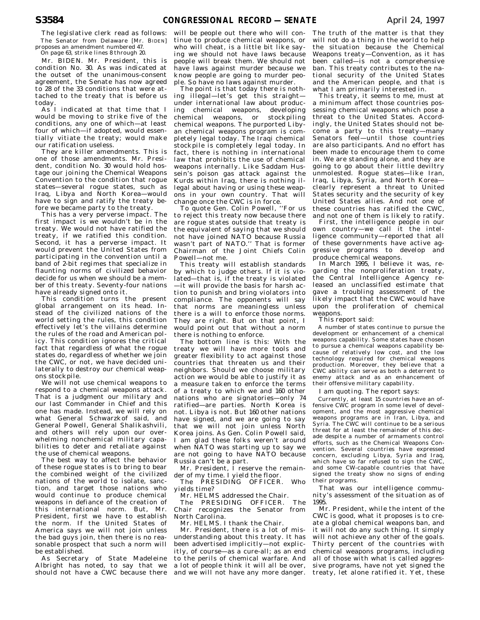The legislative clerk read as follows: The Senator from Delaware [Mr. BIDEN] proposes an amendment numbered 47.

On page 63, strike lines 8 through 20.

Mr. BIDEN. Mr. President, this is condition No. 30. As was indicated at the outset of the unanimous-consent agreement, the Senate has now agreed to 28 of the 33 conditions that were attached to the treaty that is before us today.

As I indicated at that time that I would be moving to strike five of the conditions, any one of which—at least four of which—if adopted, would essentially vitiate the treaty; would make our ratification useless.

They are killer amendments. This is one of those amendments. Mr. President, condition No. 30 would hold hostage our joining the Chemical Weapons Convention to the condition that rogue states—several rogue states, such as Iraq, Libya and North Korea—would have to sign and ratify the treaty before we became party to the treaty.

This has a very perverse impact. The first impact is we wouldn't be in the treaty. We would not have ratified the treaty, if we ratified this condition. Second, it has a perverse impact. It would prevent the United States from participating in the convention until a band of 2-bit regimes that specialize in flaunting norms of civilized behavior decide for us when we should be a member of this treaty. Seventy-four nations have already signed onto it.

This condition turns the present global arrangement on its head. Instead of the civilized nations of the world setting the rules, this condition effectively let's the villains determine the rules of the road and American policy. This condition ignores the critical fact that regardless of what the rogue states do, regardless of whether we join the CWC, or not, we have decided unilaterally to destroy our chemical weapons stockpile.

We will not use chemical weapons to respond to a chemical weapons attack. That is a judgment our military and our last Commander in Chief and this one has made. Instead, we will rely on what General Schwarzkof said, and General Powell, General Shalikashvili, and others will rely upon our overwhelming nonchemical military capabilities to deter and retaliate against the use of chemical weapons.

The best way to affect the behavior of these rogue states is to bring to bear the combined weight of the civilized nations of the world to isolate, sanction, and target those nations who would continue to produce chemical weapons in defiance of the creation of this international norm. But, Mr. President, first we have to establish the norm. If the United States of America says we will not join unless the bad guys join, then there is no reasonable prospect that such a norm will be established.

As Secretary of State Madeleine Albright has noted, to say that we should not have a CWC because there will be people out there who will continue to produce chemical weapons, or who will cheat, is a little bit like saying we should not have laws because people will break them. We should not have laws against murder because we know people are going to murder people. So have no laws against murder.

The point is that today there is nothing illegal—let's get this straight under international law about producing chemical weapons, developing chemical weapons, or stockpiling chemical weapons. The purported Libyan chemical weapons program is completely legal today. The Iraqi chemical stockpile is completely legal today. In fact, there is nothing in international law that prohibits the use of chemical weapons internally. Like Saddam Hussein's poison gas attack against the Kurds within Iraq, there is nothing illegal about having or using these weapons in your own country. That will change once the CWC is in force.

To quote Gen. Colin Powell, ''For us to reject this treaty now because there are rogue states outside that treaty is the equivalent of saying that we should not have joined NATO because Russia wasn't part of NATO.'' That is former Chairman of the Joint Chiefs Colin Powell—not me.

This treaty will establish standards by which to judge others. If it is violated—that is, if the treaty is violated —it will provide the basis for harsh action to punish and bring violators into compliance. The opponents will say that norms are meaningless unless there is a will to enforce those norms. They are right. But on that point, I would point out that without a norm there is nothing to enforce.

The bottom line is this: With the treaty we will have more tools and greater flexibility to act against those countries that threaten us and their neighbors. Should we choose military action we would be able to justify it as a measure taken to enforce the terms of a treaty to which we and 160 other nations who are signatories—only 74 ratified—are parties. North Korea is not. Libya is not. But 160 other nations have signed, and we are going to say that we will not join unless North Korea joins. As Gen. Colin Powell said, I am glad these folks weren't around when NATO was starting up to say we are not going to have NATO because Russia can't be a part.

Mr. President, I reserve the remainder of my time. I yield the floor.

The PRESIDING OFFICER. Who yields time?

Mr. HELMS addressed the Chair.<br>The PRESIDING OFFICER. The

The PRESIDING OFFICER. Chair recognizes the Senator from North Carolina.

Mr. HELMS. I thank the Chair.

Mr. President, there is a lot of misunderstanding about this treaty. It has been advertised implicitly—not explicitly, of course—as a cure-all; as an end to the perils of chemical warfare. And a lot of people think it will all be over, and we will not have any more danger.

The truth of the matter is that they will not do a thing in the world to help the situation because the Chemical Weapons treaty—Convention, as it has been called—is not a comprehensive ban. This treaty contributes to the national security of the United States and the American people, and that is what I am primarily interested in.

This treaty, it seems to me, must at a minimum affect those countries possessing chemical weapons which pose a threat to the United States. Accordingly, the United States should not become a party to this treaty—many Senators feel—until those countries are also participants. And no effort has been made to encourage them to come in. We are standing alone, and they are going to go about their little deviltry unmolested. Rogue states—like Iran, Iraq, Libya, Syria, and North Korea clearly represent a threat to United States security and the security of key United States allies. And not one of these countries has ratified the CWC, and not one of them is likely to ratify.

First, the intelligence people in our own country—we call it the intelligence community—reported that all of these governments have active aggressive programs to develop and produce chemical weapons.

In March 1995, I believe it was, regarding the nonproliferation treaty, the Central Intelligence Agency released an unclassified estimate that gave a troubling assessment of the likely impact that the CWC would have upon the proliferation of chemical weapons.

This report said:

A number of states continue to pursue the development or enhancement of a chemical weapons capability. Some states have chosen to pursue a chemical weapons capability because of relatively low cost, and the low technology required for chemical weapons production. Moreover, they believe that a CWC ability can serve as both a deterrent to enemy attack and as an enhancement of their offensive military capability.

I am quoting. The report says:

Currently, at least 15 countries have an offensive CWC program in some level of development, and the most aggressive chemical weapons programs are in Iran, Libya, and Syria. The CWC will continue to be a serious threat for at least the remainder of this decade despite a number of armaments control efforts, such as the Chemical Weapons Convention. Several countries have expressed concern, excluding Libya, Syria and Iraq, which have so far refused to sign the CWC, and some CW-capable countries that have signed the treaty show no signs of ending their programs.

That was our intelligence community's assessment of the situation as of 1995.

Mr. President, while the intent of the CWC is good, what it proposes is to create a global chemical weapons ban, and it will not do any such thing. It simply will not achieve any other of the goals. Thirty percent of the countries with chemical weapons programs, including all of those with what is called aggressive programs, have not yet signed the treaty, let alone ratified it. Yet, these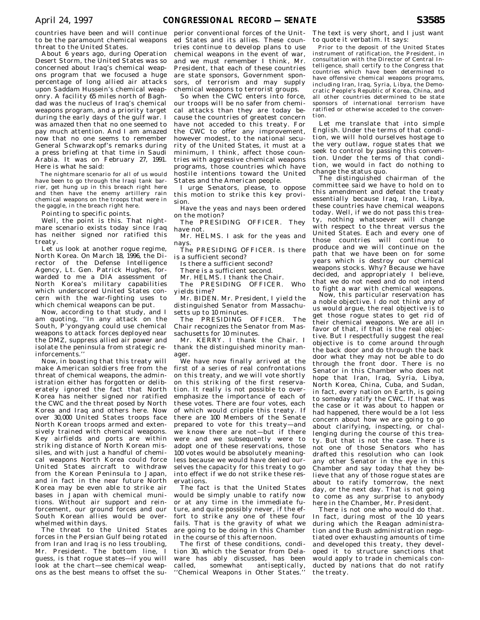countries have been and will continue to be the paramount chemical weapons threat to the United States.

About 6 years ago, during Operation Desert Storm, the United States was so concerned about Iraq's chemical weapons program that we focused a huge percentage of long allied air attacks upon Saddam Hussein's chemical weaponry. A facility 65 miles north of Baghdad was the nucleus of Iraq's chemical weapons program, and a priority target during the early days of the gulf war. I was amazed then that no one seemed to pay much attention. And I am amazed now that no one seems to remember General Schwarzkopf's remarks during a press briefing at that time in Saudi Arabia. It was on February 27, 1991. Here is what he said:

The nightmare scenario for all of us would have been to go through the Iraqi tank barrier, get hung up in this breach right here and then have the enemy artillery rain chemical weapons on the troops that were in the gaggle, in the breach right here.

Pointing to specific points.

Well, the point is this. That nightmare scenario exists today since Iraq has neither signed nor ratified this treaty.

Let us look at another rogue regime North Korea. On March 18, 1996, the Director of the Defense Intelligence Agency, Lt. Gen. Patrick Hughes, forwarded to me a DIA assessment of North Korea's military capabilities which underscored United States concern with the war-fighting uses to which chemical weapons can be put.

Now, according to that study, and I am quoting, ''In any attack on the South, P'yongyang could use chemical weapons to attack forces deployed near the DMZ, suppress allied air power and isolate the peninsula from strategic reinforcements.''

Now, in boasting that this treaty will make American soldiers free from the threat of chemical weapons, the administration either has forgotten or deliberately ignored the fact that North Korea has neither signed nor ratified the CWC and the threat posed by North Korea and Iraq and others here. Now over 30,000 United States troops face North Korean troops armed and extensively trained with chemical weapons. Key airfields and ports are within striking distance of North Korean missiles, and with just a handful of chemical weapons North Korea could force United States aircraft to withdraw from the Korean Peninsula to Japan, and in fact in the near future North Korea may be even able to strike air bases in Japan with chemical munitions. Without air support and reinforcement, our ground forces and our South Korean allies would be overwhelmed within days.

The threat to the United States forces in the Persian Gulf being rotated from Iran and Iraq is no less troubling, Mr. President. The bottom line, I guess, is that rogue states—if you will look at the chart—see chemical weapons as the best means to offset the su-

perior conventional forces of the United States and its allies. These countries continue to develop plans to use chemical weapons in the event of war, and we must remember I think, Mr. President, that each of these countries are state sponsors, Government sponsors, of terrorism and may supply chemical weapons to terrorist groups.

So when the CWC enters into force, our troops will be no safer from chemical attacks than they are today because the countries of greatest concern have not acceded to this treaty. For the CWC to offer any improvement, however modest, to the national security of the United States, it must at a minimum, I think, affect those countries with aggressive chemical weapons programs, those countries which have hostile intentions toward the United States and the American people.

I urge Senators, please, to oppose this motion to strike this key provision.

Have the yeas and nays been ordered on the motion?

The PRESIDING OFFICER. They have not.

Mr. HELMS. I ask for the yeas and nays.

The PRESIDING OFFICER. Is there is a sufficient second?

Is there a sufficient second?

There is a sufficient second.

Mr. HELMS. I thank the Chair.

The PRESIDING OFFICER. Who yields time?

Mr. BIDEN. Mr. President, I yield the distinguished Senator from Massachusetts up to 10 minutes.

The PRESIDING OFFICER. The Chair recognizes the Senator from Massachusetts for 10 minutes.

Mr. KERRY. I thank the Chair. I thank the distinguished minority manager.

We have now finally arrived at the first of a series of real confrontations on this treaty, and we will vote shortly on this striking of the first reservation. It really is not possible to overemphasize the importance of each of these votes. There are four votes, each of which would cripple this treaty. If there are 100 Members of the Senate prepared to vote for this treaty—and we know there are not—but if there were and we subsequently were to adopt one of these reservations, those 100 votes would be absolutely meaningless because we would have denied ourselves the capacity for this treaty to go into effect if we do not strike these reservations.

The fact is that the United States would be simply unable to ratify now or at any time in the immediate future, and quite possibly never, if the effort to strike any one of these four fails. That is the gravity of what we are going to be doing in this Chamber in the course of this afternoon.

The first of these conditions, condition 30, which the Senator from Delaware has ably discussed, has been called, somewhat antiseptically, ''Chemical Weapons in Other States.''

The text is very short, and I just want to quote it verbatim. It says:

Prior to the deposit of the United States instrument of ratification, the President, in consultation with the Director of Central Intelligence, shall certify to the Congress that countries which have been determined to have offensive chemical weapons programs, including Iran, Iraq, Syria, Libya, the Democratic People's Republic of Korea, China, and all other countries determined to be state sponsors of international terrorism have ratified or otherwise acceded to the convention.

Let me translate that into simple English. Under the terms of that condition, we will hold ourselves hostage to the very outlaw, rogue states that we seek to control by passing this convention. Under the terms of that condition, we would in fact do nothing to change the status quo.

The distinguished chairman of the committee said we have to hold on to this amendment and defeat the treaty essentially because Iraq, Iran, Libya, these countries have chemical weapons today. Well, if we do not pass this treaty, nothing whatsoever will change with respect to the threat versus the United States. Each and every one of those countries will continue to produce and we will continue on the path that we have been on for some years which is destroy our chemical weapons stocks. Why? Because we have decided, and appropriately I believe, that we do not need and do not intend to fight a war with chemical weapons.

Now, this particular reservation has a noble objective. I do not think any of us would argue, the real objective is to get those rogue states to get rid of their chemical weapons. We are all in favor of that, if that is the real objective. But I respectfully suggest the real objective is to come around through the back door and do through the back door what they may not be able to do through the front door. There is no Senator in this Chamber who does not hope that Iran, Iraq, Syria, Libya, North Korea, China, Cuba, and Sudan, in fact, every nation on Earth, is going to someday ratify the CWC. If that was the case or it was about to happen or had happened, there would be a lot less concern about how we are going to go about clarifying, inspecting, or challenging during the course of this treaty. But that is not the case. There is not one of those Senators who has drafted this resolution who can look any other Senator in the eye in this Chamber and say today that they believe that any of those rogue states are about to ratify tomorrow, the next day, or the next day. That is not going to come as any surprise to anybody here in the Chamber, Mr. President.

There is not one who would do that. In fact, during most of the 10 years during which the Reagan administration and the Bush administration negotiated over exhausting amounts of time and developed this treaty, they developed it to structure sanctions that would apply to trade in chemicals conducted by nations that do not ratify the treaty.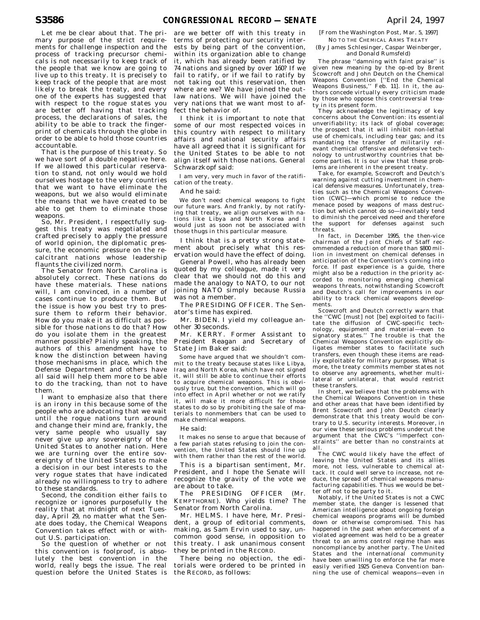Let me be clear about that. The primary purpose of the strict requirements for challenge inspection and the process of tracking precursor chemicals is not necessarily to keep track of the people that we know are going to live up to this treaty. It is precisely to keep track of the people that are most likely to break the treaty, and every one of the experts has suggested that with respect to the rogue states you are better off having that tracking process, the declarations of sales, the ability to be able to track the fingerprint of chemicals through the globe in order to be able to hold those countries accountable.

That is the purpose of this treaty. So we have sort of a double negative here. If we allowed this particular reservation to stand, not only would we hold ourselves hostage to the very countries that we want to have eliminate the weapons, but we also would eliminate the means that we have created to be able to get them to eliminate those weapons.

So, Mr. President, I respectfully suggest this treaty was negotiated and crafted precisely to apply the pressure of world opinion, the diplomatic pressure, the economic pressure on the recalcitrant nations whose leadership flaunts the civilized norm.

The Senator from North Carolina is absolutely correct. These nations do have these materials. These nations will, I am convinced, in a number of cases continue to produce them. But the issue is how you best try to pressure them to reform their behavior. How do you make it as difficult as possible for those nations to do that? How do you isolate them in the greatest manner possible? Plainly speaking, the authors of this amendment have to know the distinction between having those mechanisms in place, which the Defense Department and others have all said will help them more to be able to do the tracking, than not to have them.

I want to emphasize also that there is an irony in this because some of the people who are advocating that we wait until the rogue nations turn around and change their mind are, frankly, the very same people who usually say never give up any sovereignty of the United States to another nation. Here we are turning over the entire sovereignty of the United States to make a decision in our best interests to the very rogue states that have indicated already no willingness to try to adhere to these standards.

Second, the condition either fails to recognize or ignores purposefully the reality that at midnight of next Tuesday, April 29, no matter what the Senate does today, the Chemical Weapons Convention takes effect with or without U.S. participation.

So the question of whether or not this convention is foolproof, is absolutely the best convention in the world, really begs the issue. The real question before the United States is

are we better off with this treaty in terms of protecting our security interests by being part of the convention, within its organization able to change it, which has already been ratified by 74 nations and signed by over 160? If we fail to ratify, or if we fail to ratify by not taking out this reservation, then where are we? We have joined the outlaw nations. We will have joined the very nations that we want most to affect the behavior of.

I think it is important to note that some of our most respected voices in this country with respect to military affairs and national security affairs have all agreed that it is significant for the United States to be able to not align itself with those nations. General Schwarzkopf said:

I am very, very much in favor of the ratification of the treaty.

### And he said:

We don't need chemical weapons to fight our future wars. And frankly, by not ratifying that treaty, we align ourselves with nations like Libya and North Korea and I would just as soon not be associated with those thugs in this particular measure.

I think that is a pretty strong statement about precisely what this reservation would have the effect of doing.

General Powell, who has already been quoted by my colleague, made it very clear that we should not do this and made the analogy to NATO, to our not joining NATO simply because Russia was not a member.

The PRESIDING OFFICER. The Senator's time has expired.

Mr. BIDEN. I yield my colleague another 30 seconds.

Mr. KERRY. Former Assistant to President Reagan and Secretary of State Jim Baker said:

Some have argued that we shouldn't commit to the treaty because states like Libya, Iraq and North Korea, which have not signed it, will still be able to continue their efforts to acquire chemical weapons. This is obviously true, but the convention, which will go into effect in April whether or not we ratify it, will make it more difficult for those states to do so by prohibiting the sale of materials to nonmembers that can be used to make chemical weapons.

#### He said:

It makes no sense to argue that because of a few pariah states refusing to join the convention, the United States should line up with them rather than the rest of the world.

This is a bipartisan sentiment, Mr. President, and I hope the Senate will recognize the gravity of the vote we are about to take.

The PRESIDING OFFICER (Mr. KEMPTHORNE). Who yields time? The Senator from North Carolina.

Mr. HELMS. I have here, Mr. President, a group of editorial comments, making, as Sam Ervin used to say, uncommon good sense, in opposition to this treaty. I ask unanimous consent they be printed in the RECORD.

There being no objection, the editorials were ordered to be printed in the RECORD, as follows:

[From the Washington Post, Mar. 5, 1997] NO TO THE CHEMICAL ARMS TREATY

# (By James Schlesinger, Caspar Weinberger,

and Donald Rumsfeld)

The phrase ''damning with faint praise'' is given new meaning by the op-ed by Brent Scowcroft and John Deutch on the Chemical Weapons Convention [''End the Chemical Weapons Business,'' Feb. 11]. In it, the authors concede virtually every criticism made by those who oppose this controversial treaty in its present form.

They acknowledge the legitimacy of key concerns about the Convention: its essential unverifiability; its lack of global coverage; the prospect that it will inhibit non-lethal use of chemicals, including tear gas; and its mandating the transfer of militarily relevant chemical offensive and defensive technology to untrustworthy countries that become parties. It is our view that these problems are inherent in the present treaty.

Take, for example, Scowcroft and Deutch's warning against cutting investment in chemical defensive measures. Unfortunately, treaties such as the Chemical Weapons Convention (CWC)—which promise to reduce the menace posed by weapons of mass destruction but which cannot do so—inevitably tend to diminish the perceived need and therefore the support for defenses against such threats.

In fact, in December 1995, the then-vice chairman of the Joint Chiefs of Staff recommended a reduction of more than \$800 million in investment on chemical defenses in anticipation of the Convention's coming into force. If past experience is a guide, there might also be a reduction in the priority accorded to monitoring emerging chemical weapons threats, notwithstanding Scowcroft and Deutch's call for improvements in our ability to track chemical weapons developments.

Scowcroft and Deutch correctly warn that the ''CWC [must] not [be] exploited to facilitate the diffusion of CWC-specific technology, equipment and material—even to signatory states.'' The trouble is that the Chemical Weapons Convention explicitly obligates member states to facilitate such transfers, even though these items are readily exploitable for military purposes. What is more, the treaty commits member states not to observe any agreements, whether multilateral or unilateral, that would restrict these transfers.

In short, we believe that the problems with the Chemical Weapons Convention in these and other areas that have been identified by Brent Scowcroft and John Deutch clearly demonstrate that this treaty would be contrary to U.S. security interests. Moreover, in our view these serious problems undercut the argument that the CWC's ''imperfect constraints'' are better than no constraints at all.

The CWC would likely have the effect of leaving the United States and its allies more, not less, vulnerable to chemical attack. It could well serve to increase, not reduce, the spread of chemical weapons manufacturing capabilities. Thus we would be better off not to be party to it.

Notably, if the United States is not a CWC member state, the danger is lessened that American intelligence about ongoing foreign chemical weapons programs will be dumbed down or otherwise compromised. This has happened in the past when enforcement of a violated agreement was held to be a greater threat to an arms control regime than was noncompliance by another party. The United States and the international community have been unwilling to enforce the far more easily verified 1925 Geneva Convention banning the use of chemical weapons—even in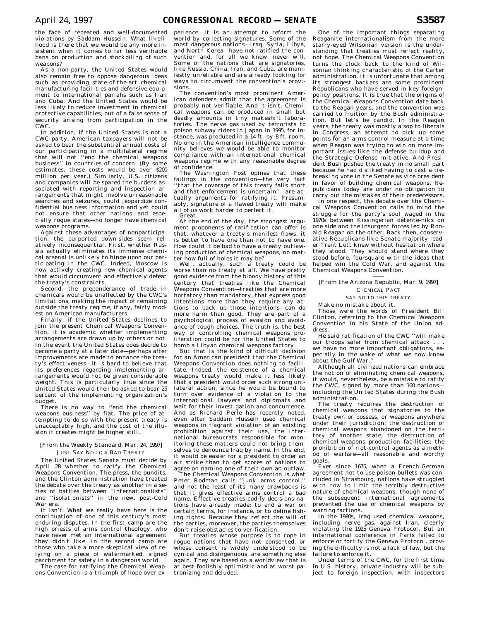the face of repeated and well-documented violations by Saddam Hussein. What likelihood is there that we would be any more insistent when it comes to far less verifiable bans on production and stockpiling of such weapons?

As a non-party, the United States would also remain free to oppose dangerous ideas such as providing state-of-the-art chemical manufacturing facilities and defensive equipment to international pariahs such as Iran and Cuba. And the United States would be less likely to reduce investment in chemical protective capabilities, out of a false sense of security arising from participation in the CWC.

In addition, if the United States is not a CWC party, American taxpayers will not be asked to bear the substantial annual costs of our participating in a multilateral regime that will not ''end the chemical weapons business'' in countries of concern. (By some estimates, these costs would be over \$200 million per year.) Similarly, U.S. citizens and companies will be spared the burdens associated with reporting and inspection arrangements that might involve unreasonable searches and seizures, could jeopardize confidential business information and yet could not ensure that other nations—and especially rogue states—no longer have chemical weapons programs.

Against these advantages of nonparticipation, the purported down-sides seem relatively inconsequential. First, whether Russia actually eliminates its immense chemical arsenal is unlikely to hinge upon our participating in the CWC. Indeed, Moscow is now actively creating new chemical agents that would circumvent and effectively defeat the treaty's constraints.

Second, the preponderance of trade in chemicals would be unaffected by the CWC's limitations, making the impact of remaining outside the treaty regime, if any, fairly modest on American manufacturers.

Finally, if the United States declines to join the present Chemical Weapons Convention, it is academic whether implementing arrangements are drawn up by others or not. In the event the United States does decide to become a party at a later date—perhaps after improvements are made to enhance the treaty's effectiveness—it is hard to believe that its preferences regarding implementing arrangements would not be given considerable weight. This is particularly true since the United States would then be asked to bear 25 percent of the implementing organization's budget.

There is no way to ''end the chemical weapons business'' by fiat. The price of attempting to do so with the present treaty is unacceptably high, and the cost of the illusion it creates might be higher still.

# [From the Weekly Standard, Mar. 24, 1997] JUST SAY NO TO A BAD TREATY

The United States Senate must decide by April 28 whether to ratify the Chemical Weapons Convention. The press, the pundits, and the Clinton administration have treated the debate over the treaty as another in a series of battles between ''internationalists'' and ''isolationists'' in the new, post-Cold War era.

It isn't. What we really have here is the continuation of one of this century's most enduring disputes. In the first camp are the high priests of arms control theology, who have never met an international agreement they didn't like. In the second camp are those who take a more skeptical view of relying on a piece of watermarked, signed parchment for safety in a dangerous world.

The case for ratifying the Chemical Weapons Convention is a triumph of hope over ex-

perience. It is an attempt to reform the world by collecting signatures. Some of the most dangerous nations—Iraq, Syria, Libya, and North Korea—have not ratified the convention and, for all we know, never will. Some of the nations that are signatories, like Russia, China, Iran, and Cuba, are manifestly unreliable and are already looking for ways to circumvent the convention's provisions.

The convention's most prominent American defenders admit that the agreement is probably not verifiable. And it isn't. Chemical weapons can be produced in small but deadly amounts in tiny makeshift laboratories. The nerve gas used by terrorists to poison subway riders in Japan in 1995, for instance, was produced in a 14 ft.-by-8 ft. room. No one in the American intelligence community believes we would be able to monitor compliance with an international chemical weapons regime with any reasonable degree of confidence.

The Washington Post opines that these failings in the convention—the very fact 'that the coverage of this treaty falls short and that enforcement is uncertain''—are actually arguments for ratifying it. Presumably, signature of a flawed treaty will make all of us work harder to perfect it. Great.

At the end of the day, the strongest argument proponents of ratification can offer is that, whatever a treaty's manifest flaws, it is better to have one than not to have one. How could it be bad to have a treaty outlawing production of chemical weapons, no matter how full of holes it may be?

Well, actually, such a treaty could be worse than no treaty at all. We have pretty good evidence from the bloody history of this century that treaties like the Chemical Weapons Convention—treaties that are more hortatory than mandatory, that express good intentions more than they require any actions to back up those intentions—can do more harm than good. They are part of a psychological process of evasion and avoidance of tough choices. The truth is, the best way of controlling chemical weapons proliferation could be for the United States to bomb a Libyan chemical weapons factory.

But that is the kind of difficult decision for an American president that the Chemical Weapons Convention does nothing to facilitate. Indeed, the existence of a chemical weapons treaty would make it less likely that a president would order such strong unilateral action, since he would be bound to turn over evidence of a violation to the international lawyers and diplomats and wait for their investigation and concurrence. And as Richard Perle has recently noted, even after Saddam Hussein used chemical weapons in flagrant violation of an existing prohibition against their use, the international bureaucrats responsible for monitoring these matters could not bring themselves to denounce Iraq by name. In the end, it would be easier for a president to order an air strike than to get scores of nations to

agree on naming one of their own an outlaw. The Chemical Weapons Convention is what Peter Rodman calls ''junk arms control,'' and not the least of its many drawbacks is that it gives effective arms control a bad name. Effective treaties codify decisions nations have already made: to end a war on certain terms, for instance, or to define fishing rights. Because they reflect the will of the parties, moreover, the parties themselves don't raise obstacles to verification.

But treaties whose purpose is to rope in rogue nations that have not consented, or whose consent is widely understood to be cynical and disingenuous, are something else again. They are based on a worldview that is at best foolishly optimistic and at worst patronizing and deluded.

One of the important things separating Reaganite internationalism from the more starry-eyed Wilsonian version is the understanding that treaties must reflect reality, not hope. The Chemical Weapons Convention turns the clock back to the kind of Wilsonian thinking characteristic of the Carter administration. It is unfortunate that among its strongest backers are some prominent Republicans who have served in key foreignpolicy positions. It is true that the origins of the Chemical Weapons Convention date back to the Reagan years, and the convention was carried to fruition by the Bush administration. But let's be candid. In the Reagan years, the treaty was mostly a sop to liberals in Congress, an attempt to pick up some points for an arms control measure at a time when Reagan was trying to win on more important issues like the defense buildup and the Strategic Defense Initiative. And President Bush pushed the treaty in no small part because he had disliked having to cast a tiebreaking vote in the Senate as vice president in favor of building chemical weapons. Republicans today are under no obligation to carry out the mistakes of their predecessors.

In one respect, the debate over the Chemical Weapons Convention calls to mind the struggle for the party's soul waged in the 1970s between Kissingerian détente-niks on one side and the insurgent forces led by Ronald Reagan on the other. Back then, conservative Republicans like Senate majority leader Trent Lott knew without hesitation where they stood. They should stand where they stood before, foursquare with the ideas that helped win the Cold War, and against the Chemical Weapons Convention.

[From the Arizona Republic, Mar. 9, 1997]

CHEMICAL PACT

SAY NO TO THIS TREATY

Make no mistake about it. Those were the words of President Bill Clinton, referring to the Chemical Weapons Convention in his State of the Union ad-

dress. He said ratification of the CWC ''will make our troops safer from chemical attack . . . we have no more important obligations, especially in the wake of what we now know about the Gulf War.''

Although all civilized nations can embrace the notion of eliminating chemical weapons, it would, nevertheless, be a mistake to ratify the CWC, signed by more than 160 nationsincluding the United States during the Bush administration.

The treaty requires the destruction of chemical weapons that signatories to the treaty own or possess, or weapons anywhere under their jurisdiction; the destruction of chemical weapons abandoned on the territory of another state; the destruction of chemical-weapons production facilities; the prohibition of riot-control agents as a method of warfare—all reasonable and worthy goals.

Ever since 1675, when a French-German agreement not to use poison bullets was concluded in Strasbourg, nations have struggled with how to limit the terribly destructive nature of chemical weapons, though none of the subsequent international agreements prevented the use of chemical weapons by warring factions.

In the 1980s, Iraq used chemical weapons, including nerve gas, against Iran, clearly violating the 1925 Geneva Protocol. But an international conference in Paris failed to enforce or fortify the Geneva Protocol, proving the difficulty is not a lack of law, but the failure to enforce it.

Under terms of the CWC, for the first time in U.S. history, private industry will be subject to foreign inspection, with inspectors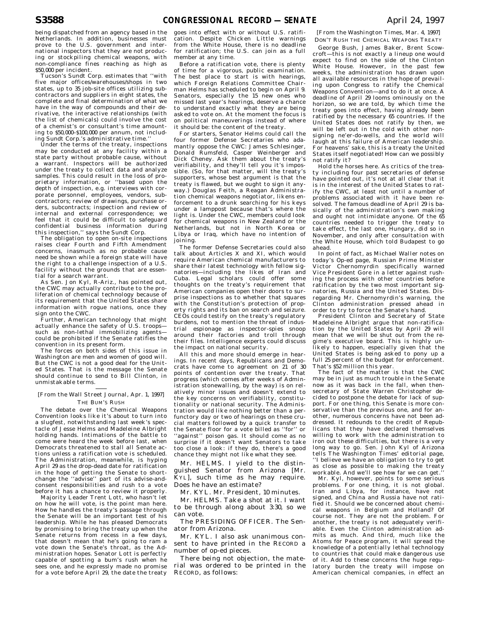being dispatched from an agency based in the Netherlands. In addition, businesses must prove to the U.S. government and international inspectors that they are not producing or stockpiling chemical weapons, with non-compliance fines reaching as high as \$50,000 per incident.

Tucson's Sundt Corp. estimates that ''with five major offices/warehouses/shops in two states, up to 35 job-site offices utilizing subcontractors and suppliers in eight states, the complete and final determination of what we have in the way of compounds and their derivative, the interactive relationships (with the list of chemicals) could involve the cost of a chemist's or consultant's time amounting to \$50,000–\$100,000 per annum, not including Sundt Corp.'s administrative time.''

Under the terms of the treaty, inspections may be conducted at any facility within a state party without probable cause, without a warrant. Inspectors will be authorized under the treaty to collect data and analyze samples. This could result in the loss of proprietary information, or ''based upon the depth of inspection, e.g. interviews with corporate personnel, employees, vendors, subcontractors; review of drawings, purchase orders, subcontracts; inspection and review of internal and external correspondence; we feel that it could be difficult to safeguard confidential business information during this inspection,'' says the Sundt Corp.

The obligation to open on-site inspections raises clear Fourth and Fifth Amendment concerns, inasmuch as no probable cause need be shown while a foreign state will have the right to a challenge inspection of a U.S. facility without the grounds that are essential for a search warrant.

As Sen. Jon Kyl, R-Ariz., has pointed out, the CWC may actually contribute to the proliferation of chemical technology because of its requirement that the United States share information with rogue nations, once they sign onto the CWC.

Further, American technology that might actually enhance the safety of U.S. troops such as non-lethal immobilizing agents could be prohibited if the Senate ratifies the convention in its present form.

The forces on both sides of this issue in Washington are men and women of good will. But the CWC is not a good deal for the United States. That is the message the Senate should continue to send to Bill Clinton, in unmistakable terms.

# [From the Wall Street Journal, Apr. 1, 1997] THE BUM'S RUSH

The debate over the Chemical Weapons Convention looks like it's about to turn into a slugfest, notwithstanding last week's spectacle of Jesse Helms and Madeleine Albright holding hands. Intimations of the battle to come were heard the week before last, when Democrats threatened to stall all Senate actions unless a ratification vote is scheduled. The Administration, meanwhile, is hyping April 29 as the drop-dead date for ratification in the hope of getting the Senate to shortchange the ''advise'' part of its advise-andconsent responsibilities and rush to a vote before it has a chance to review it properly.

Majority Leader Trent Lott, who hasn't let on how he will vote, is the point man here. How he handles the treaty's passage through the Senate will be an important test of his leadership. While he has pleased Democrats by promising to bring the treaty up when the Senate returns from recess in a few days, that doesn't mean that he's going to ram a vote down the Senate's throat, as the Administration hopes. Senator Lott is perfectly capable of spotting a bum's rush when he sees one, and he expressly made no promise for a vote before April 29, the date the treaty

goes into effect with or without U.S. ratification. Despite Chicken Little warnings from the White House, there is no deadline for ratification; the U.S. can join as a full member at any time.

Before a ratification vote, there is plenty of time for a vigorous, public examination. The best place to start is with hearings, which Foreign Relations Committee Chairman Helms has scheduled to begin on April 9. Senators, especially the 15 new ones who missed last year's hearings, deserve a chance to understand exactly what they are being asked to vote on. At the moment the focus is on political maneuverings instead of where it should be: the content of the treaty.

For starters, Senator Helms could call the four former Defense Secretaries who adamantly oppose the CWC: James Schlesinger, Donald Rumsfeld, Casper Weinberger and Dick Cheney. Ask them about the treaty's verifiability, and they'll tell you it's impossible. (So, for that matter, will the treaty's supporters, whose best argument is that the treaty is flawed, but we ought to sign it anyway.) Douglas Feith, a Reagan Administration chemical weapons negotiator, likens enforcement to a drunk searching for his keys under a lamppost because that's where the light is. Under the CWC, members could look for chemical weapons in New Zealand or the Netherlands, but not in North Korea or Libya or Iraq, which have no intention of joining.

The former Defense Secretaries could also talk about Articles X and XI, which would require American chemical manufacturers to share their latest technology with fellow signatories—including the likes of Iran and Cuba. Legal scholars could offer some thoughts on the treaty's requirement that American companies open their doors to surprise inspections as to whether that squares with the Constitution's protection of property rights and its ban on search and seizure. CEOs could testify on the treaty's regulatory burdens, not to mention the threat of industrial espionage as inspector-spies snoop around their factories and troll through their files. Intelligence experts could discuss the impact on national security.

All this and more should emerge in hearings. In recent days, Republicans and Democrats have come to agreement on 21 of 30 points of contention over the treaty. That progress (which comes after weeks of Administration stonewalling, by the way) is on relatively minor issues and doesn't extend to the key concerns on verifiability, constitutionality or national security. The Administration would like nothing better than a perfunctory day or two of hearings on these crucial matters followed by a quick transfer to the Senate floor for a vote billed as ''for'' or 'against'' poison gas. It should come as no surprise if it doesn't want Senators to take too close a look: if they do, there's a good chance they might not like what they see.

Mr. HELMS. I yield to the distinguished Senator from Arizona [Mr. KYL], such time as he may require. Does he have an estimate?

Mr. KYL. Mr. President, 10 minutes.

Mr. HELMS. Take a shot at it. I want to be through along about 3:30, so we can vote.

The PRESIDING OFFICER. The Senator from Arizona.

Mr. KYL. I also ask unanimous consent to have printed in the RECORD a number of op-ed pieces.

There being not objection, the material was ordered to be printed in the RECORD, as follows:

[From the Washington Times, Mar. 4, 1997] DON'T RUSH THE CHEMICAL WEAPONS TREATY

George Bush, James Baker, Brent Scowcroft—this is not exactly a lineup one would expect to find on the side of the Clinton White House. However, in the past few weeks, the administration has drawn upon all available resources in the hope of prevailing upon Congress to ratify the Chemical Weapons Convention—and to do it at once. A deadline of April 29 looms ominously on the horizon, so we are told, by which time the treaty goes into effect, having already been ratified by the necessary 65 countries. If the United States does not ratify by then, we will be left out in the cold with other nonsigning ne'er-do-wells, and the world will laugh at this failure of American leadership. For heavens' sake, this is a treaty the United States itself negotiated! How can we possibly not ratify it?

Hold the horses here. As critics of the treaty including four past secretaries of defense have pointed out, it's not at all clear that it is in the interest of the United States to ratify the CWC, at least not until a number of problems associated with it have been resolved. The famous deadline of April 29 is basically of the administration's own making and ought not intimidate anyone. Of the 65 countries needed to trigger the treaty to take effect, the last one, Hungary, did so in November, and only after consultation with the White House, which told Budapest to go ahead.

In point of fact, as Michael Waller notes on today's Op-ed page, Russian Prime Minister Victor Chernomyrdin specifically warned Vice President Gore in a letter against rushing the process with other countries before ratification by the two most important signatories, Russia and the United States. Disregarding Mr. Chernomyrdin's warning, the Clinton administration pressed ahead in order to try to force the Senate's hand.

President Clinton and Secretary of State Madeleine Albright argue that non-ratification by the United States by April 29 will mean that we will be shut out from the regime's executive board. This is highly unlikely to happen, especially given that the United States is being asked to pony up a full 25 percent of the budget for enforcement. That's \$52 million this year.

The fact of the matter is that the CWC may be in just as much trouble in the Senate now as it was back in the fall, when thensecretary of State Warren Christopher decided to postpone the debate for lack of support. For one thing, this Senate is more conservative than the previous one, and for another, numerous concerns have not been addressed. It redounds to the credit of Republicans that they have declared themselves willing to work with the administration to iron out these difficulties, but there is a very long way to go. Sen. John Kyl of Arizona tells The Washington Times' editorial page, ''I believe we have an obligation to try to get as close as possible to making the treaty workable. And we'll see how far we can get.

Mr. Kyl, however, points to some serious problems. For one thing, it is not global. Iran and Libya, for instance, have not signed, and China and Russia have not ratified it. Should we be concerned about chemical weapons in Belgium and Holland? Of course not. They are not the problem. For another, the treaty is not adequately verifiable. Even the Clinton administration admits as much. And third, much like the Atoms for Peace program, it will spread the knowledge of a potentially lethal technology to countries that could make dangerous use of it. Add to these concerns the huge regulatory burden the treaty will impose on American chemical companies, in effect an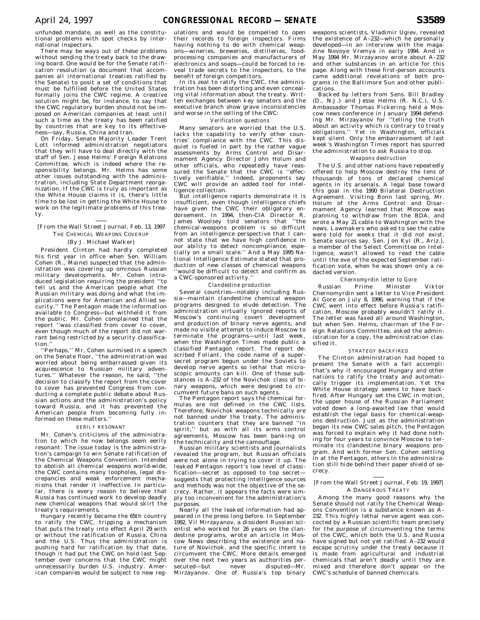unfunded mandate, as well as the constitutional problems with spot checks by international inspectors.

There may be ways out of these problems without sending the treaty back to the drawing board. One would be for the Senate ratification resolution (a document that accompanies all international treaties ratified by the Senate) to posit a set of conditions that must be fulfilled before the United States formally joins the CWC regime. A creative solution might be, for instance, to say that the CWC regulatory burden should not be imposed on American companies at least until such a time as the treaty has been ratified by countries that are key to its effectiveness—say, Russia, China and Iran.

On Friday, Senate Majority Leader Trent Lott informed administration negotiators that they will have to deal directly with the staff of Sen. Jesse Helms' Foreign Relations Committee, which is indeed where the responsibility belongs. Mr. Helms has some other issues outstanding with the adminis-tration, including State Department reorganization. If the CWC is truly as important as the White House claims it is, there's little time to be lost in getting the White House to work on the legitimate problems of this treaty.

# [From the Wall Street Journal, Feb. 13, 1997

THE CHEMICAL WEAPONS COVERUP

# (By J. Michael Walker)

President Clinton had hardly completed his first year in office when Sen. William Cohen (R., Maine) suspected that the administration was covering up ominous Russian military developments. Mr. Cohen introduced legislation requiring the president ''to tell us and the American people what the Russian military was doing and what the implications were for American and Allied security.'' The Pentagon made the information available to Congress—but withheld it from the public. Mr. Cohen complained that the report ''was classified from cover to cover, even though much of the report did not warrant being restricted by a security classification.''

''Perhaps,'' Mr. Cohen surmised in a speech on the Senate floor, ''the administration was worried about being embarrassed given its acquiescence to Russian military adventures.'' Whatever the reason, he said, ''the decision to classify the report from the cover to cover has prevented Congress from conducting a complete public debate about Russian actions and the administration's policy toward Russia, and it has prevented the American people from becoming fully informed on these matters.

#### EERILY RESONANT

Mr. Cohen's criticisms of the administration to which he now belongs seem eerily resonant. The issue today is the administration's campaign to win Senate ratification of the Chemical Weapons Convention. Intended to abolish all chemical weapons world-wide, the CWC contains many loopholes, legal discrepancies and weak enforcement mechanisms that render it ineffective. In particular, there is every reason to believe that Russia has continued work to develop deadly new chemical weapons that would skirt the treaty's requirements.

Hungary recently became the 65th country to ratify the CWC, tripping a mechanism that puts the treaty into effect April 29 with or without the ratification of Russia, China and the U.S. Thus the administration is pushing hard for ratification by that date, though it had put the CWC on hold last September over concerns that the CWC might unnecessarily burden U.S. industry. American companies would be subject to new reg-

ulations and would be compelled to open their records to foreign inspectors. Firms having nothing to do with chemical weapons—wineries, breweries, distilleries, foodprocessing companies and manufacturers of electronics and soaps—could be forced to reveal trade secrets to the inspectors, to the benefit of foreign competitors.

In its zeal to ratify the CWC, the administration has been distorting and even concealing vital information about the treaty. Written exchanges between key senators and the executive branch show grave inconsistencies and worse in the selling of the CWC:

# *Verification questions*

Many senators are worried that the U.S. lacks the capability to verify other countries' compliance with the CWC. This disquiet is fueled in part by the rather vague assessments by Arms Control and Disarmament Agency Director John Holum and other officials, who repeatedly have reassured the Senate that the CWC is ''effectively verifiable.'' Indeed, proponents say CWC will provide an added tool for intelligence collection.

But intelligence reports demonstrate it is insufficient, even though intelligence chiefs have given the CWC their obligatory endorsement. In 1994, then-CIA Director R. James Woolsey told senators that chemical-weapons problem is so difficult from an intelligence perspective that I cannot state that we have high confidence in our ability to detect noncompliance, especially on a small scale.'' And a May 1995 National Intelligence Estimate stated that production of new classes of chemical weapons 'would be difficult to detect and confirm as a CWC-sponsored activity.''

#### *Clandestine production*

Several countries—notably including Russia—maintain clandestine chemical weapon programs designed to elude detection. The administration virtually ignored reports of Moscow's continuing covert development and production of binary nerve agents, and made no visible attempt to induce Moscow to terminate the programs—until last week, when the Washington Times made public a classified Pentagon report. The report described Foliant, the code name of a supersecret program begun under the Soviets to develop nerve agents so lethal that microscopic amounts can kill. One of those substances is A–232 of the Novichok class of binary weapons, which were designed to circumvent future bans on such agents.

The Pentagon report says the chemical formulas are not defined in the CWC lists. Therefore, Novichok weapons technically are not banned under the treaty. The administration counters that they are banned ''in spirit," but as with all its arms control agreements, Moscow has been banking on the technicality and the camouflage.

Russian military scientists and journalists revealed the program, but Russian officials were not alone in trying to cover it up. The leaked Pentagon report's low level of classification—secret as opposed to top secret suggests that protecting intelligence sources and methods was not the objective of the secrecy. Rather, it appears the facts were simply too inconvenient for the administration's purposes.

Nearly all the leaked information had appeared in the press long before. In September 1992, Vil Mirzayanov, a dissident Russian scientist who worked for 26 years on the clandestine programs, wrote an article in Moscow News describing the existence and nature of Novichok, and the specific intent to circumvent the CWC. More details emerged over the next two years as authorities persecuted—but never disputed—Mr. Mirzayanov. One of Russia's top binary

weapons scientists, Vladimir Ugiev, revealed the existence of A–232—which he personally developed—in an interview with the magazine Novoye Vremya in early 1994. And in May 1994 Mr. Mirzayanov wrote about A–232 and other substances in an article for this page. Along with these first-person accounts came additional revelations of both programs in the Baltimore Sun and other publications.

Backed by letters from Sens. Bill Bradley (D., N.J.) and Jesse Helms (R. N.C.), U.S. Ambassador Thomas Pickering held a Moscow news conference in January 1994 defending Mr. Mirzayanov for ''telling the truth about an activity which is contrary to treaty obligations.'' Yet in Washington, officials kept silent. Only the embarrassment of last week's Washington Times report has spurred the administration to ask Russia to stop.

### *Weapons destruction*

The U.S. and other nations have repeatedly offered to help Moscow destroy the tens of thousands of tons of declared chemical agents in its arsenals. A legal base toward this goal in the 1990 Bilateral Destruction Agreement. Visiting Bonn last spring, Mr. Holum of the Arms Control and Disarmament Agency learned that Moscow was planning to withdraw from the BDA, and wrote a May 21 cable to Washington with the news. Lawmakers who asked to see the cable were told for weeks that it did not exist. Senate sources say. Sen. Jon Kyl (R., Ariz.), a member of the Select Committee on Intelligence, wasn't allowed to read the cable until the eve of the expected September ratification vote, when he was shown only a redacted version.

# *Chernomyrdin letter to Gore*

Russian Prime Minister Viktor Chernomyrdin sent a letter to Vice President Al Gore on July 8, 1996, warning that if the CWC went into effect before Russia's ratification, Moscow probably wouldn't ratify it. The letter was faxed all around Washington, but when Sen. Helms, chairman of the Foreign Relations Committee, asked the administration for a copy, the administration classified it.

#### STRATEGY BACKFIRED

The Clinton administration had hoped to present the Senate with a fait accompli: that's why it encouraged Hungary and other nations to ratify the treaty and automatically trigger its implementation. Yet the White House strategy seems to have backfired. After Hungary set the CWC in motion, the upper house of the Russian Parliament voted down a long-awaited law that would establish the legal basis for chemical-weapons destruction. Just as the administration began its new CWC sales pitch, the Pentagon was forced to explain why it had done nothing for four years to convince Moscow to terminate its clandestine binary weapons program. And with former Sen. Cohen settling in at the Pentagon, others in the administration still hide behind their paper shield of secrecy.

# [From the Wall Street Journal, Feb. 19, 1997] A DANGEROUS TREATY

Among the many good reasons why the Senate should not ratify the Chemical Weapons Convention is a substance known as A– 232. This highly lethal nerve agent was concocted by a Russian scientific team precisely for the purpose of circumventing the terms of the CWC, which both the U.S. and Russia have signed but not yet ratified. A–232 would escape scrutiny under the treaty because it is made from agricultural and industrial chemicals that aren't deadly until they are mixed and therefore don't appear on the CWC's schedule of banned chemicals.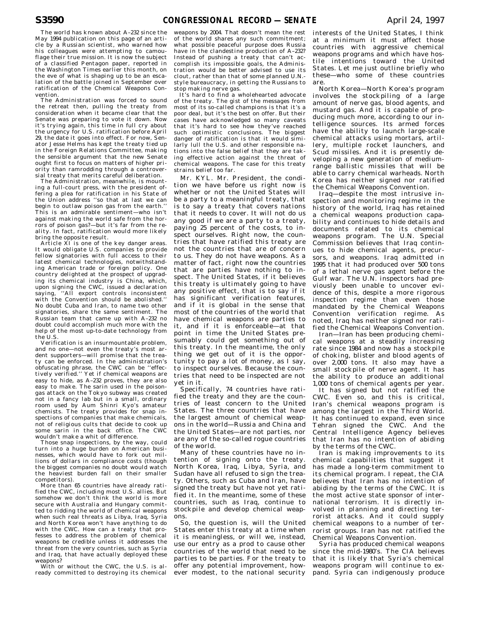The world has known about A–232 since the May 1994 publication on this page of an article by a Russian scientist, who warned how his colleagues were attempting to camouflage their true mission. It is now the subject of a classified Pentagon paper, reported in the Washington Times earlier this month, on the eve of what is shaping up to be an escalation of the battle joined in September over ratification of the Chemical Weapons Convention.

The Administration was forced to sound the retreat then, pulling the treaty from consideration when it became clear that the Senate was preparing to vote it down. Now it's trying again, this time in full cry about the urgency for U.S. ratification before April 29, the date it goes into effect. For now, Senator Jesse Helms has kept the treaty tied up in the Foreign Relations Committee, making the sensible argument that the new Senate ought first to focus on matters of higher priority than ramrodding through a controversial treaty that merits careful deliberation.

The Administration, meanwhile, is mounting a full-court press, with the president offering a plea for ratification in his State of the Union address ''so that at last we can begin to outlaw poison gas from the earth.'' This is an admirable sentiment—who isn't against making the world safe from the horrors of poison gas?—but it's far from the reality. In fact, ratification would more likely bring the opposite result.

Article  $XT$  is one of the key danger areas. It would obligate U.S. companies to provide fellow signatories with full access to their latest chemical technologies, notwithstanding American trade or foreign policy. One country delighted at the prospect of upgrading its chemical industry is China, which, upon signing the CWC, issued a declaration saying, "All export controls inconsistent with the Convention should be abolished.'' No doubt Cuba and Iran, to name two other signatories, share the same sentiment. The Russian team that came up with A–232 no doubt could accomplish much more with the help of the most up-to-date technology from the U.S.

Verification is an insurmountable problem, and no one—not even the treaty's most ardent supporters—will promise that the treaty can be enforced. In the administration's obfuscating phrase, the CWC can be ''effectively verified.'' Yet if chemical weapons are easy to hide, as A–232 proves, they are also easy to make. The sarin used in the poisongas attack on the Tokyo subway was created not in a fancy lab but in a small, ordinary room used by Aum Shinri Kyo's amateur chemists. The treaty provides for snap inspections of companies that make chemicals, not of religious cults that decide to cook up some sarin in the back office. The CWC wouldn't make a whit of difference.

Those snap inspections, by the way, could turn into a huge burden on American businesses, which would have to fork out millions of dollars in compliance costs (though the biggest companies no doubt would watch the heaviest burden fall on their smaller competitors).

More than 65 countries have already ratified the CWC, including most U.S. allies. But somehow we don't think the world is more secure with Australia and Hungary committed to ridding the world of chemical weapons when such real threats as Libya, Iraq, Syria and North Korea won't have anything to do with the CWC. How can a treaty that professes to address the problem of chemical weapons be credible unless it addresses the threat from the very countries, such as Syria and Iraq, that have actually deployed these weapons?

With or without the CWC, the U.S. is already committed to destroying its chemical

weapons by 2004. That doesn't mean the rest of the world shares any such commitment; what possible peaceful purpose does Russia have in the clandestine production of A–232? Instead of pushing a treaty that can't accomplish its impossible goals, the Administration would be better advised to use its clout, rather than that of some planned U.N. style bureaucracy, in getting the Russians to stop making nerve gas.

It's hard to find a wholehearted advocate of the treaty. The gist of the messages from most of its so-called champions is that it's a poor deal, but it's the best on offer. But their cases have acknowledged so many caveats that it's hard to see how they've reached such optimistic conclusions. The biggest danger of ratification is that it would similarly lull the U.S. and other responsible nations into the false belief that they are taking effective action against the threat of chemical weapons. The case for this treaty strains belief too far.

Mr. KYL. Mr. President, the condition we have before us right now is whether or not the United States will be a party to a meaningful treaty, that is to say a treaty that covers nations that it needs to cover. It will not do us any good if we are a party to a treaty, paying 25 percent of the costs, to inspect ourselves. Right now, the countries that have ratified this treaty are not the countries that are of concern to us. They do not have weapons. As a matter of fact, right now the countries that are parties have nothing to inspect. The United States, if it believes this treaty is ultimately going to have any positive effect, that is to say if it has significant verification features, and if it is global in the sense that most of the countries of the world that have chemical weapons are parties to it, and if it is enforceable—at that point in time the United States presumably could get something out of this treaty. In the meantime, the only thing we get out of it is the opportunity to pay a lot of money, as  $\overrightarrow{l}$  say, to inspect ourselves. Because the countries that need to be inspected are not yet in it.

Specifically, 74 countries have ratified the treaty and they are the countries of least concern to the United States. The three countries that have the largest amount of chemical weapons in the world—Russia and China and the United States—are not parties, nor are any of the so-called rogue countries of the world.

Many of these countries have no intention of signing onto the treaty. North Korea, Iraq, Libya, Syria, and Sudan have all refused to sign the treaty. Others, such as Cuba and Iran, have signed the treaty but have not yet ratified it. In the meantime, some of these countries, such as Iraq, continue to stockpile and develop chemical weapons.

So, the question is, will the United States enter this treaty at a time when it is meaningless, or will we, instead, use our entry as a prod to cause other countries of the world that need to be parties to be parties. For the treaty to offer any potential improvement, however modest, to the national security

interests of the United States, I think at a minimum it must affect those countries with aggressive chemical weapons programs and which have hostile intentions toward the United States. Let me just outline briefly who these—who some of these countries are.

North Korea—North Korea's program involves the stockpiling of a large amount of nerve gas, blood agents, and mustard gas. And it is capable of producing much more, according to our intelligence sources. Its armed forces have the ability to launch large-scale chemical attacks using mortars, artillery, multiple rocket launchers, and Scud missiles. And it is presently developing a new generation of mediumrange ballistic missiles that will be able to carry chemical warheads. North Korea has neither signed nor ratified the Chemical Weapons Convention.

Iraq—despite the most intrusive inspection and monitoring regime in the history of the world, Iraq has retained a chemical weapons production capability and continues to hide details and documents related to its chemical weapons program. The U.N. Special Commission believes that Iraq continues to hide chemical agents, precursors, and weapons. Iraq admitted in 1995 that it had produced over 500 tons of a lethal nerve gas agent before the Gulf war. The U.N. inspectors had previously been unable to uncover evidence of this, despite a more rigorous inspection regime than even those mandated by the Chemical Weapons Convention verification regime. As noted, Iraq has neither signed nor ratified the Chemical Weapons Convention.

Iran—Iran has been producing chemical weapons at a steadily increasing rate since 1984 and now has a stockpile of choking, blister and blood agents of over 2,000 tons. It also may have a small stockpile of nerve agent. It has the ability to produce an additional 1,000 tons of chemical agents per year.

It has signed but not ratified the CWC. Even so, and this is critical, Iran's chemical weapons program is among the largest in the Third World. It has continued to expand, even since Tehran signed the CWC. And the Central Intelligence Agency believes that Iran has no intention of abiding by the terms of the CWC.

Iran is making improvements to its chemical capabilities that suggest it has made a long-term commitment to its chemical program. I repeat, the CIA believes that Iran has no intention of abiding by the terms of the CWC. It is the most active state sponsor of international terrorism. It is directly involved in planning and directing terrorist attacks. And it could supply chemical weapons to a number of terrorist groups. Iran has not ratified the Chemical Weapons Convention.

Syria has produced chemical weapons since the mid-1980's. The CIA believes that it is likely that Syria's chemical weapons program will continue to expand. Syria can indigenously produce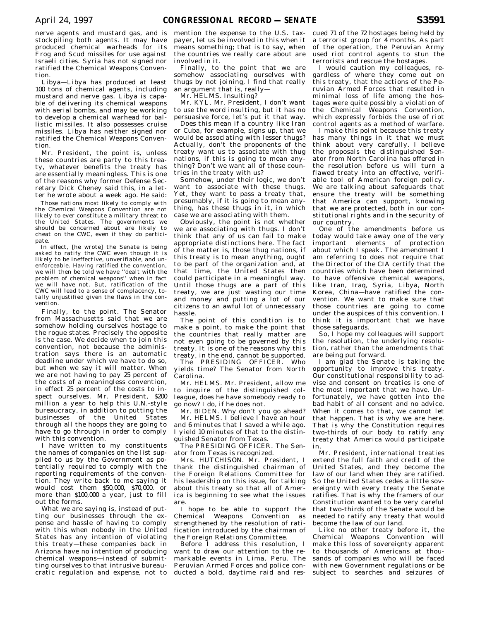nerve agents and mustard gas, and is stockpiling both agents. It may have produced chemical warheads for its Frog and Scud missiles for use against Israeli cities. Syria has not signed nor ratified the Chemical Weapons Convention.

Libya—Libya has produced at least 100 tons of chemical agents, including mustard and nerve gas. Libya is capable of delivering its chemical weapons with aerial bombs, and may be working to develop a chemical warhead for ballistic missiles. It also possesses cruise missiles. Libya has neither signed nor ratified the Chemical Weapons Convention.

Mr. President, the point is, unless these countries are party to this treaty, whatever benefits the treaty has are essentially meaningless. This is one of the reasons why former Defense Secretary Dick Cheney said this, in a letter he wrote about a week ago. He said:

Those nations most likely to comply with the Chemical Weapons Convention are not likely to ever constitute a military threat to the United States. The governments we should be concerned about are likely to cheat on the CWC, even if they do participate.

In effect, [he wrote] the Senate is being asked to ratify the CWC even though it is likely to be ineffective, unverifiable, and unenforceable. Having ratified the convention, we will then be told we have ''dealt with the problem of chemical weapons'' when in fact we will have not. But, ratification of the CWC will lead to a sense of complacency, totally unjustified given the flaws in the convention.

Finally, to the point. The Senator from Massachusetts said that we are somehow holding ourselves hostage to the rogue states. Precisely the opposite is the case. We decide when to join this convention, not because the administration says there is an automatic deadline under which we have to do so, but when we say it will matter. When we are not having to pay 25 percent of the costs of a meaningless convention, in effect 25 percent of the costs to inspect ourselves. Mr. President, \$200 million a year to help this U.N.-style bureaucracy, in addition to putting the businesses of the United States through all the hoops they are going to have to go through in order to comply with this convention.

I have written to my constituents the names of companies on the list supplied to us by the Government as potentially required to comply with the reporting requirements of the convention. They write back to me saying it would cost them \$50,000, \$70,000, or more than \$100,000 a year, just to fill out the forms.

What we are saying is, instead of putting our businesses through the expense and hassle of having to comply with this when nobody in the United States has any intention of violating this treaty—these companies back in Arizona have no intention of producing chemical weapons—instead of submitting ourselves to that intrusive bureaucratic regulation and expense, not to

mention the expense to the U.S. taxpayer, let us be involved in this when it means something; that is to say, when the countries we really care about are involved in it.

Finally, to the point that we are somehow associating ourselves with thugs by not joining, I find that really an argument that is, really—

Mr. HELMS. Insulting?

Mr. KYL. Mr. President, I don't want to use the word insulting, but it has no persuasive force, let's put it that way.

Does this mean if a country like Iran or Cuba, for example, signs up, that we would be associating with lesser thugs? Actually, don't the proponents of the treaty want us to associate with thug nations, if this is going to mean anything? Don't we want all of those countries in the treaty with us?

Somehow, under their logic, we don't want to associate with these thugs. Yet, they want to pass a treaty that, presumably, if it is going to mean anything, has these thugs in it, in which case we are associating with them.

Obviously, the point is not whether we are associating with thugs. I don't think that any of us can fail to make appropriate distinctions here. The fact of the matter is, those thug nations, if this treaty is to mean anything, ought to be part of the organization and, at that time, the United States then could participate in a meaningful way. Until those thugs are a part of this treaty, we are just wasting our time and money and putting a lot of our citizens to an awful lot of unnecessary hassle.

The point of this condition is to make a point, to make the point that the countries that really matter are not even going to be governed by this treaty. It is one of the reasons why this treaty, in the end, cannot be supported.

The PRESIDING OFFICER. Who yields time? The Senator from North Carolina.

Mr. HELMS. Mr. President, allow me to inquire of the distinguished colleague, does he have somebody ready to go now? I do, if he does not.

Mr. BIDEN. Why don't you go ahead? Mr. HELMS. I believe I have an hour and 6 minutes that I saved a while ago. I yield 10 minutes of that to the distinguished Senator from Texas.

The PRESIDING OFFICER. The Senator from Texas is recognized.

Mrs. HUTCHISON. Mr. President, I thank the distinguished chairman of the Foreign Relations Committee for his leadership on this issue, for talking about this treaty so that all of America is beginning to see what the issues are.

I hope to be able to support the Chemical Weapons Convention as strengthened by the resolution of ratification introduced by the chairman of the Foreign Relations Committee.

Before I address this resolution, I want to draw our attention to the remarkable events in Lima, Peru. The Peruvian Armed Forces and police conducted a bold, daytime raid and rescued 71 of the 72 hostages being held by a terrorist group for 4 months. As part of the operation, the Peruvian Army used riot control agents to stun the terrorists and rescue the hostages.

I would caution my colleagues, regardless of where they come out on this treaty, that the actions of the Peruvian Armed Forces that resulted in minimal loss of life among the hostages were quite possibly a violation of the Chemical Weapons Convention, which expressly forbids the use of riot control agents as a method of warfare.

I make this point because this treaty has many things in it that we must think about very carefully. I believe the proposals the distinguished Senator from North Carolina has offered in the resolution before us will turn a flawed treaty into an effective, verifiable tool of American foreign policy. We are talking about safeguards that ensure the treaty will be something that America can support, knowing that we are protected, both in our constitutional rights and in the security of our country.

One of the amendments before us today would take away one of the very important elements of protection about which I speak. The amendment I am referring to does not require that the Director of the CIA certify that the countries which have been determined to have offensive chemical weapons, like Iran, Iraq, Syria, Libya, North Korea, China—have ratified the convention. We want to make sure that those countries are going to come under the auspices of this convention. I think it is important that we have those safeguards.

So, I hope my colleagues will support the resolution, the underlying resolution, rather than the amendments that are being put forward.

I am glad the Senate is taking the opportunity to improve this treaty. Our constitutional responsibility to advise and consent on treaties is one of the most important that we have. Unfortunately, we have gotten into the bad habit of all consent and no advice. When it comes to that, we cannot let that happen. That is why we are here. That is why the Constitution requires two-thirds of our body to ratify any treaty that America would participate in.

Mr. President, international treaties extend the full faith and credit of the United States, and they become the law of our land when they are ratified. So the United States cedes a little sovereignty with every treaty the Senate ratifies. That is why the framers of our Constitution wanted to be very careful that two-thirds of the Senate would be needed to ratify any treaty that would become the law of our land.

Like no other treaty before it, the Chemical Weapons Convention will make this loss of sovereignty apparent to thousands of Americans at thousands of companies who will be faced with new Government regulations or be subject to searches and seizures of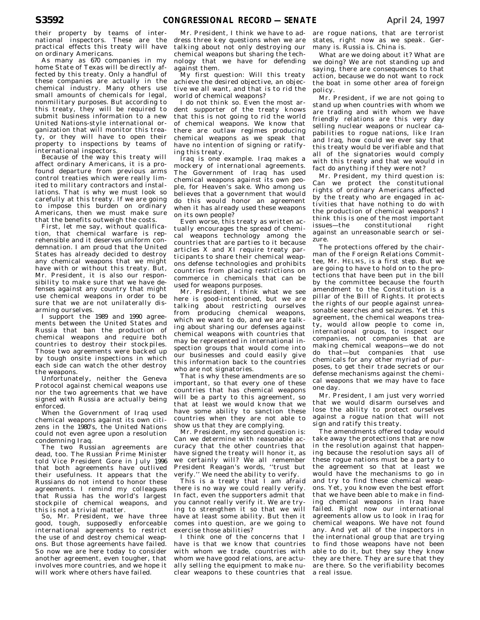their property by teams of international inspectors. These are the practical effects this treaty will have on ordinary Americans.

As many as 670 companies in my home State of Texas will be directly affected by this treaty. Only a handful of these companies are actually in the chemical industry. Many others use small amounts of chemicals for legal, nonmilitary purposes. But according to this treaty, they will be required to submit business information to a new United Nations-style international organization that will monitor this treaty, or they will have to open their property to inspections by teams of international inspectors.

Because of the way this treaty will affect ordinary Americans, it is a profound departure from previous arms control treaties which were really limited to military contractors and installations. That is why we must look so carefully at this treaty. If we are going to impose this burden on ordinary Americans, then we must make sure that the benefits outweigh the costs.

First, let me say, without qualification, that chemical warfare is reprehensible and it deserves uniform condemnation. I am proud that the United States has already decided to destroy any chemical weapons that we might have with or without this treaty. But, Mr. President, it is also our responsibility to make sure that we have defenses against any country that might use chemical weapons in order to be sure that we are not unilaterally disarming ourselves.

I support the 1989 and 1990 agreements between the United States and Russia that ban the production of chemical weapons and require both countries to destroy their stockpiles. Those two agreements were backed up by tough onsite inspections in which each side can watch the other destroy the weapons.

Unfortunately, neither the Geneva Protocol against chemical weapons use nor the two agreements that we have signed with Russia are actually being enforced.

When the Government of Iraq used chemical weapons against its own citizens in the 1980's, the United Nations could not even agree upon a resolution condemning Iraq.

The two Russian agreements are dead, too. The Russian Prime Minister told Vice President Gore in July 1996 that both agreements have outlived their usefulness. It appears that the Russians do not intend to honor these agreements. I remind my colleagues that Russia has the world's largest stockpile of chemical weapons, and this is not a trivial matter.

So, Mr. President, we have three good, tough, supposedly enforceable international agreements to restrict the use of and destroy chemical weapons. But those agreements have failed. So now we are here today to consider another agreement, even tougher, that involves more countries, and we hope it will work where others have failed.

Mr. President, I think we have to address three key questions when we are talking about not only destroying our chemical weapons but sharing the technology that we have for defending against them.

My first question: Will this treaty achieve the desired objective, an objective we all want, and that is to rid the world of chemical weapons?

I do not think so. Even the most ardent supporter of the treaty knows that this is not going to rid the world of chemical weapons. We know that there are outlaw regimes producing chemical weapons as we speak that have no intention of signing or ratifying this treaty.

Iraq is one example. Iraq makes a mockery of international agreements. The Government of Iraq has used chemical weapons against its own people, for Heaven's sake. Who among us believes that a government that would do this would honor an agreement when it has already used these weapons on its own people?

Even worse, this treaty as written actually encourages the spread of chemical weapons technology among the countries that are parties to it because articles  $X$  and  $XI$  require treaty participants to share their chemical weapons defense technologies and prohibits countries from placing restrictions on commerce in chemicals that can be used for weapons purposes.

Mr. President, I think what we see here is good-intentioned, but we are talking about restricting ourselves from producing chemical weapons, which we want to do, and we are talking about sharing our defenses against chemical weapons with countries that may be represented in international inspection groups that would come into our businesses and could easily give this information back to the countries who are not signatories.

That is why these amendments are so important, so that every one of these countries that has chemical weapons will be a party to this agreement, so that at least we would know that we have some ability to sanction these countries when they are not able to show us that they are complying.

Mr. President, my second question is: Can we determine with reasonable accuracy that the other countries that have signed the treaty will honor it, as we certainly will? We all remember President Reagan's words, ''trust but verify.'' We need the ability to verify.

This is a treaty that I am afraid there is no way we could really verify. In fact, even the supporters admit that you cannot really verify it. We are trying to strengthen it so that we will have at least some ability. But then it comes into question, are we going to exercise those abilities?

I think one of the concerns that I have is that we know that countries with whom we trade, countries with whom we have good relations, are actually selling the equipment to make nuclear weapons to these countries that

are rogue nations, that are terrorist states, right now as we speak. Germany is. Russia is. China is.

What are we doing about it? What are we doing? We are not standing up and saying, there are consequences to that action, because we do not want to rock the boat in some other area of foreign policy.

Mr. President, if we are not going to stand up when countries with whom we are trading and with whom we have friendly relations are this very day selling nuclear weapons or nuclear capabilities to rogue nations, like Iran and Iraq, how could we ever say that this treaty would be verifiable and that all of the signatories would comply with this treaty and that we would in fact do anything if they were not?

Mr. President, my third question is: Can we protect the constitutional rights of ordinary Americans affected by the treaty who are engaged in activities that have nothing to do with the production of chemical weapons? I think this is one of the most important<br>issues—the constitutional right constitutional right against an unreasonable search or seizure.

The protections offered by the chairman of the Foreign Relations Committee, Mr. HELMS, is a first step. But we are going to have to hold on to the protections that have been put in the bill by the committee because the fourth amendment to the Constitution is a pillar of the Bill of Rights. It protects the rights of our people against unreasonable searches and seizures. Yet this agreement, the chemical weapons treaty, would allow people to come in, international groups, to inspect our companies, not companies that are making chemical weapons—we do not do that—but companies that use chemicals for any other myriad of purposes, to get their trade secrets or our defense mechanisms against the chemical weapons that we may have to face one day.

Mr. President, I am just very worried that we would disarm ourselves and lose the ability to protect ourselves against a rogue nation that will not sign and ratify this treaty.

The amendments offered today would take away the protections that are now in the resolution against that happening because the resolution says all of these rogue nations must be a party to the agreement so that at least we would have the mechanisms to go in and try to find these chemical weapons. Yet, you know even the best effort that we have been able to make in finding chemical weapons in Iraq have failed. Right now our international agreements allow us to look in Iraq for chemical weapons. We have not found any. And yet all of the inspectors in the international group that are trying to find those weapons have not been able to do it, but they say they know they are there. They are sure that they are there. So the verifiability becomes a real issue.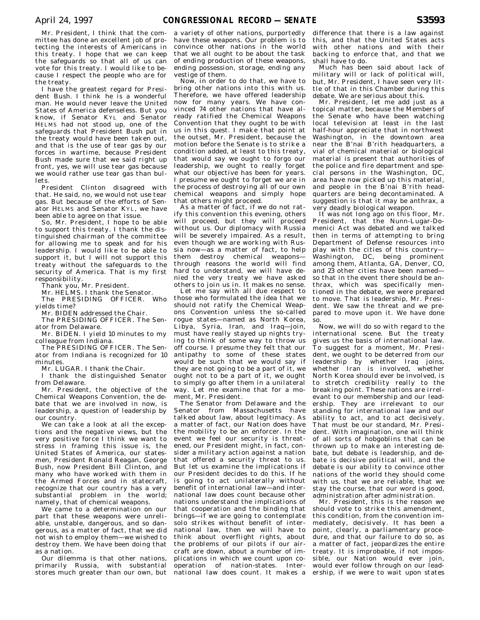Mr. President, I think that the committee has done an excellent job of protecting the interests of Americans in this treaty. I hope that we can keep the safeguards so that all of us can vote for this treaty. I would like to because I respect the people who are for the treaty.

I have the greatest regard for President Bush. I think he is a wonderful man. He would never leave the United States of America defenseless. But you know, if Senator KYL and Senator HELMS had not stood up, one of the safeguards that President Bush put in the treaty would have been taken out, and that is the use of tear gas by our forces in wartime, because President Bush made sure that we said right up front, yes, we will use tear gas because we would rather use tear gas than bullets.

President Clinton disagreed with that. He said, no, we would not use tear gas. But because of the efforts of Senator HELMS and Senator KYL, we have been able to agree on that issue.

So, Mr. President, I hope to be able to support this treaty. I thank the distinguished chairman of the committee for allowing me to speak and for his leadership. I would like to be able to support it, but I will not support this treaty without the safeguards to the security of America. That is my first responsibility.

Thank you, Mr. President.

Mr. HELMS. I thank the Senator.

The PRESIDING OFFICER. Who yields time?

Mr. BIDEN addressed the Chair.

The PRESIDING OFFICER. The Senator from Delaware.

Mr. BIDEN. I yield 10 minutes to my colleague from Indiana.

The PRESIDING OFFICER. The Senator from Indiana is recognized for 10 minutes.

Mr. LUGAR. I thank the Chair.

I thank the distinguished Senator from Delaware.

Mr. President, the objective of the Chemical Weapons Convention, the debate that we are involved in now, is leadership, a question of leadership by our country.

We can take a look at all the exceptions and the negative views, but the very positive force I think we want to stress in framing this issue is, the United States of America, our statesmen, President Ronald Reagan, George Bush, now President Bill Clinton, and many who have worked with them in the Armed Forces and in statecraft, recognize that our country has a very substantial problem in the world; namely, that of chemical weapons.

We came to a determination on our part that these weapons were unreliable, unstable, dangerous, and so dangerous, as a matter of fact, that we did not wish to employ them—we wished to destroy them. We have been doing that as a nation.

Our dilemma is that other nations, primarily Russia, with substantial stores much greater than our own, but

a variety of other nations, purportedly have these weapons. Our problem is to convince other nations in the world that we all ought to be about the task of ending production of these weapons, ending possession, storage, ending any vestige of them.

Now, in order to do that, we have to bring other nations into this with us. Therefore, we have offered leadership now for many years. We have convinced 74 other nations that have already ratified the Chemical Weapons Convention that they ought to be with us in this quest. I make that point at the outset, Mr. President, because the motion before the Senate is to strike a condition added, at least to this treaty, that would say we ought to forgo our leadership, we ought to really forget what our objective has been for years. I presume we ought to forget we are in the process of destroying all of our own chemical weapons and simply hope that others might proceed.

As a matter of fact, if we do not ratify this convention this evening, others will proceed, but they will proceed without us. Our diplomacy with Russia will be severely impaired. As a result, even though we are working with Russia now—as a matter of fact, to help them destroy chemical weapons through reasons the world will find hard to understand, we will have denied the very treaty we have asked others to join us in. It makes no sense.

Let me say with all due respect to those who formulated the idea that we should not ratify the Chemical Weapons Convention unless the so-called rogue states—named as North Korea, Libya, Syria, Iran, and Iraq—join, must have really stayed up nights trying to think of some way to throw us off course. I presume they felt that our antipathy to some of these states would be such that we would say if they are not going to be a part of it, we ought not to be a part of it, we ought to simply go after them in a unilateral way. Let me examine that for a moment, Mr. President.

The Senator from Delaware and the Senator from Massachusetts have talked about law, about legitimacy. As a matter of fact, our Nation does have the mobility to be an enforcer. In the event we feel our security is threatened, our President might, in fact, consider a military action against a nation that offered a security threat to us. But let us examine the implications if our President decides to do this. If he is going to act unilaterally without benefit of international law—and international law does count because other nations understand the implications of that cooperation and the binding that brings—if we are going to contemplate solo strikes without benefit of international law, then we will have to think about overflight rights, about the problems of our pilots if our aircraft are down, about a number of implications in which we count upon cooperation of nation-states. International law does count. It makes a

difference that there is a law against this, and that the United States acts with other nations and with their backing to enforce that, and that we shall have to do.

Much has been said about lack of military will or lack of political will, but, Mr. President, I have seen very little of that in this Chamber during this debate. We are serious about this.

Mr. President, let me add just as a topical matter, because the Members of the Senate who have been watching local television at least in the last half-hour appreciate that in northwest Washington, in the downtown area near the B'nai B'rith headquarters, a vial of chemical material or biological material is present that authorities of the police and fire department and special persons in the Washington, DC, area have now picked up this material, and people in the B'nai B'rith headquarters are being decontaminated. A suggestion is that it may be anthrax, a very deadly biological weapon.

It was not long ago on this floor, Mr. President, that the Nunn-Lugar-Domenici Act was debated and we talked then in terms of attempting to bring Department of Defense resources into play with the cities of this country— Washington, DC, being prominent among them, Atlanta, GA, Denver, CO, and 23 other cities have been named so that in the event there should be anthrax, which was specifically mentioned in the debate, we were prepared to move. That is leadership, Mr. President. We saw the threat and we prepared to move upon it. We have done so.

Now, we will do so with regard to the international scene. But the treaty gives us the basis of international law. To suggest for a moment, Mr. President, we ought to be deterred from our leadership by whether Iraq joins, whether Iran is involved, whether North Korea should ever be involved, is to stretch credibility really to the breaking point. These nations are irrelevant to our membership and our leadership. They are irrelevant to our standing for international law and our ability to act, and to act decisively. That must be our standard, Mr. President. With imagination, one will think of all sorts of hobgoblins that can be thrown up to make an interesting debate, but debate is leadership, and debate is decisive political will, and the debate is our ability to convince other nations of the world they should come with us, that we are reliable, that we stay the course, that our word is good, administration after administration.

Mr. President, this is the reason we should vote to strike this amendment, this condition, from the convention immediately, decisively. It has been a point, clearly, a parliamentary procedure, and that our failure to do so, as a matter of fact, jeopardizes the entire treaty. It is improbable, if not impossible, our Nation would ever join, would ever follow through on our leadership, if we were to wait upon states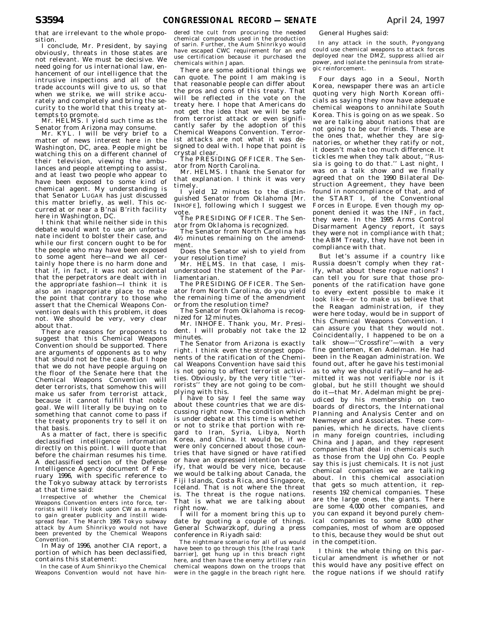that are irrelevant to the whole proposition.

I conclude, Mr. President, by saying obviously, threats in those states are not relevant. We must be decisive. We need going for us international law, enhancement of our intelligence that the intrusive inspections and all of the trade accounts will give to us, so that when we strike, we will strike accurately and completely and bring the security to the world that this treaty at-

tempts to promote.<br>Mr. HELMS. I yield such time as the<br>Senator from Arizona may consume.

Mr. KYL. I will be very brief to a matter of news interest here in the Washington, DC, area. People might be watching this on a different channel of their television, viewing the ambulances and people attempting to assist, and at least two people who appear to have been exposed to some kind of chemical agent. My understanding is that Senator LUGAR has just discussed this matter briefly, as well. This occurred at or near a B'nai B'rith facility here in Washington, DC. I think that while neither side in this

debate would want to use an unfortunate incident to bolster their case, and while our first concern ought to be for the people who may have been exposed to some agent here—and we all certainly hope there is no harm done and that if, in fact, it was not accidental that the perpetrators are dealt with in the appropriate fashion—I think it is also an inappropriate place to make the point that contrary to those who assert that the Chemical Weapons Convention deals with this problem, it does not. We should be very, very clear about that.

There are reasons for proponents to suggest that this Chemical Weapons Convention should be supported. There are arguments of opponents as to why that should not be the case. But I hope that we do not have people arguing on the floor of the Senate here that the Chemical Weapons Convention will deter terrorists, that somehow this will make us safer from terrorist attack, because it cannot fulfill that noble goal. We will literally be buying on to something that cannot come to pass if the treaty proponents try to sell it on that basis.

As a matter of fact, there is specific declassified intelligence information directly on this point. I will quote that before the chairman resumes his time. A declassified section of the Defense Intelligence Agency document of February 1996, with specific reference to the Tokyo subway attack by terrorists at that time said:

Irrespective of whether the Chemical Weapons Convention enters into force, terrorists will likely look upon CW as a means to gain greater publicity and instill wide-spread fear. The March 1995 Tokyo subway attack by Aum Shinrikyo would not have been prevented by the Chemical Weapons Convention.

In May of 1996, another CIA report, a portion of which has been declassified, contains this statement:

In the case of Aum Shinrikyo the Chemical Weapons Convention would not have hin-

dered the cult from procuring the needed chemical compounds used in the production of sarin. Further, the Aum Shinrikyo would have escaped CWC requirement for an end use certification because it purchased the chemicals within Japan.

There are some additional things we can quote. The point I am making is that reasonable people can differ about the pros and cons of this treaty. That will be reflected in the vote on the treaty here. I hope that Americans do not get the idea that we will be safe from terrorist attack or even significantly safer by the adoption of this Chemical Weapons Convention. Terrorist attacks are not what it was designed to deal with. I hope that point is crystal clear.

The PRESIDING OFFICER. The Senator from North Carolina.

Mr. HELMS. I thank the Senator for that explanation. I think it was very timely. I yield 12 minutes to the distin-

guished Senator from Oklahoma [Mr. INHOFE], following which I suggest we vote.

The PRESIDING OFFICER. The Senator from Oklahoma is recognized. The Senator from North Carolina has

41⁄2 minutes remaining on the amendment.

Does the Senator wish to yield from<br>your resolution time?

Mr. HELMS. In that case, I misunderstood the statement of the Parliamentarian.

The PRESIDING OFFICER. The Senator from North Carolina, do you yield the remaining time of the amendment or from the resolution time?

The Senator from Oklahoma is recognized for 12 minutes.

Mr. INHOFE. Thank you, Mr. President. I will probably not take the 12 minutes.

The Senator from Arizona is exactly right. I think even the strongest opponents of the ratification of the Chemical Weapons Convention have said this is not going to affect terrorist activities. Obviously, by the very title ''terrorists'' they are not going to be complying with this. I have to say I feel the same way

about these countries that we are discussing right now. The condition which is under debate at this time is whether or not to strike that portion with regard to Iran, Syria, Libya, North Korea, and China. It would be, if we were only concerned about those countries that have signed or have ratified or have an expressed intention to ratify, that would be very nice, because we would be talking about Canada, the Fiji Islands, Costa Rica, and Singapore, Iceland. That is not where the threat is. The threat is the rogue nations. That is what we are talking about

right now. I will for a moment bring this up to date by quoting a couple of things. General Schwarzkopf, during a press conference in Riyadh said:

The nightmare scenario for all of us would have been to go through this [the Iraqi tank barrier], get hung up in this breach right here, and then have the enemy artillery rain chemical weapons down on the troops that were in the gaggle in the breach right here.

# General Hughes said:

In any attack in the south, Pyongyang could use chemical weapons to attack forces deployed near the DMZ, suppress allied air power, and isolate the peninsula from strategic reinforcement.

Four days ago in a Seoul, North Korea, newspaper there was an article quoting very high North Korean officials as saying they now have adequate chemical weapons to annihilate South Korea. This is going on as we speak. So we are talking about nations that are not going to be our friends. These are the ones that, whether they are signatories, or whether they ratify or not, it doesn't make too much difference. It tickles me when they talk about, ''Russia is going to do that.'' Last night, I was on a talk show and we finally agreed that on the 1990 Bilateral Destruction Agreement, they have been found in noncompliance of that, and of the START I, of the Conventional Forces in Europe. Even though my opponent denied it was the INF, in fact, they were. In the 1995 Arms Control Disarmament Agency report, it says they were not in compliance with that; the ABM Treaty, they have not been in compliance with that.

But let's assume if a country like Russia doesn't comply when they ratify, what about these rogue nations? I can tell you for sure that those proponents of the ratification have gone to every extent possible to make it look like—or to make us believe that the Reagan administration, if they were here today, would be in support of this Chemical Weapons Convention. I can assure you that they would not. Coincidentally, I happened to be on a talk show—''Crossfire''—with a very fine gentlemen, Ken Adelman. He had been in the Reagan administration. We found out, after he gave his testimonial as to why we should ratify—and he admitted it was not verifiable nor is it global, but he still thought we should do it—that Mr. Adelman might be prejudiced by his membership on two boards of directors, the International Planning and Analysis Center and on Newmeyer and Associates. These companies, which he directs, have clients in many foreign countries, including China and Japan, and they represent companies that deal in chemicals such as those from the UpJohn Co. People say this is just chemicals. It is not just chemical companies we are talking about. In this chemical association that gets so much attention, it represents 192 chemical companies. These are the large ones, the giants. There are some 4,000 other companies, and you can expand it beyond purely chemical companies to some 8,000 other companies, most of whom are opposed to this, because they would be shut out in the competition.

I think the whole thing on this particular amendment is whether or not this would have any positive effect on the rogue nations if we should ratify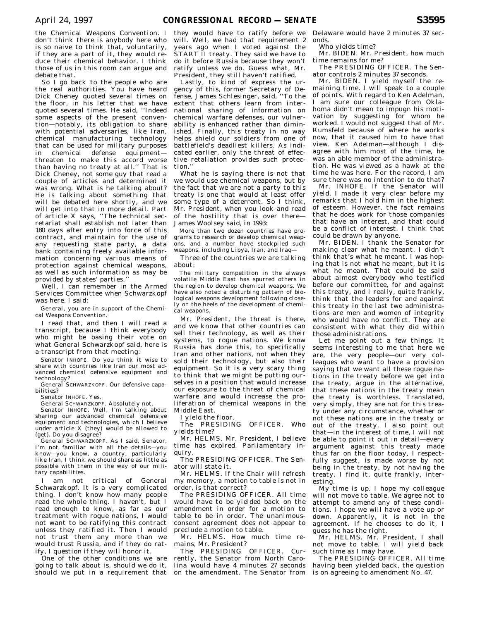the Chemical Weapons Convention. I don't think there is anybody here who is so naive to think that, voluntarily, if they are a part of it, they would reduce their chemical behavior. I think those of us in this room can argue and debate that.

So I go back to the people who are the real authorities. You have heard Dick Cheney quoted several times on the floor, in his letter that we have quoted several times. He said, ''Indeed some aspects of the present convention—notably, its obligation to share with potential adversaries, like Iran, chemical manufacturing technology that can be used for military purposes in chemical defense equipment threaten to make this accord worse than having no treaty at all.'' That is Dick Cheney, not some guy that read a couple of articles and determined it was wrong. What is he talking about? He is talking about something that will be debated here shortly, and we will get into that in more detail. Part of article X says, ''The technical secretariat shall establish not later than 180 days after entry into force of this contract, and maintain for the use of any requesting state party, a data bank containing freely available information concerning various means of protection against chemical weapons, as well as such information as may be provided by states' parties.''

Well, I can remember in the Armed Services Committee when Schwarzkopf was here. I said:

General, you are in support of the Chemical Weapons Convention.

I read that, and then I will read a transcript, because I think everybody who might be basing their vote on what General Schwarzkopf said, here is a transcript from that meeting:

Senator INHOFE. Do you think it wise to share with countries like Iran our most advanced chemical defensive equipment and technology?

General SCHWARZKOPF. Our defensive capabilities?

Senator INHOFE. Yes.

General SCHWARZKOPF. Absolutely not. Senator INHOFE. Well, I'm talking about sharing our advanced chemical defensive equipment and technologies, which I believe under article X (they) would be allowed to (get). Do you disagree?

General SCHWARZKOPF. As I said, Senator, I'm not familiar with all the details—you know—you know, a country, particularly like Iran, I think we should share as little as possible with them in the way of our military capabilities.

I am not critical of General Schwarzkopf. It is a very complicated thing. I don't know how many people read the whole thing. I haven't, but I read enough to know, as far as our treatment with rogue nations, I would not want to be ratifying this contract unless they ratified it. Then I would not trust them any more than we would trust Russia, and if they do ratify, I question if they will honor it.

One of the other conditions we are going to talk about is, should we do it, should we put in a requirement that

they would have to ratify before we will. Well, we had that requirement 2 years ago when I voted against the START II treaty. They said we have to do it before Russia because they won't ratify unless we do. Guess what, Mr. President, they still haven't ratified.

Lastly, to kind of express the urgency of this, former Secretary of Defense, James Schlesinger, said, ''To the extent that others learn from international sharing of information on chemical warfare defenses, our vulnerability is enhanced rather than diminished. Finally, this treaty in no way helps shield our soldiers from one of battlefield's deadliest killers. As indicated earlier, only the threat of effective retaliation provides such protection.''

What he is saying there is not that we would use chemical weapons, but by the fact that we are not a party to this treaty is one that would at least offer some type of a deterrent. So I think, Mr. President, when you look and read of the hostility that is over there— James Woolsey said, in 1993:

More than two dozen countries have programs to research or develop chemical weapons, and a number have stockpiled such weapons, including Libya, Iran, and Iraq—

Three of the countries we are talking about:

The military competition in the always volatile Middle East has spurred others in the region to develop chemical weapons. We have also noted a disturbing pattern of biological weapons development following closely on the heels of the development of chemical weapons.

Mr. President, the threat is there, and we know that other countries can sell their technology, as well as their systems, to rogue nations. We know Russia has done this, to specifically Iran and other nations, not when they sold their technology, but also their equipment. So it is a very scary thing to think that we might be putting ourselves in a position that would increase our exposure to the threat of chemical warfare and would increase the proliferation of chemical weapons in the Middle East.

I yield the floor.

The PRESIDING OFFICER. Who yields time?

Mr. HELMS. Mr. President, I believe time has expired. Parliamentary inquiry.

The PRESIDING OFFICER. The Senator will state it.

Mr. HELMS. If the Chair will refresh my memory, a motion to table is not in order, is that correct?

The PRESIDING OFFICER. All time would have to be yielded back on the amendment in order for a motion to table to be in order. The unanimousconsent agreement does not appear to preclude a motion to table.

Mr. HELMS. How much time remains, Mr. President?

The PRESIDING OFFICER. Currently, the Senator from North Carolina would have 4 minutes 27 seconds on the amendment. The Senator from

Delaware would have 2 minutes 37 seconds.

Who violds time?

Mr. BIDEN. Mr. President, how much time remains for me?

The PRESIDING OFFICER. The Senator controls 2 minutes 37 seconds.

Mr. BIDEN. I yield myself the remaining time. I will speak to a couple of points. With regard to Ken Adelman, I am sure our colleague from Oklahoma didn't mean to impugn his motivation by suggesting for whom he worked. I would not suggest that of Mr. Rumsfeld because of where he works now, that it caused him to have that view. Ken Adelman—although I disagree with him most of the time, he was an able member of the administration. He was viewed as a hawk at the time he was here. For the record, I am sure there was no intention to do that?

Mr. INHOFE. If the Senator will yield, I made it very clear before my remarks that I hold him in the highest of esteem. However, the fact remains that he does work for those companies that have an interest, and that could be a conflict of interest. I think that could be drawn by anyone.

Mr. BIDEN. I thank the Senator for making clear what he meant. I didn't think that's what he meant. I was hoping that is not what he meant, but it is what he meant. That could be said about almost everybody who testified before our committee, for and against this treaty, and I really, quite frankly, think that the leaders for and against this treaty in the last two administrations are men and women of integrity who would have no conflict. They are consistent with what they did within those administrations.

Let me point out a few things. It seems interesting to me that here we are, the very people—our very colleagues who want to have a provision saying that we want all these rogue nations in the treaty before we get into the treaty, argue in the alternative. that these nations in the treaty mean the treaty is worthless. Translated, very simply, they are not for this treaty under any circumstance, whether or not these nations are in the treaty or out of the treaty. I also point out that—in the interest of time, I will not be able to point it out in detail—every argument against this treaty made thus far on the floor today, I respectfully suggest, is made worse by not being in the treaty, by not having the treaty. I find it, quite frankly, interesting.

My time is up. I hope my colleague will not move to table. We agree not to attempt to amend any of these conditions. I hope we will have a vote up or down. Apparently, it is not in the agreement. If he chooses to do it, I guess he has the right.

Mr. HELMS. Mr. President, I shall not move to table. I will yield back such time as I may have.

The PRESIDING OFFICER. All time having been yielded back, the question is on agreeing to amendment No. 47.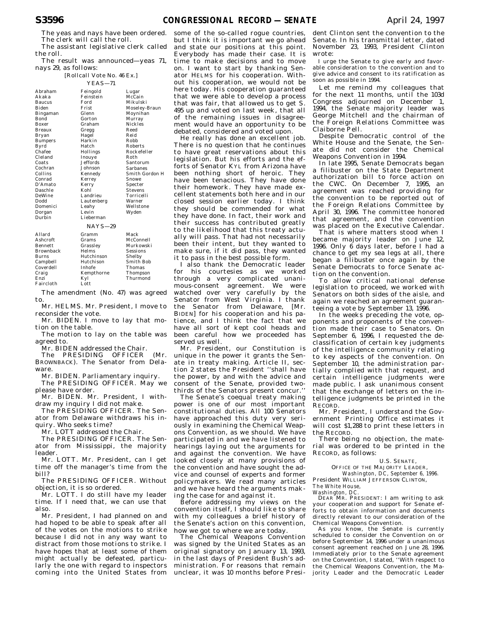Coverdell Craig Enzi Faircloth

The yeas and nays have been ordered. The clerk will call the roll.

The assistant legislative clerk called the roll.

The result was announced—yeas 71, nays 29, as follows:

# [Rollcall Vote No. 46 Ex.]

| YEAS-71        |            |                |
|----------------|------------|----------------|
| Abraham        | Feingold   | Lugar          |
| Akaka          | Feinstein  | McCain         |
| Baucus         | Ford       | Mikulski       |
| Biden          | Frist      | Moseley-Braun  |
| Bingaman       | Glenn      | Moynihan       |
| Bond           | Gorton     | Murray         |
| Boxer          | Graham     | Nickles        |
| Breaux         | Gregg      | Reed           |
| Bryan          | Hagel      | Reid           |
| <b>Bumpers</b> | Harkin     | Robb           |
| Byrd           | Hatch      | Roberts        |
| Chafee         | Hollings   | Rockefeller    |
| Cleland        | Inouye     | Roth           |
| Coats          | Jeffords.  | Santorum       |
| Cochran        | Johnson.   | Sarbanes       |
| Collins        | Kennedy    | Smith Gordon H |
| Conrad         | Kerrey     | Snowe          |
| D'Amato        | Kerry      | Specter        |
| Daschle        | Kohl       | Stevens        |
| DeWine         | Landrieu   | Torricelli     |
| Dodd           | Lautenberg | Warner         |
| Domenici       | Leahy      | Wellstone      |
| Dorgan         | Levin      | Wyden          |
| Durbin         | Lieberman  |                |
| $NAYS-29$      |            |                |
| Allard         | Gramm      | Mack           |
| Ashcroft       | Grams      | McConnell      |
| Bennett        | Grassley   | Murkowski      |
| Brownback      | Helms      | Sessions       |
| Burns          | Hutchinson | Shelby         |
| Campbell       | Hutchison  | Smith Bob      |
| Coverdell      | Inhofe     | Thomas         |

The amendment (No. 47) was agreed to.

Thompson Thurmond

Inhofe Kempthorne Kyl Lott

Mr. HELMS. Mr. President, I move to reconsider the vote.

Mr. BIDEN. I move to lay that motion on the table.

The motion to lay on the table was agreed to.

Mr. BIDEN addressed the Chair.

The PRESIDING OFFICER (Mr. BROWNBACK). The Senator from Delaware.

Mr. BIDEN. Parliamentary inquiry.

The PRESIDING OFFICER. May we please have order.

Mr. BIDEN. Mr. President, I withdraw my inquiry I did not make.

The PRESIDING OFFICER. The Senator from Delaware withdraws his inquiry. Who seeks time?

Mr. LOTT addressed the Chair.

The PRESIDING OFFICER. The Senator from Mississippi, the majority leader.

Mr. LOTT. Mr. President, can I get time off the manager's time from the bill?

The PRESIDING OFFICER. Without objection, it is so ordered.

Mr. LOTT. I do still have my leader time. If I need that, we can use that also.

Mr. President, I had planned on and had hoped to be able to speak after all of the votes on the motions to strike because I did not in any way want to distract from those motions to strike. I have hopes that at least some of them might actually be defeated, particularly the one with regard to inspectors coming into the United States from

some of the so-called rogue countries, but I think it is important we go ahead and state our positions at this point. Everybody has made their case. It is time to make decisions and to move on. I want to start by thanking Senator HELMS for his cooperation. Without his cooperation, we would not be here today. His cooperation guaranteed that we were able to develop a process that was fair, that allowed us to get S. 495 up and voted on last week, that all of the remaining issues in disagreement would have an opportunity to be debated, considered and voted upon.

He really has done an excellent job. There is no question that he continues to have great reservations about this legislation. But his efforts and the efforts of Senator KYL from Arizona have been nothing short of heroic. They have been tenacious. They have done their homework. They have made excellent statements both here and in our closed session earlier today. I think they should be commended for what they have done. In fact, their work and their success has contributed greatly to the likelihood that this treaty actually will pass. That had not necessarily been their intent, but they wanted to make sure, if it did pass, they wanted it to pass in the best possible form.

I also thank the Democratic leader for his courtesies as we worked through a very complicated unanimous-consent agreement. We were watched over very carefully by the Senator from West Virginia. I thank the Senator from Delaware, [Mr. BIDEN] for his cooperation and his patience, and I think the fact that we have all sort of kept cool heads and been careful how we proceeded has served us well.

Mr. President, our Constitution is unique in the power it grants the Senate in treaty making. Article II, section 2 states the President ''shall have the power, by and with the advice and consent of the Senate, provided twothirds of the Senators present concur.''

The Senate's coequal treaty making power is one of our most important constitutional duties. All 100 Senators have approached this duty very seriously in examining the Chemical Weapons Convention, as we should. We have participated in and we have listened to hearings laying out the arguments for and against the convention. We have looked closely at many provisions of the convention and have sought the advice and counsel of experts and former policymakers. We read many articles and we have heard the arguments making the case for and against it.

Before addressing my views on the convention itself, I should like to share with my colleagues a brief history of the Senate's action on this convention, how we got to where we are today.

The Chemical Weapons Convention was signed by the United States as an original signatory on January 13, 1993, in the last days of President Bush's administration. For reasons that remain unclear, it was 10 months before Presi-

dent Clinton sent the convention to the Senate. In his transmittal letter, dated November 23, 1993, President Clinton wrote:

I urge the Senate to give early and favorable consideration to the convention and to give advice and consent to its ratification as soon as possible in 1994.

Let me remind my colleagues that for the next 11 months, until the 103d Congress adjourned on December 1, 1994, the Senate majority leader was George Mitchell and the chairman of the Foreign Relations Committee was Claiborne Pell.

Despite Democratic control of the White House and the Senate, the Senate did not consider the Chemical Weapons Convention in 1994.

In late 1995, Senate Democrats began a filibuster on the State Department authorization bill to force action on the CWC. On December 7, 1995, an agreement was reached providing for the convention to be reported out of the Foreign Relations Committee by April 30, 1996. The committee honored that agreement, and the convention was placed on the Executive Calendar.

That is where matters stood when I became majority leader on June 12, 1996. Only 6 days later, before I had a chance to get my sea legs at all, there began a filibuster once again by the Senate Democrats to force Senate action on the convention.

To allow critical national defense legislation to proceed, we worked with Senators on both sides of the aisle, and again we reached an agreement guaranteeing a vote by September 13, 1996.

In the weeks preceding the vote, opponents and proponents of the convention made their case to Senators. On September 6, 1996, I requested the declassification of certain key judgments of the intelligence community relating to key aspects of the convention. On September 10, the administration partially complied with that request, and certain intelligence judgments were made public. I ask unanimous consent that the exchange of letters on the intelligence judgments be printed in the RECORD.

Mr. President, I understand the Government Printing Office estimates it will cost \$1,288 to print these letters in the RECORD.

There being no objection, the material was ordered to be printed in the RECORD, as follows:

# U.S. SENATE,

OFFICE OF THE MAJORITY LEADER,

*Washington, DC, September 6, 1996.* President WILLIAM JEFFERSON CLINTON.

*The White House,*

*Washington, DC.*

DEAR MR. PRESIDENT: I am writing to ask your cooperation and support for Senate efforts to obtain information and documents directly relevant to our consideration of the Chemical Weapons Convention.

As you know, the Senate is currently scheduled to consider the Convention on or before September 14, 1996 under a unanimous consent agreement reached on June 28, 1996. Immediately prior to the Senate agreement on the Convention, I stated, ''With respect to the Chemical Weapons Convention, the Majority Leader and the Democratic Leader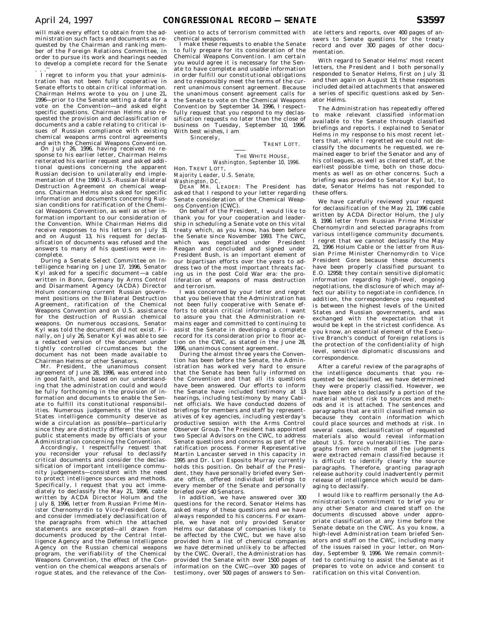will make every effort to obtain from the administration such facts and documents as requested by the Chairman and ranking member of the Foreign Relations Committee, in order to pursue its work and hearings needed to develop a complete record for the Senate

. . .'' I regret to inform you that your administration has not been fully cooperative in Senate efforts to obtain critical information. Chairman Helms wrote to you on June 21, 1996—prior to the Senate setting a date for a vote on the Convention—and asked eight specific questions. Chairman Helms also requested the provision and declassification of documents and a cable relating to critical issues of Russian compliance with existing chemical weapons arms control agreements and with the Chemical Weapons Convention.

On July 26, 1996, having received no response to his earlier letter, Chairman Helms reiterated his earlier request and asked additional questions concerning the apparent Russian decision to unilaterally end implementation of the 1990 U.S.-Russian Bilateral Destruction Agreement on chemical weapons. Chairman Helms also asked for specific information and documents concerning Russian conditions for ratification of the Chemical Weapons Convention, as well as other information important to our consideration of the Convention. While Chairman Helms did receive responses to his letters on July 31 and on August 13, his request for declassification of documents was refused and the answers to many of his questions were incomplete.

During a Senate Select Committee on Intelligence hearing on June 17, 1996, Senator Kyl asked for a specific document—a cable written in Bonn, Germany by Arms Control and Disarmament Agency (ACDA) Director Holum concerning current Russian government positions on the Bilateral Destruction Agreement, ratification of the Chemical Weapons Convention and on U.S. assistance for the destruction of Russian chemical weapons. On numerous occasions, Senator Kyl was told the document did not exist. Finally, on July 26, Senator Kyl was able to see a redacted version of the document under tightly controlled circumstances but the document has not been made available to Chairman Helms or other Senators.

Mr. President, the unanimous consent agreement of June 28, 1996, was entered into in good faith, and based on our understanding that the administration could and would be fully forthcoming in the provision of information and documents to enable the Senate to fulfill its constitutional responsibilities. Numerous judgements of the United States intelligence community deserve as wide a circulation as possible—particularly since they are distinctly different than some public statements made by officials of your Administration concerning the Convention. Accordingly, I respectfully request that

you reconsider your refusal to declassify critical documents and consider the declassification of important intelligence community judgements—consistent with the need to protect intelligence sources and methods. Specifically, I request that you act immediately to declassify the May 21, 1996, cable written by ACDA Director Holum and the July 8, 1996, letter from Russian Prime Minister Chernomyrdin to Vice-President Gore, and consider immediately declassification of the paragraphs from which the attached statements are excerpted—all drawn from documents produced by the Central Intelligence Agency and the Defense Intelligence Agency on the Russian chemical weapons program, the verifiability of the Chemical Weapons Convention, the effect of the Convention on the chemical weapons arsenals of rogue states, and the relevance of the Con-

vention to acts of terrorism committed with chemical weapons.

I make these requests to enable the Senate to fully prepare for its consideration of the Chemical Weapons Convention. I am certain you would agree it is necessary for the Senate to have complete and usable information in order fulfill our constitutional obligations and to responsibly meet the terms of the current unanimous consent agreement. Because the unanimous consent agreement calls for the Senate to vote on the Chemical Weapons Convention by September 14, 1996, I respectfully request that you respond to my declassification requests no later than the close of business on Tuesday, September 10, 1996. With best wishes, I am

Sincerely,

TRENT LOTT.

THE WHITE HOUSE

*Washington, September 10, 1996.* Hon. TRENT LOTT,

*Majority Leader, U.S. Senate,*

*Washington, DC.* DEAR MR. LEADER: The President has asked that I respond to your letter regarding Senate consideration of the Chemical Weapons Convention (CWC).

On behalf of the President, I would like to thank you for your cooperation and leadership in scheduling a Senate vote on this vital treaty which, as you know, has been before the Senate since November 1993. The CWC, which was negotiated under President Reagan and concluded and signed under President Bush, is an important element of our bipartisan efforts over the years to address two of the most important threats facing us in the post Cold War era: the proliferation of weapons of mass destruction and terrorism.

I was concerned by your letter and regret that you believe that the Administration has not been fully cooperative with Senate efforts to obtain critical information. I want to assure you that the Administration remains eager and committed to continuing to assist the Senate in developing a complete record for its consideration prior to floor action on the CWC, as stated in the June 28, 1996, unanimous consent agreement.

During the almost three years the Convention has been before the Senate, the Administration has worked very hard to ensure that the Senate has been fully informed on the Convention and that all its questions have been answered. Our efforts to inform the Senate have included testimony at 13 hearings, including testimony by many Cabinet officials. We have conducted dozens of briefings for members and staff by representatives of key agencies, including yesterday's productive session with the Arms Control Observer Group. The President has appointed two Special Advisors on the CWC, to address Senate questions and concerns as part of the ratification process. Former Representative Martin Lancaster served in this capacity in 1995 and Dr. Lori Esposito Murray currently holds this position. On behalf of the President, they have personally briefed every Senate office, offered individual briefings to every member of the Senate and personally briefed over 40 Senators.

In addition, we have answered over 300 questions for the record. Senator Helms has asked many of these questions and we have always responded to his concerns. For example, we have not only provided Senator Helms our database of companies likely to be affected by the CWC, but we have also provided him a list of chemical companies we have determined unlikely to be affected by the CWC. Overall, the Administration has provided the Senate with over 1500 pages of information on the CWC—over 300 pages of testimony, over 500 pages of answers to Sen-

ate letters and reports, over 400 pages of answers to Senate questions for the treaty record and over 300 pages of other documentation.

With regard to Senator Helms' most recent letters, the President and I both personally responded to Senator Helms, first on July 31 and then again on August 13; these responses included detailed attachments that answered a series of specific questions asked by Senator Helms.

The Administration has repeatedly offered to make relevant classified information available to the Senate through classified briefings and reports. I explained to Senator Helms in my response to his most recent letters that, while I regretted we could not declassify the documents he requested, we remained eager to brief the Senator and any of his colleagues, as well as cleared staff, at the earliest possible time, both on those documents as well as on other concerns. Such a briefing was provided to Senator Kyl but, to date, Senator Helms has not responded to these offers.

We have carefully reviewed your request for declassification of the May 21, 1996 cable written by ACDA Director Holum, the July 8, 1996 letter from Russian Prime Minister Chernomyrdin and selected paragraphs from various intelligence community documents. I regret that we cannot declassify the May 21, 1996 Holum Cable or the letter from Russian Prime Minister Chernomyrdin to Vice President Gore because these documents have been properly classified pursuant to E.O. 12958; they contain sensitive diplomatic information regarding high-level, ongoing negotiations, the disclosure of which may affect our ability to negotiate in confidence. In addition, the correspondence you requested is between the highest levels of the United States and Russian governments, and was exchanged with the expectation that it would be kept in the strictest confidence. As you know, an essential element of the Executive Branch's conduct of foreign relations is the protection of the confidentiality of high level, sensitive diplomatic discussions and correspondence.

After a careful review of the paragraphs of the intelligence documents that you requested be declassified, we have determined they were properly classified. However, we have been able to declassify a portion of the material without risk to sources and methods and it is attached. The sentences and paragraphs that are still classified remain so because they contain information which could place sources and methods at risk. In several cases, declassification of requested materials also would reveal information about U.S. force vulnerabilities. The paragraphs from which most of the judgments were extracted remain classified because it is difficult to identify clearly the source paragraphs. Therefore, granting paragraph release authority could inadvertently permit release of intelligence which would be damaging to declassify.

I would like to reaffirm personally the Administration's commitment to brief you or any other Senator and cleared staff on the documents discussed above under appropriate classification at any time before the Senate debate on the CWC. As you know, a high-level Administration team briefed Senators and staff on the CWC, including many of the issues raised in your letter, on Monday, September 9, 1996. We remain committed to continuing to assist the Senate as it prepares to vote on advice and consent to ratification on this vital Convention.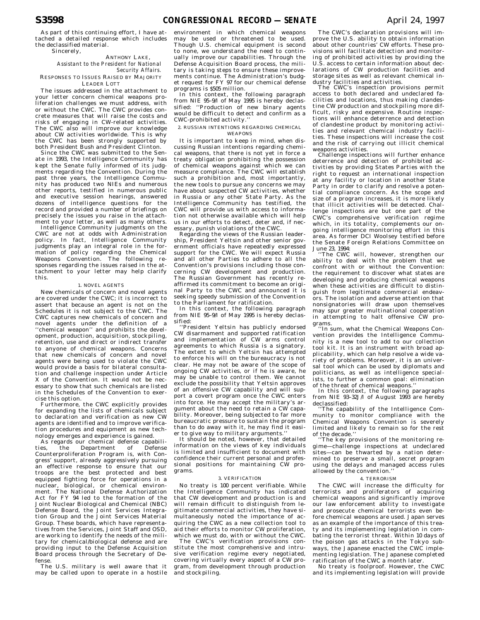As part of this continuing effort, I have attached a detailed response which includes the declassified material. Sincerely,

#### ANTHONY LAKE, *Assistant to the President for National Security Affairs.* RESPONSES TO ISSUES RAISED BY MAJORITY LEADER LOTT

The issues addressed in the attachment to your letter concern chemical weapons proliferation challenges we must address, with or without the CWC. The CWC provides concrete measures that will raise the costs and risks of engaging in CW-related activities. The CWC also will improve our knowledge about CW activities worldwide. This is why the CWC has been strongly supported by both President Bush and President Clinton.

Since the CWC was submitted to the Senate in 1993, the Intelligence Community has kept the Senate fully informed of its judgments regarding the Convention. During the past three years, the Intelligence Community has produced two NIEs and numerous other reports, testified in numerous public and executive session hearings, answered dozens of intelligence questions for the record and provided a number of briefings on precisely the issues you raise in the attachment to your letter, as well as many others.

Intelligence Community judgments on the CWC are not at odds with Administration policy. In fact, Intelligence Community judgments play an integral role in the formation of policy regarding the Chemical Weapons Convention. The following responses regarding the issues raised in the attachment to your letter may help clarify this.

#### 1. NOVEL AGENTS

New chemicals of concern and novel agents are covered under the CWC; it is incorrect to assert that because an agent is not on the Schedules it is not subject to the CWC. The CWC captures new chemicals of concern and novel agents under the definition of a ''chemical weapon'' and prohibits the development, production, acquisition, stockpiling, retention, use and direct or indirect transfer to anyone of chemical weapons. Concerns that new chemicals of concern and novel agents were being used to violate the CWC would provide a basis for bilateral consultation and challenge inspection under Article X of the Convention. It would not be necessary to show that such chemicals are listed in the Schedules of the Convention to exercise this option.

Furthermore, the CWC explicitly provides for expanding the lists of chemicals subject to declaration and verification as new CW agents are identified and to improve verification procedures and equipment as new technology emerges and experience is gained.

As regards our chemical defense capabilities, the Department of Defense Department Counterproliferation Program is, with Congress' support, already aggressively pursuing an effective response to ensure that our troops are the best protected and best equipped fighting force for operations in a nuclear, biological, or chemical environment. The National Defense Authorization Act for FY 94 led to the formation of the Joint Nuclear Biological and Chemical (NBC) Defense Board, the Joint Services Integration Group and the Joint Services Material Group. These boards, which have representatives from the Services, Joint Staff and OSD, are working to identify the needs of the military for chemical/biological defense and are providing input to the Defense Acquisition Board process through the Secretary of Defense.

The U.S. military is well aware that it may be called upon to operate in a hostile

environment in which chemical weapons may be used or threatened to be used. Though U.S. chemical equipment is second to none, we understand the need to continually improve our capabilities. Through the Defense Acquisition Board process, the military is taking steps to ensure these improvements continue. The Administration's budget request for FY 97 for our chemical defense programs is \$505 million.

In this context, the following paragraph from NIE 95–9/I of May 1995 is hereby declassified: ''Production of new binary agents would be difficult to detect and confirm as a CWC-prohibited activity.

#### 2. RUSSIAN INTENTIONS REGARDING CHEMICAL **WEAPONS**

It is important to keep in mind, when discussing Russian intentions regarding chemical weapons, that there is not yet in force a treaty obligation prohibiting the possession of chemical weapons against which we can measure compliance. The CWC will establish such a prohibition and, most importantly, the new tools to pursue any concerns we may have about suspected CW activities, whether in Russia or any other State Party. As the Intelligence Community has testified, the CWC will provide us with access to information not otherwise available which will help us in our efforts to detect, deter and, if necessary, punish violations of the CWC.

Regarding the views of the Russian leadership, President Yeltsin and other senior government officials have repeatedly expressed support for the CWC. We will expect Russia and all other Parties to adhere to all the Convention's provisions including those concerning CW development and production. The Russian Government has recently reaffirmed its commitment to become an original Party to the CWC and announced it is seeking speedy submission of the Convention to the Parliament for ratification.

In this context, the following paragraph from NIE 95–9/I of May 1995 is hereby declassified:

''President Yeltsin has publicly endorsed CW disarmament and supported ratification and implementation of CW arms control agreements to which Russia is a signatory. The extent to which Yeltsin has attempted to enforce his will on the bureaucracy is not clear. He may not be aware of the scope of ongoing CW activities, or if he is aware, he may be unable to control them. We cannot exclude the possibility that Yeltsin approves of an offensive CW capability and will support a covert program once the CWC enters into force. He may accept the military's argument about the need to retain a CW capability. Moreover, being subjected to far more bureaucratic pressure to sustain the program than to do away with it, he may find it easier to give way to military arguments.''

It should be noted, however, that detailed information on the views of key individuals is limited and insufficient to document with confidence their current personal and professional positions for maintaining CW programs.

#### 3. VERIFICATION

No treaty is 100 percent verifiable. While the Intelligence Community has indicated that CW development and production is and will remain difficult to distinguish from legitimate commercial activities, they have simultaneously noted the importance of acquiring the CWC as a new collection tool to aid their efforts to monitor CW proliferation, which we must do, with or without the CWC.

The CWC's verification provisions constitute the most comprehensive and intrusive verification regime every negotiated, covering virtually every aspect of a CW program, from development through production and stockpiling.

The CWC's declaration provisions will improve the U.S. ability to obtain information about other countries' CW efforts. These provisions will facilitate detection and monitoring of prohibited activities by providing the U.S. access to certain information about declarations of CW production facilities and storage sites as well as relevant chemical industry facilities and activities.

The CWC's inspection provisions permit access to both declared and undeclared facilities and locations, thus making clandestine CW production and stockpiling more difficult, risky and expensive. Routine inspections will enhance deterrence and detection of clandestine product by monitoring activities and relevant chemical industry facilities. These inspections will increase the cost and the risk of carrying out illicit chemical weapons activities.

Challenge inspections will further enhance deterrence and detection of prohibited activities by providing States Parties with the right to request an international inspection at any facility or location in another State Party in order to clarify and resolve a potential compliance concern. As the scope and size of a program increases, it is more likely that illicit activities will be detected. Challenge inspections are but one part of the CWC's comprehensive verification regime which, in its totality, complements our ongoing intelligence monitoring effort in this area. As former DCI Woolsey testified before the Senate Foreign Relations Committee on June 23, 1994:

''The CWC will, however, strengthen our ability to deal with the problem that we confront with or without the Convention: the requirement to discover what states are developing and producing chemical weapons when these activities are difficult to distinguish from legitimate commercial endeavors. The isolation and adverse attention that nonsignatories will draw upon themselves may spur greater multinational cooperation in attempting to halt offensive CW programs.

''In sum, what the Chemical Weapons Convention provides the Intelligence Community is a new tool to add to our collection tool kit. It is an instrument with broad applicability, which can help resolve a wide variety of problems. Moreover, it is an universal tool which can be used by diplomats and politicians, as well as intelligence specialists, to further a common goal: elimination of the threat of chemical weapons.''

In this context, the following paragraphs from NIE 93–32J/I of August 1993 are hereby declassified:

The capability of the Intelligence Community to monitor compliance with the Chemical Weapons Convention is severely limited and likely to remain so for the rest of the decade.''

'The key provisions of the monitoring regime—challenge inspections at undeclared sites—can be thwarted by a nation determined to preserve a small, secret program using the delays and managed access rules allowed by the convention.''

#### 4. TERRORISM

The CWC will increase the difficulty for terrorists and proliferators of acquiring chemical weapons and significantly improve our law enforcement ability to investigate and prosecute chemical terrorists even before chemical weapons are used. Japan serves as an example of the importance of this treaty and its implementing legislation in combating the terrorist threat. Within 10 days of the poison gas attacks in the Tokyo subways, the Japanese enacted the CWC implementing legislation. The Japanese completed ratification of the CWC a month later.

No treaty is foolproof. However, the CWC and its implementing legislation will provide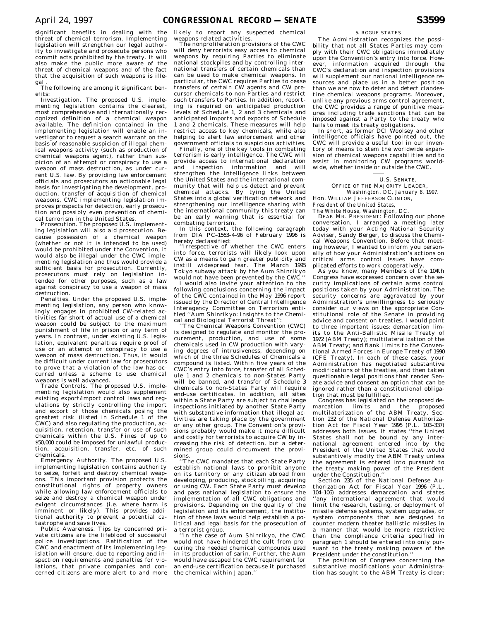significant benefits in dealing with the threat of chemical terrorism. Implementing legislation will strengthen our legal authority to investigate and prosecute persons who commit acts prohibited by the treaty. It will also make the public more aware of the threat of chemical weapons and of the fact that the acquisition of such weapons is illegal .

The following are among it significant benefits:

Investigation. The proposed U.S. implementing legislation contains the clearest, most comprehensive and internationally recognized definition of a chemical weapon available. The definition contained in the implementing legislation will enable an investigator to request a search warrant on the basis of reasonable suspicion of illegal chemical weapons activity (such as production of chemical weapons agent), rather than suspicion of an attempt or conspiracy to use a weapon of mass destruction, as under current U.S. law. By providing law enforcement officials and prosecutors an actionable legal basis for investigating the development, production, transfer of acquisition of chemical weapons, CWC implementing legislation improves prospects for detection, early prosecution and possibly even prevention of chemical terrorism in the United States.

Prosecution. The proposed U.S. implementing legislation will also aid prosecution. Because possession of a chemical weapon (whether or not it is intended to be used) would be prohibited under the Convention, it would also be illegal under the CWC implementing legislation and thus would provide a sufficient basis for prosecution. Currently, prosecutors must rely on legislation intended for other purposes, such as a law against conspiracy to use a weapon of mass destruction.

Penalties. Under the proposed U.S. implementing legislation, any person who knowingly engages in prohibited CW-related activities far short of actual use of a chemical weapon could be subject to the maximum punishment of life in prison or any term of years. In contrast, under existing U.S. legislation, equivalent penalties require proof of use or an attempt or conspiracy to use a weapon of mass destruction. Thus, it would be difficult under current law for prosecutors to prove that a violation of the law has occurred unless a scheme to use chemical weapons is well advanced.

Trade Controls. The proposed U.S. implementing legislation would also supplement existing export/import control laws and regulations by strictly controlling the import and export of those chemicals posing the greatest risk (listed in Schedule 1 of the CWC) and also regulating the production, acquisition, retention, transfer or use of such chemicals within the U.S. Fines of up to \$50,000 could be imposed for unlawful production, acquisition, transfer, etc. of such chemicals.

Emergency Authority. The proposed U.S. implementing legislation contains authority to seize, forfeit and destroy chemical weapons. This important provision protects the constitutional rights of property owners while allowing law enforcement officials to seize and destroy a chemical weapon under exigent circumstances (i.e. where harm is imminent or likely). This provides additional authority to prevent a potential catastrophe and save lives.

Public Awareness. Tips by concerned private citizens are the lifeblood of successful police investigations. Ratification of the CWC and enactment of its implementing legislation will ensure, due to reporting and inspection requirements and penalties for violations, that private companies and concerned citizens are more alert to and more likely to report any suspected chemical weapons-related activities.

The nonproliferation provisions of the CWC will deny terrorists easy access to chemical weapons by requiring Parties to eliminate national stockpiles and by controlling international transfers of certain chemicals than can be used to make chemical weapons. In particular, the CWC requires Parties to cease transfers of certain CW agents and CW precursor chemicals to non-Parties and restrict such transfers to Parties. In addition, reporting is required on anticipated production levels of Schedule 1, 2 and 3 chemicals and anticipated imports and exports of Schedule 1 and 2 chemicals. These measures will help restrict access to key chemicals, while also helping to alert law enforcement and other government officials to suspicious activities.

Finally, one of the key tools in combating terrorism is early intelligence. The CWC will provide access to international declaration and inspection information and will strengthen the intelligence links between the United States and the international community that will help us detect and prevent chemical attacks. By tying the United States into a global verification network and strengthening our intelligence sharing with the international community this treaty can be an early warning that is essential for combating terrorism.

In this context, the following paragraph from DIA PC–1563–4–96 of February 1996 is hereby declassified:

'Irrespective of whether the CWC enters into force, terrorists will likely look upon CW as a means to gain greater publicity and instill widespread fear. The March 1995 Tokyo subway attack by the Aum Shinrikyo would not have been prevented by the CWC.

I would also invite your attention to the following conclusions concerning the impact of the CWC contained in the May 1996 report issued by the Director of Central Intelligence Interagency Committee on Terrorism entitled ''Aum Shinrikyo: Insights to the Chemical and Biological Terrorist Threat'

The Chemical Weapons Convention (CWC) is designed to regulate and monitor the procurement, production, and use of some chemicals used in CW production with varying degrees of intrusiveness, depending on which of the three Schedules of Chemicals a compound is listed. Within five years of the CWC's entry into force, transfer of all Schedule 1 and 2 chemicals to non-States Party will be banned, and transfer of Schedule 3 chemicals to non-States Party will require end-use certificates. In addition, all sites within a State Party are subject to challenge inspections initiated by another State Party with substantive information that illegal activities are taking place by the government or any other group. The Convention's provisions probably would make it more difficult and costly for terrorists to acquire CW by increasing the risk of detection, but a determined group could circumvent the provisions.

''The CWC mandates that each State Party establish national laws to prohibit anyone on its territory or any citizen abroad from developing, producing, stockpiling, acquiring or using CW. Each State Party must develop and pass national legislation to ensure the implementation of all CWC obligations and provisions. Depending on the quality of the legislation and its enforcement, the institution of these laws would help establish a political and legal basis for the prosecution of a terrorist group. ''In the case of Aum Shinrikyo, the CWC

would not have hindered the cult from procuring the needed chemical compounds used in its production of sarin. Further, the Aum would have escaped the CWC requirement for an end-use certification because it purchased the chemical within Japan.''

# 5. ROGUE STATES

The Administration recognizes the possibility that not all States Parties may comply with their CWC obligations immediately upon the Convention's entry into force. However, information acquired through the CWC's declaration and inspection provisions will supplement our national intelligence resources and place us in a better position than we are now to deter and detect clandestine chemical weapons programs. Moreover, unlike any previous arms control agreement, the CWC provides a range of punitive measures including trade sanctions that can be imposed against a Party to the treaty who fails to meet its treaty obligations. In short, as former DCI Woolsey and other

intelligence officials have pointed out, the CWC will provide a useful tool in our inventory of means to stem the worldwide expansion of chemical weapons capabilities and to assist in monitoring CW programs worldwide, whether inside or outside the CWC.

#### U.S. SENATE,

OFFICE OF THE MAJORITY LEADER, *Washington, DC, January 8, 1997.* Hon. WILLIAM JEFFERSON CLINTON,

# *President of the United States,*

*The White House, Washington, DC.* DEAR MR. PRESIDENT: Following our phone conversation, I arranged a meeting later today with your Acting National Security Adviser, Sandy Berger, to discuss the Chemical Weapons Convention. Before that meeting however, I wanted to inform you personally of how your Administration's actions on critical arms control issues have com-

plicated efforts to work cooperatively. As you know, many Members of the 104th Congress have expressed concern over the security implications of certain arms control positions taken by your Administration. The security concerns are aggravated by your Administration's unwillingness to seriously consider our views on the appropriate Constitutional role of the Senate in providing advice and consent on treaties. I would point to three important issues: demarcation limits to the Anti-Ballistic Missile Treaty of 1972 (ABM Treaty); multilateralization of the ABM Treaty; and flank limits to the Conventional Armed Forces in Europe Treaty of 1990 (CFE Treaty). In each of these cases, your Administration has negotiated substantive modifications of the treaties, and then taken questionable legal positions that render Senate advice and consent an option that can be ignored rather than a constitutional obligation that must be fulfilled.

Congress has legislated on the proposed demarcation limits and the proposed multilaterization of the ABM Treaty. Section 232 of the National Defense Authorization Act for Fiscal Year 1995 (P.L. 103–337) addresses both issues. It states ''the United States shall not be bound by any international agreement entered into by the President of the United States that would substantively modify the ABM Treaty unless the agreement is entered into pursaunt to the treaty making power of the President under the Constitution.''

Section 235 of the National Defense Au-thorization Act for Fiscal Year 1996 (P.L. 104–106) addresses demarcation and states 'any international agreement that would limit the research, testing, or deployment of missile defense systems, system upgrades, or system components that are designed to counter modern theater ballistic missiles in a manner that would be more restrictive than the compliance criteria specified in paragraph 1 should be entered into only pursuant to the treaty making powers of the President under the constitution.''

The position of Congress concerning the substantive modifications your Administration has sought to the ABM Treaty is clear: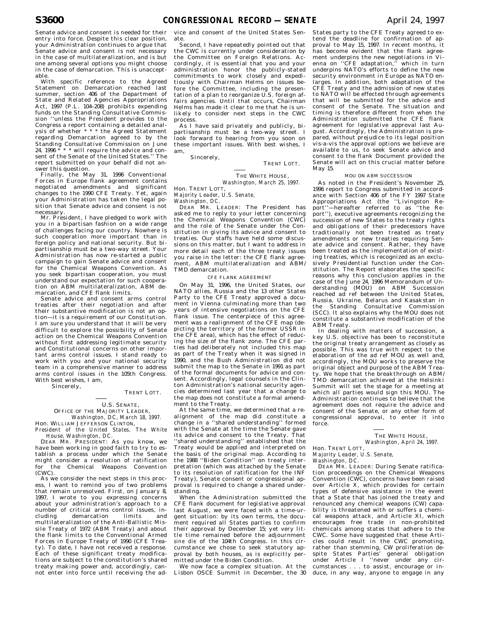Senate advice and consent is needed for their entry into force. Despite this clear position, your Administration continues to argue that Senate advice and consent is not necessary in the case of multilateralization, and is but one among several options you might choose in the case of demarcation. This is unacceptable. With specific reference to the Agreed

Statement on Demarcation reached last summer, section 406 of the Department of State and Related Agencies Appropriations Act, 1997 (P.L. 104–208) prohibits expending funds on the Standing Consultative Commission ''unless the President provides to the Congress a report containing a detailed analysis of whether \* \* \* the Agreed Statement regarding Demarcation agreed to by the Standing Consultative Commission on June  $24$  1996 \* \* \* will require the advice and con-\* \* will require the advice and consent of the Senate of the United States.'' The report submitted on your behalf did not answer this question.

Finally, the May 31, 1996 Conventional Forces in Europe flank agreement contains negotiated amendments and significant changes to the 1990 CFE Treaty. Yet, again your Administration has taken the legal position that Senate advice and consent is not

necessary. Mr. President, I have pledged to work with you in a bipartisan fashion on a wide range of challenges facing our country. Nowhere is such cooperation more important than in foreign policy and national security. But bipartisanship must be a two-way street. Your Administration has now re-started a public campaign to gain Senate advice and consent for the Chemical Weapons Convention. As you seek bipartisan cooperation, you must understand our expectation for such cooperation on ABM multilateralization, ABM demarcation, and CFE flank limits.

Senate advice and consent arms control treaties after their negotiation and after their substantive modification is not an option—it is a requirement of our Constitution. I am sure you understand that it will be very difficult to explore the possibility of Senate action on the Chemical Weapons Convention without first addressing legitimate security and Constitutional concerns on other important arms control issues. I stand ready to work with you and your national security team in a comprehensive manner to address arms control issues in the 105th Congress. With best wishes, I am,

Sincerely,

# TRENT LOTT.

#### U.S. SENATE,

# OFFICE OF THE MAJORITY LEADER,

*Washington, DC, March 18, 1997.* Hon. WILLIAM JEFFERSON CLINTON,

*President of the United States, The White House, Washington, DC.*

DEAR MR. PRESIDENT: As you know, we have been working in good faith to try to establish a process under which the Senate might consider a resolution of ratification for the Chemical Weapons Convention (CWC).

As we consider the next steps in this process, I want to remind you of two problems that remain unresolved. First, on January 8, 1997, I wrote to you expressing concerns about your administration's approach to a number of critical arms control issues, including demarcation limits and multilateralization of the Anti-Ballistic Missile Treaty of 1972 (ABM Treaty) and about the flank limits to the Conventional Armed Forces in Europe Treaty of 1990 (CFE Treaty). To date, I have not received a response. Each of these significant treaty modifications are subject to the constitution's shared treaty making power and, accordingly, cannot enter into force until receiving the ad-

vice and consent of the United States Senate.

Second, I have repeatedly pointed out that the CWC is currently under consideration by the Committee on Foreign Relations. Accordingly, it is essential that you and your administration honor the publicly-stated commitments to work closely and expeditiously with Chairman Helms on issues before the Committee, including the presentation of a plan to reorganize U.S. foreign affairs agencies. Until that occurs, Chairman Helms has made it clear to me that he is unlikely to consider next steps in the CWC process.

As I have said privately and publicly, bipartisanship must be a two-way street. I look forward to hearing from you soon on these important issues. With best wishes, I am,

Sincerely,

#### TRENT LOTT.

# THE WHITE HOUSE,

#### *Washington, March 25, 1997.*

Hon. TRENT LOTT, *Majority Leader, U.S. Senate, Washington, DC.*

DEAR MR. LEADER: The President has asked me to reply to your letter concerning the Chemical Weapons Convention (CWC) and the role of the Senate under the Constitution in giving its advice and consent to treaties. Our staffs have held some discussions on this matter, but I want to address in more detail each of the three treaty issues you raise in the letter: the CFE flank agreement, ABM multilateralization and ABM/ TMD demarcation.

#### CFE FLANK AGREEMENT

On May 31, 1996, the United States, our NATO allies, Russia and the 13 other States Party to the CFE Treaty approved a document in Vienna culminating more than two years of intensive negotiations on the CFE flank issue. The centerpiece of this agreement was a realignment of the CFE map (depicting the territory of the former USSR in the CFE area), which has the effect of reducing the size of the flank zone. The CFE parties had deliberately not included this map as part of the Treaty when it was signed in 1990, and the Bush Administration did not submit the map to the Senate in 1991 as part of the formal documents for advice and consent. Accordingly, legal counsels in the Clinton Administration's national security agencies determined last year that a change to the map does not constitute a formal amendment to the Treaty.

At the same time, we determined that a realignment of the map did constitute a change in a ''shared understanding'' formed with the Senate at the time the Senate gave its advice and consent to the Treaty. That ''shared understanding'' established that the Treaty would be applied and interpreted on the basis of the original map. According to the 1988 ''Biden Condition'' on treaty interpretation (which was attached by the Senate to its resolution of ratification for the INF Treaty), Senate consent or congressional approval is required to change a shared understanding.

When the Administration submitted the CFE flank document for legislative approval last August, we were faced with a time-urgent situation: by its own terms, the document required all States parties to confirm their approval by December 15; yet very little time remained before the adjournment *sine die* of the 104th Congress. In this circumstance we chose to seek statutory approval by both houses, as is explicitly permitted under the Biden Condition.

We now face a complex situation. At the Lisbon OSCE Summit in December, the 30 States party to the CFE Treaty agreed to extend the deadline for confirmation of approval to May 15, 1997. In recent months, it has become evident that the flank agreement underpins the new negotiations in Vienna on "CFE adaptation," which in turn underpins NATO's efforts to define the new security environment in Europe as NATO enlarges. In addition, both adaptation of the CFE Treaty and the admission of new states to NATO will be effected through agreements that will be submitted for the advice and consent of the Senate. The situation and timing is therefore different from when the Administration submitted the CFE flank agreement for legislative approval last August. Accordingly, the Administration is prepared, without prejudice to its legal position vis-a-vis the approval options we believe are available to us, to seek Senate advice and consent to the flank Document provided the Senate will act on this crucial matter before May 15.

#### MOU ON ABM SUCCESSION

As noted in the President's November 25, 1996 report to Congress submitted in accordance with Section 406 of the FY 1997 State Appropriations Act (the ''Livingston Report''—hereafter referred to as ''the Report''), executive agreements recognizing the succession of new States to the treaty rights and obligations of their predecessors have traditionally not been treated as treaty amendments or new treaties requiring Senate advice and consent. Rather, they have been treated as the implementation of existing treaties, which is recognized as an exclusively Presidential function under the Constitution. The Report elaborates the specific reasons why this conclusion applies in the case of the June 24, 1996 Memorandum of Understanding (MOU) on ABM Succession reached ad ref between the United States, Russia, Ukraine, Belarus and Kasakstan in the Standing Consultative Commission (SCC). It also explains why the MOU does not constitute a substantive modification of the ABM Treaty.

In dealing with matters of succession, a key U.S. objective has been to reconstitute the original treaty arrangement as closely as possible. This was true with respect to the elaboration of the ad ref MOU as well and, accordingly, the MOU works to preserve the original object and purpose of the ABM Treaty. We hope that the breakthrough on ABM/ TMD demarcation achieved at the Helsinki Summit will set the stage for a meeting at which all parties would sign this MOU. The Administration continues to believe that the agreement does not require the advice and consent of the Senate, or any other form of congressional approval, to enter it into force.

# THE WHITE HOUSE, *Washington, April 24, 1997.*

Hon. TRENT LOTT, *Majority Leader, U.S. Senate, Washington, DC.*

DEAR MR. LEADER: During Senate ratification proceedings on the Chemical Weapons Convention (CWC), concerns have been raised over Article X, which provides for certain types of defensive assistance in the event that a State that has joined the treaty and renounced any chemical weapons (CW) capability is threatened with or suffers a chemical weapons attack, and Article XI, which encourages free trade in non-prohibited chemicals among states that adhere to the CWC. Some have suggested that these Articles could result in the CWC promoting, rather than stemming, CW proliferation despite States Parties' general obligation under Article I ''never under any circumstances . . . to assist, encourage or induce, in any way, anyone to engage in any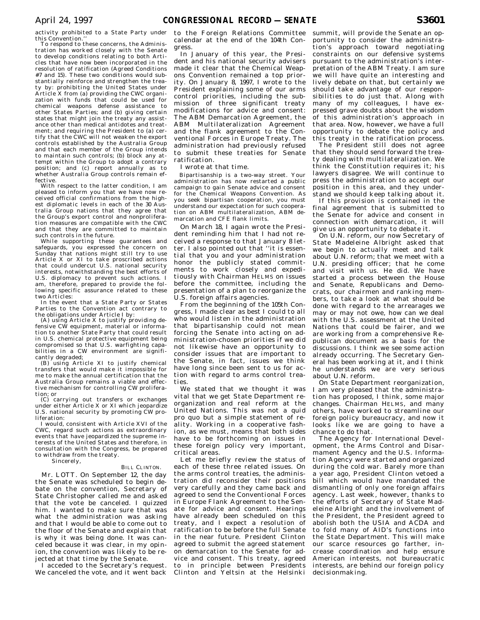activity prohibited to a State Party under this Convention.''

To respond to these concerns, the Administration has worked closely with the Senate to develop conditions relating to both Articles that have now been incorporated in the resolution of ratification (Agreed Conditions #7 and 15). These two conditions would substantially reinforce and strengthen the treaty by: prohibiting the United States under Article X from (a) providing the CWC organization with funds that could be used for chemical weapons defense assistance to other States Parties; and (b) giving certain states that might join the treaty any assistance other than medical antidotes and treatment; and requiring the President to (a) certify that the CWC will not weaken the export controls established by the Australia Group and that each member of the Group intends to maintain such controls; (b) block any attempt within the Group to adopt a contrary position; and (c) report annually as to whether Australia Group controls remain effective.

With respect to the latter condition, I am pleased to inform you that we have now received official confirmations from the highest diplomatic levels in each of the 30 Australia Group nations that they agree that the Group's export control and nonproliferation measures are compatible with the CWC and that they are committed to maintain such controls in the future.

While supporting these guarantees and safeguards, you expressed the concern on Sunday that nations might still try to use Article X or XI to take proscribed actions that could undercut U.S. national security interests, notwithstanding the best efforts of U.S. diplomacy to prevent such actions. I am, therefore, prepared to provide the following specific assurance related to these two Articles:

In the event that a State Party or States Parties to the Convention act contrary to the obligations under Article I by:

(A) using Article X to justify providing defensive CW equipment, material or information to another State Party that could result in U.S. chemical protective equipment being compromised so that U.S. warfighting capabilities in a CW environment are significantly degraded;

(B) using Article XI to justify chemical transfers that would make it impossible for me to make the annual certification that the Australia Group remains a viable and effective mechanism for controlling CW proliferation; or

(C) carrying out transfers or exchanges under either Article X or XI which jeopardize U.S. national security by promoting CW proliferation:

I would, consistent with Article XVI of the CWC, regard such actions as extraordinary events that have jeopardized the supreme interests of the United States and therefore, in consultation with the Congress, be prepared to withdraw from the treaty.

Sincerely,

#### BILL CLINTON.

Mr. LOTT. On September 12, the day the Senate was scheduled to begin debate on the convention, Secretary of State Christopher called me and asked that the vote be canceled. I quizzed him. I wanted to make sure that was what the administration was asking and that I would be able to come out to the floor of the Senate and explain that is why it was being done. It was canceled because it was clear, in my opinion, the convention was likely to be rejected at that time by the Senate.

I acceded to the Secretary's request. We canceled the vote, and it went back to the Foreign Relations Committee calendar at the end of the 104th Congress.

In January of this year, the President and his national security advisers made it clear that the Chemical Weapons Convention remained a top priority. On January 8, 1997, I wrote to the President explaining some of our arms control priorities, including the submission of three significant treaty modifications for advice and consent: The ABM Demarcation Agreement, the ABM Multilateralization Agreement and the flank agreement to the Conventional Forces in Europe Treaty. The administration had previously refused to submit these treaties for Senate ratification.

I wrote at that time.

Bipartisanship is a two-way street. Your administration has now restarted a public campaign to gain Senate advice and consent for the Chemical Weapons Convention. As you seek bipartisan cooperation, you must understand our expectation for such cooperation on ABM multilateralization, ABM demarcation and CFE flank limits.

On March 18, I again wrote the President reminding him that I had not received a response to that January 8 letter. I also pointed out that ''it is essential that you and your administration honor the publicly stated commitments to work closely and expeditiously with Chairman HELMS on issues before the committee, including the presentation of a plan to reorganize the U.S. foreign affairs agencies.

From the beginning of the 105th Congress, I made clear as best I could to all who would listen in the administration that bipartisanship could not mean forcing the Senate into acting on administration-chosen priorities if we did not likewise have an opportunity to consider issues that are important to the Senate, in fact, issues we think have long since been sent to us for action with regard to arms control treaties.

We stated that we thought it was vital that we get State Department reorganization and real reform at the United Nations. This was not a quid pro quo but a simple statement of reality. Working in a cooperative fashion, as we must, means that both sides have to be forthcoming on issues in these foreign policy very important, critical areas.

Let me briefly review the status of each of these three related issues. On the arms control treaties, the administration did reconsider their positions very carefully and they came back and agreed to send the Conventional Forces in Europe Flank Agreement to the Senate for advice and consent. Hearings have already been scheduled on this treaty, and I expect a resolution of ratification to be before the full Senate in the near future. President Clinton agreed to submit the agreed statement on demarcation to the Senate for advice and consent. This treaty, agreed to in principle between Presidents Clinton and Yeltsin at the Helsinki

summit, will provide the Senate an opportunity to consider the administration's approach toward negotiating constraints on our defensive systems pursuant to the administration's interpretation of the ABM Treaty. I am sure we will have quite an interesting and lively debate on that, but certainly we should take advantage of our responsibilities to do just that. Along with many of my colleagues, I have expressed grave doubts about the wisdom of this administration's approach in that area. Now, however, we have a full opportunity to debate the policy and this treaty in the ratification process.

The President still does not agree that they should send forward the treaty dealing with multilateralization. We think the Constitution requires it; his lawyers disagree. We will continue to press the administration to accept our position in this area, and they understand we should keep talking about it.

If this provision is contained in the final agreement that is submitted to the Senate for advice and consent in connection with demarcation, it will give us an opportunity to debate it.

On U.N. reform, our now Secretary of State Madeleine Albright asked that we begin to actually meet and talk about U.N. reform; that we meet with a U.N. presiding officer; that he come and visit with us. He did. We have started a process between the House and Senate, Republicans and Democrats, our chairmen and ranking members, to take a look at what should be done with regard to the arrearages we may or may not owe, how can we deal with the U.S. assessment at the United Nations that could be fairer, and we are working from a comprehensive Republican document as a basis for the discussions. I think we see some action already occurring. The Secretary General has been working at it, and I think he understands we are very serious about U.N. reform.

On State Department reorganization, I am very pleased that the administration has proposed, I think, some major changes. Chairman HELMS, and many others, have worked to streamline our foreign policy bureaucracy, and now it looks like we are going to have a chance to do that.

The Agency for International Development, the Arms Control and Disarmament Agency and the U.S. Information Agency were started and organized during the cold war. Barely more than a year ago, President Clinton vetoed a bill which would have mandated the dismantling of only one foreign affairs agency. Last week, however, thanks to the efforts of Secretary of State Madeleine Albright and the involvement of the President, the President agreed to abolish both the USIA and ACDA and to fold many of AID's functions into the State Department. This will make our scarce resources go farther, increase coordination and help ensure American interests, not bureaucratic interests, are behind our foreign policy decisionmaking.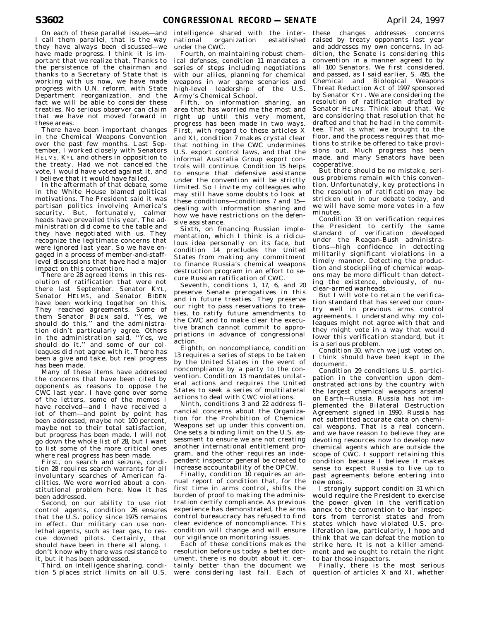On each of these parallel issues—and I call them parallel, that is the way they have always been discussed—we have made progress. I think it is important that we realize that. Thanks to the persistence of the chairman and thanks to a Secretary of State that is working with us now, we have made progress with U.N. reform, with State Department reorganization, and the fact we will be able to consider these treaties. No serious observer can claim that we have not moved forward in these areas.

There have been important changes in the Chemical Weapons Convention over the past few months. Last September, I worked closely with Senators HELMS, KYL and others in opposition to the treaty. Had we not canceled the vote, I would have voted against it, and I believe that it would have failed.

In the aftermath of that debate, some in the White House blamed political motivations. The President said it was partisan politics involving America's security. But, fortunately, calmer heads have prevailed this year. The administration did come to the table and they have negotiated with us. They recognize the legitimate concerns that were ignored last year. So we have engaged in a process of member-and-stafflevel discussions that have had a major impact on this convention.

There are 28 agreed items in this resolution of ratification that were not there last September. Senator KYL, Senator HELMS, and Senator BIDEN have been working together on this. They reached agreements. Some of them Senator BIDEN said, ''Yes, we should do this,'' and the administration didn't particularly agree. Others in the administration said, ''Yes, we should do it,'' and some of our colleagues did not agree with it. There has been a give and take, but real progress has been made.

Many of these items have addressed the concerns that have been cited by opponents as reasons to oppose the CWC last year. I have gone over some of the letters, some of the memos I have received—and I have received a lot of them—and point by point has been addressed, maybe not 100 percent, maybe not to their total satisfaction, but progress has been made. I will not go down the whole list of 28, but I want to list some of the more critical ones where real progress has been made.

First, on search and seizure, condition 28 requires search warrants for all involuntary searches of American facilities. We were worried about a constitutional problem here. Now it has been addressed.

Second, on our ability to use riot control agents, condition 26 ensures that the U.S. policy since 1975 remains in effect. Our military can use nonlethal agents, such as tear gas, to rescue downed pilots. Certainly, that should have been in there all along. I don't know why there was resistance to it, but it has been addressed.

Third, on intelligence sharing, condition 5 places strict limits on all U.S.

intelligence shared with the international organization established under the CWC.

Fourth, on maintaining robust chemical defenses, condition 11 mandates a series of steps including negotiations with our allies, planning for chemical weapons in war game scenarios and high-level leadership of the U.S. Army's Chemical School.

Fifth, on information sharing, an area that has worried me the most and right up until this very moment, progress has been made in two ways. First, with regard to these articles X and XI, condition 7 makes crystal clear that nothing in the CWC undermines U.S. export control laws, and that the informal Australia Group export controls will continue. Condition 15 helps to ensure that defensive assistance under the convention will be strictly limited. So I invite my colleagues who may still have some doubts to look at these conditions—conditions 7 and 15 dealing with information sharing and how we have restrictions on the defensive assistance.

Sixth, on financing Russian implementation, which I think is a ridiculous idea personally on its face, but condition 14 precludes the United States from making any commitment to finance Russia's chemical weapons destruction program in an effort to secure Russian ratification of CWC.

Seventh, conditions 1, 17, 6, and 20 preserve Senate prerogatives in this and in future treaties. They preserve our right to pass reservations to treaties, to ratify future amendments to the CWC and to make clear the executive branch cannot commit to appropriations in advance of congressional action.

Eighth, on noncompliance, condition 13 requires a series of steps to be taken by the United States in the event of noncompliance by a party to the convention. Condition 13 mandates unilateral actions and requires the United States to seek a series of multilateral actions to deal with CWC violations.

Ninth, conditions 3 and 22 address financial concerns about the Organization for the Prohibition of Chemical Weapons set up under this convention. One sets a binding limit on the U.S. assessment to ensure we are not creating another international entitlement program, and the other requires an independent inspector general be created to increase accountability of the OPCW.

Finally, condition 10 requires an annual report of condition that, for the first time in arms control, shifts the burden of proof to making the administration certify compliance. As previous experience has demonstrated, the arms control bureaucracy has refused to find clear evidence of noncompliance. This condition will change and will ensure our vigilance on monitoring issues.

Each of these conditions makes the resolution before us today a better document, there is no doubt about it, certainly better than the document we were considering last fall. Each of

these changes addresses concerns raised by treaty opponents last year and addresses my own concerns. In addition, the Senate is considering this convention in a manner agreed to by all 100 Senators. We first considered, and passed, as I said earlier, S. 495, the Chemical and Biological Weapons Threat Reduction Act of 1997 sponsored by Senator KYL. We are considering the resolution of ratification drafted by Senator HELMS. Think about that. We are considering that resolution that he drafted and that he had in the committee. That is what we brought to the floor, and the process requires that motions to strike be offered to take provisions out. Much progress has been made, and many Senators have been cooperative.

But there should be no mistake, serious problems remain with this convention. Unfortunately, key protections in the resolution of ratification may be stricken out in our debate today, and we will have some more votes in a few minutes.

Condition 33 on verification requires the President to certify the same standard of verification developed under the Reagan-Bush administrations—high confidence in detecting militarily significant violations in a timely manner. Detecting the production and stockpiling of chemical weapons may be more difficult than detecting the existence, obviously, of nuclear-armed warheads.

But I will vote to retain the verification standard that has served our country well in previous arms control agreements. I understand why my colleagues might not agree with that and they might vote in a way that would lower this verification standard, but it is a serious problem.

Condition 30, which we just voted on, I think should have been kept in the document.

Condition 29 conditions U.S. participation in the convention upon demonstrated actions by the country with the largest chemical weapons arsenal on Earth—Russia. Russia has not implemented the Bilateral Destruction Agreement signed in 1990. Russia has not submitted accurate data on chemical weapons. That is a real concern, and we have reason to believe they are devoting resources now to develop new chemical agents which are outside the scope of CWC. I support retaining this condition because I believe it makes sense to expect Russia to live up to past agreements before entering into new ones.

I strongly support condition 31 which would require the President to exercise the power given in the verification annex to the convention to bar inspectors from terrorist states and from states which have violated U.S. proliferation law, particularly, I hope and think that we can defeat the motion to strike here. It is not a killer amendment and we ought to retain the right to bar those inspectors.

Finally, there is the most serious question of articles X and XI, whether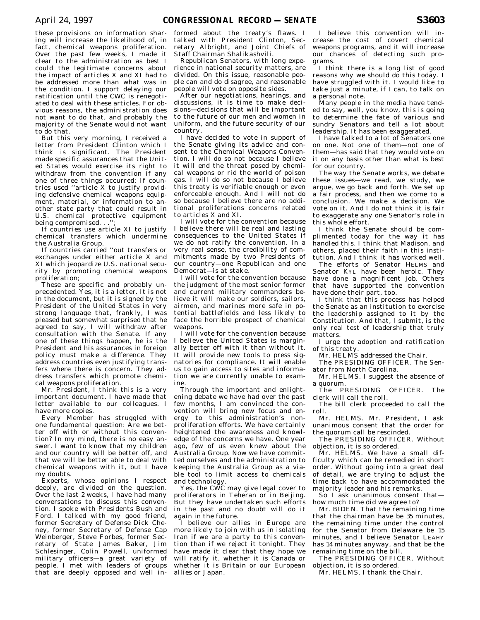these provisions on information sharing will increase the likelihood of, in fact, chemical weapons proliferation. Over the past few weeks, I made it clear to the administration as best I could the legitimate concerns about the impact of articles X and XI had to be addressed more than what was in the condition. I support delaying our ratification until the CWC is renegotiated to deal with these articles. For obvious reasons, the administration does not want to do that, and probably the majority of the Senate would not want to do that.

But this very morning, I received a letter from President Clinton which I think is significant. The President made specific assurances that the United States would exercise its right to withdraw from the convention if any one of three things occurred: If countries used ''article X to justify providing defensive chemical weapons equipment, material, or information to another state party that could result in U.S. chemical protective equipment being compromised. . .

If countries use article XI to justify chemical transfers which undermine the Australia Group.

If countries carried ''out transfers or exchanges under either article X and XI which jeopardize U.S. national security by promoting chemical weapons proliferation;

These are specific and probably unprecedented. Yes, it is a letter. It is not in the document, but it is signed by the President of the United States in very strong language that, frankly, I was pleased but somewhat surprised that he agreed to say, I will withdraw after consultation with the Senate. If any one of these things happen, he is the President and his assurances in foreign policy must make a difference. They address countries even justifying transfers where there is concern. They address transfers which promote chemical weapons proliferation.

Mr. President, I think this is a very important document. I have made that letter available to our colleagues. I have more copies.

Every Member has struggled with one fundamental question: Are we better off with or without this convention? In my mind, there is no easy answer. I want to know that my children and our country will be better off, and that we will be better able to deal with chemical weapons with it, but I have my doubts.

Experts, whose opinions I respect deeply, are divided on the question. Over the last 2 weeks, I have had many conversations to discuss this convention. I spoke with Presidents Bush and Ford. I talked with my good friend, former Secretary of Defense Dick Cheney, former Secretary of Defense Cap Weinberger, Steve Forbes, former Secretary of State James Baker, Jim Schlesinger, Colin Powell, uniformed military officers—a great variety of people. I met with leaders of groups that are deeply opposed and well in-

formed about the treaty's flaws. I talked with President Clinton, Secretary Albright, and Joint Chiefs of Staff Chairman Shalikashvili.

Republican Senators, with long experience in national security matters, are divided. On this issue, reasonable people can and do disagree, and reasonable people will vote on opposite sides.

After our negotiations, hearings, and discussions, it is time to make decisions—decisions that will be important to the future of our men and women in uniform, and the future security of our country.

I have decided to vote in support of the Senate giving its advice and consent to the Chemical Weapons Convention. I will do so not because I believe it will end the threat posed by chemical weapons or rid the world of poison gas. I will do so not because I believe this treaty is verifiable enough or even enforceable enough. And I will not do so because I believe there are no additional proliferations concerns related to articles X and XI.

I will vote for the convention because I believe there will be real and lasting consequences to the United States if we do not ratify the convention. In a very real sense, the credibility of commitments made by two Presidents of our country—one Republican and one Democrat—is at stake.

I will vote for the convention because the judgment of the most senior former and current military commanders believe it will make our soldiers, sailors, airmen, and marines more safe in potential battlefields and less likely to face the horrible prospect of chemical weapons.

I will vote for the convention because I believe the United States is marginally better off with it than without it. It will provide new tools to press signatories for compliance. It will enable us to gain access to sites and information we are currently unable to examine.

Through the important and enlightening debate we have had over the past few months, I am convinced the convention will bring new focus and energy to this administration's nonproliferation efforts. We have certainly heightened the awareness and knowledge of the concerns we have. One year ago, few of us even knew about the Australia Group. Now we have committed ourselves and the administration to keeping the Australia Group as a viable tool to limit access to chemicals and technology.

Yes, the CWC may give legal cover to proliferators in Teheran or in Beijing. But they have undertaken such efforts in the past and no doubt will do it again in the future.

I believe our allies in Europe are more likely to join with us in isolating Iran if we are a party to this convention than if we reject it tonight. They have made it clear that they hope we will ratify it, whether it is Canada or whether it is Britain or our European allies or Japan.

I believe this convention will increase the cost of covert chemical weapons programs, and it will increase our chances of detecting such programs.

I think there is a long list of good reasons why we should do this today. I have struggled with it. I would like to take just a minute, if I can, to talk on a personal note.

Many people in the media have tended to say, well, you know, this is going to determine the fate of various and sundry Senators and tell a lot about leadership. It has been exaggerated.

I have talked to a lot of Senators one on one. Not one of them—not one of them—has said that they would vote on it on any basis other than what is best for our country.

The way the Senate works, we debate these issues—we read, we study, we argue, we go back and forth. We set up a fair process, and then we come to a conclusion. We make a decision. We vote on it. And I do not think it is fair to exaggerate any one Senator's role in this whole effort.

I think the Senate should be complimented today for the way it has handled this. I think that Madison, and others, placed their faith in this institution. And I think it has worked well.

The efforts of Senator HELMS and Senator KYL have been heroic. They have done a magnificent job. Others that have supported the convention have done their part, too.

I think that this process has helped the Senate as an institution to exercise the leadership assigned to it by the Constitution. And that, I submit, is the only real test of leadership that truly matters.

I urge the adoption and ratification of this treaty.

Mr. HELMS addressed the Chair.

The PRESIDING OFFICER. The Senator from North Carolina.

Mr. HELMS. I suggest the absence of a quorum.

The PRESIDING OFFICER. The clerk will call the roll.

The bill clerk proceeded to call the roll.

Mr. HELMS. Mr. President, I ask unanimous consent that the order for the quorum call be rescinded.

The PRESIDING OFFICER. Without objection, it is so ordered.

Mr. HELMS. We have a small difficulty which can be remedied in short order. Without going into a great deal of detail, we are trying to adjust the time back to have accommodated the majority leader and his remarks.

So I ask unanimous consent that how much time did we agree to?

Mr. BIDEN. That the remaining time that the chairman have be 35 minutes, the remaining time under the control for the Senator from Delaware be 15 minutes, and I believe Senator LEAHY has 14 minutes anyway, and that be the remaining time on the bill.

The PRESIDING OFFICER. Without objection, it is so ordered.

Mr. HELMS. I thank the Chair.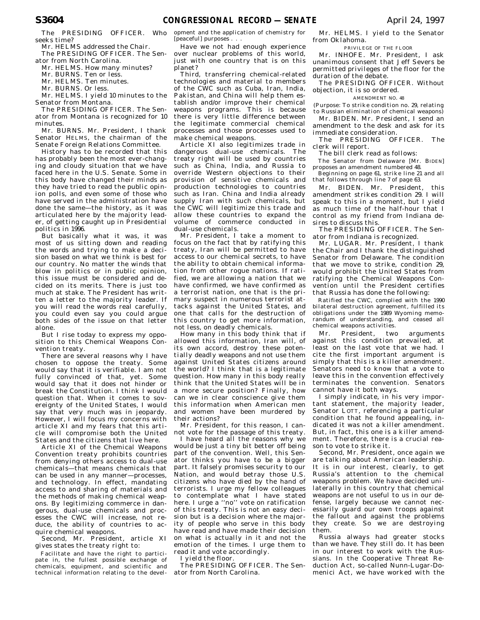The PRESIDING OFFICER. Who seeks time?

Mr. HELMS addressed the Chair. The PRESIDING OFFICER. The Senator from North Carolina.

Mr. HELMS. How many minutes?

Mr. BURNS. Ten or less.

Mr. HELMS. Ten minutes.

Mr. BURNS. Or less.

Mr. HELMS. I yield 10 minutes to the Senator from Montana.

The PRESIDING OFFICER. The Senator from Montana is recognized for 10 minutes.

Mr. BURNS. Mr. President, I thank Senator HELMS, the chairman of the Senate Foreign Relations Committee.

History has to be recorded that this has probably been the most ever-changing and cloudy situation that we have faced here in the U.S. Senate. Some in this body have changed their minds as they have tried to read the public opinion polls, and even some of those who have served in the administration have done the same—the history, as it was articulated here by the majority leader, of getting caught up in Presidential politics in 1996.

But basically what it was, it was most of us sitting down and reading the words and trying to make a decision based on what we think is best for our country. No matter the winds that blow in politics or in public opinion, this issue must be considered and decided on its merits. There is just too much at stake. The President has written a letter to the majority leader. If you will read the words real carefully, you could even say you could argue both sides of the issue on that letter alone.

But I rise today to express my opposition to this Chemical Weapons Convention treaty.

There are several reasons why I have chosen to oppose the treaty. Some would say that it is verifiable. I am not fully convinced of that, yet. Some would say that it does not hinder or break the Constitution. I think I would question that. When it comes to sovereignty of the United States, I would say that very much was in jeopardy. However, I will focus my concerns with article XI and my fears that this article will compromise both the United States and the citizens that live here.

Article XI of the Chemical Weapons Convention treaty prohibits countries from denying others access to dual-use chemicals—that means chemicals that can be used in any manner—processes, and technology. In effect, mandating access to and sharing of materials and the methods of making chemical weapons. By legitimizing commerce in dangerous, dual-use chemicals and processes the CWC will increase, not reduce, the ability of countries to acquire chemical weapons.

Second, Mr. President, article XI gives states the treaty right to:

Facilitate and have the right to participate in, the fullest possible exchange of chemicals, equipment, and scientific and technical information relating to the development and the application of chemistry for [peaceful] purposes . . .

Have we not had enough experience over nuclear problems of this world, just with one country that is on this planet?

Third, transferring chemical-related technologies and material to members of the CWC such as Cuba, Iran, India, Pakistan, and China will help them establish and/or improve their chemical weapons programs. This is because there is very little difference between the legitimate commercial chemical processes and those processes used to make chemical weapons.

Article XI also legitimizes trade in dangerous dual-use chemicals. The treaty right will be used by countries such as China, India, and Russia to override Western objections to their provision of sensitive chemicals and production technologies to countries such as Iran. China and India already supply Iran with such chemicals, but the CWC will legitimize this trade and allow these countries to expand the volume of commerce conducted in dual-use chemicals.

Mr. President, I take a moment to focus on the fact that by ratifying this treaty, Iran will be permitted to have access to our chemical secrets, to have the ability to obtain chemical information from other rogue nations. If ratified, we are allowing a nation that we have confirmed, we have confirmed as a terrorist nation, one that is the primary suspect in numerous terrorist attacks against the United States, and one that calls for the destruction of this country to get more information, not less, on deadly chemicals.

How many in this body think that if allowed this information, Iran will, of its own accord, destroy these potentially deadly weapons and not use them against United States citizens around the world? I think that is a legitimate question. How many in this body really think that the United States will be in a more secure position? Finally, how can we in clear conscience give them this information when American men and women have been murdered by their actions?

Mr. President, for this reason, I cannot vote for the passage of this treaty.

I have heard all the reasons why we would be just a tiny bit better off being part of the convention. Well, this Senator thinks you have to be a bigger part. It falsely promises security to our Nation, and would betray those U.S. citizens who have died by the hand of terrorists. I urge my fellow colleagues to contemplate what I have stated here. I urge a ''no'' vote on ratification of this treaty. This is not an easy decision but is a decision where the majority of people who serve in this body have read and have made their decision on what is actually in it and not the emotion of the times. I urge them to read it and vote accordingly.

I yield the floor.

The PRESIDING OFFICER. The Senator from North Carolina.

Mr. HELMS. I yield to the Senator from Oklahoma.

PRIVILEGE OF THE FLOOR

Mr. INHOFE. Mr. President, I ask unanimous consent that Jeff Severs be permitted privileges of the floor for the duration of the debate.

The PRESIDING OFFICER. Without objection, it is so ordered.

AMENDMENT NO 48

(Purpose: To strike condition no. 29, relating to Russian elimination of chemical weapons)

Mr. BIDEN. Mr. President, I send an amendment to the desk and ask for its immediate consideration.

The PRESIDING OFFICER. The clerk will report.

The bill clerk read as follows:

The Senator from Delaware [Mr. BIDEN] proposes an amendment numbered 48. Beginning on page 61, strike line 21 and all

that follows through line 7 of page 63. Mr. BIDEN. Mr. President, this amendment strikes condition 29. I will speak to this in a moment, but I yield as much time of the half-hour that I control as my friend from Indiana desires to discuss this.

The PRESIDING OFFICER. The Senator from Indiana is recognized.

Mr. LUGAR. Mr. President, I thank the Chair and I thank the distinguished Senator from Delaware. The condition that we move to strike, condition 29, would prohibit the United States from ratifying the Chemical Weapons Convention until the President certifies that Russia has done the following:

Ratified the CWC, complied with the 1990 bilateral destruction agreement, fulfilled its obligations under the 1989 Wyoming memorandum of understanding, and ceased all chemical weapons activities.

Mr. President, two arguments against this condition prevailed, at least on the last vote that we had. I cite the first important argument is simply that this is a killer amendment. Senators need to know that a vote to leave this in the convention effectively terminates the convention. Senators cannot have it both ways.

I simply indicate, in his very important statement, the majority leader, Senator LOTT, referencing a particular condition that he found appealing, indicated it was not a killer amendment. But, in fact, this one is a killer amendment. Therefore, there is a crucial reason to vote to strike it.

Second, Mr. President, once again we are talking about American leadership. It is in our interest, clearly, to get Russia's attention to the chemical weapons problem. We have decided unilaterally in this country that chemical weapons are not useful to us in our defense, largely because we cannot necessarily guard our own troops against the fallout and against the problems they create. So we are destroying them.

Russia always had greater stocks than we have. They still do. It has been in our interest to work with the Russians. In the Cooperative Threat Reduction Act, so-called Nunn-Lugar-Domenici Act, we have worked with the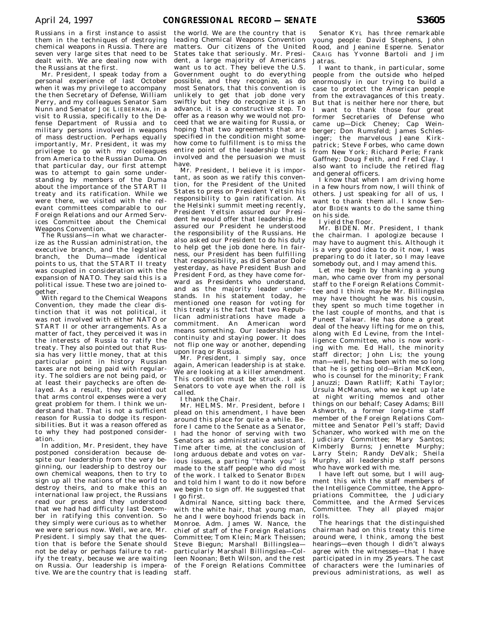Russians in a first instance to assist them in the techniques of destroying chemical weapons in Russia. There are seven very large sites that need to be dealt with. We are dealing now with the Russians at the first.

Mr. President, I speak today from a personal experience of last October when it was my privilege to accompany the then Secretary of Defense, William Perry, and my colleagues Senator Sam Nunn and Senator JOE LIEBERMAN, in a visit to Russia, specifically to the Defense Department of Russia and to military persons involved in weapons of mass destruction. Perhaps equally importantly, Mr. President, it was my privilege to go with my colleagues from America to the Russian Duma. On that particular day, our first attempt was to attempt to gain some understanding by members of the Duma about the importance of the START II treaty and its ratification. While we were there, we visited with the relevant committees comparable to our Foreign Relations and our Armed Services Committee about the Chemical Weapons Convention.

The Russians—in what we characterize as the Russian administration, the executive branch, and the legislative branch, the Duma—made identical points to us, that the START II treaty was coupled in consideration with the expansion of NATO. They said this is a political issue. These two are joined together.

With regard to the Chemical Weapons Convention, they made the clear distinction that it was not political, it was not involved with either NATO or START II or other arrangements. As a matter of fact, they perceived it was in the interests of Russia to ratify the treaty. They also pointed out that Russia has very little money, that at this particular point in history Russian taxes are not being paid with regularity. The soldiers are not being paid, or at least their paychecks are often delayed. As a result, they pointed out that arms control expenses were a very great problem for them. I think we understand that. That is not a sufficient reason for Russia to dodge its responsibilities. But it was a reason offered as to why they had postponed consideration.

In addition, Mr. President, they have postponed consideration because despite our leadership from the very beginning, our leadership to destroy our own chemical weapons, then to try to sign up all the nations of the world to destroy theirs, and to make this an international law project, the Russians read our press and they understood that we had had difficulty last December in ratifying this convention. So they simply were curious as to whether we were serious now. Well, we are, Mr. President. I simply say that the question that is before the Senate should not be delay or perhaps failure to ratify the treaty, because we are waiting on Russia. Our leadership is imperative. We are the country that is leading

the world. We are the country that is leading Chemical Weapons Convention matters. Our citizens of the United States take that seriously. Mr. President, a large majority of Americans want us to act. They believe the U.S. Government ought to do everything possible, and they recognize, as do most Senators, that this convention is unlikely to get that job done very swiftly but they do recognize it is an advance, it is a constructive step. To offer as a reason why we would not proceed that we are waiting for Russia, or hoping that two agreements that are specified in the condition might somehow come to fulfillment is to miss the entire point of the leadership that is involved and the persuasion we must have.

Mr. President, I believe it is important, as soon as we ratify this convention, for the President of the United States to press on President Yeltsin his responsibility to gain ratification. At the Helsinki summit meeting recently, President Yeltsin assured our President he would offer that leadership. He assured our President he understood the responsibility of the Russians. He also asked our President to do his duty to help get the job done here. In fairness, our President has been fulfilling that responsibility, as did Senator Dole yesterday, as have President Bush and President Ford, as they have come forward as Presidents who understand, and as the majority leader understands. In his statement today, he mentioned one reason for voting for this treaty is the fact that two Republican administrations have made a commitment. An American word means something. Our leadership has continuity and staying power. It does not flip one way or another, depending upon Iraq or Russia.

Mr. President, I simply say, once again, American leadership is at stake. We are looking at a killer amendment. This condition must be struck. I ask Senators to vote aye when the roll is called.

I thank the Chair.

Mr. HELMS. Mr. President, before I plead on this amendment, I have been around this place for quite a while. Before I came to the Senate as a Senator. I had the honor of serving with two Senators as administrative assistant. Time after time, at the conclusion of long arduous debate and votes on various issues, a parting ''thank you'' is made to the staff people who did most of the work. I talked to Senator BIDEN and told him I want to do it now before we begin to sign off. He suggested that I go first.

Admiral Nance, sitting back there, with the white hair, that young man, he and I were boyhood friends back in Monroe. Adm. James W. Nance, the chief of staff of the Foreign Relations Committee; Tom Klein; Mark Theissen; Steve Biegun; Marshall Billingslea particularly Marshall Billingslea—Colleen Noonan; Beth Wilson, and the rest of the Foreign Relations Committee staff.

Senator KYL has three remarkable young people: David Stephens, John Rood, and Jeanine Esperne. Senator CRAIG has Yvonne Bartoli and Jim Jatras.

I want to thank, in particular, some people from the outside who helped enormously in our trying to build a case to protect the American people from the extravagances of this treaty. But that is neither here nor there, but I want to thank those four great former Secretaries of Defense who came up—Dick Cheney; Cap Weinberger; Don Rumsfeld; James Schlesinger; the marvelous Jeane Kirkpatrick; Steve Forbes, who came down from New York; Richard Perle; Frank Gaffney; Doug Feith, and Fred Clay. I also want to include the retired flag and general officers.

I know that when I am driving home in a few hours from now, I will think of others. Just speaking for all of us, I want to thank them all. I know Senator BIDEN wants to do the same thing on his side.

I yield the floor.

Mr. BIDEN. Mr. President, I thank the chairman. I apologize because I may have to augment this. Although it is a very good idea to do it now, I was preparing to do it later, so I may leave somebody out, and I may amend this.

Let me begin by thanking a young man, who came over from my personal staff to the Foreign Relations Committee and I think maybe Mr. Billingslea may have thought he was his cousin, they spent so much time together in the last couple of months, and that is Puneet Talwar. He has done a great deal of the heavy lifting for me on this, along with Ed Levine, from the Intelligence Committee, who is now working with me. Ed Hall, the minority staff director; John Lis; the young man—well, he has been with me so long that he is getting old—Brian McKeon, who is counsel for the minority; Frank Januzzi; Dawn Ratliff; Kathi Taylor; Ursula McManus, who we kept up late at night writing memos and other things on our behalf; Casey Adams; Bill Ashworth, a former long-time staff member of the Foreign Relations Committee and Senator Pell's staff; David Schanzer, who worked with me on the Judiciary Committee; Mary Santos; Kimberly Burns; Jennette Murphy; Larry Stein; Randy DeValk; Sheila Murphy, all leadership staff persons who have worked with me.

I have left out some, but I will augment this with the staff members of the Intelligence Committee, the Appropriations Committee, the Judiciary Committee, and the Armed Services Committee. They all played major rolls.

The hearings that the distinguished chairman had on this treaty this time around were, I think, among the best hearings—even though I didn't always agree with the witnesses—that I have participated in in my 25 years. The cast of characters were the luminaries of previous administrations, as well as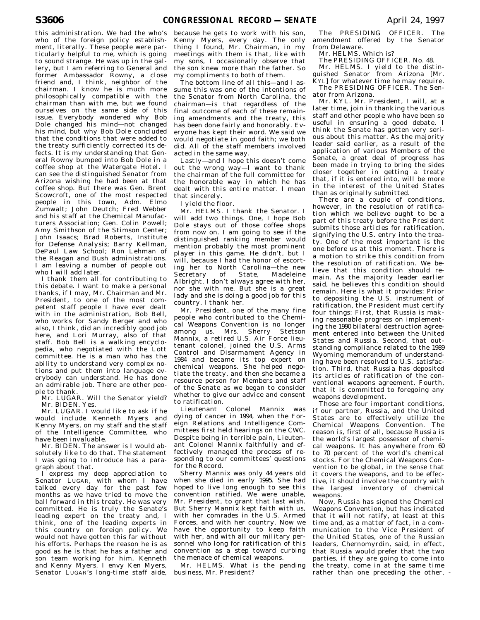this administration. We had the who's who of the foreign policy establishment, literally. These people were particularly helpful to me, which is going to sound strange. He was up in the gallery, but I am referring to General and former Ambassador Rowny, a close friend and, I think, neighbor of the chairman. I know he is much more philosophically compatible with the chairman than with me, but we found ourselves on the same side of this issue. Everybody wondered why Bob Dole changed his mind—not changed his mind, but why Bob Dole concluded that the conditions that were added to the treaty sufficiently corrected its defects. It is my understanding that General Rowny bumped into Bob Dole in a coffee shop at the Watergate Hotel. I can see the distinguished Senator from Arizona wishing he had been at that coffee shop. But there was Gen. Brent Scowcroft, one of the most respected people in this town, Adm. Elmo Zumwalt; John Deutch; Fred Webber and his staff at the Chemical Manufacturers Association; Gen. Colin Powell; Amy Smithson of the Stimson Center; John Isaacs; Brad Roberts, Institute for Defense Analysis; Barry Kellman, DePaul Law School; Ron Lehman of the Reagan and Bush administrations. I am leaving a number of people out who I will add later.

I thank them all for contributing to this debate. I want to make a personal thanks, if I may, Mr. Chairman and Mr. President, to one of the most competent staff people I have ever dealt with in the administration, Bob Bell, who works for Sandy Berger and who also, I think, did an incredibly good job here, and Lori Murray, also of that staff. Bob Bell is a walking encyclopedia, who negotiated with the Lott committee. He is a man who has the ability to understand very complex notions and put them into language everybody can understand. He has done an admirable job. There are other people to thank.

Mr. LUGAR. Will the Senator yield? Mr. BIDEN. Yes.

Mr. LUGAR. I would like to ask if he would include Kenneth Myers and Kenny Myers, on my staff and the staff of the Intelligence Committee, who have been invaluable.

Mr. BIDEN. The answer is I would absolutely like to do that. The statement I was going to introduce has a paragraph about that.

I express my deep appreciation to Senator LUGAR, with whom I have talked every day for the past few months as we have tried to move the ball forward in this treaty. He was very committed. He is truly the Senate's leading expert on the treaty and, I think, one of the leading experts in this country on foreign policy. We would not have gotten this far without his efforts. Perhaps the reason he is as good as he is that he has a father and son team working for him, Kenneth and Kenny Myers. I envy Ken Myers, Senator LUGAR's long-time staff aide,

because he gets to work with his son, Kenny Myers, every day. The only thing I found, Mr. Chairman, in my meetings with them is that, like with my sons, I occasionally observe that the son knew more than the father. So my compliments to both of them.

The bottom line of all this—and I assume this was one of the intentions of the Senator from North Carolina, the chairman—is that regardless of the final outcome of each of these remaining amendments and the treaty, this has been done fairly and honorably. Everyone has kept their word. We said we would negotiate in good faith; we both did. All of the staff members involved acted in the same way.

Lastly—and I hope this doesn't come out the wrong way—I want to thank the chairman of the full committee for the honorable way in which he has dealt with this entire matter. I mean that sincerely.

I yield the floor.

Mr. HELMS. I thank the Senator. I will add two things. One, I hope Bob Dole stays out of those coffee shops from now on. I am going to see if the distinguished ranking member would mention probably the most prominent player in this game. He didn't, but I will, because I had the honor of escorting her to North Carolina—the new Secretary of State, Madeleine Albright. I don't always agree with her, nor she with me. But she is a great lady and she is doing a good job for this country. I thank her.

Mr. President, one of the many fine people who contributed to the Chemical Weapons Convention is no longer among us. Mrs. Sherry Stetson Mannix, a retired U.S. Air Force lieutenant colonel, joined the U.S. Arms Control and Disarmament Agency in 1984 and became its top expert on chemical weapons. She helped negotiate the treaty, and then she became a resource person for Members and staff of the Senate as we began to consider whether to give our advice and consent to ratification.

Lieutenant Colonel Mannix was dying of cancer in 1994, when the Foreign Relations and Intelligence Committees first held hearings on the CWC. Despite being in terrible pain, Lieutenant Colonel Mannix faithfully and effectively managed the process of responding to our committees' questions for the Record.

Sherry Mannix was only 44 years old when she died in early 1995. She had hoped to live long enough to see this convention ratified. We were unable, Mr. President, to grant that last wish. But Sherry Mannix kept faith with us, with her comrades in the U.S. Armed Forces, and with her country. Now we have the opportunity to Keep faith with her, and with all our military personnel who long for ratification of this convention as a step toward curbing the menace of chemical weapons.

Mr. HELMS. What is the pending business, Mr. President?

The PRESIDING OFFICER. The amendment offered by the Senator from Delaware.

Mr. HELMS. Which is?

The PRESIDING OFFICER. No. 48.

Mr. HELMS. I yield to the distinguished Senator from Arizona [Mr. KYL] for whatever time he may require.

The PRESIDING OFFICER. The Senator from Arizona. Mr. KYL. Mr. President, I will, at a

later time, join in thanking the various staff and other people who have been so useful in ensuring a good debate. I think the Senate has gotten very serious about this matter. As the majority leader said earlier, as a result of the application of various Members of the Senate, a great deal of progress has been made in trying to bring the sides closer together in getting a treaty that, if it is entered into, will be more in the interest of the United States than as originally submitted.

There are a couple of conditions, however, in the resolution of ratification which we believe ought to be a part of this treaty before the President submits those articles for ratification, signifying the U.S. entry into the treaty. One of the most important is the one before us at this moment. There is a motion to strike this condition from the resolution of ratification. We believe that this condition should remain. As the majority leader earlier said, he believes this condition should remain. Here is what it provides: Prior to depositing the U.S. instrument of ratification, the President must certify four things: First, that Russia is making reasonable progress on implementing the 1990 bilateral destruction agreement entered into between the United States and Russia. Second, that outstanding compliance related to the 1989 Wyoming memorandum of understanding have been resolved to U.S. satisfaction. Third, that Russia has deposited its articles of ratification of the conventional weapons agreement. Fourth, that it is committed to foregoing any weapons development.

Those are four important conditions. if our partner, Russia, and the United States are to effectively utilize the Chemical Weapons Convention. The reason is, first of all, because Russia is the world's largest possessor of chemical weapons. It has anywhere from 60 to 70 percent of the world's chemical stocks. For the Chemical Weapons Convention to be global, in the sense that it covers the weapons, and to be effective, it should involve the country with the largest inventory of chemical weapons.

Now, Russia has signed the Chemical Weapons Convention, but has indicated that it will not ratify, at least at this time and, as a matter of fact, in a communication to the Vice President of the United States, one of the Russian leaders, Chernomyrdin, said, in effect, that Russia would prefer that the two parties, if they are going to come into the treaty, come in at the same time rather than one preceding the other, -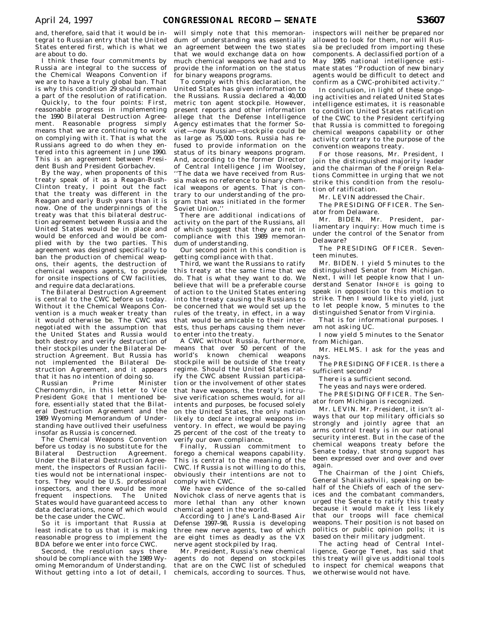and, therefore, said that it would be integral to Russian entry that the United States entered first, which is what we are about to do.

I think these four commitments by Russia are integral to the success of the Chemical Weapons Convention if we are to have a truly global ban. That is why this condition  $29$  should remain a part of the resolution of ratification.

Quickly, to the four points: First, reasonable progress in implementing the 1990 Bilateral Destruction Agreement. Reasonable progress simply means that we are continuing to work on complying with it. That is what the Russians agreed to do when they entered into this agreement in June 1990. This is an agreement between President Bush and President Gorbachev.

By the way, when proponents of this treaty speak of it as a Reagan-Bush-Clinton treaty, I point out the fact that the treaty was different in the Reagan and early Bush years than it is now. One of the underpinnings of the treaty was that this bilateral destruction agreement between Russia and the United States would be in place and would be enforced and would be complied with by the two parties. This agreement was designed specifically to ban the production of chemical weapons, their agents, the destruction of chemical weapons agents, to provide for onsite inspections of CW facilities, and require data declarations.

The Bilateral Destruction Agreement is central to the CWC before us today. Without it the Chemical Weapons Convention is a much weaker treaty than it would otherwise be. The CWC was negotiated with the assumption that the United States and Russia would both destroy and verify destruction of their stockpiles under the Bilateral Destruction Agreement. But Russia has not implemented the Bilateral Destruction Agreement, and it appears that it has no intention of doing so.

Russian Prime Minister Chernomyrdin, in this letter to Vice President GORE that I mentioned before, essentially stated that the Bilateral Destruction Agreement and the 1989 Wyoming Memorandum of Understanding have outlived their usefulness insofar as Russia is concerned.

The Chemical Weapons Convention before us today is no substitute for the Bilateral Destruction Agreement. Under the Bilateral Destruction Agreement, the inspectors of Russian facilities would not be international inspectors. They would be U.S. professional inspectors, and there would be more frequent inspections. The United States would have guaranteed access to data declarations, none of which would be the case under the CWC.

So it is important that Russia at least indicate to us that it is making reasonable progress to implement the BDA before we enter into force CWC.

Second, the resolution says there should be compliance with the 1989 Wyoming Memorandum of Understanding. Without getting into a lot of detail, I

will simply note that this memorandum of understanding was essentially an agreement between the two states that we would exchange data on how much chemical weapons we had and to provide the information on the status for binary weapons programs.

To comply with this declaration, the United States has given information to the Russians. Russia declared a 40,000 metric ton agent stockpile. However, present reports and other information allege that the Defense Intelligence Agency estimates that the former Soviet—now Russian—stockpile could be as large as 75,000 tons. Russia has refused to provide information on the status of its binary weapons program. And, according to the former Director of Central Intelligence Jim Woolsey, ''The data we have received from Russia makes no reference to binary chemical weapons or agents. That is contrary to our understanding of the program that was initiated in the former Soviet Union.''

There are additional indications of activity on the part of the Russians, all of which suggest that they are not in compliance with this 1989 memorandum of understanding.

Our second point in this condition is getting compliance with that.

Third, we want the Russians to ratify this treaty at the same time that we do. That is what they want to do. We believe that will be a preferable course of action to the United States entering into the treaty causing the Russians to be concerned that we would set up the rules of the treaty, in effect, in a way that would be amicable to their interests, thus perhaps causing them never to enter into the treaty.

A CWC without Russia, furthermore, means that over 50 percent of the world's known chemical weapons stockpile will be outside of the treaty regime. Should the United States ratify the CWC absent Russian participation or the involvement of other states that have weapons, the treaty's intrusive verification schemes would, for all intents and purposes, be focused solely on the United States, the only nation likely to declare integral weapons inventory. In effect, we would be paying 25 percent of the cost of the treaty to verify our own compliance.

Finally, Russian commitment to forego a chemical weapons capability. This is central to the meaning of the CWC. If Russia is not willing to do this, obviously their intentions are not to comply with CWC.

We have evidence of the so-called Novichok class of nerve agents that is more lethal than any other known chemical agent in the world.

According to Jane's Land-Based Air Defense 1997–98, Russia is developing three new nerve agents, two of which are eight times as deadly as the VX nerve agent stockpiled by Iraq.

Mr. President, Russia's new chemical agents do not depend on stockpiles that are on the CWC list of scheduled chemicals, according to sources. Thus,

inspectors will neither be prepared nor allowed to look for them, nor will Russia be precluded from importing these components. A declassified portion of a May 1995 national intelligence estimate states ''Production of new binary agents would be difficult to detect and confirm as a CWC-prohibited activity.''

In conclusion, in light of these ongoing activities and related United States intelligence estimates, it is reasonable to condition United States ratification of the CWC to the President certifying that Russia is committed to foregoing chemical weapons capability or other activity contrary to the purpose of the convention weapons treaty.

For those reasons, Mr. President, I join the distinguished majority leader and the chairman of the Foreign Relations Committee in urging that we not strike this condition from the resolution of ratification.

Mr. LEVIN addressed the Chair.

The PRESIDING OFFICER. The Senator from Delaware.

Mr. BIDEN. Mr. President, parliamentary inquiry: How much time is under the control of the Senator from Delaware?

The PRESIDING OFFICER. Seventeen minutes.

Mr. BIDEN. I yield 5 minutes to the distinguished Senator from Michigan. Next, I will let people know that I understand Senator INHOFE is going to speak in opposition to this motion to strike. Then I would like to yield, just to let people know, 5 minutes to the distinguished Senator from Virginia.

That is for informational purposes. I am not asking UC.

I now yield 5 minutes to the Senator from Michigan.

Mr. HELMS. I ask for the yeas and nays.

The PRESIDING OFFICER. Is there a sufficient second?

There is a sufficient second.

The yeas and nays were ordered.

The PRESIDING OFFICER. The Senator from Michigan is recognized.

Mr. LEVIN. Mr. President, it isn't always that our top military officials so strongly and jointly agree that an arms control treaty is in our national security interest. But in the case of the chemical weapons treaty before the Senate today, that strong support has been expressed over and over and over again.

The Chairman of the Joint Chiefs, General Shalikashvili, speaking on behalf of the Chiefs of each of the services and the combatant commanders, urged the Senate to ratify this treaty because it would make it less likely that our troops will face chemical weapons. Their position is not based on politics or public opinion polls; it is based on their military judgment.

The acting head of Central Intelligence, George Tenet, has said that this treaty will give us additional tools to inspect for chemical weapons that we otherwise would not have.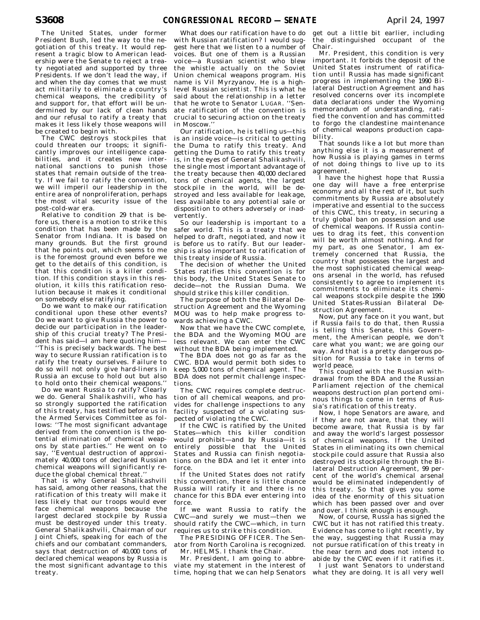The United States, under former President Bush, led the way to the negotiation of this treaty. It would represent a tragic blow to American leadership were the Senate to reject a treaty negotiated and supported by three Presidents. If we don't lead the way, if and when the day comes that we must act militarily to eliminate a country's chemical weapons, the credibility of and support for, that effort will be undermined by our lack of clean hands and our refusal to ratify a treaty that makes it less likely those weapons will be created to begin with.

The CWC destroys stockpiles that could threaten our troops; it significantly improves our intelligence capabilities, and it creates new international sanctions to punish those states that remain outside of the treaty. If we fail to ratify the convention, we will imperil our leadership in the entire area of nonproliferation, perhaps the most vital security issue of the post-cold-war era.

Relative to condition 29 that is before us, there is a motion to strike this condition that has been made by the Senator from Indiana. It is based on many grounds. But the first ground that he points out, which seems to me is the foremost ground even before we get to the details of this condition, is that this condition is a killer condition. If this condition stays in this resolution, it kills this ratification resolution because it makes it conditional on somebody else ratifying.

Do we want to make our ratification conditional upon these other events? Do we want to give Russia the power to decide our participation in the leadership of this crucial treaty? The President has said—I am here quoting him— ''This is precisely backwards. The best way to secure Russian ratification is to ratify the treaty ourselves. Failure to do so will not only give hard-liners in Russia an excuse to hold out but also to hold onto their chemical weapons.''

Do we want Russia to ratify? Clearly we do. General Shalikashvili, who has so strongly supported the ratification of this treaty, has testified before us in the Armed Services Committee as follows: ''The most significant advantage derived from the convention is the potential elimination of chemical weapons by state parties.'' He went on to say, ''Eventual destruction of approximately 40,000 tons of declared Russian chemical weapons will significantly reduce the global chemical threat.''

That is why General Shalikashvili has said, among other reasons, that the ratification of this treaty will make it less likely that our troops would ever face chemical weapons because the largest declared stockpile by Russia must be destroyed under this treaty. General Shalikashvili, Chairman of our Joint Chiefs, speaking for each of the chiefs and our combatant commanders, says that destruction of 40,000 tons of declared chemical weapons by Russia is the most significant advantage to this treaty.

What does our ratification have to do with Russian ratification? I would suggest here that we listen to a number of voices. But one of them is a Russian voice—a Russian scientist who blew the whistle actually on the Soviet Union chemical weapons program. His name is Vil Myrzyanov. He is a highlevel Russian scientist. This is what he said about the relationship in a letter that he wrote to Senator LUGAR. ''Senate ratification of the convention is crucial to securing action on the treaty in Moscow.''

Our ratification, he is telling us—this is an inside voice—is critical to getting the Duma to ratify this treaty. And getting the Duma to ratify this treaty is, in the eyes of General Shalikashvili, the single most important advantage of the treaty because then 40,000 declared tons of chemical agents, the largest stockpile in the world, will be destroyed and less available for leakage, less available to any potential sale or disposition to others adversely or inadvertently.

So our leadership is important to a safer world. This is a treaty that we helped to draft, negotiated, and now it is before us to ratify. But our leadership is also important to ratification of this treaty inside of Russia.

The decision of whether the United States ratifies this convention is for this body, the United States Senate to decide—not the Russian Duma. We should strike this killer condition.

The purpose of both the Bilateral Destruction Agreement and the Wyoming MOU was to help make progress towards achieving a CWC.

Now that we have the CWC complete, the BDA and the Wyoming MOU are less relevant. We can enter the CWC without the BDA being implemented.

The BDA does not go as far as the CWC. BDA would permit both sides to keep 5,000 tons of chemical agent. The BDA does not permit challenge inspections.

The CWC requires complete destruction of all chemical weapons, and provides for challenge inspections to any facility suspected of a violating suspected of violating the CWC.

If the CWC is ratified by the United States—which this killer condition would prohibit—and by Russia—it is entirely possible that the United States and Russia can finish negotiations on the BDA and let it enter into force.

If the United States does not ratify this convention, there is little chance Russia will ratify it and there is no chance for this BDA ever entering into force.

If we want Russia to ratify the CWC—and surely we must—then we should ratify the CWC—which, in turn requires us to strike this condition.

The PRESIDING OFFICER. The Senator from North Carolina is recognized. Mr. HELMS. I thank the Chair.

Mr. President, I am going to abbreviate my statement in the interest of time, hoping that we can help Senators get out a little bit earlier, including the distinguished occupant of the Chair.

Mr. President, this condition is very important. It forbids the deposit of the United States instrument of ratification until Russia has made significant progress in implementing the 1990 Bilateral Destruction Agreement and has resolved concerns over its incomplete data declarations under the Wyoming memorandum of understanding, ratified the convention and has committed to forgo the clandestine maintenance of chemical weapons production capability.

That sounds like a lot but more than anything else it is a measurement of how Russia is playing games in terms of not doing things to live up to its agreement.

I have the highest hope that Russia one day will have a free enterprise economy and all the rest of it, but such commitments by Russia are absolutely imperative and essential to the success of this CWC, this treaty, in securing a truly global ban on possession and use of chemical weapons. If Russia continues to drag its feet, this convention will be worth almost nothing. And for my part, as one Senator, I am extremely concerned that Russia, the country that possesses the largest and the most sophisticated chemical weapons arsenal in the world, has refused consistently to agree to implement its commitments to eliminate its chemical weapons stockpile despite the 1990 United States-Russian Bilateral Destruction Agreement.

Now, put any face on it you want, but if Russia fails to do that, then Russia is telling this Senate, this Government, the American people, we don't care what you want; we are going our way. And that is a pretty dangerous position for Russia to take in terms of world peace.

This coupled with the Russian withdrawal from the BDA and the Russian Parliament rejection of the chemical weapons destruction plan portend ominous things to come in terms of Russia's ratification of this treaty.

Now, I hope Senators are aware, and if they are not aware, that they will become aware, that Russia is by far and away the world's largest possessor of chemical weapons. If the United States in eliminating its own chemical stockpile could assure that Russia also destroyed its stockpile through the Bilateral Destruction Agreement, 99 percent of the world's chemical arsenal would be eliminated independently of this treaty. So that gives you some idea of the enormity of this situation which has been passed over and over and over. I think enough is enough.

Now, of course, Russia has signed the CWC but it has not ratified this treaty. Evidence has come to light recently, by the way, suggesting that Russia may not pursue ratification of this treaty in the near term and does not intend to abide by the CWC even if it ratifies it.

I just want Senators to understand what they are doing. It is all very well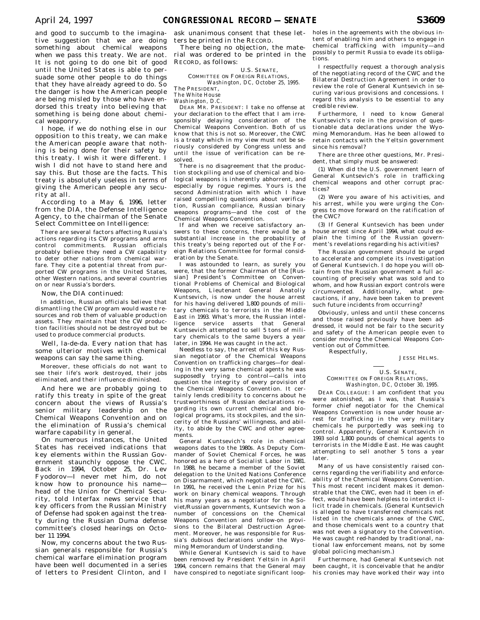and good to succumb to the imaginative suggestion that we are doing something about chemical weapons when we pass this treaty. We are not. It is not going to do one bit of good until the United States is able to persuade some other people to do things that they have already agreed to do. So the danger is how the American people are being misled by those who have endorsed this treaty into believing that something is being done about chemical weaponry.

I hope, if we do nothing else in our opposition to this treaty, we can make the American people aware that nothing is being done for their safety by this treaty. I wish it were different. I wish I did not have to stand here and say this. But those are the facts. This treaty is absolutely useless in terms of giving the American people any security at all.

According to a May 6, 1996, letter from the DIA, the Defense Intelligence Agency, to the chairman of the Senate Select Committee on Intelligence:

There are several factors affecting Russia's actions regarding its CW programs and arms control commitments. Russian officials probably believe they need a CW capability to deter other nations from chemical warfare. They cite a potential threat from purported CW programs in the United States, other Western nations, and several countries on or near Russia's borders.

Now, the DIA continued:

In addition, Russian officials believe that dismantling the CW program would waste resources and rob them of valuable production assets. They maintain that the CW production facilities should not be destroyed but be used to produce commercial products.

Well, la-de-da. Every nation that has some ulterior motives with chemical weapons can say the same thing.

Moreover, these officials do not want to see their life's work destroyed, their jobs eliminated, and their influence diminished.

And here we are probably going to ratify this treaty in spite of the great concern about the views of Russia's senior military leadership on the Chemical Weapons Convention and on the elimination of Russia's chemical warfare capability in general.

On numerous instances, the United States has received indications that key elements within the Russian Government staunchly oppose the CWC. Back in 1994, October 25, Dr. Lev Fyodorov—I never met him, do not know how to pronounce his name head of the Union for Chemical Security, told Interfax news service that key officers from the Russian Ministry of Defense had spoken against the treaty during the Russian Duma defense committee's closed hearings on October 11 1994.

Now, my concerns about the two Russian generals responsible for Russia's chemical warfare elimination program have been well documented in a series of letters to President Clinton, and I ask unanimous consent that these letters be printed in the RECORD.

There being no objection, the material was ordered to be printed in the RECORD, as follows:

> U.S. SENATE, COMMITTEE ON FOREIGN RELATIONS,

*Washington, DC, October 25, 1995.* The PRESIDENT,

*The White House*

*Washington, D.C.*

DEAR MR. PRESIDENT: I take no offense at your declaration to the effect that I am irresponsibly delaying consideration of the Chemical Weapons Convention. Both of us know that this is not so. Moreover, the CWC is a treaty which in my view must not be seriously considered by Congress unless and until the issue of verification can be resolved.

There is no disagreement that the production stockpiling and use of chemical and biological weapons is inherently abhorrent, and especially by rogue regimes. Yours is the second Administration with which I have raised compelling questions about verification, Russian compliance, Russian binary weapons programs—and the cost of the Chemical Weapons Convention.

If and when we receive satisfactory answers to these concerns, there would be a substantial increase in the probability of this treaty's being reported out of the Foreign Relations Committee for formal consideration by the Senate.

I was astounded to learn, as surely you were, that the former Chairman of the [Russian] President's Committee on Conventional Problems of Chemical and Biological Weapons, Lieutenant General Anatoliy Kuntsevich, is now under the house arrest for his having delivered 1,800 pounds of military chemicals to terrorists in the Middle East in 1993. What's more, the Russian intelligence service asserts that General Kuntsevich attempted to sell 5 tons of military chemicals to the same buyers a year later, in 1994. He was caught in the act.

Needless to say, the arrest of this key Russian negotiator of the Chemical Weapons Convention on trafficking charges—for dealing in the very same chemical agents he was supposedly trying to control—calls into question the integrity of every provision of the Chemical Weapons Convention. It certainly lends credibility to concerns about he trustworthiness of Russian declarations regarding its own current chemical and biological programs, its stockpiles, and the sincerity of the Russians' willingness, and ability, to abide by the CWC and other agreements.

General Kuntsevich's role in chemical weapons dates to the 1980s. As Deputy Commander of Soviet Chemical Forces, he was honored as a hero of Socialist Labor in 1981. In 1988, he became a member of the Soviet delegation to the United Nations Conference on Disarmament, which negotiated the CWC. In 1991, he received the Lenin Prize for his work on binary chemical weapons. Through his many years as a negotiator for the Soviet/Russian governments, Kuntsevich won a number of concessions on the Chemical Weapons Convention and follow-on provisions to the Bilateral Destruction Agreement. Moreover, he was responsible for Russia's dubious declarations under the Wyoming Memorandum of Understanding.

While General Kuntsevich is said to have been removed by President Yeltsin in April 1994, concern remains that the General may have conspired to negotiate significant loopholes in the agreements with the obvious intent of enabling him and others to engage in chemical trafficking with impunity—and possibly to permit Russia to evade its obligations.

I respectfully request a thorough analysis of the negotiating record of the CWC and the Bilateral Destruction Agreement in order to review the role of General Kuntsevich in securing various provisions and concessions. I regard this analysis to be essential to any credible review.

Furthermore, I need to know General Kuntsevich's role in the provision of questionable data declarations under the Wyoming Memorandum. Has he been allowed to retain contacts with the Yeltsin government since his removal?

There are three other questions, Mr. President, that simply must be answered:

(1) When did the U.S. government learn of General Kuntsevich's role in trafficking chemical weapons and other corrupt practices?

(2) Were you aware of his activities, and his arrest, while you were urging the Congress to move forward on the ratification of the CWC?

(3) If General Kuntsevich has been under house arrest since April 1994, what could explain the timing of the Russian government's revelations regarding his activities?

The Russian government should be urged to accelerate and complete its investigation of General Kuntsevich. I do hope you will obtain from the Russian government a full accounting of precisely what was sold and to whom, and how Russian export controls were circumvented. Additionally, what precautions, if any, have been taken to prevent such future incidents from occurring?

Obviously, unless and until these concerns and those raised previously have been addressed, it would not be fair to the security and safety of the American people even to consider moving the Chemical Weapons Convention out of Committee.

Respectfully,

JESSE HELMS.

# U.S. SENATE,

# COMMITTEE ON FOREIGN RELATIONS, *Washington, DC, October 30, 1995.*

DEAR COLLEAGUE: I am confident that you were astonished, as I was, that Russia's former chief negotiator for the Chemical Weapons Convention is now under house arrest for trafficking in the very military chemicals he purportedly was seeking to control. Apparently, General Kuntsevich in 1993 sold 1,800 pounds of chemical agents to terrorists in the Middle East. He was caught attempting to sell another 5 tons a year later.

Many of us have consistently raised concerns regarding the verifiability and enforceability of the Chemical Weapons Convention. This most recent incident makes it demonstrable that the CWC, even had it been in effect, would have been helpless to interdict illicit trade in chemicals. (General Kuntsevich is alleged to have transferred chemicals not listed in the chemicals annex of the CWC, and those chemicals went to a country that was not even a signatory to the Convention. He was caught red-handed by traditional, national law enforcement means, not by some global policing mechanism.)

Furthermore, had General Kuntsevich not been caught, it is conceivable that he and/or his cronies may have worked their way into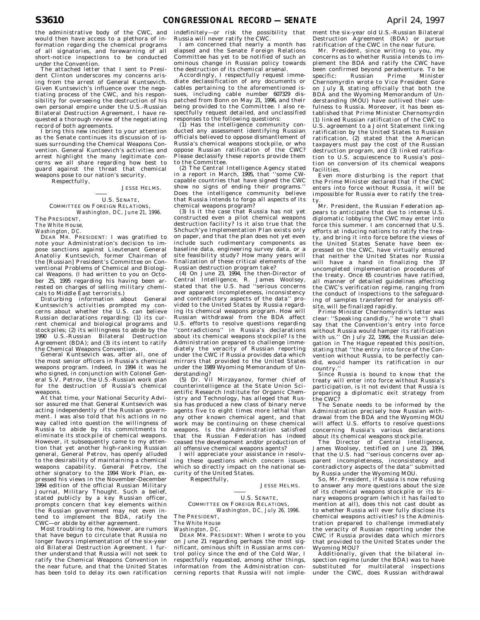the administrative body of the CWC, and would then have access to a plethora of information regarding the chemical programs of all signatories, and forewarning of all short-notice inspections to be conducted under the Convention.

The attached letter that I sent to President Clinton underscores my concerns arising from the arrest of General Kuntsevich. Given Kuntsevich's influence over the negotiating process of the CWC, and his responsibility for overseeing the destruction of his own personal empire under the U.S.-Russian Bilateral Destruction Agreement, I have requested a thorough review of the negotiating record of both agreements.

I bring this new incident to your attention as the Senate continues its discussion of issues surrounding the Chemical Weapons Convention. General Kuntsevich's activities and arrest highlight the many legitimate concerns we all share regarding how best to guard against the threat that chemical weapons pose to our nation's security. Respectfully,

JESSE HELMS.

# U.S. SENATE,

COMMITTEE ON FOREIGN RELATIONS, *Washington, DC, June 21, 1996.*

The PRESIDENT,

*The White House,*

*Washington, DC.*

DEAR MR. PRESIDENT: I was gratified to note your Administration's decision to impose sanctions against Lieutenant General Anatoliy Kuntsevich, former Chairman of the [Russian] President's Committee on Conventional Problems of Chemical and Biological Weapons. (I had written to you on October 25, 1995 regarding his having been arrested on charges of selling military chemicals to Middle East terrorists.)

Disturbing information about General Kuntsevich's activities prompted my concerns about whether the U.S. can believe Russian declarations regarding: (1) its current chemical and biological programs and stockpiles; (2) its willingness to abide by the 1990 U.S.-Russian Bilateral Destruction Agreement (BDA); and (3) its intent to ratify the Chemical Weapons Convention.

General Kuntsevich was, after all, one of the most senior officers in Russia's chemical weapons program. Indeed, in 1994 it was he who signed, in conjunction with Colonel General S.V. Petrov, the U.S.-Russian work plan for the destruction of Russia's chemical weapons.

At that time, your National Security Advisor assured me that General Kuntsevich was acting independently of the Russian government. I was also told that his actions in no way called into question the willingness of Russia to abide by its commitments to eliminate its stockpile of chemical weapons. However, it subsequently came to my attention that yet another high-ranking Russian general, General Petrov, has openly alluded to the desirability of maintaining a chemical weapons capability. General Petrov, the other signatory to the 1994 Work Plan, expressed his views in the November-December 1994 edition of the official Russian Military Journal, Military Thought. Such a belief, stated publicly by a key Russian officer, prompts concern that key elements within the Russian government may not even intend to implement the BDA, ratify the CWC—or abide by either agreement.

Most troubling to me, however, are rumors that have begun to circulate that Russia no longer favors implementation of the six-year old Bilateral Destruction Agreement. I further understand that Russia will not seek to ratify the Chemical Weapons Convention in the near future, and that the United States has been told to delay its own ratification indefinitely—or risk the possibility that Russia will never ratify the CWC.

I am concerned that nearly a month has elapsed and the Senate Foreign Relations Committee has yet to be notified of such an ominous change in Russian policy towards the destruction of its chemical arsenal.

Accordingly, I respectfully request immediate declassification of any documents or cables pertaining to the aforementioned issues, including cable number 607329 dispatched from Bonn on May 21, 1996, and their being provided to the Committee. I also respectfully request detailed, and unclassified responses to the following questions:

(1) Has the intelligence community conducted any assessment identifying Russian officials believed to oppose dismantlement of Russia's chemical weapons stockpile, or who oppose Russian ratification of the CWC? Please declassify these reports provide them to the Committee.

(2) The Central Intelligence Agency stated in a report in March, 1995, that ''some CWcapable countries that have signed the CWC show no signs of ending their programs.'' Does the intelligence community believe that Russia intends to forgo all aspects of its chemical weapons program?

(3) Is it the case that Russia has not yet constructed even a pilot chemical weapons destruction facility? Is it also true that the Shchuch'ye Implementation Plan exists only on paper, and that the plan does not yet even include such rudimentary components as baseline data, engineering survey data, or a site feasibility study? How many years will finalization of these critical elements of the

Russian destruction program take? (4) On June 23, 1994, the then-Director of Central Intelligence, R. James Woolsey, stated that the U.S. had ''serious concerns over apparent incompleteness, inconsistency and contradictory aspects of the data'' provided to the United States by Russia regarding its chemical weapons program. How will Russian withdrawal from the BDA affect U.S. efforts to resolve questions regarding ''contradictions'' in Russia's declarations about its chemical weapons stockpile? Is the Administration prepared to challenge immediately the veracity of Russian reporting under the CWC if Russia provides data which mirrors that provided to the United States under the 1989 Wyoming Memorandum of Understanding?

(5) Dr. Vil Mirzayanov, former chief of counterintelligence at the State Union Scientific Research Institute for Organic Chemistry and Technology, has alleged that Russia has produced a new class of binary nerve agents five to eight times more lethal than any other known chemical agent, and that work may be continuing on these chemical weapons. Is the Administration satisfied that the Russian Federation has indeed ceased the development and/or production of all offensive chemical weapons agents?

I will appreciate your assistance in resolving these questions which concern issues which so directly impact on the national security of the United States.

Respectfully,

# JESSE HELMS.

U.S. SENATE, COMMITTEE ON FOREIGN RELATIONS,

*Washington, DC, July 26, 1996.* The PRESIDENT,

*The White House*

*Washington, DC.*

DEAR MR. PRESIDENT: When I wrote to you on June 21 regarding perhaps the most significant, ominous shift in Russian arms control policy since the end of the Cold War, I respectfully requested, among other things, information from the Administration concerning reports that Russia will not imple-

ment the six-year old U.S.-Russian Bilateral Destruction Agreement (BDA) or pursue ratification of the CWC in the near future.

Mr. President, since writing to you, my concerns as to whether Russia intends to implement the BDA and ratify the CWC have been confirmed beyond peradventure. To be<br>specific: Russian Prime Minister Russian Chernomyrdin wrote to Vice President Gore on July 8, stating officially that both the BDA and the Wyoming Memorandum of Understanding (MOU) have outlived their usefulness to Russia. Moreover, it has been established that Prime Minister Chernomyrdin (1) linked Russian ratification of the CWC to U.S. agreement to a Joint Statement linking ratification by the United States to Russian ratification, (2) stated that the American taxpayers must pay the cost of the Russian destruction program, and (3) linked ratification to U.S. acquiescence to Russia's position on conversion of its chemical weapons facilities.

Even more disturbing is the report that the Prime Minister declared that if the CWC enters into force without Russia, it will be impossible for Russia ever to ratify the treaty.

Mr. President, the Russian Federation appears to anticipate that due to intense U.S. diplomatic lobbying the CWC may enter into force this summer. I am concerned that U.S. efforts at inducing nations to ratify the treaty, and bring it into force before the views of the United States Senate have been expressed on the CWC, have virtually ensured that neither the United States nor Russia will have a hand in finalizing the 37 uncompleted implementation procedures of the treaty. Once 65 countries have ratified, all manner of detailed guidelines affecting the CWC's verification regime, ranging from the conduct of inspections to the safeguarding of samples transferred for analysis offsite, will be finalized rapidly.

Prime Minister Chernomyrdin's letter was clear: ''Speaking candidly,'' he wrote ''I shall say that the Convention's entry into force without Russia would hamper its ratification with us.'' On July 22, 1996, the Russian delegation in The Hague repeated this position, stating that ''the entry into force of the Convention without Russia, to be perfectly candid, would hamper its ratification in our country.''

Since Russia is bound to know that the treaty will enter into force without Russia's participation, is it not evident that Russia is preparing a diplomatic exit strategy from the CWC?

The Senate needs to be informed by the Administration precisely how Russian withdrawal from the BDA and the Wyoming MOU will affect U.S. efforts to resolve questions concerning Russia's various declarations about its chemical weapons stockpile.

The Director of Central Intelligence, James Woolsey, testified on June 23, 1994, that the U.S. had ''serious concerns over apparent incompleteness, inconsistency and contradictory aspects of the data'' submitted by Russia under the Wyoming MOU.

So, Mr. President, if Russia is now refusing to answer any more questions about the size of its chemical weapons stockpile or its binary weapons program (which it has failed to mention at all), does this not cast doubt as to whether Russia will ever fully disclose its chemical weapons activities? Is the Administration prepared to challenge immediately the veracity of Russian reporting under the CWC if Russia provides data which mirrors that provided to the United States under the Wyoming MOU?

Additionally, given that the bilateral inspection regime (under the BDA) was to have substituted for multilateral inspections under the CWC, does Russian withdrawal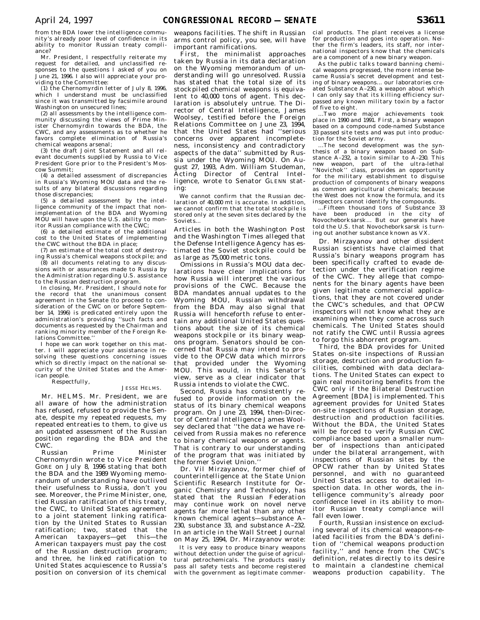from the BDA lower the intelligence community's already poor level of confidence in its ability to monitor Russian treaty compliance?

Mr. President, I respectfully reiterate my request for detailed, and unclassified responses to the questions I asked of you on June 21, 1996. I also will appreciate your providing to the Committee:

(1) the Chernomyrdin letter of July 8, 1996, which I understand must be unclassified since it was transmitted by facsimile around Washington on unsecured lines;

(2) all assessments by the intelligence community discussing the views of Prime Minister Chernomyrdin towards the BDA, the CWC, and any assessments as to whether he favors complete elimination of Russia's chemical weapons arsenal;

(3) the draft Joint Statement and all relevant documents supplied by Russia to Vice President Gore prior to the President's Moscow Summit;

(4) a detailed assessment of discrepancies in Russia's Wyoming MOU data and the results of any bilateral discussions regarding those discrepancies;

(5) a detailed assessment by the intelligence community of the impact that nonimplementation of the BDA and Wyoming  $M\dot{O}U$  will have upon the U.S. ability to monitor Russian compliance with the CWC;

(6) a detailed estimate of the additional cost to the United States of implementing the CWC without the BDA in place;

(7) an estimate of the total cost of destroying Russia's chemical weapons stockpile; and (8) all documents relating to any discus-

sions with or assurances made to Russia by the Administration regarding U.S. assistance to the Russian destruction program.

In closing, Mr. President, I should note for the record that the unanimous consent agreement in the Senate (to proceed to consideration of the CWC on or before September 14, 1996) is predicated entirely upon the administration's providing ''such facts and documents as requested by the Chairman and ranking minority member of the Foreign Relations Committee."

I hope we can work together on this matter. I will appreciate your assistance in resolving these questions concerning issues which so directly impact on the national security of the United States and the American people.

Respectfully,

# JESSE HELMS.

Mr. HELMS. Mr. President, we are all aware of how the administration has refused, refused to provide the Senate, despite my repeated requests, my repeated entreaties to them, to give us an updated assessment of the Russian position regarding the BDA and the CWC.

Russian Prime Minister Chernomyrdin wrote to Vice President GORE on July 8, 1996 stating that both the BDA and the 1989 Wyoming memorandum of understanding have outlived their usefulness to Russia, don't you see. Moreover, the Prime Minister, one, tied Russian ratification of this treaty, the CWC, to United States agreement to a joint statement linking ratification by the United States to Russian ratification; two, stated that the American taxpayers—get this—the American taxpayers must pay the cost of the Russian destruction program; and three, he linked ratification to United States acquiescence to Russia's position on conversion of its chemical

weapons facilities. The shift in Russian arms control policy, you see, will have important ramifications.

First, the minimalist approaches taken by Russia in its data declaration on the Wyoming memorandum of understanding will go unresolved. Russia has stated that the total size of its stockpiled chemical weapons is equivalent to 40,000 tons of agent. This declaration is absolutely untrue. The Director of Central Intelligence, James Woolsey, testified before the Foreign Relations Committee on June 23, 1994, that the United States had ''serious concerns over apparent incompleteness, inconsistency and contradictory aspects of the data'' submitted by Russia under the Wyoming MOU. On August 27, 1993, Adm. William Studeman, Acting Director of Central Intelligence, wrote to Senator GLENN stating:

We cannot confirm that the Russian declaration of 40,000 mt is accurate. In addition, we cannot confirm that the total stockpile is stored only at the seven sites declared by the Soviets...

Articles in both the Washington Post and the Washington Times alleged that the Defense Intelligence Agency has estimated the Soviet stockpile could be as large as 75,000 metric tons.

Omissions in Russia's MOU data declarations have clear implications for how Russia will interpret the various provisions of the CWC. Because the BDA mandates annual updates to the Wyoming MOU, Russian withdrawal from the BDA may also signal that Russia will henceforth refuse to entertain any additional United States questions about the size of its chemical weapons stockpile or its binary weapons program. Senators should be concerned that Russia may intend to provide to the OPCW data which mirrors that provided under the Wyoming MOU. This would, in this Senator's view, serve as a clear indicator that Russia intends to violate the CWC.

Second, Russia has consistently refused to provide information on the status of its binary chemical weapons program. On June 23, 1994, then-Director of Central Intelligence James Woolsey declared that ''the data we have received from Russia makes no reference to binary chemical weapons or agents. That is contrary to our understanding of the program that was initiated by the former Soviet Union.''

Dr. Vil Mirzayanov, former chief of counterintelligence at the State Union Scientific Research Institute for Organic Chemistry and Technology, has stated that the Russian Federation may continue work on novel nerve agents far more lethal than any other known chemical agents—substance A– 230, substance 33, and substance A–232. In an article in the Wall Street Journal on May 25, 1994, Dr. Mirzayanov wrote:

It is very easy to produce binary weapons without detection under the guise of agricultural petrochemicals. The products easily pass all safety tests and become registered with the government as legitimate commer-

cial products. The plant receives a license for production and goes into operation. Neither the firm's leaders, its staff, nor international inspectors know that the chemicals are a component of a new binary weapon.

As the public talks toward banning chemical weapons progressed, the more intense became Russia's secret development and testing of binary weapons... our laboratories created Substance A–230, a weapon about which I can only say that its killing efficiency surpassed any known military toxin by a factor of five to eight.

...Two more major achievements took place in 1990 and 1991. First, a binary weapon based on a compound code-named Substance 33 passed site tests and was put into production for the Soviet army.

...The second development was the synthesis of a binary weapon based on Substance A–232, a toxin similar to A–230. This new weapon, part of the ultra-lethal 'Novichok'' class, provides an opportunity for the military establishment to disguise production of components of binary weapons as common agricultural chemicals; because the West does not know the formula, and its inspectors cannot identify the compounds.

...Fifteen thousand tons of Substance 33 have been produced in the city of Novocheborksarsk... But our generals have told the U.S. that Novocheborksarsk is turning out another substance known as VX.

Dr. Mirzayanov and other dissident Russian scientists have claimed that Russia's binary weapons program has been specifically crafted to evade detection under the verification regime of the CWC. They allege that components for the binary agents have been given legitimate commercial applications, that they are not covered under the CWC's schedules, and that OPCW inspectors will not know what they are examining when they come across such chemicals. The United States should not ratify the CWC until Russia agrees to forgo this abhorrent program.

Third, the BDA provides for United States on-site inspections of Russian storage, destruction and production facilities, combined with data declarations. The United States can expect to gain real monitoring benefits from the CWC only if the Bilateral Destruction Agreement [BDA] is implemented. This agreement provides for United States on-site inspections of Russian storage, destruction and production facilities. Without the BDA, the United States will be forced to verify Russian CWC compliance based upon a smaller number of inspections than anticipated under the bilateral arrangement, with inspections of Russian sites by the OPCW rather than by United States personnel, and with no guaranteed United States access to detailed inspection data. In other words, the intelligence community's already poor confidence level in its ability to monitor Russian treaty compliance will fall even lower.

Fourth, Russian insistence on excluding several of its chemical weapons-related facilities from the BDA's definition of ''chemical weapons production facility,'' and hence from the CWC's definition, relates directly to its desire to maintain a clandestine chemical weapons production capability. The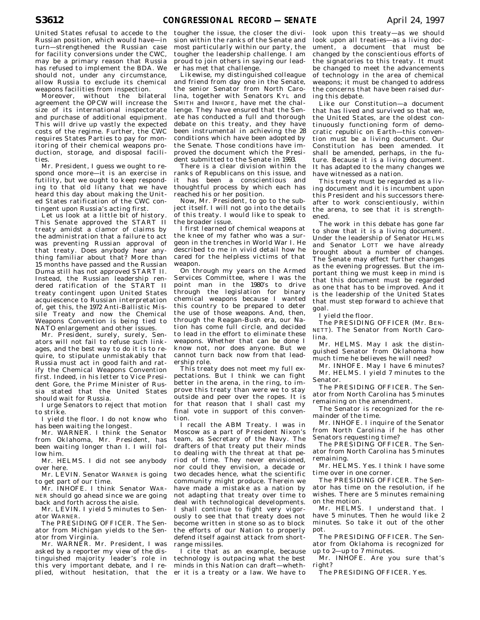United States refusal to accede to the Russian position, which would have—in turn—strengthened the Russian case for facility conversions under the CWC, may be a primary reason that Russia has refused to implement the BDA. We should not, under any circumstance, allow Russia to exclude its chemical weapons facilities from inspection.

Moreover, without the bilateral agreement the OPCW will increase the size of its international inspectorate and purchase of additional equipment. This will drive up vastly the expected costs of the regime. Further, the CWC requires States Parties to pay for monitoring of their chemical weapons production, storage, and disposal facilities.

Mr. President, I guess we ought to respond once more—it is an exercise in futility, but we ought to keep responding to that old litany that we have heard this day about making the United States ratification of the CWC contingent upon Russia's acting first.

Let us look at a little bit of history. This Senate approved the START II treaty amidst a clamor of claims by the administration that a failure to act was preventing Russian approval of that treaty. Does anybody hear anything familiar about that? More than 15 months have passed and the Russian Duma still has not approved START II. Instead, the Russian leadership rendered ratification of the START II treaty contingent upon United States acquiescence to Russian interpretation of, get this, the 1972 Anti-Ballistic Missile Treaty and now the Chemical Weapons Convention is being tied to NATO enlargement and other issues.

Mr. President, surely, surely, Senators will not fail to refuse such linkages, and the best way to do it is to require, to stipulate unmistakably that Russia must act in good faith and ratify the Chemical Weapons Convention first. Indeed, in his letter to Vice President Gore, the Prime Minister of Russia stated that the United States should wait for Russia.

I urge Senators to reject that motion to strike.

I yield the floor. I do not know who has been waiting the longest.

Mr. WARNER. I think the Senator from Oklahoma, Mr. President, has been waiting longer than I. I will follow him.

Mr. HELMS. I did not see anybody over here.

Mr. LEVIN. Senator WARNER is going to get part of our time.

Mr. INHOFE. I think Senator WAR-NER should go ahead since we are going back and forth across the aisle.

Mr. LEVIN. I yield 5 minutes to Senator WARNER.

The PRESIDING OFFICER. The Senator from Michigan yields to the Senator from Virginia.

Mr. WARNER. Mr. President, I was asked by a reporter my view of the distinguished majority leader's role in this very important debate, and I replied, without hesitation, that the

tougher the issue, the closer the division within the ranks of the Senate and most particularly within our party, the tougher the leadership challenge. I am proud to join others in saying our leader has met that challenge.

Likewise, my distinguished colleague and friend from day one in the Senate, the senior Senator from North Carolina, together with Senators KYL and SMITH and INHOFE, have met the challenge. They have ensured that the Senate has conducted a full and thorough debate on this treaty, and they have been instrumental in achieving the 28 conditions which have been adopted by the Senate. Those conditions have improved the document which the President submitted to the Senate in 1993.

There is a clear division within the ranks of Republicans on this issue, and it has been a conscientious and thoughtful process by which each has reached his or her position.

Now, Mr. President, to go to the subject itself. I will not go into the details of this treaty. I would like to speak to the broader issue.

I first learned of chemical weapons at the knee of my father who was a surgeon in the trenches in World War I. He described to me in vivid detail how he cared for the helpless victims of that weapon.

On through my years on the Armed Services Committee, where I was the point man in the 1980's to drive through the legislation for binary chemical weapons because I wanted this country to be prepared to deter the use of those weapons. And, then, through the Reagan-Bush era, our Nation has come full circle, and decided to lead in the effort to eliminate these weapons. Whether that can be done I know not, nor does anyone. But we cannot turn back now from that leadership role.

This treaty does not meet my full expectations. But I think we can fight better in the arena, in the ring, to improve this treaty than were we to stay outside and peer over the ropes. It is for that reason that I shall cast my final vote in support of this convention.

I recall the ABM Treaty. I was in Moscow as a part of President Nixon's team, as Secretary of the Navy. The drafters of that treaty put their minds to dealing with the threat at that period of time. They never envisioned, nor could they envision, a decade or two decades hence, what the scientific community might produce. Therein we have made a mistake as a nation by not adapting that treaty over time to deal with technological developments. I shall continue to fight very vigorously to see that that treaty does not become written in stone so as to block the efforts of our Nation to properly defend itself against attack from shortrange missiles.

I cite that as an example, because technology is outpacing what the best minds in this Nation can draft—whether it is a treaty or a law. We have to

look upon this treaty—as we should look upon all treaties—as a living document, a document that must be changed by the conscientious efforts of the signatories to this treaty. It must be changed to meet the advancements of technology in the area of chemical weapons; it must be changed to address the concerns that have been raised during this debate.

Like our Constitution—a document that has lived and survived so that we, the United States, are the oldest continuously functioning form of democratic republic on Earth—this convention must be a living document. Our Constitution has been amended. It shall be amended, perhaps, in the future. Because it is a living document. It has adapted to the many changes we have witnessed as a nation.

This treaty must be regarded as a living document and it is incumbent upon this President and his successors thereafter to work conscientiously, within the arena, to see that it is strengthened.

The work in this debate has gone far to show that it is a living document. Under the leadership of Senator HELMS and Senator LOTT we have already brought about a number of changes. The Senate may effect further changes as the evening progresses. But the important thing we must keep in mind is that this document must be regarded as one that has to be improved. And it is the leadership of the United States that must step forward to achieve that goal.

I yield the floor.

The PRESIDING OFFICER (Mr. BEN-NETT). The Senator from North Carolina.

Mr. HELMS. May I ask the distinguished Senator from Oklahoma how much time he believes he will need?

Mr. INHOFE. May I have 6 minutes? Mr. HELMS. I yield 7 minutes to the Senator.

The PRESIDING OFFICER. The Senator from North Carolina has 5 minutes remaining on the amendment.

The Senator is recognized for the remainder of the time.

Mr. INHOFE. I inquire of the Senator from North Carolina if he has other Senators requesting time?

The PRESIDING OFFICER. The Senator from North Carolina has 5 minutes remaining.

Mr. HELMS. Yes. I think I have some time over in one corner.

The PRESIDING OFFICER. The Senator has time on the resolution, if he wishes. There are 5 minutes remaining on the motion.

Mr. HELMS. I understand that. I have 5 minutes. Then he would like 2 minutes. So take it out of the other pot.

The PRESIDING OFFICER. The Senator from Oklahoma is recognized for up to 2—up to 7 minutes.

Mr. INHOFE. Are you sure that's right?

The PRESIDING OFFICER. Yes.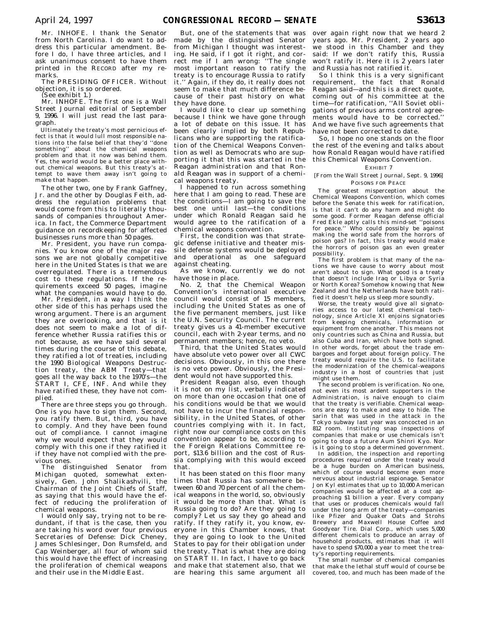Mr. INHOFE. I thank the Senator from North Carolina. I do want to address this particular amendment. Before I do, I have three articles, and I ask unanimous consent to have them printed in the RECORD after my remarks.

The PRESIDING OFFICER. Without objection, it is so ordered.

(See exhibit 1.)

Mr. INHOFE. The first one is a Wall Street Journal editorial of September 9, 1996. I will just read the last paragraph.

Ultimately the treaty's most pernicious effect is that it would lull most responsible nations into the false belief that they'd ''done something" about the chemical weapons problem and that it now was behind them. .<br>Yes, the world would be a better place without chemical weapons. But this treaty's attempt to wave them away isn't going to make that happen.

The other two, one by Frank Gaffney, Jr. and the other by Douglas Feith, address the regulation problems that would come from this to literally thousands of companies throughout America. In fact, the Commerce Department guidance on recordkeeping for affected businesses runs more than 50 pages.

Mr. President, you have run companies. You know one of the major reasons we are not globally competitive here in the United States is that we are overregulated. There is a tremendous cost to these regulations. If the requirements exceed 50 pages, imagine what the companies would have to do.

Mr. President, in a way I think the other side of this has perhaps used the wrong argument. There is an argument they are overlooking, and that is it does not seem to make a lot of difference whether Russia ratifies this or not because, as we have said several times during the course of this debate, they ratified a lot of treaties, including the 1990 Biological Weapons Destruction treaty, the ABM Treaty—that goes all the way back to the 1970's—the START I, CFE, INF. And while they have ratified these, they have not complied.

There are three steps you go through. One is you have to sign them. Second, you ratify them. But, third, you have to comply. And they have been found out of compliance. I cannot imagine why we would expect that they would comply with this one if they ratified it if they have not complied with the previous ones.

The distinguished Senator from Michigan quoted, somewhat extensively, Gen. John Shalikashvili, the Chairman of the Joint Chiefs of Staff, as saying that this would have the effect of reducing the proliferation of chemical weapons.

I would only say, trying not to be redundant, if that is the case, then you are taking his word over four previous Secretaries of Defense: Dick Cheney, James Schlesinger, Don Rumsfeld, and Cap Weinberger, all four of whom said this would have the effect of increasing the proliferation of chemical weapons and their use in the Middle East.

But, one of the statements that was made by the distinguished Senator from Michigan I thought was interesting. He said, if I got it right, and correct me if I am wrong: "The single most important reason to ratify the treaty is to encourage Russia to ratify it.'' Again, if they do, it really does not seem to make that much difference because of their past history on what they have done.

I would like to clear up something because I think we have gone through a lot of debate on this issue. It has been clearly implied by both Republicans who are supporting the ratification of the Chemical Weapons Convention as well as Democrats who are supporting it that this was started in the Reagan administration and that Ronald Reagan was in support of a chemical weapons treaty.

I happened to run across something here that I am going to read. These are the conditions—I am going to save the best one until last—the conditions under which Ronald Reagan said he would agree to the ratification of a chemical weapons convention.

First, the condition was that strategic defense initiative and theater missile defense systems would be deployed and operational as one safeguard against cheating.

As we know, currently we do not have those in place.

No. 2, that the Chemical Weapon Convention's international executive council would consist of 15 members, including the United States as one of the five permanent members, just like the U.N. Security Council. The current treaty gives us a 41-member executive council, each with 2-year terms, and no permanent members; hence, no veto.

Third, that the United States would have absolute veto power over all CWC decisions. Obviously, in this one there is no veto power. Obviously, the President would not have supported this.

President Reagan also, even though it is not on my list, verbally indicated on more than one occasion that one of his conditions would be that we would not have to incur the financial responsibility, in the United States, of other countries complying with it. In fact, right now our compliance costs on this convention appear to be, according to the Foreign Relations Committee report, \$13.6 billion and the cost of Russia complying with this would exceed that.

It has been stated on this floor many times that Russia has somewhere between 60 and 70 percent of all the chemical weapons in the world, so, obviously it would be more than that. What is Russia going to do? Are they going to comply? Let us say they go ahead and ratify. If they ratify it, you know, everyone in this Chamber knows, that they are going to look to the United States to pay for their obligation under the treaty. That is what they are doing on START II. In fact, I have to go back and make that statement also, that we are hearing this same argument all

over again right now that we heard 2 years ago. Mr. President, 2 years ago we stood in this Chamber and they said: If we don't ratify this, Russia won't ratify it. Here it is 2 years later and Russia has not ratified it.

So I think this is a very significant requirement, the fact that Ronald Reagan said—and this is a direct quote, coming out of his committee at the time—for ratification, ''All Soviet obligations of previous arms control agreements would have to be corrected.'' And we have five such agreements that have not been corrected to date.

So, I hope no one stands on the floor the rest of the evening and talks about how Ronald Reagan would have ratified this Chemical Weapons Convention.

EXHIBIT 7

[From the Wall Street Journal, Sept. 9, 1996] POISONS FOR PEACE

The greatest misperception about the Chemical Weapons Convention, which comes before the Senate this week for ratification, is that it can't do any harm and might do some good. Former Reagan defense official Fred Ekle aptly calls this mind-set ''poisons for peace.'' Who could possibly be against making the world safe from the horrors of poison gas? In fact, this treaty would make the horrors of poison gas an even greater possibility.

The first problem is that many of the nations we have cause to worry about most aren't about to sign. What good is a treaty that doesn't include Iraq or Libya or Syria or North Korea? Somehow knowing that New Zealand and the Netherlands have both ratified it doesn't help us sleep more soundly.

Worse, the treaty would give all signatories access to our latest chemical technology, since Article XI enjoins signatories from keeping chemicals, information or equipment from one another. This means not only countries such as China and Russia, but also Cuba and Iran, which have both signed. In other words, forget about the trade embargoes and forget about foreign policy. The treaty would require the U.S. to facilitate the modernization of the chemical-weapons industry in a host of countries that just might use them.

The second problem is verification. No one, not even its most ardent supporters in the Administration, is naive enough to claim that the treaty is verifiable. Chemical weapons are easy to make and easy to hide. The sarin that was used in the attack in the Tokyo subway last year was concocted in an 812 room. Instituting snap inspections of companies that make or use chemicals isn't going to stop a future Aum Shinri Kyo. Nor is it going to stop a determined government.

In addition, the inspection and reporting procedures required under the treaty would be a huge burden on American business, which of course would become even more nervous about industrial espionage. Senator Jon Kyl estimates that up to 10,000 American companies would be affected at a cost approaching \$1 billion a year. Every company that uses or produces chemicals would fall under the long arm of the treaty—companies like Pfizer and Quaker Oats and Strohs Brewery and Maxwell House Coffee and Goodyear Tire. Dial Corp., which uses 5,000 different chemicals to produce an array of household products, estimates that it will have to spend \$70,000 a year to meet the treaty's reporting requirements.

The small number of chemical companies that make the lethal stuff would of course be covered, too, and much has been made of the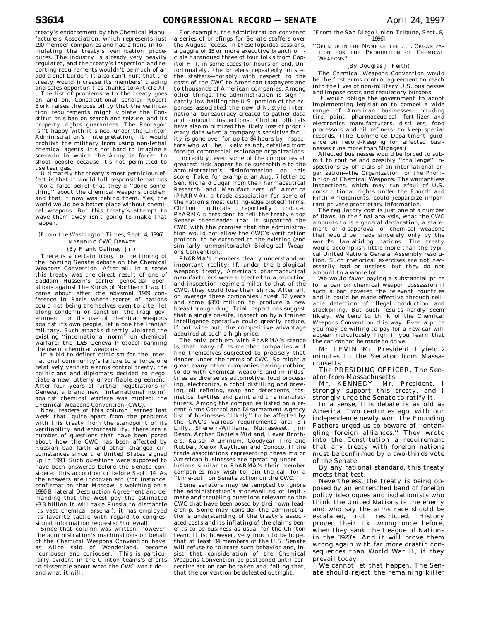treaty's endorsement by the Chemical Manufacturers Association, which represents just 190 member companies and had a hand in formulating the treaty's verification procedures. The industry is already very heavily regulated, and the treaty's inspection and reporting requirements wouldn't be much of an additional burden. It also can't hurt that the treaty would increase its members' trading and sales opportunities thanks to Article XI.

The list of problems with the treaty goes on and on. Constitutional scholar Robert Bork raises the possibility that the verification requirements might violate the Constitution's ban on search and seizure, and its property rights guarantees. The Pentagon isn't happy with it since, under the Clinton Administration's interpretation, it would prohibit the military from using non-lethal chemical agents. It's not hard to imagine a scenario in which the Army is forced to shoot people because it's not permitted to use tear gas.

Ultimately the treaty's most pernicious effect is that it would lull responsible nations into a false belief that they'd ''done something'' about the chemical weapons problem and that it now was behind them. Yes, the world would be a better place without chemical weapons. But this treaty's attempt to wave them away isn't going to make that happen.

# [From the Washington Times, Sept. 4, 1996] IMPENDING CWC DEBATE

(By Frank Gaffney, Jr.)

There is a certain irony to the timing of the looming Senate debate on the Chemical Weapons Convention. After all, in a sense this treaty was the direct result of one of Saddam Hussein's earlier genocidal operations against the Kurds of Northern Iraq. It came about after the abysmal 1989 conference in Paris where scores of nations could not being themselves even to cite—let along condemn or sanction—the Iraqi government for its use of chemical weapons against its own people, let alone the Iranian military. Such attacks directly violated the existing ''international norm'' on chemical warfare: the 1925 Geneva Protocol banning the use of chemical weapons.

In a bid to deflect criticism for the international community's failure to enforce one relatively verifiable arms control treaty, the politicians and diplomats decided to negotiate a new, utterly unverifiable agreement. After four years of further negotiations in Geneva, a brand new ''international norm'' against chemical warfare was minted: the Chemical Weapons Convention (CWC).

Now, readers of this column learned last week that, quite apart from the problems with this treaty from the standpoint of its verifiability and enforceability, there are a number of questions that have been posed about how the CWC has been affected by Russian bad faith and other changed circumstances since the United States signed up in 1993. Such questions were supposed to have been answered before the Senate considered this accord on or before Sept. 14. As the answers are inconvenient (for instance, confirmation that Moscow is welching on a 1990 Bilateral Destruction Agreement and demanding that the West pay the estimated \$3.3 billion it will take Russia to dismantle its vast chemical arsenal), it has employed its favorite tactic with regard to congressional information requests: Stonewall.

Since that column was written, however, the administration's machinations on behalf of the Chemical Weapons Convention have, as Alice said of Wonderland, become 'curiouser and curiouser." This is particularly evident in the Clinton teams's efforts to dissemble about what the CWC won't do and what it will.

For example, the administration convened a series of briefings for Senate staffers over the August recess. In these lopsided sessions, a gaggle of 15 or more executive branch officials harangued three of four folks from Capitol Hill, in some cases for hours on end. Unfortunately, the briefers repeatedly misled the staffers—notably with respect to the costs of the CWC to American taxpayers and to thousands of American companies. Among other things, the administration is significantly low-balling the U.S. portion of the expenses associated the new U.N.-style international bureaucracy created to gather data and conduct inspections. Clinton officials have also minimized the likely loss of proprietary data when a company's sensitive facility is gone over for up to 84 hours by inspectors who will be, likely as not, detailed from foreign commercial espionage organizations.

Incredibly, even some of the companies at greatest risk appear to be susceptible to the administration's disinformation on this score. Take, for example, an Aug. 7 letter to Sen. Richard Lugar from the Pharmaceutical Research and Manufacturers of America (PhARMA), a trade association for some of the nation's most cutting-edge biotech firms. Clinton officials reportedly induced PhARMA's president to tell the treaty's top Senate cheerleader that it supported the CWC with the promise that the administration would not allow the CWC's verification protocol to be extended to the existing (and similarly unmonitorable) Biological Weapons Convention.

PhARMA's members clearly understand an important reality: If, under the biological weapons treaty, America's pharmaceutical manufacturers were subjected to a reporting and inspection regime similar to that of the CWC, they could lose their shirts. After all, on average these companies invest 12 years and some \$350 million to produce a new breakthrough drug. Trial inspections suggest that a single on-site, inspection by a trained intelligence operative could greatly reduce, if not wipe out, the competitive advantage acquired at such a high price.

The only problem with PhARMA's stance is, that many of its member companies will find themselves subjected to precisely that danger under the terms of CWC. So might a great many other companies having nothing to do with chemical weapons and in industries as diverse as automotive, food processing, electronics, alcohol distilling and brewing, oil refining, soap and detergents, cosmetics, textiles and paint and tire manufacturers. Among the companies listed on a recent Arms Control and Disarmament Agency list of businesses ''likely'' to be affected by the CWC's various requirements are: Eli Lilly, Sherwin-Williams, Nutrasweet, Jim Beam, Archer Daniels Midland, Lever Brothers, Kaiser Aluminum, Goodyear Tire and Rubber, Xerox Raythoen and Conoco. If the trade associations representing these major American businesses are operating under illusions similar to PhARMA's their member companies may wish to join the call for a 'time-out'' on Senate action on the CWC.

Some senators may be tempted to ignore the administration's stonewalling of legitimate and troubling questions relevant to the CWC that have been posed by their own leadership. Some may consider the administration's understanding of the treaty's associated costs and its inflating of the claims benefits to be business as usual for the Clinton team. It is, however, very much to be hoped that at least 34 members of the U.S. Senate will refuse to tolerate such behavior and, insist that consideration of the Chemical Weapons Convention be postponed until corrective action can be taken and, failing that, that the convention be defeated outright.

[From the San Diego Union-Tribune, Sept. 8, 1996]

'OPEN UP IN THE NAME OF THE . . . ORGANIZA-TION FOR THE PROHIBITION OF CHEMICAL WEAPONS?''

#### (By Douglas J. Feith)

The Chemical Weapons Convention would be the first arms control agreement to reach into the lives of non-military U.S. businesses and impose costs and regulatory burdens.

It would oblige the government to adopt implementing legislation to compel a wide range of American businesses—including tire, paint, pharmaceutical, fertilizer and electronics manufacturers, distillers, food processors and oil refiners—to keep special records. (The Commerce Department guidance on record-keeping for affected businesses runs more than 50 pages.)

Affected businesses would be forced to submit to routine and possibly ''challenge'' inspections by officials of an international organization—the Organization for the Prohibition of Chemical Weapons. The warrantless inspections, which may run afoul of U.S. constitutional rights under the Fourth and Fifth Amendments, could jeopardize important private proprietary information.

The regulatory cost is just one of a number of flaws. In the final analysis, what the CWC amounts to is a general declaration, a statement of disapproval of chemical weapons that would be made sincerely only by the world's law-abiding nations. The treaty would accomplish little more than the typical United Nations General Assembly resolution. Such rhetorical exercises are not necessarily bad or useless, but they do not amount to a whole lot.

We would favor paying a substantial price for a ban on chemical weapon possession if such a ban covered the relevant countries and it could be made effective through reliable detection of illegal production and stockpiling. But such results hardly seem likely. We tend to think of the Chemical Weapons Convention this way: Even a price you may be willing to pay for a new car will appear ridiculously high if you learn that the car cannot be made to drive.

Mr. LEVIN. Mr. President, I yield 2 minutes to the Senator from Massachusetts.

The PRESIDING OFFICER. The Senator from Massachusetts.

Mr. KENNEDY. Mr. President, I strongly support this treaty, and I strongly urge the Senate to ratify it.

In a sense, this debate is as old as America. Two centuries ago, with our independence newly won, the Founding Fathers urged us to beware of ''entangling foreign alliances.'' They wrote into the Constitution a requirement that any treaty with foreign nations must be confirmed by a two-thirds vote of the Senate.

By any rational standard, this treaty meets that test.

Nevertheless, the treaty is being opposed by an entrenched band of foreign policy ideologues and isolationists who think the United Nations is the enemy and who say the arms race should be escalated, not restricted. History proved their ilk wrong once before, when they sank the League of Nations in the 1920's. And it will prove them wrong again with far more drastic consequences than World War II, if they prevail today.

We cannot let that happen. The Senate should reject the remaining killer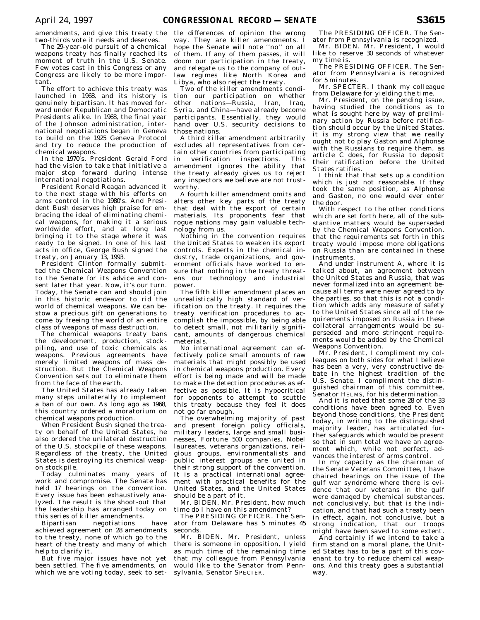amendments, and give this treaty the two-thirds vote it needs and deserves.

The 29-year-old pursuit of a chemical weapons treaty has finally reached its moment of truth in the U.S. Senate. Few votes cast in this Congress or any Congress are likely to be more important.

The effort to achieve this treaty was launched in 1968, and its history is genuinely bipartisan. It has moved forward under Republican and Democratic Presidents alike. In 1968, the final year of the Johnson administration, international negotiations began in Geneva to build on the 1925 Geneva Protocol and try to reduce the production of chemical weapons.

In the 1970's, President Gerald Ford had the vision to take that initiative a major step forward during intense international negotiations.

President Ronald Reagan advanced it to the next stage with his efforts on arms control in the 1980's. And President Bush deserves high praise for embracing the ideal of eliminating chemical weapons, for making it a serious worldwide effort, and at long last bringing it to the stage where it was ready to be signed. In one of his last acts in office, George Bush signed the treaty, on January 13, 1993.

President Clinton formally submitted the Chemical Weapons Convention to the Senate for its advice and consent later that year. Now, it's our turn. Today, the Senate can and should join in this historic endeavor to rid the world of chemical weapons. We can bestow a precious gift on generations to come by freeing the world of an entire class of weapons of mass destruction.

The chemical weapons treaty bans the development, production, stockpiling, and use of toxic chemicals as weapons. Previous agreements have merely limited weapons of mass destruction. But the Chemical Weapons Convention sets out to eliminate them from the face of the earth.

The United States has already taken many steps unilaterally to implement a ban of our own. As long ago as 1968, this country ordered a moratorium on chemical weapons production.

When President Bush signed the treaty on behalf of the United States, he also ordered the unilateral destruction of the U.S. stockpile of these weapons. Regardless of the treaty, the United States is destroying its chemical weapon stockpile.

Today culminates many years of work and compromise. The Senate has held 17 hearings on the convention. Every issue has been exhaustively analyzed. The result is the shoot-out that the leadership has arranged today on this series of killer amendments.<br>Bipartisan negotiations

negotiations have achieved agreement on 28 amendments to the treaty, none of which go to the heart of the treaty and many of which help to clarify it.

But five major issues have not yet been settled. The five amendments, on which we are voting today, seek to settle differences of opinion the wrong way. They are killer amendments. I hope the Senate will note ''no'' on all of them. If any of them passes, it will doom our participation in the treaty, and relegate us to the company of outlaw regimes like North Korea and Libya, who also reject the treaty.

Two of the killer amendments condition our participation on whether<br>other nations—Russia, Iran, Iraq, other nations—Russia, Syria, and China—have already become participants. Essentially, they would hand over U.S. security decisions to those nations.

A third killer amendment arbitrarily excludes all representatives from certain other countries from participating in verification inspections. This amendment ignores the ability that the treaty already gives us to reject any inspectors we believe are not trustworthy.

A fourth killer amendment omits and alters other key parts of the treaty that deal with the export of certain materials. Its proponents fear that rogue nations may gain valuable technology from us.

Nothing in the convention requires the United States to weaken its export controls. Experts in the chemical industry, trade organizations, and government officials have worked to ensure that nothing in the treaty threatens our technology and industrial power.

The fifth killer amendment places an unrealistically high standard of verification on the treaty. It requires the treaty verification procedures to accomplish the impossible, by being able to detect small, not militarily significant, amounts of dangerous chemical meterials.

No international agreement can effectively police small amounts of raw materials that might possibly be used in chemical weapons production. Every effort is being made and will be made to make the detection procedures as effective as possible. It is hypocritical for opponents to attempt to scuttle this treaty because they feel it does not go far enough.

The overwhelming majority of past and present foreign policy officials, military leaders, large and small businesses, Fortune 500 companies, Nobel laureates, veterans organizations, religious groups, environmentalists and public interest groups are united in their strong support of the convention. It is a practical international agreement with practical benefits for the United States, and the United States should be a part of it.

Mr. BIDEN. Mr. President, how much time do I have on this amendment?

The PRESIDING OFFICER. The Senator from Delaware has 5 minutes 45 seconds.

Mr. BIDEN. Mr. President, unless there is someone in opposition, I yield as much time of the remaining time that my colleague from Pennsylvania would like to the Senator from Pennsylvania, Senator SPECTER.

The PRESIDING OFFICER. The Senator from Pennsylvania is recognized.

Mr. BIDEN. Mr. President, I would like to reserve 30 seconds of whatever my time is.

The PRESIDING OFFICER. The Senator from Pennsylvania is recognized for 5 minutes

Mr. SPECTER. I thank my colleague from Delaware for yielding the time.

Mr. President, on the pending issue, having studied the conditions as to what is sought here by way of preliminary action by Russia before ratification should occur by the United States, it is my strong view that we really ought not to play Gaston and Alphonse with the Russians to require them, as article C does, for Russia to deposit their ratification before the United States ratifies.

I think that that sets up a condition which is just not reasonable. If they took the same position, as Alphonse and Gaston, no one would ever enter the door.

With respect to the other conditions which are set forth here, all of the substantive matters would be superseded by the Chemical Weapons Convention, that the requirements set forth in this treaty would impose more obligations on Russia than are contained in these instruments.

And under instrument A, where it is talked about, an agreement between the United States and Russia, that was never formalized into an agreement because all terms were never agreed to by the parties, so that this is not a condition which adds any measure of safety to the United States since all of the requirements imposed on Russia in these collateral arrangements would be superseded and more stringent requirements would be added by the Chemical Weapons Convention.

Mr. President, I compliment my colleagues on both sides for what I believe has been a very, very constructive debate in the highest tradition of the U.S. Senate. I compliment the distinguished chairman of this committee, Senator HELMS, for his determination.

And it is noted that some 28 of the 33 conditions have been agreed to. Even beyond those conditions, the President today, in writing to the distinguished majority leader, has articulated further safeguards which would be present so that in sum total we have an agreement which, while not perfect, advances the interest of arms control.

In my capacity as the chairman of the Senate Veterans Committee, I have chaired hearings on the issue of the gulf war syndrome where there is evidence that our veterans in the gulf were damaged by chemical substances, not conclusively, but that is the indication, and that had such a treaty been in effect, again, not conclusive, but a strong indication, that our troops might have been saved to some extent.

And certainly if we intend to take a firm stand on a moral plane, the United States has to be a part of this covenant to try to reduce chemical weapons. And this treaty goes a substantial way.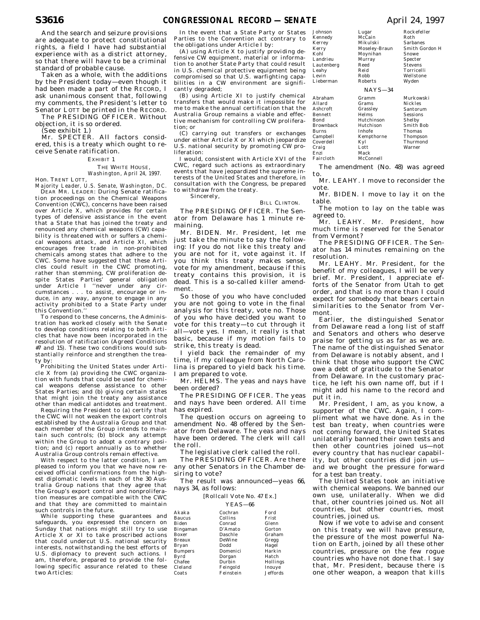Taken as a whole, with the additions by the President today—even though it had been made a part of the RECORD, I ask unanimous consent that, following my comments, the President's letter to Senator LOTT be printed in the RECORD.

The PRESIDING OFFICER. Without objection, it is so ordered.

(See exhibit 1.)

Mr. SPECTER. All factors considered, this is a treaty which ought to receive Senate ratification.

#### EXHIBIT 1

# THE WHITE HOUSE, *Washington, April 24, 1997.*

Hon. TRENT LOTT,

*Majority Leader, U.S. Senate, Washington, DC.* DEAR MR. LEADER: During Senate ratification proceedings on the Chemical Weapons Convention (CWC), concerns have been raised over Article X, which provides for certain types of defensive assistance in the event that a State that has joined the treaty and renounced any chemical weapons (CW) capability is threatened with or suffers a chemical weapons attack, and Article XI, which encourages free trade in non-prohibited chemicals among states that adhere to the CWC. Some have suggested that these Articles could result in the CWC promoting, rather than stemming, CW proliferation despite States Parties' general obligation under Article I ''never under any circumstances . . . to assist, encourage or induce, in any way, anyone to engage in any activity prohibited to a State Party under this Convention.''

To respond to these concerns, the Administration has worked closely with the Senate to develop conditions relating to both Articles that have now been incorporated in the resolution of ratification (Agreed Conditions #7 and 15). These two conditions would substantially reinforce and strengthen the treaty by:

Prohibiting the United States under Article X from (a) providing the CWC organization with funds that could be used for chemical weapons defense assistance to other States Parties; and (b) giving certain states that might join the treaty any assistance other than medical antidotes and treatment.

Requiring the President to (a) certify that the CWC will not weaken the export controls established by the Australia Group and that each member of the Group intends to maintain such controls; (b) block any attempt within the Group to adopt a contrary position; and (c) report annually as to whether Australia Group controls remain effective.

With respect to the latter condition, I am pleased to inform you that we have now received official confirmations from the highest diplomatic levels in each of the 30 Australia Group nations that they agree that the Group's export control and nonproliferation measures are compatible with the CWC and that they are committed to maintain such controls in the future.

While supporting these guarantees and safeguards, you expressed the concern on Sunday that nations might still try to use Article X or XI to take proscribed actions that could undercut U.S. national security interests, notwithstanding the best efforts of U.S. diplomacy to prevent such actions. I am, therefore, prepared to provide the following specific assurance related to these two Articles:

In the event that a State Party or States Parties to the Convention act contrary to the obligations under Article I by:

(A) using Article X to justify providing defensive CW equipment, material or information to another State Party that could result in U.S. chemical protective equipment being compromised so that U.S. warfighting capabilities in a CW environment are significantly degraded;

(B) using Article XI to justify chemical transfers that would make it impossible for me to make the annual certification that the Australia Group remains a viable and effective mechanism for controlling CW proliferation; or

(C) carrying out transfers or exchanges under either Article X or XI which jeopardize U.S. national security by promoting CW proliferation:

I would, consistent with Article XVI of the CWC, regard such actions as extraordinary events that have jeopardized the supreme interests of the United States and therefore, in consultation with the Congress, be prepared to withdraw from the treaty.

# Sincerely,

# The PRESIDING OFFICER. The Senator from Delaware has 1 minute remaining.

BILL CLINTON.

Mr. BIDEN. Mr. President, let me just take the minute to say the following: If you do not like this treaty and you are not for it, vote against it. If you think this treaty makes sense, vote for my amendment, because if this treaty contains this provision, it is dead. This is a so-called killer amendment.

So those of you who have concluded you are not going to vote in the final analysis for this treaty, vote no. Those of you who have decided you want to vote for this treaty—to cut through it all—vote yes. I mean, it really is that basic, because if my motion fails to strike, this treaty is dead.

I yield back the remainder of my time, if my colleague from North Carolina is prepared to yield back his time. I am prepared to vote.

Mr. HELMS. The yeas and nays have been ordered?

The PRESIDING OFFICER. The yeas and nays have been ordered. All time has expired.

The question occurs on agreeing to amendment No. 48 offered by the Senator from Delaware. The yeas and nays have been ordered. The clerk will call the roll.

The legislative clerk called the roll.

The PRESIDING OFFICER. Are there any other Senators in the Chamber desiring to vote?

The result was announced—yeas 66, nays 34, as follows:

# [Rollcall Vote No. 47 Ex.]

|                | $YEAS - 66$ |          |
|----------------|-------------|----------|
| Akaka          | Cochran     | Ford     |
| Baucus         | Collins     | Frist    |
| Biden          | Conrad      | Glenn    |
| Bingaman       | D'Amato     | Gorton   |
| Boxer          | Daschle     | Graham   |
| Breaux         | DeWine      | Gregg    |
| Bryan          | Dodd        | Hagel    |
| <b>Bumpers</b> | Domenici    | Harkin   |
| Byrd           | Dorgan      | Hatch    |
| Chafee         | Durbin      | Hollings |
| Cleland        | Feingold    | Inouye   |
| Coats          | Feinstein   | Jeffords |

| Johnson        | Lugar         | Rockefeller    |
|----------------|---------------|----------------|
| Kennedy        | McCain        | Roth           |
| Kerrey         | Mikulski      | Sarbanes       |
| Kerry          | Moseley-Braun | Smith Gordon H |
| Kohl           | Moynihan      | Snowe          |
| Landrieu       | Murray        | Specter        |
| Lautenberg     | Reed          | Stevens        |
| Leahy          | Reid          | Torricelli     |
| Levin          | Robb          | Wellstone      |
| Lieberman      | Roberts       | Wyden          |
|                | $NAYS-34$     |                |
| Abraham        | Gramm         | Murkowski      |
| Allard         | Grams         | Nickles        |
| Ashcroft       | Grassley      | Santorum       |
| <b>Bennett</b> | Helms         | Sessions       |
| Bond           | Hutchinson    | Shelby         |
| Brownback      | Hutchison     | Smith Bob      |
| Burns          | Inhofe        | Thomas         |
| Campbell       | Kempthorne    | Thompson       |
| Coverdell      | Kyl           | Thurmond       |
| Craig          | Lott          | Warner         |
| Enzi           | Mack          |                |
| Faircloth      | McConnell     |                |

 $\frac{L}{L}$ 

The amendment (No. 48) was agreed to.

Mr. LEAHY. I move to reconsider the vote.

Mr. BIDEN. I move to lay it on the table.

The motion to lay on the table was agreed to.

Mr. LEAHY. Mr. President, how much time is reserved for the Senator from Vermont?

The PRESIDING OFFICER. The Senator has 14 minutes remaining on the resolution.

Mr. LEAHY. Mr. President, for the benefit of my colleagues, I will be very brief. Mr. President, I appreciate efforts of the Senator from Utah to get order, and that is no more than I could expect for somebody that bears certain similarities to the Senator from Vermont.

Earlier, the distinguished Senator from Delaware read a long list of staff and Senators and others who deserve praise for getting us as far as we are. The name of the distinguished Senator from Delaware is notably absent, and I think that those who support the CWC owe a debt of gratitude to the Senator from Delaware. In the customary practice, he left his own name off, but if I might add his name to the record and put it in.

Mr. President, I am, as you know, a supporter of the CWC. Again, I compliment what we have done. As in the test ban treaty, when countries were not coming forward, the United States unilaterally banned their own tests and then other countries joined us—not every country that has nuclear capability, but other countries did join us and we brought the pressure forward for a test ban treaty.

The United States took an initiative with chemical weapons. We banned our own use, unilaterally. When we did that, other countries joined us. Not all countries, but other countries, most countries, joined us.

Now if we vote to advise and consent on this treaty we will have pressure, the pressure of the most powerful Nation on Earth, joined by all these other countries, pressure on the few rogue countries who have not done that. I say that, Mr. President, because there is one other weapon, a weapon that kills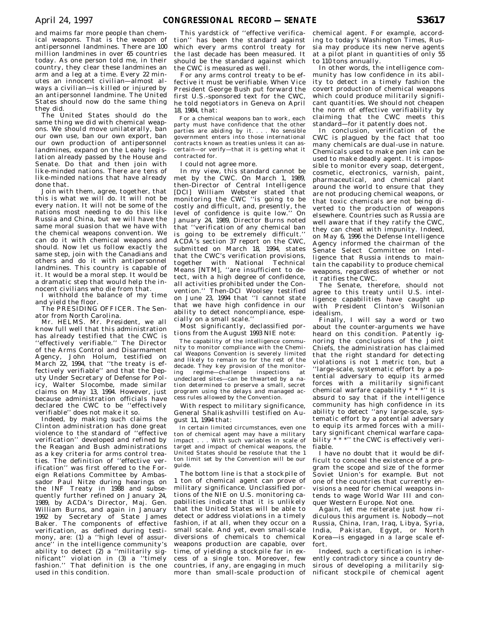and maims far more people than chemical weapons. That is the weapon of antipersonnel landmines. There are 100 million landmines in over 65 countries today. As one person told me, in their country, they clear these landmines an arm and a leg at a time. Every 22 minutes an innocent civilian—almost always a civilian—is killed or injured by an antipersonnel landmine. The United States should now do the same thing they did.

The United States should do the same thing we did with chemical weapons. We should move unilaterally, ban our own use, ban our own export, ban our own production of antipersonnel landmines, expand on the Leahy legislation already passed by the House and Senate. Do that and then join with like-minded nations. There are tens of like-minded nations that have already done that.

Join with them, agree, together, that this is what we will do. It will not be every nation. It will not be some of the nations most needing to do this like Russia and China, but we will have the same moral suasion that we have with the chemical weapons convention. We can do it with chemical weapons and should. Now let us follow exactly the same step, join with the Canadians and others and do it with antipersonnel landmines. This country is capable of it. It would be a moral step. It would be a dramatic step that would help the innocent civilians who die from that.

I withhold the balance of my time and yield the floor.

The PRESIDING OFFICER. The Senator from North Carolina.

Mr. HELMS. Mr. President, we all know full well that this administration has already testified that the CWC is ''effectively verifiable.'' The Director of the Arms Control and Disarmament Agency, John Holum, testified on March 22, 1994, that ''the treaty is effectively verifiable'' and that the Deputy Under Secretary of Defense for Policy, Walter Slocombe, made similar claims on May 13, 1994. However, just because administration officials have declared the CWC to be ''effectively verifiable'' does not make it so.

Indeed, by making such claims the Clinton administration has done great violence to the standard of ''effective verification'' developed and refined by the Reagan and Bush administrations as a key criteria for arms control treaties. The definition of ''effective verification'' was first offered to the Foreign Relations Committee by Ambassador Paul Nitze during hearings on the INF Treaty in 1988 and subsequently further refined on January 24, 1989, by ACDA's Director, Maj. Gen. William Burns, and again in January 1992 by Secretary of State James Baker. The components of effective verification, as defined during testimony, are: (1) a "high level of assur-<br>ance" in the intelligence community's  $\sum_{i=1}^{n} a_i$  in the intelligence community's ability to detect  $(2)$  a "militarily significant'' violation in (3) a ''timely fashion.'' That definition is the one used in this condition.

This yardstick of ''effective verification'' has been the standard against which every arms control treaty for the last decade has been measured. It should be the standard against which the CWC is measured as well.

For any arms control treaty to be effective it must be verifiable. When Vice President George Bush put forward the first U.S.-sponsored text for the CWC, he told negotiators in Geneva on April 18, 1984, that:

For a chemical weapons ban to work, each party must have confidence that the other parties are abiding by it. . . . No sensible government enters into those international contracts known as treaties unless it can ascertain—or verify—that it is getting what it contracted for.

I could not agree more.

In my view, this standard cannot be met by the CWC. On March 1, 1989, then-Director of Central Intelligence [DCI] William Webster stated that monitoring the CWC ''is going to be costly and difficult, and, presently, the level of confidence is quite low." On January 24, 1989, Director Burns noted that ''verification of any chemical ban is going to be extremely difficult.'' ACDA's section 37 report on the CWC, submitted on March 18, 1994, states that the CWC's verification provisions, together with National Technical Means [NTM], ''are insufficient to detect, with a high degree of confidence, all activities prohibited under the Convention.'' Then-DCI Woolsey testified on June 23, 1994 that ''I cannot state that we have high confidence in our ability to detect noncompliance, especially on a small scale.''

Most significantly, declassified portions from the August 1993 NIE note:

The capability of the intelligence community to monitor compliance with the Chemical Weapons Convention is severely limited and likely to remain so for the rest of the decade. They key provision of the monitor-<br>ing regime—challenge inspections at regime—challenge inspections at undeclared sites—can be thwarted by a nation determined to preserve a small, secret program using the delays and managed access rules allowed by the Convention.

With respect to military significance, General Shalikashvilli testified on August 11, 1994 that:

In certain limited circumstances, even one ton of chemical agent may have a military impact . . . With such variables in scale of target and impact of chemical weapons, the United States should be resolute that the 1 ton limit set by the Convention will be our guide.

The bottom line is that a stockpile of 1 ton of chemical agent can prove of military significance. Unclassified portions of the NIE on U.S. monitoring capabilities indicate that it is unlikely that the United States will be able to detect or address violations in a timely fashion, if at all, when they occur on a small scale. And yet, even small-scale diversions of chemicals to chemical weapons production are capable, over time, of yielding a stockpile far in excess of a single ton. Moreover, few countries, if any, are engaging in much more than small-scale production of

chemical agent. For example, according to today's Washington Times, Russia may produce its new nerve agents at a pilot plant in quantities of only 55 to 110 tons annually.

In other words, the intelligence community has low confidence in its ability to detect in a timely fashion the covert production of chemical weapons which could produce militarily significant quantities. We should not cheapen the norm of effective verifiability by claiming that the CWC meets this standard—for it patently does not.

In conclusion, verification of the CWC is plagued by the fact that too many chemicals are dual-use in nature. Chemicals used to make pen ink can be used to make deadly agent. It is impossible to monitor every soap, detergent, cosmetic, electronics, varnish, paint, pharmaceutical, and chemical plant around the world to ensure that they are not producing chemical weapons, or that toxic chemicals are not being diverted to the production of weapons elsewhere. Countries such as Russia are well aware that if they ratify the CWC, they can cheat with impunity. Indeed, on May 6, 1996 the Defense Intelligence Agency informed the chairman of the Senate Select Committee on Intelligence that Russia intends to maintain the capability to produce chemical weapons, regardless of whether or not it ratifies the CWC.

The Senate, therefore, should not agree to this treaty until U.S. intelligence capabilities have caught up with President Clinton's Wilsonian idealism.

Finally, I will say a word or two about the counter-arguments we have heard on this condition. Patently ignoring the conclusions of the Joint Chiefs, the administration has claimed that the right standard for detecting violations is not 1 metric ton, but a ''large-scale, systematic effort by a potential adversary to equip its armed forces with a militarily significant chemical warfare capability \* \* \*'' It is absurd to say that if the intelligence community has high confidence in its ability to detect "any large-scale, systematic effort by a potential adversary to equip its armed forces with a military significant chemical warfare capability  $***$ " the CWC is effectively verifiable.

I have no doubt that it would be difficult to conceal the existence of a program the scope and size of the former Soviet Union's for example. But not one of the countries that currently envisions a need for chemical weapons intends to wage World War III and conquer Western Europe. Not one.

Again, let me reiterate just how ridiculous this argument is. Nobody—not Russia, China, Iran, Iraq, Libya, Syria, India, Pakistan, Egypt, or North Korea—is engaged in a large scale effort.

Indeed, such a certification is inherently contradictory since a country desirous of developing a militarily significant stockpile of chemical agent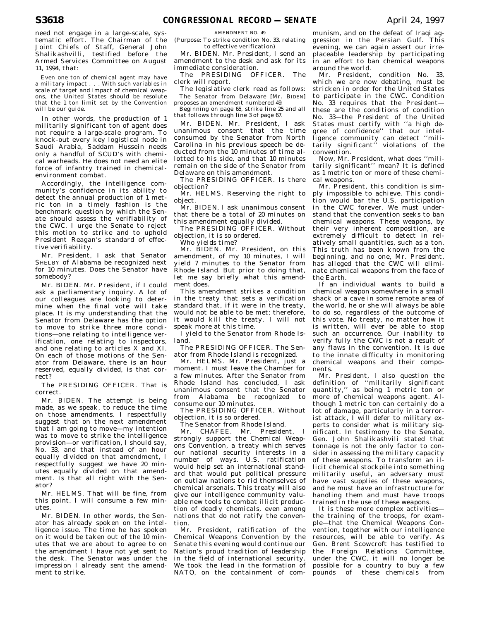AMENDMENT NO. 49

(Purpose: To strike condition No. 33, relating to effective verification)

Mr. BIDEN. Mr. President, I send an amendment to the desk and ask for its immediate consideration.

The PRESIDING OFFICER. The clerk will report.

The legislative clerk read as follows: The Senator from Delaware [Mr. BIDEN] proposes an amendment numbered 49.

Beginning on page 65, strike line 25 and all that follows through line 3 of page 67.

Mr. BIDEN. Mr. President, I ask unanimous consent that the time consumed by the Senator from North Carolina in his previous speech be deducted from the 10 minutes of time allotted to his side, and that 10 minutes remain on the side of the Senator from Delaware on this amendment.

The PRESIDING OFFICER. Is there objection?

Mr. HELMS. Reserving the right to object.

Mr. BIDEN. I ask unanimous consent that there be a total of 20 minutes on this amendment equally divided.

The PRESIDING OFFICER. Without objection, it is so ordered.

Who yields time?

Mr. BIDEN. Mr. President, on this amendment, of my 10 minutes, I will yield 7 minutes to the Senator from Rhode Island. But prior to doing that, let me say briefly what this amendment does.

This amendment strikes a condition in the treaty that sets a verification standard that, if it were in the treaty, would not be able to be met; therefore, it would kill the treaty. I will not speak more at this time.

I yield to the Senator from Rhode Island.

The PRESIDING OFFICER. The Senator from Rhode Island is recognized.

Mr. HELMS. Mr. President, just a moment. I must leave the Chamber for a few minutes. After the Senator from Rhode Island has concluded, I ask unanimous consent that the Senator from Alabama be recognized to consume our 10 minutes.

The PRESIDING OFFICER. Without objection, it is so ordered.

The Senator from Rhode Island.

Mr. CHAFEE. Mr. President, I strongly support the Chemical Weapons Convention, a treaty which serves our national security interests in a number of ways. U.S. ratification would help set an international standard that would put political pressure on outlaw nations to rid themselves of chemical arsenals. This treaty will also give our intelligence community valuable new tools to combat illicit production of deadly chemicals, even among nations that do not ratify the convention.

Mr. President, ratification of the Chemical Weapons Convention by the Senate this evening would continue our Nation's proud tradition of leadership in the field of international security. We took the lead in the formation of NATO, on the containment of com-

munism, and on the defeat of Iraqi aggression in the Persian Gulf. This evening, we can again assert our irreplaceable leadership by participating in an effort to ban chemical weapons around the world.

Mr. President, condition No. 33, which we are now debating, must be stricken in order for the United States to participate in the CWC. Condition No. 33 requires that the President these are the conditions of condition No. 33—the President of the United States must certify with ''a high degree of confidence'' that our intelligence community can detect ''militarily significant'' violations of the convention.

Now, Mr. President, what does ''militarily significant'' mean? It is defined as 1 metric ton or more of these chemical weapons.

Mr. President, this condition is simply impossible to achieve. This condition would bar the U.S. participation in the CWC forever. We must understand that the convention seeks to ban chemical weapons. These weapons, by their very inherent composition, are extremely difficult to detect in relatively small quantities, such as a ton. This truth has been known from the beginning, and no one, Mr. President, has alleged that the CWC will eliminate chemical weapons from the face of the Earth.

If an individual wants to build a chemical weapon somewhere in a small shack or a cave in some remote area of the world, he or she will always be able to do so, regardless of the outcome of this vote. No treaty, no matter how it is written, will ever be able to stop such an occurrence. Our inability to verify fully the CWC is not a result of any flaws in the convention. It is due to the innate difficulty in monitoring chemical weapons and their components.

Mr. President, I also question the definition of ''militarily significant quantity,'' as being 1 metric ton or more of chemical weapons agent. Although 1 metric ton can certainly do a lot of damage, particularly in a terrorist attack, I will defer to military experts to consider what is military significant. In testimony to the Senate, Gen. John Shalikashvili stated that tonnage is not the only factor to consider in assessing the military capacity of these weapons. To transform an illicit chemical stockpile into something militarily useful, an adversary must have vast supplies of these weapons, and he must have an infrastructure for handling them and must have troops trained in the use of these weapons.

It is these more complex activities the training of the troops, for example—that the Chemical Weapons Convention, together with our intelligence resources, will be able to verify. As Gen. Brent Scowcroft has testified to the Foreign Relations Committee, under the CWC, it will no longer be possible for a country to buy a few pounds of these chemicals from

need not engage in a large-scale, systematic effort. The Chairman of the Joint Chiefs of Staff, General John Shalikashvilli, testified before the Armed Services Committee on August 11, 1994, that:

Even one ton of chemical agent may have a military impact . . . With such variables in scale of target and impact of chemical weapons, the United States should be resolute that the 1 ton limit set by the Convention will be our guide.

In other words, the production of 1 militarily significant ton of agent does not require a large-scale program. To knock-out every key logistical node in Saudi Arabia, Saddam Hussein needs only a handful of SCUD's with chemical warheads. He does not need an elite force of infantry trained in chemicalenvironment combat.

Accordingly, the intelligence community's confidence in its ability to detect the annual production of 1 metric ton in a timely fashion is the benchmark question by which the Senate should assess the verifiability of the CWC. I urge the Senate to reject this motion to strike and to uphold President Reagan's standard of effective verifiability.

Mr. President, I ask that Senator SHELBY of Alabama be recognized next for 10 minutes. Does the Senator have somebody?

Mr. BIDEN. Mr. President, if I could ask a parliamentary inquiry. A lot of our colleagues are looking to determine when the final vote will take place. It is my understanding that the Senator from Delaware has the option to move to strike three more conditions—one relating to intelligence verification, one relating to inspectors, and one relating to articles  $X$  and  $XI$ . On each of those motions of the Senator from Delaware, there is an hour reserved, equally divided, is that correct?

The PRESIDING OFFICER. That is correct.

Mr. BIDEN. The attempt is being made, as we speak, to reduce the time on those amendments. I respectfully suggest that on the next amendment that I am going to move—my intention was to move to strike the intelligence provision—or verification, I should say, No. 33, and that instead of an hour equally divided on that amendment, I respectfully suggest we have 20 minutes equally divided on that amendment. Is that all right with the Senator?

Mr. HELMS. That will be fine, from this point. I will consume a few minutes.

Mr. BIDEN. In other words, the Senator has already spoken on the intelligence issue. The time he has spoken on it would be taken out of the 10 minutes that we are about to agree to on the amendment I have not yet sent to the desk. The Senator was under the impression I already sent the amendment to strike.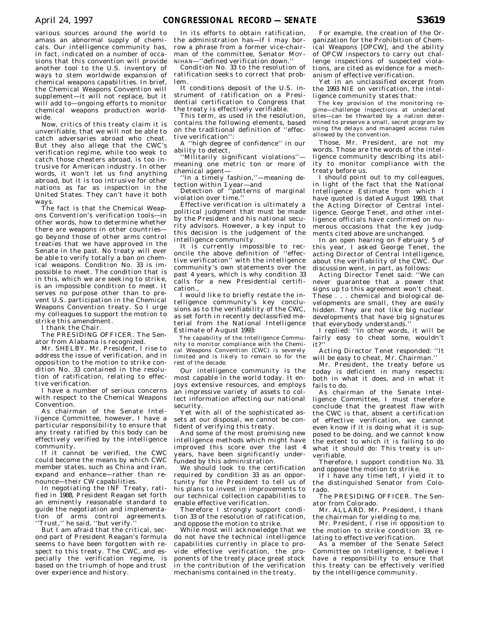various sources around the world to amass an abnormal supply of chemicals. Our intelligence community has, in fact, indicated on a number of occasions that this convention will provide another tool to the U.S. inventory of ways to stem worldwide expansion of chemical weapons capabilities. In brief, the Chemical Weapons Convention will supplement—it will not replace, but it will add to—ongoing efforts to monitor chemical weapons production worldwide.

Now, critics of this treaty claim it is unverifiable, that we will not be able to catch adversaries abroad who cheat. But they also allege that the CWC's verification regime, while too weak to catch those cheaters abroad, is too intrusive for American industry. In other words, it won't let us find anything abroad, but it is too intrusive for other nations as far as inspection in the United States. They can't have it both ways.

The fact is that the Chemical Weapons Convention's verification tools—in other words, how to determine whether there are weapons in other countries go beyond those of other arms control treaties that we have approved in the Senate in the past. No treaty will ever be able to verify totally a ban on chemical weapons. Condition No. 33 is impossible to meet. The condition that is in this, which we are seeking to strike, is an impossible condition to meet. It serves no purpose other than to prevent U.S. participation in the Chemical Weapons Convention treaty. So I urge my colleagues to support the motion to strike this amendment.

I thank the Chair.

The PRESIDING OFFICER. The Senator from Alabama is recognized.

Mr. SHELBY. Mr. President, I rise to address the issue of verification, and in opposition to the motion to strike condition No. 33 contained in the resolution of ratification, relating to effective verification.

I have a number of serious concerns with respect to the Chemical Weapons Convention.

As chairman of the Senate Intelligence Committee, however, I have a particular responsibility to ensure that any treaty ratified by this body can be effectively verified by the intelligence community.

If it cannot be verified, the CWC could become the means by which CWC member states, such as China and Iran, expand and enhance—rather than renounce—their CW capabilities.

In negotiating the INF Treaty, ratified in 1988, President Reagan set forth an eminently reasonable standard to guide the negotiation and implementation of arms control agreements. ''Trust,'' he said, ''but verify.''

But I am afraid that the critical, second part of President Reagan's formula seems to have been forgotten with respect to this treaty. The CWC, and especially the verification regime, is based on the triumph of hope and trust over experience and history.

In its efforts to obtain ratification, the administration has—if I may borrow a phrase from a former vice-chairman of the committee, Senator MOY-NIHAN—"defined verification down.

Condition No. 33 to the resolution of ratification seeks to correct that problem.

It conditions deposit of the U.S. instrument of ratification on a Presidential certification to Congress that the treaty is effectively verifiable.

This term, as used in the resolution, contains the following elements, based on the traditional definition of ''effective verification'':

A ''high degree of confidence'' in our ability to detect,

''Militarily significant violations'' meaning one metric ton or more of chemical agent—

'In a timely fashion,"-meaning detection within 1 year—and

Detection of ''patterns of marginal violation over time.''

Effective verification is ultimately a political judgment that must be made by the President and his national security advisors. However, a key input to this decision is the judgement of the intelligence community.

It is currently impossible to reconcile the above definition of ''effective verification'' with the intelligence community's own statements over the past 4 years, which is why condition 33 calls for a new Presidential certification.,

I would like to briefly restate the intelligence community's key conclusions as to the verifiability of the CWC, as set forth in recently declassified material from the National Intelligence Estimate of August 1993:

The capability of the Intelligence Community to monitor compliance with the Chemical Weapons Convention (CWC) is severely limited and is likely to remain so for the rest of the decade.

Our intelligence community is the most capable in the world today. It enjoys extensive resources, and employs an impressive variety of assets to collect information affecting our national security.

Yet with all of the sophisticated assets at our disposal, we cannot be confident of verifying this treaty.

And some of the most promising new intelligence methods which might have improved this score over the last 4 years, have been significantly underfunded by this administration.

We should look to the certification required by condition 33 as an opportunity for the President to tell us of his plans to invest in improvements to our technical collection capabilities to enable effective verification.

Therefore I strongly support condition 33 of the resolution of ratification, and oppose the motion to strike.

While most will acknowledge that we do not have the technical intelligence capabilities currently in place to provide effective verification, the proponents of the treaty place great stock in the contribution of the verification mechanisms contained in the treaty.

For example, the creation of the Organization for the Prohibition of Chemical Weapons [OPCW], and the ability of OPCW inspectors to carry out challenge inspections of suspected violations, are cited as evidence for a mechanism of effective verification.

Yet in an unclassified excerpt from the 1993 NIE on verification, the intelligence community states that:

The key provision of the monitoring regime—challenge inspections at undeclared sites—can be thwarted by a nation determined to preserve a small, secret program by using the delays and managed access rules allowed by the convention.

Those, Mr. President, are not my words. Those are the words of the intelligence community describing its ability to monitor compliance with the treaty before us.

I should point out to my colleagues, in light of the fact that the National Intelligence Estimate from which I have quoted is dated August 1993, that the Acting Director of Central Intelligence, George Tenet, and other intelligence officials have confirmed on numerous occasions that the key judgments cited above are unchanged.

In an open hearing on February 5 of this year, I asked George Tenet, the acting Director of Central Intelligence, about the verifiability of the CWC. Our discussion went, in part, as follows:

Acting Director Tenet said: ''We can never guarantee that a power that signs up to this agreement won't cheat. These . . . chemical and biological developments are small, they are easily hidden. They are not like big nuclear developments that have big signatures that everybody understands.

I replied: ''In other words, it will be fairly easy to cheat some, wouldn't it?''

Acting Director Tenet responded: ''It will be easy to cheat, Mr. Chairman.''

Mr. President, the treaty before us today is deficient in many respects: both in what it does, and in what it fails to do.

As chairman of the Senate Intelligence Committee, I must therefore conclude that the greatest flaw with the CWC is that, absent a certification of effective verification, we cannot even know if it is doing what it is supposed to be doing, and we cannot know the extent to which it is failing to do what it should do: This treaty is unverifiable.

Therefore, I support condition No. 33, and oppose the motion to strike.

If I have any time left. I yield it to the distinguished Senator from Colorado.

The PRESIDING OFFICER. The Senator from Colorado.

Mr. ALLARD. Mr. President, I thank the chairman for yielding to me.

Mr. President, I rise in opposition to the motion to strike condition 33, relating to effective verification.

As a member of the Senate Select Committee on Intelligence, I believe I have a responsibility to ensure that this treaty can be effectively verified by the intelligence community.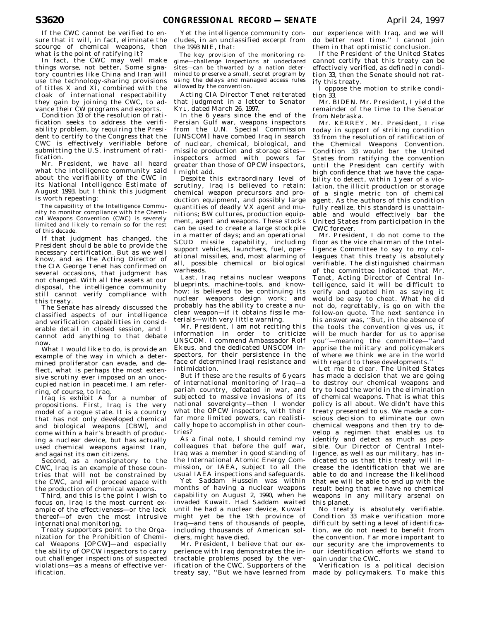If the CWC cannot be verified to ensure that it will, in fact, eliminate the scourge of chemical weapons, then what is the point of ratifying it?

In fact, the CWC may well make things worse, not better, Some signatory countries like China and Iran will use the technology-sharing provisions of titles X and XI, combined with the cloak of international respectability they gain by joining the CWC, to advance their CW programs and exports.

Condition 33 of the resolution of ratification seeks to address the verifiability problem, by requiring the President to certify to the Congress that the CWC is effectively verifiable before submitting the U.S. instrument of ratification.

Mr. President, we have all heard what the intelligence community said about the verifiability of the CWC in its National Intelligence Estimate of August 1993, but I think this judgment is worth repeating:

The capability of the Intelligence Community to monitor compliance with the Chemical Weapons Convention (CWC) is severely limited and likely to remain so for the rest of this decade.

If that judgment has changed, the President should be able to provide the necessary certification. But as we well know, and as the Acting Director of the CIA George Tenet has confirmed on several occasions, that judgment has not changed. With all the assets at our disposal, the intelligence community still cannot verify compliance with this treaty.

The Senate has already discussed the classified aspects of our intelligence and verification capabilities in considerable detail in closed session, and I cannot add anything to that debate now.

What I would like to do, is provide an example of the way in which a determined proliferator can evade, and deflect, what is perhaps the most extensive scrutiny ever imposed on an unoccupied nation in peacetime. I am referring, of course, to Iraq.

Iraq is exhibit A for a number of propositions. First, Iraq is the very model of a rogue state. It is a country that has not only developed chemical and biological weapons [CBW], and come within a hair's breadth of producing a nuclear device, but has actually used chemical weapons against Iran, and against its own citizens.

Second, as a nonsignatory to the CWC, Iraq is an example of those countries that will not be constrained by the CWC, and will proceed apace with the production of chemical weapons.

Third, and this is the point I wish to focus on, Iraq is the most current example of the effectiveness—or the lack thereof—of even the most intrusive international monitoring.

Treaty supporters point to the Organization for the Prohibition of Chemical Weapons [OPCW]—and especially the ability of OPCW inspectors to carry out challenger inspections of suspected violations—as a means of effective verification.

Yet the intelligence community concludes, in an unclassified excerpt from the 1993 NIE, that:

The key provision of the monitoring regime—challenge inspections at undeclared sites—can be thwarted by a nation determined to preserve a small, secret program by using the delays and managed access rules allowed by the convention.

Acting CIA Director Tenet reiterated that judgment in a letter to Senator KYL, dated March 26, 1997.

In the 6 years since the end of the Persian Gulf war, weapons inspectors from the U.N. Special Commission [UNSCOM] have combed Iraq in search of nuclear, chemical, biological, and missile production and storage sites inspectors armed with powers far greater than those of OPCW inspectors, I might add.

Despite this extraordinary level of scrutiny, Iraq is believed to retain: chemical weapon precursors and production equipment, and possibly large quantities of deadly VX agent and munitions; BW cultures, production equipment, agent and weapons. These stocks can be used to create a large stockpile in a matter of days; and an operational SCUD missile capability, including support vehicles, launchers, fuel, operational missiles, and, most alarming of all, possible chemical or biological warheads.

Last, Iraq retains nuclear weapons blueprints, machine-tools, and knowhow; is believed to be continuing its nuclear weapons design work; and probably has the ability to create a nuclear weapon—if it obtains fissile materials—with very little warning.

Mr. President, I am not reciting this information in order to criticize UNSCOM. I commend Ambassador Rolf Ekeus, and the dedicated UNSCOM inspectors, for their persistence in the face of determined Iraqi resistance and intimidation.

But if these are the results of 6 years of international monitoring of Iraq—a pariah country, defeated in war, and subjected to massive invasions of its national sovereignty—then I wonder what the OPCW inspectors, with their far more limited powers, can realistically hope to accomplish in other countries?

As a final note, I should remind my colleagues that before the gulf war, Iraq was a member in good standing of the International Atomic Energy Commission, or IAEA, subject to all the usual IAEA inspections and safeguards.

Yet Saddam Hussein was within months of having a nuclear weapons capability on August 2, 1990, when he invaded Kuwait. Had Saddam waited until he had a nuclear device, Kuwait might yet be the 19th province of Iraq—and tens of thousands of people, including thousands of American soldiers, might have died.

Mr. President, I believe that our experience with Iraq demonstrates the intractable problems posed by the verification of the CWC. Supporters of the treaty say, ''But we have learned from our experience with Iraq, and we will do better next time.'' I cannot join them in that optimistic conclusion.

If the President of the United States cannot certify that this treaty can be effectively verified, as defined in condition 33, then the Senate should not ratify this treaty.

I oppose the motion to strike condition 33.

Mr. BIDEN. Mr. President, I yield the remainder of the time to the Senator from Nebraska.

Mr. KERREY. Mr. President, I rise today in support of striking condition 33 from the resolution of ratification of the Chemical Weapons Convention. Condition 33 would bar the United States from ratifying the convention until the President can certify with high confidence that we have the capability to detect, within 1 year of a violation, the illicit production or storage of a single metric ton of chemical agent. As the authors of this condition fully realize, this standard is unattainable and would effectively bar the United States from participation in the CWC forever.

Mr. President, I do not come to the floor as the vice chairman of the Intelligence Committee to say to my colleagues that this treaty is absolutely verifiable. The distinguished chairman of the committee indicated that Mr. Tenet, Acting Director of Central Intelligence, said it will be difficult to verify and quoted him as saying it would be easy to cheat. What he did not do, regrettably, is go on with the follow-on quote. The next sentence in his answer was, ''But, in the absence of the tools the convention gives us, it will be much harder for us to apprise you''—meaning the committee—''and apprise the military and policymakers of where we think we are in the world with regard to these developments.''

Let me be clear. The United States has made a decision that we are going to destroy our chemical weapons and try to lead the world in the elimination of chemical weapons. That is what this policy is all about. We didn't have this treaty presented to us. We made a conscious decision to eliminate our own chemical weapons and then try to develop a regimen that enables us to identify and detect as much as possible. Our Director of Central Intelligence, as well as our military, has indicated to us that this treaty will increase the identification that we are able to do and increase the likelihood that we will be able to end up with the result being that we have no chemical weapons in any military arsenal on this planet.

No treaty is absolutely verifiable. Condition 33 make verification more difficult by setting a level of identification, we do not need to benefit from the convention. Far more important to our security are the improvements to our identification efforts we stand to gain under the CWC.

Verification is a political decision made by policymakers. To make this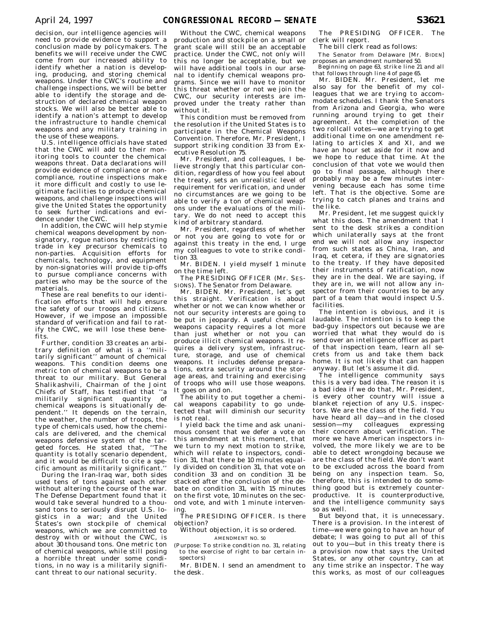decision, our intelligence agencies will need to provide evidence to support a conclusion made by policymakers. The benefits we will receive under the CWC come from our increased ability to identify whether a nation is developing, producing, and storing chemical weapons. Under the CWC's routine and challenge inspections, we will be better able to identify the storage and destruction of declared chemical weapon stocks. We will also be better able to identify a nation's attempt to develop the infrastructure to handle chemical weapons and any military training in the use of these weapons.

U.S. intelligence officials have stated that the CWC will add to their monitoring tools to counter the chemical weapons threat. Data declarations will provide evidence of compliance or noncompliance, routine inspections make it more difficult and costly to use legitimate facilities to produce chemical weapons, and challenge inspections will give the United States the opportunity to seek further indications and evidence under the CWC.

In addition, the CWC will help stymie chemical weapons development by nonsignatory, rogue nations by restricting trade in key precursor chemicals to non-parties. Acquisition efforts for chemicals, technology, and equipment by non-signatories will provide tip-offs to pursue compliance concerns with parties who may be the source of the materials.

These are real benefits to our identification efforts that will help ensure the safety of our troops and citizens. However, if we impose an impossible standard of verification and fail to ratify the CWC, we will lose these benefits.

Further, condition 33 creates an arbitrary definition of what is a ''militarily significant'' amount of chemical weapons. This condition deems one metric ton of chemical weapons to be a threat to our military. But General Shalikashvili, Chairman of the Joint Chiefs of Staff, has testified that ''a militarily significant quantity of chemical weapons is situationally dependent.'' It depends on the terrain, the weather, the number of troops, the type of chemicals used, how the chemicals are delivered, and the chemical weapons defensive system of the targeted forces. He stated that, ''The quantity is totally scenario dependent, and it would be difficult to cite a specific amount as militarily significant.''

During the Iran-Iraq war, both sides used tens of tons against each other without altering the course of the war. The Defense Department found that it would take several hundred to a thousand tons to seriously disrupt U.S. logistics in a war; and the United States's own stockpile of chemical weapons, which we are committed to destroy with or without the CWC, is about 30 thousand tons. One metric ton of chemical weapons, while still posing a horrible threat under some conditions, in no way is a militarily significant threat to our national security.

Without the CWC, chemical weapons production and stockpile on a small or grant scale will still be an acceptable practice. Under the CWC, not only will this no longer be acceptable, but we will have additional tools in our arsenal to identify chemical weapons programs. Since we will have to monitor this threat whether or not we join the CWC, our security interests are improved under the treaty rather than without it.

This condition must be removed from the resolution if the United States is to participate in the Chemical Weapons Convention. Therefore, Mr. President, I support striking condition 33 from Executive Resolution 75.

Mr. President, and colleagues, I believe strongly that this particular condition, regardless of how you feel about the treaty, sets an unrealistic level of requirement for verification, and under no circumstances are we going to be able to verify a ton of chemical weapons under the evaluations of the military. We do not need to accept this kind of arbitrary standard.

Mr. President, regardless of whether or not you are going to vote for or against this treaty in the end, I urge my colleagues to vote to strike condi $tiam 33$ 

Mr. BIDEN. I yield myself 1 minute on the time left.

The PRESIDING OFFICER (Mr. SES-SIONS). The Senator from Delaware.

Mr. BIDEN. Mr. President, let's get this straight. Verification is about whether or not we can know whether or not our security interests are going to be put in jeopardy. A useful chemical weapons capacity requires a lot more than just whether or not you can produce illicit chemical weapons. It requires a delivery system, infrastructure, storage, and use of chemical weapons. It includes defense preparations, extra security around the storage areas, and training and exercising of troops who will use those weapons. It goes on and on.

The ability to put together a chemical weapons capability to go undetected that will diminish our security is not real.

I yield back the time and ask unanimous consent that we defer a vote on this amendment at this moment, that we turn to my next motion to strike, which will relate to inspectors, condition 31, that there be 10 minutes equally divided on condition 31, that vote on condition 33 and on condition 31 be stacked after the conclusion of the debate on condition 31, with 15 minutes on the first vote, 10 minutes on the second vote, and with 1 minute intervening.

The PRESIDING OFFICER. Is there objection?

Without objection, it is so ordered. AMENDMENT NO. 50

(Purpose: To strike condition no. 31, relating to the exercise of right to bar certain inspectors)

Mr. BIDEN. I send an amendment to the desk.

The PRESIDING OFFICER. The clerk will report.

The bill clerk read as follows:

The Senator from Delaware [Mr. BIDEN] proposes an amendment numbered 50. Beginning on page 63, strike line 21 and all that follows through line 4 of page 65.

Mr. BIDEN. Mr. President, let me also say for the benefit of my colleagues that we are trying to accommodate schedules. I thank the Senators from Arizona and Georgia, who were running around trying to get their agreement. At the completion of the two rollcall votes—we are trying to get additional time on one amendment relating to articles X and XI, and we have an hour set aside for it now and we hope to reduce that time. At the conclusion of that vote we would then go to final passage, although there probably may be a few minutes intervening because each has some time left. That is the objective. Some are trying to catch planes and trains and the like.

Mr. President, let me suggest quickly what this does. The amendment that I sent to the desk strikes a condition which unilaterally says at the front end we will not allow any inspector from such states as China. Iran, and Iraq, et cetera, if they are signatories to the treaty. If they have deposited their instruments of ratification, now they are in the deal. We are saying, if they are in, we will not allow any inspector from their countries to be any part of a team that would inspect U.S. .<br>facilities

The intention is obvious, and it is laudable. The intention is to keep the bad-guy inspectors out because we are worried that what they would do is send over an intelligence officer as part of that inspection team, learn all secrets from us and take them back home. It is not likely that can happen anyway. But let's assume it did.

The intelligence community says this is a very bad idea. The reason it is a bad idea if we do that, Mr. President, is every other country will issue a blanket rejection of any U.S. inspectors. We are the class of the field. You have heard all day—and in the closed session—my colleagues expressing their concern about verification. The more we have American inspectors involved, the more likely we are to be able to detect wrongdoing because we are the class of the field. We don't want to be excluded across the board from being on any inspection team. So, therefore, this is intended to do something good but is extremely counterproductive. It is counterproductive, and the intelligence community says so as well.

But beyond that, it is unnecessary. There is a provision. In the interest of time—we were going to have an hour of debate; I was going to put all of this out to you—but in this treaty there is a provision now that says the United States, or any other country, can at any time strike an inspector. The way this works, as most of our colleagues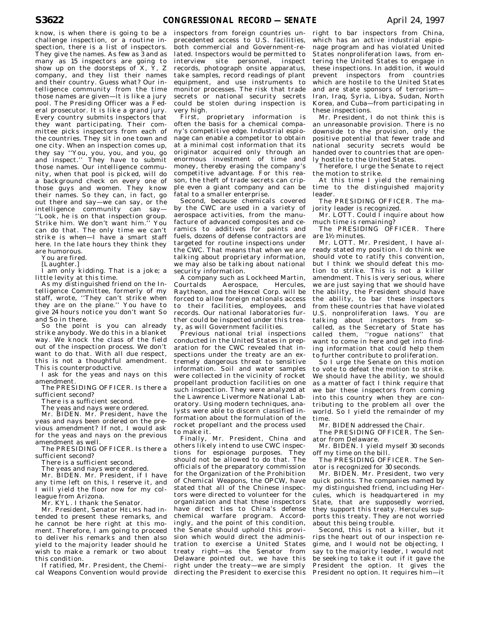know, is when there is going to be a challenge inspection, or a routine inspection, there is a list of inspectors. They give the names. As few as 3 and as many as 15 inspectors are going to show up on the doorsteps of  $X$ ,  $\overline{Y}$ ,  $Z$ company, and they list their names and their country. Guess what? Our intelligence community from the time those names are given—it is like a jury pool. The Presiding Officer was a Federal prosecutor. It is like a grand jury. Every country submits inspectors that they want participating. Their committee picks inspectors from each of the countries. They sit in one town and one city. When an inspection comes up, they say ''You, you, you, and you, go and inspect.'' They have to submit those names. Our intelligence community, when that pool is picked, will do a background check on every one of those guys and women. They know their names. So they can, in fact, go out there and say—we can say, or the intelligence community can say— ''Look, he is on that inspection group. Strike him. We don't want him.'' You can do that. The only time we can't strike is when—I have a smart staff here. In the late hours they think they are humorous.

You are fired.

[Laughter.]

I am only kidding. That is a joke; a little levity at this time.

As my distinguished friend on the Intelligence Committee, formerly of my staff, wrote, ''They can't strike when they are on the plane.'' You have to give 24 hours notice you don't want So and So in there.

So the point is you can already strike anybody. We do this in a blanket way. We knock the class of the field out of the inspection process. We don't want to do that. With all due respect, this is not a thoughtful amendment. This is counterproductive.

I ask for the yeas and nays on this amendment.

The PRESIDING OFFICER. Is there a sufficient second?

There is a sufficient second.

The yeas and nays were ordered. Mr. BIDEN. Mr. President, have the yeas and nays been ordered on the previous amendment? If not, I would ask for the yeas and nays on the previous

amendment as well. The PRESIDING OFFICER. Is there a sufficient second?

There is a sufficient second.

The yeas and nays were ordered.

Mr. BIDEN. Mr. President, if I have any time left on this, I reserve it, and I will yield the floor now for my colleague from Arizona.

Mr. KYL. I thank the Senator.

Mr. President, Senator HELMS had intended to present these remarks, and he cannot be here right at this moment. Therefore, I am going to proceed to deliver his remarks and then also yield to the majority leader should he wish to make a remark or two about this condition.

If ratified, Mr. President, the Chemical Weapons Convention would provide inspectors from foreign countries unprecedented access to U.S. facilities, both commercial and Government-related. Inspectors would be permitted to interview site personnel, inspect records, photograph onsite apparatus, take samples, record readings of plant equipment, and use instruments to monitor processes. The risk that trade secrets or national security secrets could be stolen during inspection is very high.

First, proprietary information is often the basis for a chemical company's competitive edge. Industrial espionage can enable a competitor to obtain at a minimal cost information that its originator acquired only through an enormous investment of time and money, thereby erasing the company's competitive advantage. For this reason, the theft of trade secrets can cripple even a giant company and can be fatal to a smaller enterprise.

Second, because chemicals covered by the CWC are used in a variety of aerospace activities, from the manufacture of advanced composites and ceramics to additives for paints and fuels, dozens of defense contractors are targeted for routine inspections under the CWC. That means that when we are talking about proprietary information, we may also be talking about national security information.

A company such as Lockheed Martin, Courtalds Aerospace, Hercules, Raytheon, and the Hexcel Corp. will be forced to allow foreign nationals access to their facilities, employees, and records. Our national laboratories further could be inspected under this treaty, as will Government facilities.

Previous national trial inspections conducted in the United States in preparation for the CWC revealed that inspections under the treaty are an extremely dangerous threat to sensitive information. Soil and water samples were collected in the vicinity of rocket propellant production facilities on one such inspection. They were analyzed at the Lawrence Livermore National Laboratory. Using modern techniques, analysts were able to discern classified information about the formulation of the rocket propellant and the process used to make it.

Finally, Mr. President, China and others likely intend to use CWC inspections for espionage purposes. They should not be allowed to do that. The officials of the preparatory commission for the Organization of the Prohibition of Chemical Weapons, the OPCW, have stated that all of the Chinese inspectors were directed to volunteer for the organization and that these inspectors have direct ties to China's defense chemical warfare program. Accordingly, and the point of this condition, the Senate should uphold this provision which would direct the administration to exercise a United States treaty right—as the Senator from Delaware pointed out, we have this right under the treaty—we are simply directing the President to exercise this

right to bar inspectors from China, which has an active industrial espionage program and has violated United States nonproliferation laws, from entering the United States to engage in these inspections. In addition, it would prevent inspectors from countries which are hostile to the United States and are state sponsors of terrorism— Iran, Iraq, Syria, Libya, Sudan, North Korea, and Cuba—from participating in these inspections.

Mr. President, I do not think this is an unreasonable provision. There is no downside to the provision, only the positive potential that fewer trade and national security secrets would be handed over to countries that are openly hostile to the United States.

Therefore, I urge the Senate to reject the motion to strike.

At this time I yield the remaining time to the distinguished majority leader.

The PRESIDING OFFICER. The majority leader is recognized.

Mr. LOTT. Could I inquire about how much time is remaining?

The PRESIDING OFFICER. There are 11⁄2 minutes.

Mr. LOTT. Mr. President, I have already stated my position. I do think we should vote to ratify this convention, but I think we should defeat this motion to strike. This is not a killer amendment. This is very serious, where we are just saying that we should have the ability, the President should have the ability, to bar these inspectors from these countries that have violated U.S. nonproliferation laws. You are talking about inspectors from socalled, as the Secretary of State has called them, "rogue nations" that want to come in here and get into finding information that could help them to further contribute to proliferation.

So I urge the Senate on this motion to vote to defeat the motion to strike. We should have the ability, we should as a matter of fact I think require that we bar these inspectors from coming into this country when they are contributing to the problem all over the world. So I yield the remainder of my time.

Mr. BIDEN addressed the Chair.

The PRESIDING OFFICER. The Senator from Delaware.

Mr. BIDEN. I yield myself 30 seconds off my time on the bill.

The PRESIDING OFFICER. The Senator is recognized for 30 seconds.

Mr. BIDEN. Mr. President, two very quick points. The companies named by my distinguished friend, including Hercules, which is headquartered in my State, that are supposedly worried, they support this treaty. Hercules supports this treaty. They are not worried about this being trouble.

Second, this is not a killer, but it rips the heart out of our inspection regime, and I would not be objecting, I say to the majority leader, I would not be seeking to take it out if it gave the President the option. It gives the President no option. It requires him—it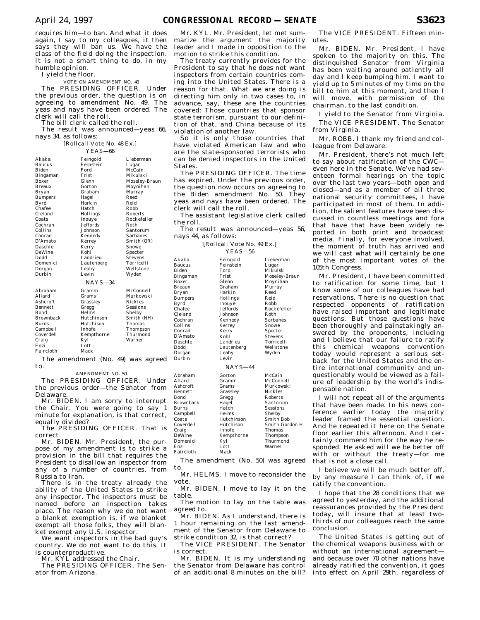requires him—to ban. And what it does again, I say to my colleagues, it then says they will ban us. We have the class of the field doing the inspection. It is not a smart thing to do, in my humble opinion.

I yield the floor.

VOTE ON AMENDMENT NO. 49

The PRESIDING OFFICER. Under the previous order, the question is on agreeing to amendment No. 49. The yeas and nays have been ordered. The clerk will call the roll.

The bill clerk called the roll.

The result was announced—yeas 66, nays 34, as follows:

> [Rollcall Vote No. 48 Ex.] YEAS—66

| Y F.A.S—bb                                                                             |                                                                                                 |  |  |
|----------------------------------------------------------------------------------------|-------------------------------------------------------------------------------------------------|--|--|
| Feingold<br>Feinstein<br>Ford<br>Frist<br>Glenn<br>Gorton<br>Graham<br>Hagel<br>Harkin | Lieberman<br>Lugar<br>McCain<br>Mikulski<br>Moseley-Braun<br>Moynihan<br>Murray<br>Reed<br>Reid |  |  |
| Hatch                                                                                  | Robb                                                                                            |  |  |
| Hollings                                                                               | Roberts                                                                                         |  |  |
| Inouve                                                                                 | Rockefeller                                                                                     |  |  |
|                                                                                        | Roth                                                                                            |  |  |
|                                                                                        | Santorum                                                                                        |  |  |
|                                                                                        | Sarbanes                                                                                        |  |  |
| Kerrey                                                                                 | Smith (OR)                                                                                      |  |  |
|                                                                                        | Snowe                                                                                           |  |  |
|                                                                                        | Specter                                                                                         |  |  |
|                                                                                        | <b>Stevens</b>                                                                                  |  |  |
|                                                                                        | Torricelli                                                                                      |  |  |
|                                                                                        | Wellstone                                                                                       |  |  |
|                                                                                        | Wyden                                                                                           |  |  |
| $NAYS-34$                                                                              |                                                                                                 |  |  |
| Gramm                                                                                  | McConnell                                                                                       |  |  |
| Grams                                                                                  | Murkowski                                                                                       |  |  |
| Grassley                                                                               | Nickles                                                                                         |  |  |
| Gregg                                                                                  | Sessions                                                                                        |  |  |
| Helms                                                                                  | Shelby                                                                                          |  |  |
| Hutchinson                                                                             | Smith (NH)                                                                                      |  |  |
| Hutchison                                                                              | Thomas                                                                                          |  |  |
| Inhofe                                                                                 | Thompson                                                                                        |  |  |
| Kempthorne                                                                             | Thurmond                                                                                        |  |  |
| Kyl                                                                                    | Warner                                                                                          |  |  |
| Lott.                                                                                  |                                                                                                 |  |  |
| Mack                                                                                   |                                                                                                 |  |  |
|                                                                                        | Jeffords<br>Johnson<br>Kennedy<br>Kerry<br>Kohl<br>Landrieu<br>Lautenberg<br>Leahy<br>Levin     |  |  |

The amendment (No. 49) was agreed to. Du

AMENDMENT NO. 50

The PRESIDING OFFICER. Under the previous order—the Senator from Delaware.

Mr. BIDEN. I am sorry to interrupt the Chair. You were going to say 1 minute for explanation, is that correct, equally divided?

The PRESIDING OFFICER. That is correct.

Mr. BIDEN. Mr. President, the purpose of my amendment is to strike a provision in the bill that requires the President to disallow an inspector from any of a number of countries, from Russia to Iran.

There is in the treaty already the ability of the United States to strike any inspector. The inspectors must be named before an inspection takes place. The reason why we do not want a blanket exemption is, if we blanket exempt all those folks, they will blanket exempt any U.S. inspector.

We want inspectors in the bad guy's country. We do not want to do this. It is counterproductive.

Mr. KYL addressed the Chair.

The PRESIDING OFFICER. The Senator from Arizona.

Mr. KYL. Mr. President, let met summarize the argument the majority leader and I made in opposition to the motion to strike this condition.

The treaty currently provides for the President to say that he does not want inspectors from certain countries coming into the United States. There is a reason for that. What we are doing is directing him only in two cases to, in advance, say, these are the countries covered: Those countries that sponsor state terrorism, pursuant to our definition of that, and China because of its violation of another law.

So it is only those countries that have violated American law and who are the state-sponsored terrorists who can be denied inspectors in the United States.

The PRESIDING OFFICER. The time has expired. Under the previous order, the question now occurs on agreeing to the Biden amendment No. 50. They yeas and nays have been ordered. The clerk will call the roll.

The assistant legislative clerk called the roll.

The result was announced—yeas 56, nays 44, as follows:

> [Rollcall Vote No. 49 Ex.] YEAS—56

| Akaka            | Feingold   | Lieberman      |
|------------------|------------|----------------|
| Baucus           | Feinstein  | Lugar          |
| <b>Biden</b>     | Ford       | Mikulski       |
| Bingaman         | Frist      | Moseley-Braun  |
| Boxer            | Glenn      | Moynihan       |
| Breaux           | Graham     | Murray         |
| Bryan            | Harkin     | Reed           |
| <b>Bumpers</b>   | Hollings   | Reid           |
| Byrd             | Inouye     | Robb           |
| Chafee           | Jeffords   | Rockefeller    |
| Cleland          | Johnson.   | Roth           |
| Cochran          | Kennedy    | Sarbanes       |
| Collins          | Kerrey     | Snowe          |
| Conrad           | Kerry      | Specter        |
| D'Amato          | Kohl       | <b>Stevens</b> |
| Daschle          | Landrieu   | Torricelli     |
| Dodd             | Lautenberg | Wellstone      |
| Dorgan           | Leahy      | Wyden          |
| Durbin           | Levin      |                |
|                  | $NAYS-44$  |                |
| Abraham          | Gorton     | McCain         |
| Allard           | Gramm      | McConnell      |
| Ashcroft         | Grams      | Murkowski      |
| Bennett          | Grassley   | <b>Nickles</b> |
| Bond             | Gregg      | Roberts        |
| <b>Brownback</b> | Hagel      | Santorum       |
| <b>Burns</b>     | Hatch      | Sessions       |
| Campbell         | Helms      | Shelby         |
| Coats            | Hutchinson | Smith Bob      |
| Coverdell        | Hutchison  | Smith Gordon H |
| Craig            | Inhofe     | Thomas         |
| DeWine           | Kempthorne | Thompson       |
| Domenici         | Kyl        | Thurmond       |
| Enzi             | Lott       | Warner         |
| Faircloth        | Mack       |                |

The amendment (No. 50) was agreed

to. Mr. HELMS. I move to reconsider the vote.

Mr. BIDEN. I move to lay it on the table.

The motion to lay on the table was agreed to.

Mr. BIDEN. As I understand, there is 1 hour remaining on the last amendment of the Senator from Delaware to strike condition 32, is that correct?

The VICE PRESIDENT. The Senator is correct.

Mr. BIDEN. It is my understanding the Senator from Delaware has control of an additional 8 minutes on the bill?

The VICE PRESIDENT. Fifteen minutes.

Mr. BIDEN. Mr. President, I have spoken to the majority on this. The distinguished Senator from Virginia has been waiting around patiently all day and I keep bumping him. I want to yield up to 5 minutes of my time on the bill to him at this moment, and then I will move, with permission of the chairman, to the last condition.

I yield to the Senator from Virginia. The VICE PRESIDENT. The Senator from Virginia.

Mr. ROBB. I thank my friend and colleague from Delaware.

Mr. President, there's not much left to say about ratification of the CWC even here in the Senate. We've had seventeen formal hearings on the topic over the last two years—both open and closed—and as a member of all three national security committees, I have participated in most of them. In addition, the salient features have been discussed in countless meetings and fora that have that have been widely reported in both print and broadcast media. Finally, for everyone involved, the moment of truth has arrived and we will cast what will certainly be one of the most important votes of the 105th Congress.

Mr. President, I have been committed to ratification for some time, but I know some of our colleagues have had reservations. There is no question that respected opponents of ratification have raised important and legitimate questions. But those questions have been thoroughly and painstakingly answered by the proponents, including and I believe that our failure to ratify this chemical weapons convention today would represent a serious setback for the United States and the entire international community and unquestionably would be viewed as a failure of leadership by the world's indispensable nation.

I will not repeat all of the arguments that have been made. In his news conference earlier today the majority leader framed the essential question. And he repeated it here on the Senate floor earlier this afternoon. And I certainly commend him for the way he responded. He asked will we be better off with or without the treaty—for me that is not a close call.

I believe we will be much better off, by any measure I can think of, if we ratify the convention.

I hope that the 28 conditions that we agreed to yesterday, and the additional reassurances provided by the President today, will insure that at least twothirds of our colleagues reach the same conclusion.

The United States is getting out of the chemical weapons business with or without an international agreement and because over 70 other nations have already ratified the convention, it goes into effect on April 29th, regardless of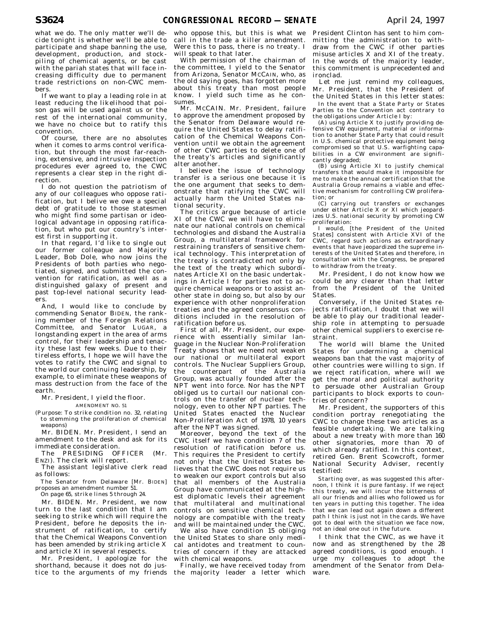what we do. The only matter we'll decide tonight is whether we'll be able to participate and shape banning the use, development, production, and stockpiling of chemical agents, or be cast with the pariah states that will face increasing difficulty due to permanent trade restrictions on non-CWC members.

If we want to play a leading role in at least reducing the likelihood that poison gas will be used against us or the rest of the international community, we have no choice but to ratify this convention.

Of course, there are no absolutes when it comes to arms control verification, but through the most far-reaching, extensive, and intrusive inspection procedures ever agreed to, the CWC represents a clear step in the right direction.

I do not question the patriotism of any of our colleagues who oppose ratification, but I belive we owe a special debt of gratitude to those statesmen who might find some partisan or ideological advantage in opposing ratification, but who put our country's interest first in supporting it.

In that regard, I'd like to single out our former colleague and Majority Leader, Bob Dole, who now joins the Presidents of both parties who negotiated, signed, and submitted the convention for ratification, as well as a distinguished galaxy of present and past top-level national security leaders.

And, I would like to conclude by commending Senator BIDEN, the ranking member of the Foreign Relations Committee, and Senator LUGAR, a longstanding expert in the area of arms control, for their leadership and tenacity these last few weeks. Due to their tireless efforts, I hope we will have the votes to ratify the CWC and signal to the world our continuing leadership, by example, to eliminate these weapons of mass destruction from the face of the earth.

Mr. President, I yield the floor.

# AMENDMENT NO. 51

(Purpose: To strike condition no. 32, relating to stemming the proliferation of chemical weapons)

Mr. BIDEN. Mr. President, I send an amendment to the desk and ask for its immediate consideration.

The PRESIDING OFFICER (Mr. ENZI). The clerk will report.

The assistant legislative clerk read as follows:

The Senator from Delaware [Mr. BIDEN] proposes an amendment number 51. On page 65, strike lines 5 through 24.

Mr. BIDEN. Mr. President, we now turn to the last condition that I am seeking to strike which will require the President, before he deposits the instrument of ratification, to certify that the Chemical Weapons Convention has been amended by striking article X and article XI in several respects.

Mr. President, I apologize for the shorthand, because it does not do justice to the arguments of my friends who oppose this, but this is what we call in the trade a killer amendment. Were this to pass, there is no treaty. I will speak to that later.

With permission of the chairman of the committee, I yield to the Senator from Arizona, Senator MCCAIN, who, as the old saying goes, has forgotten more about this treaty than most people know. I yield such time as he consumes.

Mr. MCCAIN. Mr. President, failure to approve the amendment proposed by the Senator from Delaware would require the United States to delay ratification of the Chemical Weapons Convention until we obtain the agreement of other CWC parties to delete one of the treaty's articles and significantly alter another.

I believe the issue of technology transfer is a serious one because it is the one argument that seeks to demonstrate that ratifying the CWC will actually harm the United States national security.

The critics argue because of article XI of the CWC we will have to eliminate our national controls on chemical technologies and disband the Australia Group, a multilateral framework for restraining transfers of sensitive chemical technology. This interpretation of the treaty is contradicted not only by the text of the treaty which subordinates Article XI on the basic undertakings in Article I for parties not to acquire chemical weapons or to assist another state in doing so, but also by our experience with other nonproliferation treaties and the agreed consensus conditions included in the resolution of ratification before us.

First of all, Mr. President, our experience with essentially similar language in the Nuclear Non-Proliferation Treaty shows that we need not weaken our national or multilateral export controls. The Nuclear Suppliers Group, the counterpart of the Australia Group, was actually founded after the NPT went into force. Nor has the NPT obliged us to curtail our national controls on the transfer of nuclear technology, even to other NPT parties. The United States enacted the Nuclear Non-Proliferation Act of 1978, 10 years after the NPT was signed.

Moreover, beyond the text of the CWC itself we have condition 7 of the resolution of ratification before us. This requires the President to certify not only that the United States believes that the CWC does not require us to weaken our export controls but also that all members of the Australia Group have communicated at the highest diplomatic levels their agreement that multilateral and multinational controls on sensitive chemical technology are compatible with the treaty and will be maintained under the CWC.

We also have condition 15 obliging the United States to share only medical antidotes and treatment to countries of concern if they are attacked with chemical weapons.

Finally, we have received today from the majority leader a letter which President Clinton has sent to him committing the administration to withdraw from the CWC if other parties misuse articles X and XI of the treaty. In the words of the majority leader, this commitment is unprecedented and ironclad.

Let me just remind my colleagues, Mr. President, that the President of the United States in this letter states:

In the event that a State Party or States Parties to the Convention act contrary to the obligations under Article I by:

(A) using Article X to justify providing defensive CW equipment, material or information to another State Party that could result in U.S. chemical protective equipment being compromised so that U.S. warfighting capabilities in a CW environment are significantly degraded;

(B) using Article XI to justify chemical transfers that would make it impossible for me to make the annual certification that the Australia Group remains a viable and effective mechanism for controlling CW proliferation; or

(C) carrying out transfers or exchanges under either Article X or XI which jeopardizes U.S. national security by promoting CW proliferation:

I would, [the President of the United States] consistent with Article XVI of the CWC, regard such actions as extraordinary events that have jeopardized the supreme interests of the United States and therefore, in consultation with the Congress, be prepared to withdraw from the treaty.

Mr. President, I do not know how we could be any clearer than that letter from the President of the United States.

Conversely, if the United States rejects ratification, I doubt that we will be able to play our traditional leadership role in attempting to persuade other chemical suppliers to exercise restraint.

The world will blame the United States for undermining a chemical weapons ban that the vast majority of other countries were willing to sign. If we reject ratification, where will we get the moral and political authority to persuade other Australian Group participants to block exports to countries of concern?

Mr. President, the supporters of this condition portray renegotiating the CWC to change these two articles as a feasible undertaking. We are talking about a new treaty with more than 160 other signatories, more than 70 of which already ratified. In this context, retired Gen. Brent Scowcroft, former National Security Adviser, recently testified:

Starting over, as was suggested this afternoon, I think it is pure fantasy. If we reject this treaty, we will incur the bitterness of all our friends and allies who followed us for ten years in putting this together. The idea that we can lead out again down a different path I think is just not in the cards. We have got to deal with the situation we face now, not an ideal one out in the future.

I think that the CWC, as we have it now and as strengthened by the 28 agreed conditions, is good enough. I urge my colleagues to adopt the amendment of the Senator from Delaware.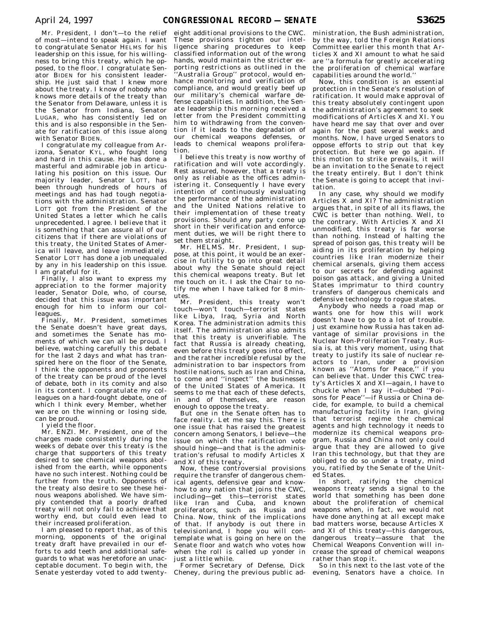Mr. President, I don't—to the relief of most—intend to speak again. I want to congratulate Senator HELMS for his leadership on this issue, for his willingness to bring this treaty, which he opposed, to the floor. I congratulate Senator BIDEN for his consistent leadership. He just said that I knew more about the treaty. I know of nobody who knows more details of the treaty than the Senator from Delaware, unless it is the Senator from Indiana, Senator LUGAR, who has consistently led on this and is also responsible in the Senate for ratification of this issue along with Senator BIDEN.

I congratulate my colleague from Arizona, Senator KYL, who fought long and hard in this cause. He has done a masterful and admirable job in articulating his position on this issue. Our majority leader, Senator LOTT, has been through hundreds of hours of meetings and has had tough negotiations with the administration. Senator LOTT got from the President of the United States a letter which he calls unprecedented. I agree. I believe that it is something that can assure all of our citizens that if there are violations of this treaty, the United States of America will leave, and leave immediately. Senator LOTT has done a job unequaled by any in his leadership on this issue. I am grateful for it.

Finally, I also want to express my appreciation to the former majority leader, Senator Dole, who, of course, decided that this issue was important enough for him to inform our colleagues.

Finally, Mr. President, sometimes the Senate doesn't have great days, and sometimes the Senate has moments of which we can all be proud. I believe, watching carefully this debate for the last 2 days and what has transpired here on the floor of the Senate, I think the opponents and proponents of the treaty can be proud of the level of debate, both in its comity and also in its content. I congratulate my colleagues on a hard-fought debate, one of which I think every Member, whether we are on the winning or losing side, can be proud.

I yield the floor.

Mr. ENZI. Mr. President, one of the charges made consistently during the weeks of debate over this treaty is the charge that supporters of this treaty desired to see chemical weapons abolished from the earth, while opponents have no such interest. Nothing could be further from the truth. Opponents of the treaty also desire to see these heinous weapons abolished. We have simply contended that a poorly drafted treaty will not only fail to achieve that worthy end, but could even lead to their increased proliferation.

I am pleased to report that, as of this morning, opponents of the original treaty draft have prevailed in our efforts to add teeth and additional safeguards to what was heretofore an unacceptable document. To begin with, the Senate yesterday voted to add twenty-

eight additional provisions to the CWC. These provisions tighten our intelligence sharing procedures to keep classified information out of the wrong hands, would maintain the stricter exporting restrictions as outlined in the ''Australia Group'' protocol, would enhance monitoring and verification of compliance, and would greatly beef up our military's chemical warfare defense capabilities. In addition, the Senate leadership this morning received a letter from the President committing him to withdrawing from the convention if it leads to the degradation of our chemical weapons defenses, or leads to chemical weapons proliferation.

I believe this treaty is now worthy of ratification and will vote accordingly. Rest assured, however, that a treaty is only as reliable as the offices administering it. Consequently I have every intention of continuously evaluating the performance of the administration and the United Nations relative to their implementation of these treaty provisions. Should any party come up short in their verification and enforcement duties, we will be right there to set them straight.

Mr. HELMS. Mr. President, I suppose, at this point, it would be an exercise in futility to go into great detail about why the Senate should reject this chemical weapons treaty. But let me touch on it. I ask the Chair to notify me when I have talked for 8 minutes.

Mr. President, this treaty won't touch—won't touch—terrorist states like Libya, Iraq, Syria and North Korea. The administration admits this itself. The administration also admits that this treaty is unverifiable. The fact that Russia is already cheating, even before this treaty goes into effect, and the rather incredible refusal by the administration to bar inspectors from hostile nations, such as Iran and China, to come and ''inspect'' the businesses of the United States of America. It seems to me that each of these defects, in and of themselves, are reason enough to oppose the treaty.

But one in the Senate often has to face reality. Let me say this. There is one issue that has raised the greatest concern among Senators, I believe—the issue on which the ratification vote should hinge—and that is the administration's refusal to modify Articles X and XI of this treaty.

Now, these controversial provisions require the transfer of dangerous chemical agents, defensive gear and knowhow to any nation that joins the CWC, including—get this—terrorist states like Iran and Cuba, and known proliferators, such as Russia and China. Now, think of the implications of that. If anybody is out there in televisionland, I hope you will contemplate what is going on here on the Senate floor and watch who votes how when the roll is called up yonder in just a little while.

Former Secretary of Defense, Dick Cheney, during the previous public ad-

ministration, the Bush administration, by the way, told the Foreign Relations Committee earlier this month that Articles X and XI amount to what he said are ''a formula for greatly accelerating the proliferation of chemical warfare capabilities around the world.''

Now, this condition is an essential protection in the Senate's resolution of ratification. It would make approval of this treaty absolutely contingent upon the administration's agreement to seek modifications of Articles X and XI. You have heard me say that over and over again for the past several weeks and months. Now, I have urged Senators to oppose efforts to strip out that key protection. But here we go again. If this motion to strike prevails, it will be an invitation to the Senate to reject the treaty entirely. But I don't think the Senate is going to accept that invitation.

In any case, why should we modify Articles X and XI? The administration argues that, in spite of all its flaws, the CWC is better than nothing. Well, to the contrary. With Articles X and XI unmodified, this treaty is far worse than nothing. Instead of halting the spread of poison gas, this treaty will be aiding in its proliferation by helping countries like Iran modernize their chemical arsenals, giving them access to our secrets for defending against poison gas attack, and giving a United States imprimatur to third country transfers of dangerous chemicals and defensive technology to rogue states.

Anybody who needs a road map or wants one for how this will work doesn't have to go to a lot of trouble. Just examine how Russia has taken advantage of similar provisions in the Nuclear Non-Proliferation Treaty. Russia is, at this very moment, using that treaty to justify its sale of nuclear reactors to Iran, under a provision known as ''Atoms for Peace,'' if you can believe that. Under this CWC treaty's Articles X and XI—again, I have to chuckle when I say it—dubbed ''Poisons for Peace''—if Russia or China decide, for example, to build a chemical manufacturing facility in Iran, giving that terrorist regime the chemical agents and high technology it needs to modernize its chemical weapons program, Russia and China not only could argue that they are allowed to give Iran this technology, but that they are obliged to do so under a treaty, mind you, ratified by the Senate of the United States.

In short, ratifying the chemical weapons treaty sends a signal to the world that something has been done about the proliferation of chemical weapons when, in fact, we would not have done anything at all except make bad matters worse, because Articles X and XI of this treaty—this dangerous, dangerous treaty—assure that the Chemical Weapons Convention will increase the spread of chemical weapons rather than stop it.

So in this next to the last vote of the evening, Senators have a choice. In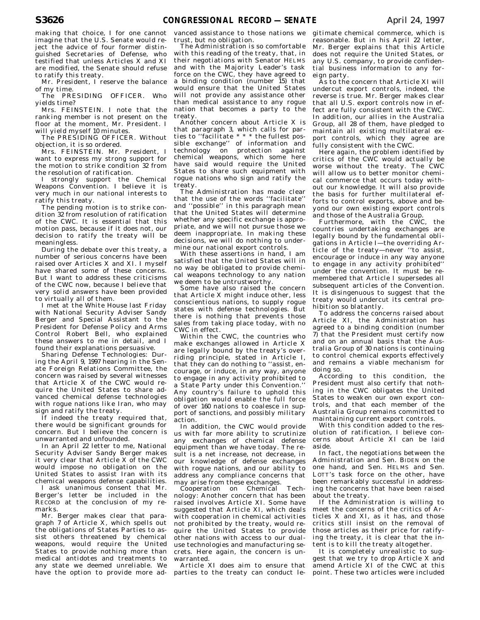making that choice, I for one cannot imagine that the U.S. Senate would reject the advice of four former distinguished Secretaries of Defense, who testified that unless Articles X and XI are modified, the Senate should refuse to ratify this treaty.

Mr. President, I reserve the balance of my time.

The PRESIDING OFFICER. Who yields time?

Mrs. FEINSTEIN. I note that the ranking member is not present on the floor at the moment, Mr. President. I will yield myself 10 minutes.

The PRESIDING OFFICER. Without objection, it is so ordered.

Mrs. FEINSTEIN. Mr. President, I want to express my strong support for the motion to strike condition 32 from the resolution of ratification.

I strongly support the Chemical Weapons Convention. I believe it is very much in our national interests to ratify this treaty.

The pending motion is to strike condition 32 from resolution of ratification of the CWC. It is essential that this motion pass, because if it does not, our decision to ratify the treaty will be meaningless.

During the debate over this treaty, a number of serious concerns have been raised over Articles X and XI. I myself have shared some of these concerns. But I want to address these criticisms of the CWC now, because I believe that very solid answers have been provided to virtually all of them.

I met at the White House last Friday with National Security Adviser Sandy Berger and Special Assistant to the President for Defense Policy and Arms Control Robert Bell, who explained these answers to me in detail, and I found their explanations persuasive.

Sharing Defense Technologies: During the April 9, 1997 hearing in the Senate Foreign Relations Committee, the concern was raised by several witnesses that Article X of the CWC would require the United States to share advanced chemical defense technologies with rogue nations like Iran, who may sign and ratify the treaty.

If indeed the treaty required that, there would be significant grounds for concern. But I believe the concern is unwarranted and unfounded.

In an April 22 letter to me, National Security Adviser Sandy Berger makes it very clear that Article X of the CWC would impose no obligation on the United States to assist Iran with its chemical weapons defense capabilities. I ask unanimous consent that Mr. Berger's letter be included in the RECORD at the conclusion of my remarks.

Mr. Berger makes clear that paragraph 7 of Article X, which spells out the obligations of States Parties to assist others threatened by chemical weapons, would require the United States to provide nothing more than medical antidotes and treatments to any state we deemed unreliable. We have the option to provide more ad-

vanced assistance to those nations we trust, but no obligation.

The Administration is so comfortable with this reading of the treaty, that, in their negotiations with Senator HELMS and with the Majority Leader's task force on the CWC, they have agreed to a binding condition (number 15) that would ensure that the United States will not provide any assistance other than medical assistance to any rogue nation that becomes a party to the treaty.

Another concern about Article X is that paragraph 3, which calls for parties to ''facilitate \* \* \* the fullest possible exchange'' of information and technology on protection against chemical weapons, which some here have said would require the United States to share such equipment with rogue nations who sign and ratify the treaty.

The Administration has made clear that the use of the words ''facilitate'' and ''possible'' in this paragraph mean that the United States will determine whether any specific exchange is appropriate, and we will not pursue those we deem inappropriate. In making these decisions, we will do nothing to undermine our national export controls.

With these assertions in hand, I am satisfied that the United States will in no way be obligated to provide chemical weapons technology to any nation we deem to be untrustworthy.

Some have also raised the concern that Article X might induce other, less conscientious nations, to supply rogue states with defense technologies. But there is nothing that prevents those sales from taking place today, with no CWC in effect.

Within the CWC, the countries who make exchanges allowed in Article X are legally bound by the treaty's overriding principle, stated in Article I, that they can do nothing to ''assist, encourage, or induce, in any way, anyone to engage in any activity prohibited to a State Party under this Convention.'' Any country's failure to uphold this obligation would enable the full force of over 160 nations to coalesce in support of sanctions, and possibly military action.

In addition, the CWC would provide us with far more ability to scrutinize any exchanges of chemical defense equipment than we have today. The result is a net increase, not decrease, in our knowledge of defense exchanges with rogue nations, and our ability to address any compliance concerns that may arise from these exchanges.

Cooperation on Chemical Technology: Another concern that has been raised involves Article XI. Some have suggested that Article XI, which deals with cooperation in chemical activities not prohibited by the treaty, would require the United States to provide other nations with access to our dualuse technologies and manufacturing secrets. Here again, the concern is unwarranted.

Article XI does aim to ensure that parties to the treaty can conduct legitimate chemical commerce, which is reasonable. But in his April 22 letter, Mr. Berger explains that this Article does not require the United States, or any U.S. company, to provide confidential business information to any foreign party.

As to the concern that Article XI will undercut export controls, indeed, the reverse is true. Mr. Berger makes clear that all U.S. export controls now in effect are fully consistent with the CWC. In addition, our allies in the Australia Group, all 28 of them, have pledged to maintain all existing multilateral export controls, which they agree are fully consistent with the CWC.

Here again, the problem identified by critics of the CWC would actually be worse without the treaty. The CWC will allow us to better monitor chemical commerce that occurs today without our knowledge. It will also provide the basis for further multilateral efforts to control exports, above and beyond our own existing export controls and those of the Australia Group.

Furthermore, with the CWC, the countries undertaking exchanges are legally bound by the fundamental obligations in Article I—the overriding Article of the treaty—never ''to assist, encourage or induce in any way anyone to engage in any activity prohibited'' under the convention. It must be remembered that Article I supersedes all subsequent articles of the Convention. It is disingenuous to suggest that the treaty would undercut its central prohibition so blatantly.

To address the concerns raised about Article XI, the Administration has agreed to a binding condition (number 7) that the President must certify now and on an annual basis that the Australia Group of 30 nations is continuing to control chemical exports effectively and remains a viable mechanism for doing so.

According to this condition, the President must also certify that nothing in the CWC obligates the United States to weaken our own export controls, and that each member of the Australia Group remains committed to maintaining current export controls.

With this condition added to the resolution of ratification, I believe concerns about Article XI can be laid aside.

In fact, the negotiations between the Administration and Sen. BIDEN on the one hand, and Sen. HELMS and Sen. LOTT's task force on the other, have been remarkably successful in addressing the concerns that have been raised about the treaty.

If the Administration is willing to meet the concerns of the critics of Articles X and XI, as it has, and those critics still insist on the removal of those articles as their price for ratifying the treaty, it is clear that the intent is to kill the treaty altogether.

It is completely unrealistic to suggest that we try to drop Article X and amend Article XI of the CWC at this point. These two articles were included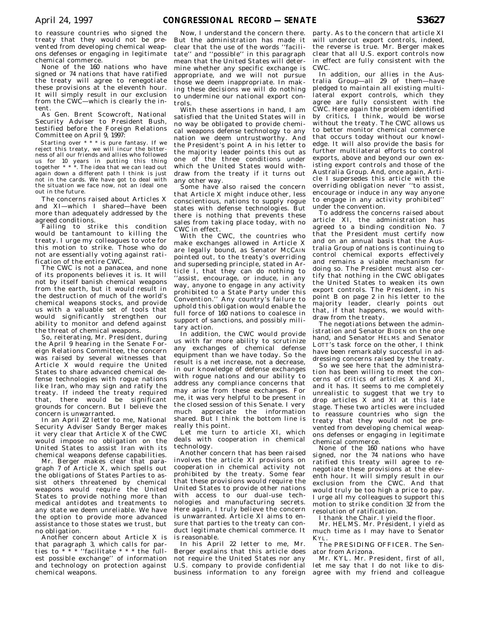to reassure countries who signed the treaty that they would not be prevented from developing chemical weapons defenses or engaging in legitimate chemical commerce.

None of the 160 nations who have signed or 74 nations that have ratified the treaty will agree to renegotiate these provisions at the eleventh hour. It will simply result in our exclusion from the  $\ddot{\text{CW}}$  —which is clearly the intent.

As Gen. Brent Scowcroft, National Security Adviser to President Bush, testified before the Foreign Relations Committee on April 9, 1997:

Starting over  $* * *$  is pure fantasy. If we reject this treaty, we will incur the bitterness of all our friends and allies who followed us for 10 years in putting this thing together \* \* \*. The idea that we can lead out again down a different path I think is just not in the cards. We have got to deal with the situation we face now, not an ideal one out in the future.

The concerns raised about Articles X and XI—which I shared—have been more than adequately addressed by the agreed conditions.

Failing to strike this condition would be tantamount to killing the treaty. I urge my colleagues to vote for this motion to strike. Those who do not are essentially voting against ratification of the entire CWC.

The CWC is not a panacea, and none of its proponents believes it is. It will not by itself banish chemical weapons from the earth, but it would result in the destruction of much of the world's chemical weapons stocks, and provide us with a valuable set of tools that would significantly strengthen our ability to monitor and defend against the threat of chemical weapons.

So, reiterating, Mr. President, during the April 9 hearing in the Senate Foreign Relations Committee, the concern was raised by several witnesses that Article X would require the United States to share advanced chemical defense technologies with rogue nations like Iran, who may sign and ratify the treaty. If indeed the treaty required that, there would be significant grounds for concern. But I believe the concern is unwarranted.

In an April 22 letter to me, National Security Adviser Sandy Berger makes it very clear that Article X of the CWC would impose no obligation on the United States to assist Iran with its chemical weapons defense capabilities.

Mr. Berger makes clear that paragraph 7 of Article X, which spells out the obligations of States Parties to assist others threatened by chemical weapons would require the United States to provide nothing more than medical antidotes and treatments to any state we deem unreliable. We have the option to provide more advanced assistance to those states we trust, but no obligation.

Another concern about Article X is that paragraph 3, which calls for parties to \* \* \* ''facilitate \* \* \* the fullest possible exchange'' of information and technology on protection against chemical weapons.

Now, I understand the concern there. But the administration has made it clear that the use of the words ''facilitate'' and ''possible'' in this paragraph mean that the United States will determine whether any specific exchange is appropriate, and we will not pursue those we deem inappropriate. In making these decisions we will do nothing to undermine our national export controls.

With these assertions in hand, I am satisfied that the United States will in no way be obligated to provide chemical weapons defense technology to any nation we deem untrustworthy. And the President's point A in his letter to the majority leader points this out as one of the three conditions under which the United States would withdraw from the treaty if it turns out any other way.

Some have also raised the concern that Article X might induce other, less conscientious, nations to supply rogue states with defense technologies. But there is nothing that prevents these sales from taking place today, with no CWC in effect.

With the CWC, the countries who make exchanges allowed in Article X are legally bound, as Senator MCCAIN pointed out, to the treaty's overriding and superseding principle, stated in Article I, that they can do nothing to 'assist, encourage, or induce, in any way, anyone to engage in any activity prohibited to a State Party under this Convention.'' Any country's failure to uphold this obligation would enable the full force of 160 nations to coalesce in support of sanctions, and possibly military action.

In addition, the CWC would provide us with far more ability to scrutinize any exchanges of chemical defense equipment than we have today. So the result is a net increase, not a decrease, in our knowledge of defense exchanges with rogue nations and our ability to address any compliance concerns that may arise from these exchanges. For me, it was very helpful to be present in the closed session of this Senate. I very much appreciate the information shared. But I think the bottom line is really this point.

Let me turn to article XI, which deals with cooperation in chemical technology.

Another concern that has been raised involves the article XI provisions on cooperation in chemical activity not prohibited by the treaty. Some fear that these provisions would require the United States to provide other nations with access to our dual-use technologies and manufacturing secrets. Here again, I truly believe the concern is unwarranted. Article XI aims to ensure that parties to the treaty can conduct legitimate chemical commerce. It is reasonable.

In his April 22 letter to me, Mr. Berger explains that this article does not require the United States nor any U.S. company to provide confidential business information to any foreign

party. As to the concern that article XI will undercut export controls, indeed, the reverse is true. Mr. Berger makes clear that all U.S. export controls now in effect are fully consistent with the CWC.

In addition, our allies in the Australia Group—all 29 of them—have pledged to maintain all existing multilateral export controls, which they agree are fully consistent with the CWC. Here again the problem identified by critics, I think, would be worse without the treaty. The CWC allows us to better monitor chemical commerce that occurs today without our knowledge. It will also provide the basis for further multilateral efforts to control exports, above and beyond our own existing export controls and those of the Australia Group. And, once again, Article I supersedes this article with the overriding obligation never ''to assist, encourage or induce in any way anyone to engage in any activity prohibited'' under the convention.

To address the concerns raised about article XI, the administration has agreed to a binding condition No. 7 that the President must certify now and on an annual basis that the Australia Group of nations is continuing to control chemical exports effectively and remains a viable mechanism for doing so. The President must also certify that nothing in the CWC obligates the United States to weaken its own export controls. The President, in his point B on page 2 in his letter to the majority leader, clearly points out that, if that happens, we would withdraw from the treaty.

The negotiations between the administration and Senator BIDEN on the one hand, and Senator HELMS and Senator LOTT's task force on the other, I think have been remarkably successful in addressing concerns raised by the treaty.

So we see here that the administration has been willing to meet the concerns of critics of articles X and XI, and it has. It seems to me completely unrealistic to suggest that we try to drop articles  $X$  and  $XI$  at this late stage. These two articles were included to reassure countries who sign the treaty that they would not be prevented from developing chemical weapons defenses or engaging in legitimate chemical commerce.

None of the 160 nations who have signed, nor the 74 nations who have ratified this treaty will agree to renegotiate these provisions at the eleventh hour. It will simply result in our exclusion from the CWC. And that would truly be too high a price to pay. I urge all my colleagues to support this motion to strike condition 32 from the resolution of ratification.

I thank the Chair. I yield the floor.

Mr. HELMS. Mr. President, I yield as much time as I may have to Senator KYL.

The PRESIDING OFFICER. The Senator from Arizona.

Mr. KYL. Mr. President, first of all, let me say that I do not like to disagree with my friend and colleague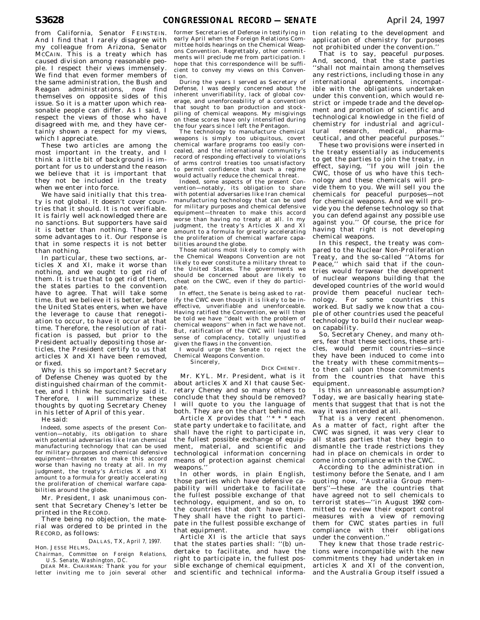from California, Senator FEINSTEIN. And I find that I rarely disagree with my colleague from Arizona, Senator MCCAIN. This is a treaty which has caused division among reasonable people. I respect their views immensely. We find that even former members of the same administration, the Bush and Reagan administrations, now find themselves on opposite sides of this issue. So it is a matter upon which reasonable people can differ. As I said, I respect the views of those who have disagreed with me, and they have certainly shown a respect for my views, which I appreciate.

These two articles are among the most important in the treaty, and I think a little bit of background is important for us to understand the reason we believe that it is important that they not be included in the treaty when we enter into force.

We have said initially that this treaty is not global. It doesn't cover countries that it should. It is not verifiable. It is fairly well acknowledged there are no sanctions. But supporters have said it is better than nothing. There are some advantages to it. Our response is that in some respects it is not better than nothing.

In particular, these two sections, articles X and XI, make it worse than nothing, and we ought to get rid of them. It is true that to get rid of them, the states parties to the convention have to agree. That will take some time. But we believe it is better, before the United States enters, when we have the leverage to cause that renegotiation to occur, to have it occur at that time. Therefore, the resolution of ratification is passed, but prior to the President actually depositing those articles, the President certify to us that articles X and XI have been removed, or fixed.

Why is this so important? Secretary of Defense Cheney was quoted by the distinguished chairman of the committee, and I think he succinctly said it. Therefore, I will summarize these thoughts by quoting Secretary Cheney in his letter of April of this year.

He said:

Indeed, some aspects of the present Convention—notably, its obligation to share with potential adversaries like Iran chemical manufacturing technology that can be used for military purposes and chemical defensive equipment—threaten to make this accord worse than having no treaty at all. In my judgment, the treaty's Articles X and XI amount to a formula for greatly accelerating the proliferation of chemical warfare capabilities around the globe.

Mr. President, I ask unanimous consent that Secretary Cheney's letter be printed in the RECORD.

There being no objection, the material was ordered to be printed in the RECORD, as follows:

DALLAS, TX, *April 7, 1997.* Hon. JESSE HELMS,

*Chairman, Committee on Foreign Relations, U.S. Senate, Washington, DC.* DEAR MR. CHAIRMAN: Thank you for your

letter inviting me to join several other

former Secretaries of Defense in testifying in early April when the Foreign Relations Committee holds hearings on the Chemical Weapons Convention. Regrettably, other commitments will preclude me from participation. I hope that this correspondence will be sufficient to convey my views on this Convention.

During the years I served as Secretary of Defense, I was deeply concerned about the inherent unverifiability, lack of global coverage, and unenforceability of a convention that sought to ban production and stockpiling of chemical weapons. My misgivings on these scores have only intensified during the four years since I left the Pentagon.

The technology to manufacture chemical weapons is simply too ubiquitous, covert chemical warfare programs too easily concealed, and the international community's record of responding effectively to violations of arms control treaties too unsatisfactory to permit confidence that such a regime would actually reduce the chemical threat.

Indeed, some aspects of the present Convention—notably, its obligation to share with potential adversaries like Iran chemical manufacturing technology that can be used for military purposes and chemical defensive equipment—threaten to make this accord worse than having no treaty at all. In my judgment, the treaty's Articles X and XI amount to a formula for greatly accelerating the proliferation of chemical warfare capabilities around the globe.

Those nations most likely to comply with the Chemical Weapons Convention are not likely to ever constitute a military threat to the United States. The governments we should be concerned about are likely to cheat on the CWC, even if they do participate.

In effect, the Senate is being asked to ratify the CWC even though it is likely to be ineffective, unverifiable and unenforceable. Having ratified the Convention, we will then be told we have ''dealt with the problem of chemical weapons'' when in fact we have not. But, ratification of the CWC will lead to a sense of complacency, totally unjustified given the flaws in the convention.

I would urge the Senate to reject the Chemical Weapons Convention. Sincerely.

#### DICK CHENEY.

Mr. KYL. Mr. President, what is it about articles X and XI that cause Secretary Cheney and so many others to conclude that they should be removed? I will quote to you the language of both. They are on the chart behind me.

Article X provides that "\* \* \* each state party undertake to facilitate, and shall have the right to participate in, the fullest possible exchange of equipment, material, and scientific and technological information concerning means of protection against chemical weapons.''

In other words, in plain English, those parties which have defensive capability will undertake to facilitate the fullest possible exchange of that technology, equipment, and so on, to the countries that don't have them. They shall have the right to participate in the fullest possible exchange of that equipment.

Article XI is the article that says that the states parties shall: ''(b) undertake to facilitate, and have the right to participate in, the fullest possible exchange of chemical equipment, and scientific and technical informa-

tion relating to the development and application of chemistry for purposes not prohibited under the convention.''

That is to say, peaceful purposes. And, second, that the state parties ''shall not maintain among themselves any restrictions, including those in any international agreements, incompatible with the obligations undertaken under this convention, which would restrict or impede trade and the development and promotion of scientific and technological knowledge in the field of chemistry for industrial and agricultural research, medical, pharmaceutical, and other peaceful purposes.''

These two provisions were inserted in the treaty essentially as inducements to get the parties to join the treaty, in effect, saying, ''If you will join the CWC, those of us who have this technology and these chemicals will provide them to you. We will sell you the chemicals for peaceful purposes—not for chemical weapons. And we will provide you the defense technology so that you can defend against any possible use against you.'' Of course, the price for having that right is not developing chemical weapons.

In this respect, the treaty was compared to the Nuclear Non-Proliferation Treaty, and the so-called ''Atoms for Peace,'' which said that if the countries would forswear the development of nuclear weapons building that the developed countries of the world would provide them peaceful nuclear technology. For some countries this worked. But sadly we know that a couple of other countries used the peaceful technology to build their nuclear weapon capability.

So, Secretary Cheney, and many others, fear that these sections, these articles, would permit countries—since they have been induced to come into the treaty with these commitments to then call upon those commitments from the countries that have this equipment.

Is this an unreasonable assumption? Today, we are basically hearing statements that suggest that that is not the way it was intended at all.

That is a very recent phenomenon. As a matter of fact, right after the CWC was signed, it was very clear to all states parties that they begin to dismantle the trade restrictions they had in place on chemicals in order to come into compliance with the CWC.

According to the administration in testimony before the Senate, and I am quoting now, ''Australia Group members''—these are the countries that have agreed not to sell chemicals to terrorist states—''in August 1992 committed to review their export control measures with a view of removing them for CWC states parties in full compliance with their obligations under the convention.''

They knew that those trade restrictions were incompatible with the new commitments they had undertaken in articles X and XI of the convention, and the Australia Group itself issued a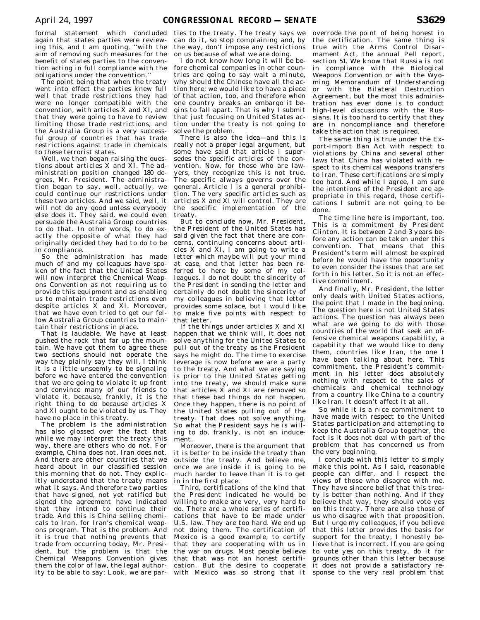formal statement which concluded again that states parties were reviewing this, and I am quoting, ''with the aim of removing such measures for the benefit of states parties to the convention acting in full compliance with the obligations under the convention.''

The point being that when the treaty went into effect the parties knew full well that trade restrictions they had were no longer compatible with the convention, with articles X and XI, and that they were going to have to review limiting those trade restrictions, and the Australia Group is a very successful group of countries that has trade restrictions against trade in chemicals to these terrorist states.

Well, we then began raising the questions about articles X and XI. The administration position changed 180 degrees, Mr. President. The administration began to say, well, actually, we could continue our restrictions under these two articles. And we said, well, it will not do any good unless everybody else does it. They said, we could even persuade the Australia Group countries to do that. In other words, to do exactly the opposite of what they had originally decided they had to do to be in compliance.

So the administration has made much of and my colleagues have spoken of the fact that the United States will now interpret the Chemical Weapons Convention as not requiring us to provide this equipment and as enabling us to maintain trade restrictions even despite articles X and XI. Moreover, that we have even tried to get our fellow Australia Group countries to maintain their restrictions in place.

That is laudable. We have at least pushed the rock that far up the mountain. We have got them to agree these two sections should not operate the way they plainly say they will. I think it is a little unseemly to be signaling before we have entered the convention that we are going to violate it up front and convince many of our friends to violate it, because, frankly, it is the right thing to do because articles X and XI ought to be violated by us. They have no place in this treaty.

The problem is the administration has also glossed over the fact that while we may interpret the treaty this way, there are others who do not. For example, China does not. Iran does not. And there are other countries that we heard about in our classified session this morning that do not. They explicitly understand that the treaty means what it says. And therefore two parties that have signed, not yet ratified but signed the agreement have indicated that they intend to continue their trade. And this is China selling chemicals to Iran, for Iran's chemical weapons program. That is the problem. And it is true that nothing prevents that trade from occurring today, Mr. President, but the problem is that the Chemical Weapons Convention gives them the color of law, the legal authority to be able to say: Look, we are par-

ties to the treaty. The treaty says we can do it, so stop complaining and, by the way, don't impose any restrictions on us because of what we are doing.

I do not know how long it will be before chemical companies in other countries are going to say wait a minute, why should the Chinese have all the action here; we would like to have a piece of that action, too, and therefore when one country breaks an embargo it begins to fall apart. That is why I submit that just focusing on United States action under the treaty is not going to solve the problem.

There is also the idea—and this is really not a proper legal argument, but some have said that article I supersedes the specific articles of the convention. Now, for those who are lawyers, they recognize this is not true. The specific always governs over the general. Article I is a general prohibition. The very specific articles such as articles  $X$  and  $X$ I will control. They are the specific implementation of the treaty.

But to conclude now, Mr. President, the President of the United States has said given the fact that there are concerns, continuing concerns about articles  $X$  and  $XI$ ,  $\tilde{I}$  am going to write a letter which maybe will put your mind at ease, and that letter has been referred to here by some of my colleagues. I do not doubt the sincerity of the President in sending the letter and certainly do not doubt the sincerity of my colleagues in believing that letter provides some solace, but I would like to make five points with respect to that letter.

If the things under articles X and XI happen that we think will, it does not solve anything for the United States to pull out of the treaty as the President says he might do. The time to exercise leverage is now before we are a party to the treaty. And what we are saying is prior to the United States getting into the treaty, we should make sure that articles  $\check{X}$  and XI are removed so that these bad things do not happen. Once they happen, there is no point of the United States pulling out of the treaty. That does not solve anything. So what the President says he is willing to do, frankly, is not an inducement.

Moreover, there is the argument that it is better to be inside the treaty than outside the treaty. And believe me, once we are inside it is going to be much harder to leave than it is to get in in the first place.

Third, certifications of the kind that the President indicated he would be willing to make are very, very hard to do. There are a whole series of certifications that have to be made under U.S. law. They are too hard. We end up not doing them. The certification of Mexico is a good example, to certify that they are cooperating with us in the war on drugs. Most people believe that that was not an honest certification. But the desire to cooperate with Mexico was so strong that it

overrode the point of being honest in the certification. The same thing is true with the Arms Control Disarmament Act, the annual Pell report, section 51. We know that Russia is not in compliance with the Biological Weapons Convention or with the Wyoming Memorandum of Understanding or with the Bilateral Destruction Agreement, but the most this administration has ever done is to conduct high-level discussions with the Russians. It is too hard to certify that they are in noncompliance and therefore take the action that is required.

The same thing is true under the Export-Import Ban Act with respect to violations by China and several other laws that China has violated with respect to its chemical weapons transfers to Iran. These certifications are simply too hard. And while I agree, I am sure the intentions of the President are appropriate in this regard, those certifications I submit are not going to be done.

The time line here is important, too. This is a commitment by President Clinton. It is between 2 and 3 years before any action can be taken under this convention. That means that this President's term will almost be expired before he would have the opportunity to even consider the issues that are set forth in his letter. So it is not an effective commitment.

And finally, Mr. President, the letter only deals with United States actions, the point that I made in the beginning. The question here is not United States actions. The question has always been what are we going to do with those countries of the world that seek an offensive chemical weapons capability, a capability that we would like to deny them, countries like Iran, the one I have been talking about here. This commitment, the President's commitment in his letter does absolutely nothing with respect to the sales of chemicals and chemical technology from a country like China to a country like Iran. It doesn't affect it at all.

So while it is a nice commitment to have made with respect to the United States participation and attempting to keep the Australia Group together, the fact is it does not deal with part of the problem that has concerned us from the very beginning.

I conclude with this letter to simply make this point. As I said, reasonable people can differ, and I respect the views of those who disagree with me. They have sincere belief that this treaty is better than nothing. And if they believe that way, they should vote yes on this treaty. There are also those of us who disagree with that proposition. But I urge my colleagues, if you believe that this letter provides the basis for support for the treaty, I honestly believe that is incorrect. If you are going to vote yes on this treaty, do it for grounds other than this letter because it does not provide a satisfactory response to the very real problem that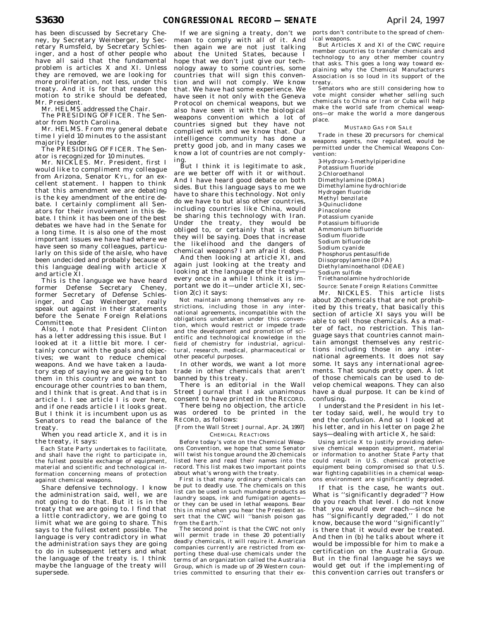has been discussed by Secretary Cheney, by Secretary Weinberger, by Secretary Rumsfeld, by Secretary Schlesinger, and a host of other people who have all said that the fundamental problem is articles X and XI. Unless they are removed, we are looking for more proliferation, not less, under this treaty. And it is for that reason the motion to strike should be defeated, Mr. President.

Mr. HELMS addressed the Chair.

The PRESIDING OFFICER. The Senator from North Carolina.

Mr. HELMS. From my general debate time I yield 10 minutes to the assistant majority leader.

The PRESIDING OFFICER. The Senator is recognized for 10 minutes.

Mr. NICKLES. Mr. President, first I would like to compliment my colleague from Arizona, Senator KYL, for an excellent statement. I happen to think that this amendment we are debating is the key amendment of the entire debate. I certainly compliment all Senators for their involvement in this debate. I think it has been one of the best debates we have had in the Senate for a long time. It is also one of the most important issues we have had where we have seen so many colleagues, particularly on this side of the aisle, who have been undecided and probably because of this language dealing with article X and article XI.

This is the language we have heard former Defense Secretary Cheney, former Secretary of Defense Schlesinger, and Cap Weinberger, really speak out against in their statements before the Senate Foreign Relations Committee.

Also, I note that President Clinton has a letter addressing this issue. But I looked at it a little bit more. I certainly concur with the goals and objectives; we want to reduce chemical weapons. And we have taken a laudatory step of saying we are going to ban them in this country and we want to encourage other countries to ban them, and I think that is great. And that is in article I. I see article I is over here, and if one reads article I it looks great. But I think it is incumbent upon us as Senators to read the balance of the treaty.

When you read article X, and it is in the treaty, it says:

Each State Party undertakes to facilitate, and shall have the right to participate in, the fullest possible exchange of equipment, material and scientific and technological information concerning means of protection against chemical weapons.

Share defensive technology. I know the administration said, well, we are not going to do that. But it is in the treaty that we are going to. I find that a little contradictory, we are going to limit what we are going to share. This says to the fullest extent possible. The language is very contradictory in what the administration says they are going to do in subsequent letters and what the language of the treaty is. I think maybe the language of the treaty will supersede.

If we are signing a treaty, don't we mean to comply with all of it. And then again we are not just talking about the United States, because I hope that we don't just give our technology away to some countries, some countries that will sign this convention and will not comply. We know that. We have had some experience. We have seen it not only with the Geneva Protocol on chemical weapons, but we also have seen it with the biological weapons convention which a lot of countries signed but they have not complied with and we know that. Our intelligence community has done a pretty good job, and in many cases we know a lot of countries are not complying.

But I think it is legitimate to ask, are we better off with it or without. And I have heard good debate on both sides. But this language says to me we have to share this technology. Not only do we have to but also other countries, including countries like China, would be sharing this technology with Iran. Under the treaty, they would be obliged to, or certainly that is what they will be saying. Does that increase the likelihood and the dangers of chemical weapons? I am afraid it does.

And then looking at article XI, and again just looking at the treaty and looking at the language of the treaty every once in a while I think it is important we do it—under article XI, section 2(c) it says:

Not maintain among themselves any restrictions, including those in any international agreements, incompatible with the obligations undertaken under this convention, which would restrict or impede trade and the development and promotion of scientific and technological knowledge in the field of chemistry for industrial, agricultural, research, medical, pharmaceutical or other peaceful purposes.

In other words, we want a lot more trade in other chemicals that aren't banned by this treaty.

There is an editorial in the Wall Street Journal that I ask unanimous consent to have printed in the RECORD.

There being no objection, the article was ordered to be printed in the RECORD, as follows:

[From the Wall Street Journal, Apr. 24, 1997] CHEMICAL REACTIONS

Before today's vote on the Chemical Weapons Convention, we hope that some Senator will twist his tongue around the 20 chemicals listed here and read their names into the record. This list makes two important points about what's wrong with the treaty.

First is that many ordinary chemicals can be put to deadly use. The chemicals on this list can be used in such mundane products as laundry soaps, ink and fumigation agents or they can be used in lethal weapons. Bear this in mind when you hear the President assert that the CWC will ''banish poison gas from the Earth.''

The second point is that the CWC not only will permit trade in these 20 potentially deadly chemicals, it will *require* it. American companies currently are restricted from exporting these dual-use chemicals under the terms of an organization called the Australia Group, which is made up of 29 Western countries committed to ensuring that their ex-

ports don't contribute to the spread of chemical weapons.

But Articles X and XI of the CWC require member countries to transfer chemicals and technology to any other member country that asks. This goes a long way toward explaining why the Chemical Manufacturers Association is so loud in its support of the treaty.

Senators who are still considering how to vote might consider whether selling such chemicals to China or Iran or Cuba will help make the world safe from chemical weapons—or make the world a more dangerous place.

# MUSTARD GAS FOR SALE

Trade in these 20 precursors for chemical weapons agents, now regulated, would be permitted under the Chemical Weapons Convention:

3-Hydroxy-1-methylpiperidine Potassium fluoride 2-Chloroethanol Dimethylamine (DMA) Dimethylamine hydrochloride Hydrogen fluoride Methyl benzilate 3-Quinuclidone Pinacolone Potassium cyanide Potassium bifluoride Ammonium bifluoride Sodium fluoride Sodium bifluoride Sodium cyanide Phosphorus pentasulfide Diisopropylamine (DIPA) Diethylaminoethanol (DEAE) Sodium sulfide Triethanolamine hydrochloride *Source: Senate Foreign Relations Committee*

Mr. NICKLES. This article lists about 20 chemicals that are not prohibited by this treaty, that basically this section of article XI says you will be able to sell those chemicals. As a matter of fact, no restriction. This language says that countries cannot maintain amongst themselves any restrictions including those in any international agreements. It does not say some. It says any international agreements. That sounds pretty open. A lot of those chemicals can be used to develop chemical weapons. They can also have a dual purpose. It can be kind of confusing.

I understand the President in his letter today said, well, he would try to end the confusion. And so I looked at his letter, and in his letter on page 2 he says—dealing with article X, he said:

Using article X to justify providing defensive chemical weapon equipment, material or information to another State Party that could result in U.S. chemical protective equipment being compromised so that U.S. war fighting capabilities in a chemical weapons environment are significantly degraded.

If that is the case, he wants out. What is ''significantly degraded''? How do you reach that level. I do not know that you would ever reach—since he has ''significantly degraded,'' I do not know, because the word ''significantly'' is there that it would ever be treated. And then in (b) he talks about where it would be impossible for him to make a certification on the Australia Group. But in the final language he says we would get out if the implementing of this convention carries out transfers or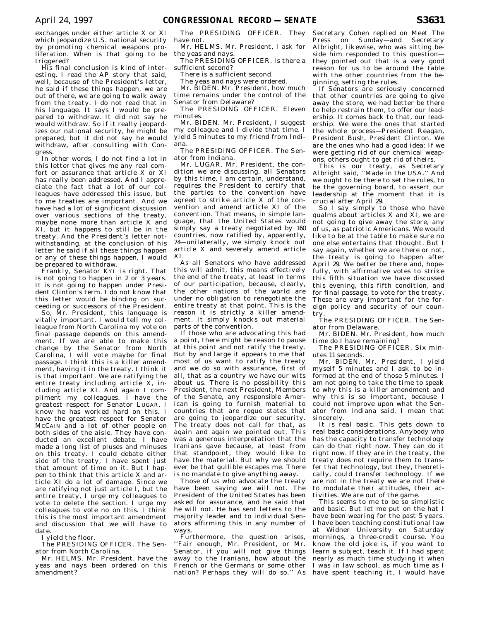exchanges under either article X or XI which jeopardize U.S. national security by promoting chemical weapons proliferation. When is that going to be triggered?

His final conclusion is kind of interesting. I read the AP story that said, well, because of the President's letter, he said if these things happen, we are out of there, we are going to walk away from the treaty. I do not read that in his language. It says I would be prepared to withdraw. It did not say he would withdraw. So if it really jeopardizes our national security, he might be prepared, but it did not say he would withdraw, after consulting with Congress.

In other words, I do not find a lot in this letter that gives me any real comfort or assurance that article X or XI has really been addressed. And I appreciate the fact that a lot of our colleagues have addressed this issue, but to me treaties are important. And we have had a lot of significant discussion over various sections of the treaty, maybe none more than article X and XI, but it happens to still be in the treaty. And the President's letter notwithstanding, at the conclusion of his letter he said if all these things happen or any of these things happen, I would be prepared to withdraw.

Frankly, Senator KYL is right. That is not going to happen in 2 or 3 years. It is not going to happen under President Clinton's term. I do not know that this letter would be binding on succeeding or successors of the President.

So, Mr. President, this language is vitally important. I would tell my colleague from North Carolina my vote on final passage depends on this amendment. If we are able to make this change by the Senator from North Carolina, I will vote maybe for final passage. I think this is a killer amendment, having it in the treaty. I think it is that important. We are ratifying the entire treaty including article X, including article XI. And again I compliment my colleagues. I have the greatest respect for Senator LUGAR. I know he has worked hard on this. I have the greatest respect for Senator MCCAIN and a lot of other people on both sides of the aisle. They have conducted an excellent debate. I have made a long list of pluses and minuses on this treaty. I could debate either side of the treaty, I have spent just that amount of time on it. But I happen to think that this article X and article XI do a lot of damage. Since we are ratifying not just article I, but the entire treaty, I urge my colleagues to vote to delete the section. I urge my colleagues to vote no on this. I think this is the most important amendment and discussion that we will have to date.

I yield the floor.

The PRESIDING OFFICER. The Senator from North Carolina.

Mr. HELMS. Mr. President, have the yeas and nays been ordered on this amendment?

The PRESIDING OFFICER. They have not.

Mr. HELMS. Mr. President, I ask for the yeas and nays.

The PRESIDING OFFICER. Is there a sufficient second?

There is a sufficient second.

The yeas and nays were ordered.

Mr. BIDEN. Mr. President, how much time remains under the control of the Senator from Delaware?

The PRESIDING OFFICER. Eleven minutes.

Mr. BIDEN. Mr. President, I suggest my colleague and I divide that time. I yield 5 minutes to my friend from Indiana.

The PRESIDING OFFICER. The Senator from Indiana.

Mr. LUGAR. Mr. President, the condition we are discussing, all Senators by this time, I am certain, understand, requires the President to certify that the parties to the convention have agreed to strike article X of the convention and amend article XI of the convention. That means, in simple language, that the United States would simply say a treaty negotiated by 160 countries, now ratified by, apparently, 74—unilaterally, we simply knock out article X and severely amend article XI.

As all Senators who have addressed this will admit, this means effectively the end of the treaty, at least in terms of our participation, because, clearly, the other nations of the world are under no obligation to renegotiate the entire treaty at that point. This is the reason it is strictly a killer amendment. It simply knocks out material parts of the convention.

If those who are advocating this had a point, there might be reason to pause at this point and not ratify the treaty. But by and large it appears to me that most of us want to ratify the treaty and we do so with assurance, first of all, that as a country we have our wits about us. There is no possibility this President, the next President, Members of the Senate, any responsible American is going to furnish material to countries that are rogue states that are going to jeopardize our security. The treaty does not call for that, as again and again we pointed out. This was a generous interpretation that the Iranians gave because, at least from that standpoint, they would like to have the material. But why we should ever be that gullible escapes me. There is no mandate to give anything away.

Those of us who advocate the treaty have been saying we will not. The President of the United States has been asked for assurance, and he said that he will not. He has sent letters to the majority leader and to individual Senators affirming this in any number of ways.

Furthermore, the question arises, ''Fair enough, Mr. President, or Mr. Senator, if you will not give things away to the Iranians, how about the French or the Germans or some other nation? Perhaps they will do so.'' As

Secretary Cohen replied on Meet The Press on Sunday—and Secretary Albright, likewise, who was sitting beside him responded to this question they pointed out that is a very good reason for us to be around the table with the other countries from the beginning, setting the rules.

If Senators are seriously concerned that other countries are going to give away the store, we had better be there to help restrain them, to offer our leadership. It comes back to that, our leadership. We were the ones that started the whole process—President Reagan, President Bush, President Clinton. We are the ones who had a good idea: If we were getting rid of our chemical weapons, others ought to get rid of theirs.

This is our treaty, as Secretary Albright said, ''Made in the USA.'' And we ought to be there to set the rules, to be the governing board, to assert our leadership at the moment that it is crucial after April 29.

So I say simply to those who have qualms about articles X and XI, we are not going to give away the store, any of us, as patriotic Americans. We would like to be at the table to make sure no one else entertains that thought. But I say again, whether we are there or not, the treaty is going to happen after April 29. We better be there and, hopefully, with affirmative votes to strike this fifth situation we have discussed this evening, this fifth condition, and for final passage, to vote for the treaty. These are very important for the foreign policy and security of our country.

The PRESIDING OFFICER. The Senator from Delaware.

Mr. BIDEN. Mr. President, how much time do I have remaining?

The PRESIDING OFFICER. Six minutes 11 seconds.

Mr. BIDEN. Mr. President, I yield myself 5 minutes and I ask to be informed at the end of those 5 minutes. I am not going to take the time to speak to why this is a killer amendment and why this is so important, because I could not improve upon what the Senator from Indiana said. I mean that sincerely.

It is real basic. This gets down to real basic considerations. Anybody who has the capacity to transfer technology can do that right now. They can do it right now. If they are in the treaty, the treaty does not require them to transfer that technology, but they, theoretically, could transfer technology. If we are not in the treaty we are not there to modulate their attitudes, their activities. We are out of the game.

This seems to me to be so simplistic and basic. But let me put on the hat I have been wearing for the past 5 years. I have been teaching constitutional law at Widner University on Saturday mornings, a three-credit course. You know the old joke is, if you want to learn a subject, teach it. If I had spent nearly as much time studying it when I was in law school, as much time as I have spent teaching it, I would have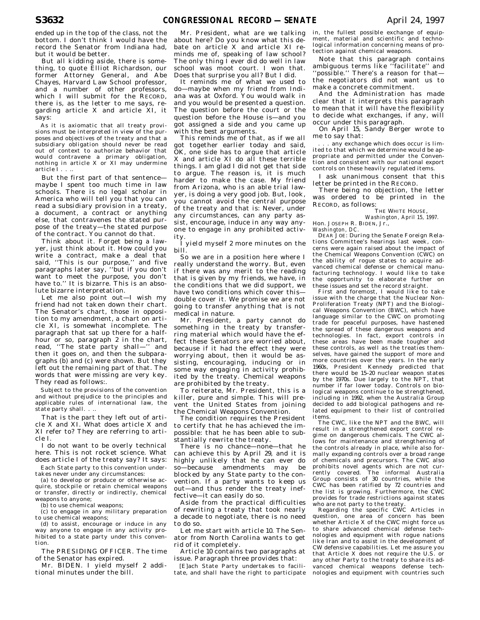ended up in the top of the class, not the bottom. I don't think I would have the record the Senator from Indiana had, but it would be better.

But all kidding aside, there is something, to quote Elliot Richardson, our former Attorney General, and Abe Chayes, Harvard Law School professor, and a number of other professors, which I will submit for the RECORD, there is, as the letter to me says, regarding article X and article XI, it says:

As it is axiomatic that all treaty provisions must be interpreted in view of the purposes and objectives of the treaty and that a subsidiary obligation should never be read out of context to authorize behavior that would contravene a primary obligation, nothing in article X or XI may undermine article I . . ..

But the first part of that sentence maybe I spent too much time in law schools. There is no legal scholar in America who will tell you that you can read a subsidiary provision in a treaty, a document, a contract or anything else, that contravenes the stated purpose of the treaty—the stated purpose of the contract. You cannot do that.

Think about it. Forget being a lawyer, just think about it. How could you write a contract, make a deal that said, ''This is our purpose,'' and five paragraphs later say, ''but if you don't want to meet the purpose, you don't have to." It is bizarre. This is an absolute bizarre interpretation.

Let me also point out—I wish my friend had not taken down their chart. The Senator's chart, those in opposition to my amendment, a chart on article XI, is somewhat incomplete. The paragraph that sat up there for a halfhour or so, paragraph 2 in the chart, read, ''The state party shall—'' and then it goes on, and then the subparagraphs (b) and (c) were shown. But they left out the remaining part of that. The words that were missing are very key. They read as follows:.

Subject to the provisions of the convention and without prejudice to the principles and applicable rules of international law, the state party shall. . ..

That is the part they left out of article X and XI. What does article X and XI refer to? They are referring to article I.

I do not want to be overly technical here. This is not rocket science. What does article I of the treaty say? It says: Each State party to this convention under-

takes never under any circumstances:

(a) to develop or produce or otherwise acquire, stockpile or retain chemical weapons or transfer, directly or indirectly, chemical weapons to anyone;

(b) to use chemical weapons;

(c) to engage in any military preparation to use chemical weapons;

(d) to assist, encourage or induce in any way anyone to engage in any activity prohibited to a state party under this convention.

The PRESIDING OFFICER. The time of the Senator has expired.

Mr. BIDEN. I yield myself 2 additional minutes under the bill.

Mr. President, what are we talking about here? Do you know what this debate on article X and article XI reminds me of, speaking of law school? The only thing I ever did do well in law school was moot court. I won that. Does that surprise you all? But I did.

It reminds me of what we used to do—maybe when my friend from Indiana was at Oxford. You would walk in and you would be presented a question. The question before the court or the question before the House is—and you got assigned a side and you came up with the best arguments.

This reminds me of that, as if we all got together earlier today and said, OK, one side has to argue that article X and article XI do all these terrible things. I am glad I did not get that side to argue. The reason is, it is much harder to make the case. My friend from Arizona, who is an able trial lawyer, is doing a very good job. But, look, you cannot avoid the central purpose of the treaty and that is: Never, under any circumstances, can any party assist, encourage, induce in any way anyone to engage in any prohibited activity.

I yield myself 2 more minutes on the bill.

So we are in a position here where I really understand the worry. But, even if there was any merit to the reading that is given by my friends, we have, in the conditions that we did support, we have two conditions which cover this double cover it. We promise we are not going to transfer anything that is not medical in nature.

Mr. President, a party cannot do something in the treaty by transferring material which would have the effect these Senators are worried about, because if it had the effect they were worrying about, then it would be assisting, encouraging, inducing or in some way engaging in activity prohibited by the treaty. Chemical weapons are prohibited by the treaty.

To reiterate, Mr. President, this is a killer, pure and simple. This will prevent the United States from joining the Chemical Weapons Convention.

The condition requires the President to certify that he has achieved the impossible: that he has been able to substantially rewrite the treaty.

There is no chance—none—that he can achieve this by April 29, and it is highly unlikely that he can ever do so—because amendments may be blocked by any State party to the convention. If a party wants to keep us out—and thus render the treaty ineffective—it can easily do so.

Aside from the practical difficulties of rewriting a treaty that took nearly a decade to negotiate, there is no need to do so.

Let me start with article 10. The Senator from North Carolina wants to get rid of it completely.

Article 10 contains two paragraphs at issue. Paragraph three provides that:

[E]ach State Party undertakes to facilitate, and shall have the right to participate in, the fullest possible exchange of equipment, material and scientific and technological information concerning means of protection against chemical weapons.

Note that this paragraph contains ambiguous terms like ''facilitate'' and 'possible." There's a reason for thatthe negotiators did not want us to make a concrete commitment.

And the Administration has made clear that it interprets this paragraph to mean that it will have the flexibility to decide what exchanges, if any, will occur under this paragraph.

On April 15, Sandy Berger wrote to me to say that:

. . . any exchange which does occur is limited to that which we determine would be appropriate and permitted under the Convention and consistent with our national export controls on these heavily regulated items.

I ask unanimous consent that this letter be printed in the RECORD.

There being no objection, the letter was ordered to be printed in the RECORD, as follows:

THE WHITE HOUSE, *Washington, April 15, 1997.*

Hon. JOSEPH R. BIDEN, Jr., *Washington, DC.*

DEAR JOE: During the Senate Foreign Relations Committee's hearings last week, concerns were again raised about the impact of the Chemical Weapons Convention (CWC) on the ability of rogue states to acquire advanced chemical defense or chemical manufacturing technology. I would like to take the opportunity to elaborate further on these issues and set the record straight.

First and foremost, I would like to take issue with the charge that the Nuclear Non-Proliferation Treaty (NPT) and the Biological Weapons Convention (BWC), which have language similar to the CWC on promoting trade for peaceful purposes, have hastened the spread of these dangerous weapons and technologies. In fact, export controls in these areas have been made tougher and these controls, as well as the treaties themselves, have gained the support of more and more countries over the years. In the early 1960s, President Kennedy predicted that there would be 15–20 nuclear weapon states by the 1970s. Due largely to the NPT, that number if far lower today. Controls on biological weapons continue to be strengthened, including in 1992, when the Australia Group decided to add biological pathogens and related equipment to their list of controlled items.

The CWC, like the NPT and the BWC, will result in a strengthened export control regime on dangerous chemicals. The CWC allows for maintenance and strengthening of the controls already in place, while also formally expanding controls over a broad range of chemicals and precursors. The CWC also prohibits novel agents which are not currently covered. The informal Australia Group consists of 30 countries, while the CWC has been ratified by 72 countries and the list is growing. Furthermore, the CWC provides for trade restrictions against states

who are not party to the treaty. Regarding the specific CWC Articles in question, one area of concern has been whether Article X of the CWC might force us to share advanced chemical defense technologies and equipment with rogue nations like Iran and to assist in the development of CW defensive capabilities. Let me assure you that Article X does not require the U.S. or any other Party to the treaty to share its advanced chemical weapons defense technologies and equipment with countries such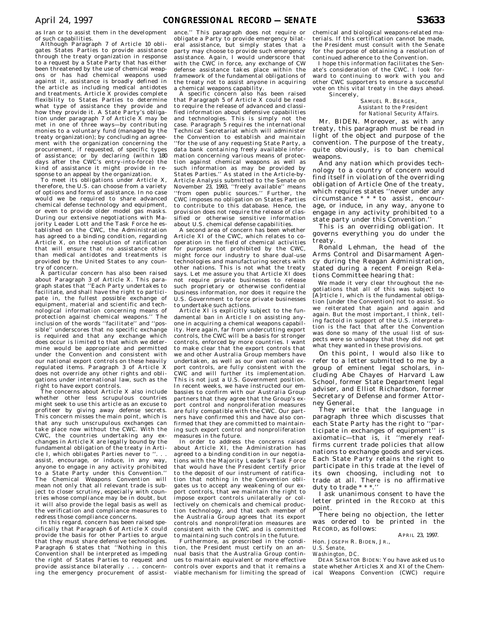as Iran or to assist them in the development of such capabilities.

Although Paragraph 7 of Article 10 obligates States Parties to provide assistance through the treaty organization in response to a request by a State Party that has either been threatened by the use of chemical weapons or has had chemical weapons used against it, assistance is broadly defined in the article as including medical antidotes and treatments. Article X provides complete flexibility to States Parties to determine what type of assistance they provide and how they provide it. A State Party's obligation under paragraph 7 of Article X may be met in one of three ways—by contributing monies to a voluntary fund (managed by the treaty organization); by concluding an agreement with the organization concerning the procurement, if requested, of specific types of assistance; or by declaring (within 180 days after the CWC's entry-into-force) the kind of assistance it might provide in response to an appeal by the organization.

To meet its obligations under Article X, therefore, the U.S. can choose from a variety of options and forms of assistance. In no case would we be required to share advanced chemical defense technology and equipment, or even to provide older model gas masks. During our extensive negotiations with Majority Leader Lott and the Task Force he established on the CWC, the Administration has agreed to a binding condition, regarding Article X, on the resolution of ratification that will ensure that no assistance other than medical antidotes and treatments is provided by the United States to any country of concern.

A particular concern has also been raised about Paragraph 3 of Article X. This paragraph states that ''Each Party undertakes to facilitate, and shall have the right to participate in, the fullest possible exchange of equipment, material and scientific and technological information concerning means of protection against chemical weapons.'' The inclusion of the words ''facilitate'' and ''possible'' underscores that no specific exchange is required and that any exchange which does occur is limited to that which we determine would be appropriate and permitted under the Convention and consistent with our national export controls on these heavily regulated items. Paragraph 3 of Article X does not override any other rights and obligations under international law, such as the right to have export controls.

The concerns about Article X also include whether other less scrupulous countries might seek to use this article as an excuse to profiteer by giving away defense secrets. This concern misses the main point, which is that any such unscrupulous exchanges can take place now without the CWC. With the CWC, the countries undertaking any exchanges in Article X are legally bound by the fundamental obligation of the treaty in Article I, which obligates Parties never to ''. . . assist, encourage, or induce, in any way, anyone to engage in any activity prohibited to a State Party under this Convention.'' The Chemical Weapons Convention will mean not only that all relevant trade is subject to closer scrutiny, especially with countries whose compliance may be in doubt, but it will also provide the legal basis as well as the verification and compliance measures to redress those compliance concerns.

In this regard, concern has been raised specifically that Paragraph 6 of Article X could provide the basis for other Parties to argue that they must share defensive technologies. Paragraph 6 states that "Nothing in this Convention shall be interpreted as impeding the right of States Parties to request and provide assistance bilaterally . . . concerning the emergency procurement of assist-

ance.'' This paragraph does not require or obligate a Party to provide emergency bilateral assistance, but simply states that a party may choose to provide such emergency assistance. Again, I would underscore that with the CWC in force, any exchange of CW defense assistance takes place within the framework of the fundamental obligations of the treaty not to assist anyone in acquiring a chemical weapons capability.

A specific concern also has been raised that Paragraph 5 of Article X could be read to require the release of advanced and classified information about defensive capabilities and technologies. This is simply not the case. Paragraph 5 requires the international Technical Secretariat which will administer the Convention to establish and maintain 'for the use of any requesting State Party, a data bank containing freely available information concerning various means of protection against chemical weapons as well as such information as may be provided by States Parties.'' As stated in the Article-by-Article Analysis submitted to the Senate on November 23, 1993, ''freely available'' means ''from open public sources.'' Further, the CWC imposes no obligation on States Parties to contribute to this database. Hence, the provision does not require the release of classified or otherwise sensitive information

about U.S. chemical defense capabilities. A second area of concern has been whether Article XI of the CWC, which relates to cooperation in the field of chemical activities for purposes not prohibited by the CWC, might force our industry to share dual-use technologies and manufacturing secrets with other nations. This is not what the treaty says. Let me assure you that Article XI does not require private businesses to release such proprietary or otherwise confidential business information, nor does it require the U.S. Government to force private businesses to undertake such actions.

Article XI is explicitly subject to the fundamental ban in Article I on assisting anyone in acquiring a chemical weapons capability. Here again, far from undercutting export controls, the CWC will be a basis for stronger controls, enforced by more countries. I want to make clear that the export controls that we and other Australia Group members have undertaken, as well as our own national export controls, are fully consistent with the CWC and will further its implementation. This is not just a U.S. Government position. In recent weeks, we have instructed our embassies to confirm with our Australia Group partners that they agree that the Group's export control and nonproliferation measures are fully compatible with the CWC. Our partners have confirmed this and have also confirmed that they are committed to maintaining such export control and nonproliferation measures in the future.

In order to address the concerns raised about Article XI, the Administration has agreed to a binding condition in our negotiations with the Majority Leader's Task Force that would have the President certify prior to the deposit of our instrument of ratification that nothing in the Convention obligates us to accept any weakening of our export controls, that we maintain the right to impose export controls unilaterally or collectively on chemicals and chemical production technology, and that each member of the Australia Group agrees that its export controls and nonproliferation measures are consistent with the CWC and is committed to maintaining such controls in the future.

Furthermore, as prescribed in the condition, the President must certify on an annual basis that the Australia Group continues to maintain equivalent or more effective controls over exports and that it remains a viable mechanism for limiting the spread of chemical and biological weapons-related materials. If this certification cannot be made, the President must consult with the Senate for the purpose of obtaining a resolution of continued adherence to the Convention.

I hope this information facilitates the Senate's consideration of the CWC. I look forward to continuing to work with you and other CWC supporters to ensure a successful vote on this vital treaty in the days ahead. Sincerely,

SAMUEL R. BERGER, *Assistant to the President for National Security Affairs.*

Mr. BIDEN. Moreover, as with any treaty, this paragraph must be read in light of the object and purpose of the convention. The purpose of the treaty, quite obviously, is to ban chemical weapons.

And any nation which provides technology to a country of concern would find itself in violation of the overriding obligation of Article One of the treaty, which requires states ''never under any circumstance \* \* \* to assist, encourage, or induce, in any way, anyone to engage in any activity prohibited to a state party under this Convention.''

This is an overriding obligation. It governs everything you do under the treaty.

Ronald Lehman, the head of the Arms Control and Disarmament Agency during the Reagan Administration, stated during a recent Foreign Relations Committee hearing that:

We made it very clear throughout the negotiations that all of this was subject to [A]rticle I, which is the fundamental obligation [under the Convention] not to assist. So we reiterated that again and again and again. But the most important, I think, telling factoid in support of the U.S. interpretation is the fact that after the Convention was done so many of the usual list of suspects were so unhappy that they did not get what they wanted in these provisions.

On this point, I would also like to refer to a letter submitted to me by a group of eminent legal scholars, including Abe Chayes of Harvard Law School, former State Department legal adviser, and Elliot Richardson, former Secretary of Defense and former Attorney General.

They write that the language in paragraph three which discusses that each State Party has the right to ''participate in exchanges of equipment'' is axiomatic—that is, it ''merely reaffirms current trade policies that allow nations to exchange goods and services. Each State Party retains the right to participate in this trade at the level of its own choosing, including not to trade at all. There is no affirmative duty to trade \* \* \*.''

I ask unanimous consent to have the letter printed in the RECORD at this point.

There being no objection, the letter was ordered to be printed in the RECORD, as follows:

APRIL 23, 1997.

Hon. JOSEPH R. BIDEN, JR.,

*U.S. Senate, Washington, DC.*

DEAR SENATOR BIDEN: You have asked us to state whether Articles X and XI of the Chemical Weapons Convention (CWC) require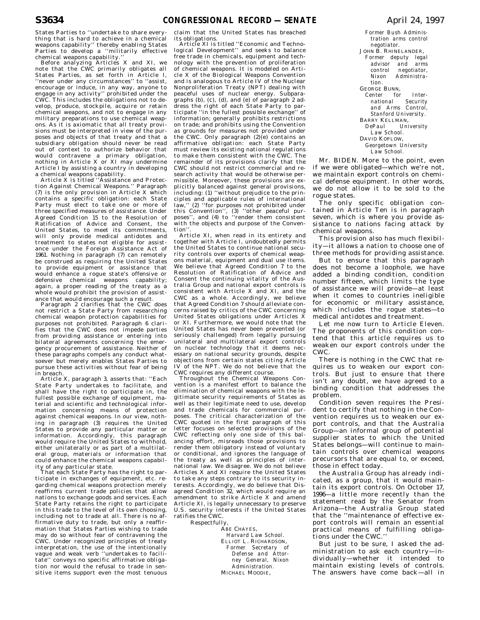States Parties to ''undertake to share everything that is hard to achieve in a chemical weapons capability'' thereby enabling States Parties to develop a ''militarily effective

chemical weapons capability.'' Before analyzing Articles X and XI, we note that the CWC primarily obligates all States Parties, as set forth in Article I, ''never under any circumstances'' to ''assist, encourage or induce, in any way, anyone to engage in any activity'' prohibited under the CWC. This includes the obligations not to develop, produce, stockpile, acquire or retain chemical weapons, and not to engage in any military preparations to use chemical weapons. As it is axiomatic that all treaty provisions must be interpreted in view of the purposes and objects of that treaty and that a subsidiary obligation should never be read out of context to authorize behavior that would contravene a primary obligation, nothing in Article X or XI may undermine Article I by assisting a country in developing a chemical weapons capability.

Article X is titled ''Assistance and Protection Against Chemical Weapons.'' Paragraph (7) is the only provision in Article X which contains a specific obligation: each State Party must elect to take one or more of three specified measures of assistance. Under Agreed Condition 15 to the Resolution of Ratification of Advice and Consent, the United States, to meet its commitments, will only provide medical antidotes and treatment to states not eligible for assistance under the Foreign Assistance Act of 1961. Nothing in paragraph (7) can remotely be construed as requiring the United States to provide equipment or assistance that would enhance a rogue state's offensive or defensive chemical weapons capability; again, a proper reading of the treaty as a whole would prohibit the provision of assist-

ance that would encourage such a result. Paragraph 2 clarifies that the CWC does not restrict a State Party from researching chemical weapon protection capabilities for purposes not prohibited. Paragraph 6 clarifies that the CWC does not impede parties from providing assistance or entering into bilateral agreements concerning the emergency procurement of assistance. Neither of these paragraphs compels any conduct whatsoever but merely enables States Parties to pursue these activities without fear of being in breach.

Article X, paragraph 3, asserts that: ''Each State Party undertakes to facilitate, and shall have the right to participate in, the fullest possible exchange of equipment, material and scientific and technological information concerning means of protection against chemical weapons. In our view, nothing in paragraph (3) requires the United States to provide any particular matter or information. Accordingly, this paragraph would require the United States to withhold, either unilaterally or as part of a multilateral group, materials or information that could enhance the chemical weapons capability of any particular state.

That each State Party has the right to participate in exchanges of equipment, etc. regarding chemical weapons protection merely reaffirms current trade policies that allow nations to exchange goods and services. Each State Party retains the right to participate in this trade to the level of its own choosing, including not to trade at all. There is no affirmative duty to trade, but only a reaffirmation that States Parties wishing to trade may do so without fear of contravening the CWC. Under recognized principles of treaty interpretation, the use of the intentionally vague and weak verb ''undertakes to facilitate'' conveys no specific affirmative obligation nor would the refusal to trade in sensitive items support even the most tenuous

claim that the United States has breached its obligations.

Article XI is titled ''Economic and Technological Development'' and seeks to balance free trade in chemicals, equipment and technology with the prevention of proliferation of chemical weapons. It is modeled on Article X of the Biological Weapons Convention and is analogous to Article IV of the Nuclear Nonproliferation Treaty (NPT) dealing with peaceful uses of nuclear energy. Subparagraphs (b), (c), (d), and (e) of paragraph 2 ad-dress the right of each State Party to participate ''in the fullest possible exchange'' of information; generally prohibits restrictions on trade; and prohibits using the Convention as grounds for measures not provided under the CWC. Only paragraph (2)(e) contains an affirmative obligation: each State Party must review its existing national regulations to make them consistent with the CWC. The remainder of its provisions clarify that the CWC should not restrict commercial and research activity that would be otherwise permissible. Moreover, these provisions are explicitly balanced against general provisions, including: (1) ''without prejudice to the principles and applicable rules of international law,'' (2) ''for purposes not prohibited under this Convention'', (3) ''other peaceful pur-poses'', and (4) to ''render them consistent with the objects and purpose of the Convention'

Article XI, when read in its entirety and together with Article I, undoubtedly permits the United States to continue national security controls over exports of chemical weapons material, equipment and dual use items. We believe that Agreed Condition 7 to the Resolution of Ratification of Advice and Consent the continuing vitality of the Australia Group and national export controls is consistent with Article X and XI, and the CWC as a whole. Accordingly, we believe that Agreed Condition 7 should alleviate concerns raised by critics of the CWC concerning United States obligations under Articles  $\tilde{X}$ or XI. Furthermore, we would note that the United States has never been prevented (or seriously challenged) from legally pursuing unilateral and multilateral export controls on nuclear technology that it deems necessary on national security grounds, despite objections from certain states citing Article IV of the NPT. We do not believe that the CWC requires any different course.

Throughout the Chemical Weapons Convention is a manifest effort to balance the elimination of chemical weapons with the legitimate security requirements of States as well as their legitimate need to use, develop and trade chemicals for commercial purposes. The critical characterization of the CWC quoted in the first paragraph of this letter focuses on selected provisions of the CWC reflecting only one side of this balancing effort, misreads those provisions to render them obligatory instead of voluntary or conditional, and ignores the language of the treaty as well as principles of international law. We disagree. We do not believe Articles X and XI require the United States to take any steps contrary to its security interests. Accordingly, we do believe that Disagreed Condition 32, which would require an amendment to strike Article X and amend Article XI, is legally unnecessary to preserve U.S. security interests if the United States ratifies the CWC.

Respectfully,

ABE CHAYES, *Harvard Law School.* ELLIOT L. RICHARDSON, *Former Secretary of Defense and Attorney General, Nixon Administration.* MICHAEL MOODIE,

*Former Bush Administration arms control negotiator.* JOHN B. RHINELANDER, *Former deputy legal advisor and arms control negotiator, Nixon Administration.* GEORGE BUNN, *Center for International Security and Arms Control, Stanford University.* BARRY KELLMAN,<br>DePaul Uni *DePaul University Law School.* DAVID KOPLOW, *Georgetown University Law School.*

Mr. BIDEN. More to the point, even if we were obligated—which we're not, we maintain export controls on chemical defense equipment. In other words, we do not allow it to be sold to the rogue states.

The only specific obligation contained in Article Ten is in paragraph seven, which is where you provide assistance to nations facing attack by chemical weapons.

This provision also has much flexibility—it allows a nation to choose one of three methods for providing assistance.

But to ensure that this paragraph does not become a loophole, we have added a binding condition, condition number fifteen, which limits the type of assistance we will provide—at least when it comes to countries ineligible for economic or military assistance, which includes the rogue states—to medical antidotes and treatment.

Let me now turn to Article Eleven. The proponents of this condition contend that this article requires us to weaken our export controls under the CWC.

There is nothing in the CWC that requires us to weaken our export controls. But just to ensure that there isn't any doubt, we have agreed to a binding condition that addresses the problem.

Condition seven requires the President to certify that nothing in the Convention requires us to weaken our export controls, and that the Australia Group—an informal group of potential supplier states to which the United States belongs—will continue to maintain controls over chemical weapons precursors that are equal to, or exceed, those in effect today.

the Australia Group has already indicated, as a group, that it would maintain its export controls. On October 17, 1996—a little more recently than the statement read by the Senator from Arizona—the Australia Group stated that the ''maintenance of effective export controls will remain an essential practical means of fulfilling obligations under the CWC.''

But just to be sure, I asked the administration to ask each country—individually—whether it intended to maintain existing levels of controls. The answers have come back—all in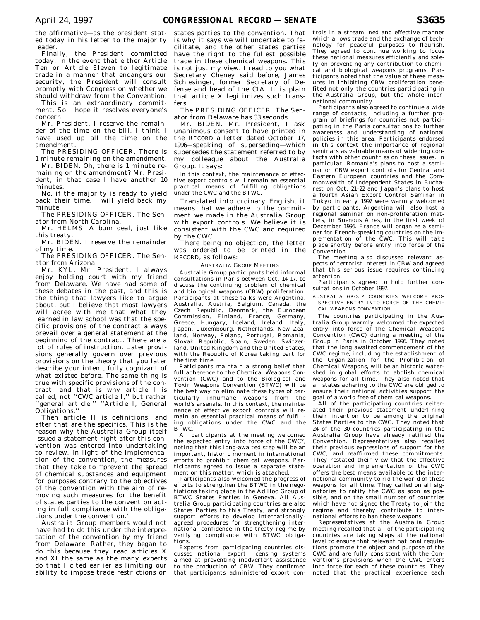the affirmative—as the president stated today in his letter to the majority leader.

Finally, the President committed today, in the event that either Article Ten or Article Eleven to legitimate trade in a manner that endangers our security, the President will consult promptly with Congress on whether we should withdraw from the Convention.

This is an extraordinary commitment. So I hope it resolves everyone's concern.

Mr. President, I reserve the remainder of the time on the bill. I think I have used up all the time on the amendment.

The PRESIDING OFFICER. There is 1 minute remaining on the amendment.

Mr. BIDEN. Oh, there is 1 minute remaining on the amendment? Mr. President, in that case I have another 10 minutes.

No, if the majority is ready to yield back their time, I will yield back my minute.

The PRESIDING OFFICER. The Senator from North Carolina.

Mr. HELMS. A bum deal, just like this treaty.

Mr. BIDEN. I reserve the remainder of my time.

The PRESIDING OFFICER. The Senator from Arizona.

Mr. KYL. Mr. President, I always enjoy holding court with my friend from Delaware. We have had some of these debates in the past, and this is the thing that lawyers like to argue about, but I believe that most lawyers will agree with me that what they learned in law school was that the specific provisions of the contract always prevail over a general statement at the beginning of the contract. There are a lot of rules of instruction. Later provisions generally govern over previous provisions on the theory that you later describe your intent, fully cognizant of what existed before. The same thing is true with specific provisions of the contract, and that is why article I is called, not ''CWC article I,'' but rather 'general article.'' "Article I, General Obligations.''

Then article II is definitions, and after that are the specifics. This is the reason why the Australia Group itself issued a statement right after this convention was entered into undertaking to review, in light of the implementation of the convention, the measures that they take to ''prevent the spread of chemical substances and equipment for purposes contrary to the objectives of the convention with the aim of removing such measures for the benefit of states parties to the convention acting in full compliance with the obligations under the convention.''

Australia Group members would not have had to do this under the interpretation of the convention by my friend from Delaware. Rather, they began to do this because they read articles X and XI the same as the many experts do that I cited earlier as limiting our ability to impose trade restrictions on

states parties to the convention. That is why it says we will undertake to facilitate, and the other states parties have the right to the fullest possible trade in these chemical weapons. This is not just my view. I read to you what Secretary Cheney said before, James Schlesinger, former Secretary of Defense and head of the CIA. It is plain that article X legitimizes such transfers.

The PRESIDING OFFICER. The Senator from Delaware has 33 seconds.

Mr. BIDEN. Mr. President, I ask unanimous consent to have printed in the RECORD a letter dated October 17, 1996—speaking of superseding—which supersedes the statement referred to by my colleague about the Australia Group. It says:

In this context, the maintenance of effective export controls will remain an essential practical means of fulfilling obligations under the CWC and the BTWC.

Translated into ordinary English, it means that we adhere to the commitment we made in the Australia Group with export controls. We believe it is consistent with the CWC and required by the CWC.

There being no objection, the letter was ordered to be printed in the RECORD, as follows:

#### AUSTRALIA GROUP MEETING

Australia Group participants held informal consultations in Paris between Oct. 14–17, to discuss the continuing problem of chemical and biological weapons (CBW) proliferation. Participants at these talks were Argentina, Australia, Austria, Belgium, Canada, the Czech Republic, Denmark, the European Commission, Finland, France, Germany, Greece, Hungary, Iceland, Ireland, Italy, Japan, Luxembourg, Netherlands, New Zealand, Norway, Poland, Portugal, Romania, Slovak Republic, Spain, Sweden, Switzerland, United Kingdom and the United States, with the Republic of Korea taking part for the first time.

Paticipants maintain a strong belief that full adherence to the Chemical Weapons Convention (CWC) and to the Biological and Toxin Weapons Convention (BTWC) will be the best way to eliminate these types of particularly inhumane weapons from the world's arsenals. In this context, the maintenance of effective export controls will remain an essential practical means of fulfilling obligations under the CWC and the BTWC.

All participants at the meeting welcomed the expected entry into force of the CWC\*, noting that this long-awaited step will be an important, historic moment in international efforts to prohibit chemical weapons. Participants agreed to issue a separate statement on this matter, which is attached.

Participants also welcomed the progress of efforts to strengthen the BTWC in the negotiations taking place in the Ad Hoc Group of BTWC States Parties in Geneva. All Australia Group participating countries are also States Parties to this Treaty, and strongly support efforts to develop internationallyagreed procedures for strengthening international confidence in the treaty regime by verifying compliance with BTWC obligations.

Experts from participating countries discussed national export licensing systems aimed at preventing inadvertent assistance to the production of CBW. They confirmed that participants administered export con-

trols in a streamlined and effective manner which allows trade and the exchange of technology for peaceful purposes to flourish. They agreed to continue working to focus these national measures efficiently and solely on preventing any contribution to chemical and biological weapons programs. Participants noted that the value of these measures in inhibiting CBW proliferation benefited not only the countries participating in the Australia Group, but the whole international community.

Participants also agreed to continue a wide range of contacts, including a further program of briefings for countries not participating in the Paris consultations to further awareness and understanding of national policies in this area. Participants endorsed in this context the importance of regional seminars as valuable means of widening contacts with other countries on these issues. In particular, Romania's plans to host a seminar on CBW export controls for Central and Eastern European countries and the Commonwealth of Independent States in Bucharest on Oct. 21–22 and Japan's plans to host a fourth Asian Export Control Seminar in Tokyo in early 1997 were warmly welcomed by participants. Argentina will also host a regional seminar on non-proliferation matters, in Buenous Aires, in the first week of December 1996. France will organize a seminar for French-speaking countries on the implementation of the CWC. This will take place shortly before entry into force of the Convention.

The meeting also discussed relevant aspects of terrorist interest in CBW and agreed that this serious issue requires continuing attention.

Participants agreed to hold further consultations in October 1997.

AUSTRALIA GROUP COUNTRIES WELCOME PRO-SPECTIVE ENTRY INTO FORCE OF THE CHEMI-CAL WEAPONS CONVENTION

The countries participating in the Australia Group warmly welcomed the expected entry into force of the Chemical Weapons Convention (CWC) during a meeting of the Group in Paris in October 1996. They noted that the long awaited commencement of the CWC regime, including the establishment of the Organization for the Prohibition of Chemical Weapons, will be an historic watershed in global efforts to abolish chemical weapons for all time. They also noted that all states adhering to the CWC are obliged to ensure their national activities support the goal of a world free of chemical weapons.

All of the participating countries reiterated their previous statement underlining their intention to be among the original States Parties to the CWC. They noted that 24 of the 30 countries participating in the Australia Group have already ratified the Convention. Representatives also recalled their previous expressions of support for the CWC, and reaffirmed these commitments. They restated their view that the effective operation and implementation of the CWC offers the best means available to the international community to rid the world of these weapons for all time. They called on all signatories to ratify the CWC as soon as possible, and on the small number of countries which have not signed the Treaty to join the regime and thereby contribute to international efforts to ban these weapons.

Representatives at the Australia Group meeting recalled that all of the participating countries are taking steps at the national level to ensure that relevant national regulations promote the object and purpose of the CWC and are fully consistent with the Convention's provisions when the CWC enters into force for each of these countries. They noted that the practical experience each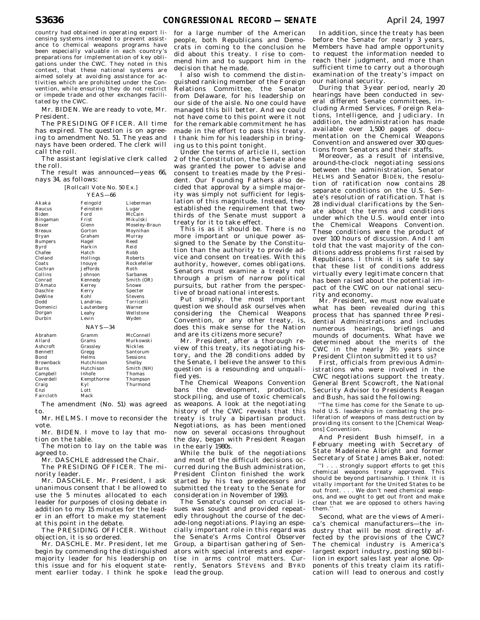country had obtained in operating export licensing systems intended to prevent assistance to chemical weapons programs have been especially valuable in each country's preparations for implementation of key obligations under the CWC. They noted in this context, that these national systems are aimed solely at avoiding assistance for activities which are prohibited under the Convention, while ensuring they do not restrict or impede trade and other exchanges facilitated by the CWC.

Mr. BIDEN. We are ready to vote, Mr. President.

The PRESIDING OFFICER. All time has expired. The question is on agreeing to amendment No. 51. The yeas and nays have been ordered. The clerk will call the roll.

The assistant legislative clerk called the roll.

The result was announced—yeas 66, nays 34, as follows:

| [Rollcall Vote No. 50 Ex.] |           |  |  |
|----------------------------|-----------|--|--|
|                            | $YFAS=66$ |  |  |

|                  | .          |                |
|------------------|------------|----------------|
| Akaka            | Feingold   | Lieberman      |
| Baucus           | Feinstein  | Lugar          |
| Biden            | Ford       | McCain         |
| Bingaman         | Frist      | Mikulski       |
| Boxer            | Glenn      | Moseley-Braun  |
| Breaux           | Gorton     | Moynihan       |
| Bryan            | Graham     | Murray         |
| <b>Bumpers</b>   | Hagel      | Reed           |
| Byrd             | Harkin     | Reid           |
| Chafee           | Hatch      | Robb           |
| Cleland          | Hollings   | Roberts        |
| Coats            | Inouye     | Rockefeller    |
| Cochran          | Jeffords.  | Roth           |
| Collins          | Johnson.   | Sarbanes       |
| Conrad           | Kennedy    | Smith (OR)     |
| D'Amato          | Kerrey     | Snowe          |
| Daschle          | Kerry      | Specter        |
| DeWine           | Kohl       | <b>Stevens</b> |
| Dodd             | Landrieu   | Torricelli     |
| Domenici         | Lautenberg | Warner         |
| Dorgan           | Leahy      | Wellstone      |
| Durbin           | Levin      | Wyden          |
|                  | $NAYS-34$  |                |
| Abraham          | Gramm      | McConnell      |
| Allard           | Grams      | Murkowski      |
| Ashcroft         | Grassley   | Nickles        |
| Bennett          | Gregg      | Santorum       |
| Bond             | Helms      | Sessions       |
| <b>Brownback</b> | Hutchinson | Shelby         |
| <b>Burns</b>     | Hutchison  | Smith (NH)     |
| Campbell         | Inhofe     | Thomas         |
| Coverdell        | Kempthorne | Thompson       |
| Craig            | Kyl        | Thurmond       |
| Enzi             | Lott.      |                |
| Faircloth        | Mack       |                |

The amendment (No. 51) was agreed to.

Mr. HELMS. I move to reconsider the vote.

Mr. BIDEN. I move to lay that motion on the table.

The motion to lay on the table was agreed to.

,<br>Mr. DASCHLE addressed the Chair.

The PRESIDING OFFICER. The minority leader.

Mr. DASCHLE. Mr. President, I ask unanimous consent that I be allowed to use the 5 minutes allocated to each leader for purposes of closing debate in addition to my 15 minutes for the leader in an effort to make my statement at this point in the debate.

The PRESIDING OFFICER. Without objection, it is so ordered.

Mr. DASCHLE. Mr. President, let me begin by commending the distinguished majority leader for his leadership on this issue and for his eloquent statement earlier today. I think he spoke

for a large number of the American people, both Republicans and Democrats in coming to the conclusion he did about this treaty. I rise to commend him and to support him in the decision that he made.

I also wish to commend the distinguished ranking member of the Foreign Relations Committee, the Senator from Delaware, for his leadership on our side of the aisle. No one could have managed this bill better. And we could not have come to this point were it not for the remarkable commitment he has made in the effort to pass this treaty. I thank him for his leadership in bringing us to this point tonight.

Under the terms of article II, section 2 of the Constitution, the Senate alone was granted the power to advise and consent to treaties made by the President. Our Founding Fathers also decided that approval by a simple majority was simply not sufficient for legislation of this magnitude. Instead, they established the requirement that twothirds of the Senate must support a treaty for it to take effect.

This is as it should be. There is no more important or unique power assigned to the Senate by the Constitution than the authority to provide advice and consent on treaties. With this authority, however, comes obligations. Senators must examine a treaty not through a prism of narrow political pursuits, but rather from the perspective of broad national interests.

Put simply, the most important question we should ask ourselves when considering the Chemical Weapons Convention, or any other treaty, is, does this make sense for the Nation and are its citizens more secure?

Mr. President, after a thorough review of this treaty, its negotiating history, and the 28 conditions added by the Senate, I believe the answer to this question is a resounding and unqualified yes.

The Chemical Weapons Convention bans the development, production, stockpiling, and use of toxic chemicals as weapons. A look at the negotiating history of the CWC reveals that this treaty is truly a bipartisan product. Negotiations, as has been mentioned now on several occasions throughout the day, began with President Reagan in the early 1980s.

While the bulk of the negotiations and most of the difficult decisions occurred during the Bush administration, President Clinton finished the work started by his two predecessors and submitted the treaty to the Senate for consideration in November of 1993.

The Senate's counsel on crucial issues was sought and provided repeatedly throughout the course of the decade-long negotiations. Playing an especially important role in this regard was the Senate's Arms Control Observer Group, a bipartisan gathering of Senators with special interests and expertise in arms control matters. Currently, Senators STEVENS and BYRD lead the group.

In addition, since the treaty has been before the Senate for nearly 3 years, Members have had ample opportunity to request the information needed to reach their judgment, and more than sufficient time to carry out a thorough examination of the treaty's impact on our national security.

During that 3-year period, nearly 20 hearings have been conducted in several different Senate committees, including Armed Services, Foreign Relations, Intelligence, and Judiciary. In addition, the administration has made available over 1,500 pages of documentation on the Chemical Weapons Convention and answered over 300 questions from Senators and their staffs.

Moreover, as a result of intensive, around-the-clock negotiating sessions between the administration, Senator HELMS and Senator BIDEN, the resolution of ratification now contains 28 separate conditions on the U.S. Senate's resolution of ratification. That is 28 individual clarifications by the Senate about the terms and conditions under which the U.S. would enter into the Chemical Weapons Convention. These conditions were the product of over 100 hours of discussion. And I am told that the vast majority of the conditions address problems first raised by Republicans. I think it is safe to say that these list of conditions address virtually every legitimate concern that has been raised about the potential impact of the CWC on our national security and economy.

Mr. President, we must now evaluate what has been revealed during this process that has spanned three Presidential Administrations and includes numerous hearings, briefings and mounds of documents. What have we determined about the merits of the CWC in the nearly 31⁄2 years since President Clinton submitted it to us?

First, officials from previous Administrations who were involved in the CWC negotiations support the treaty. General Brent Scowcroft, the National Security Advisor to Presidents Reagan and Bush, has said the following:

''The time has come for the Senate to uphold U.S. leadership in combating the proliferation of weapons of mass destruction by providing its consent to the [Chemical Weapons] Convention.

And President Bush himself, in a February meeting with Secretary of State Madeleine Albright and former Secretary of State James Baker, noted:

''I . . . strongly support efforts to get this chemical weapons treaty approved. This should be beyond partisanship. I think it is vitally important for the United States to be out front. . . . We don't need chemical weapons, and we ought to get out front and make clear that we are opposed to others having them.''

Second, what are the views of America's chemical manufacturers—the industry that will be most directly affected by the provisions of the CWC? The chemical industry is America's largest export industry, posting \$60 billion in export sales last year alone. Opponents of this treaty claim its ratification will lead to onerous and costly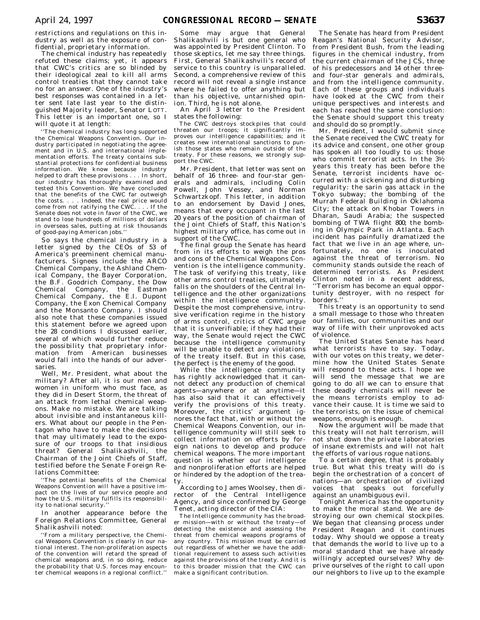restrictions and regulations on this industry as well as the exposure of confidential, proprietary information.

The chemical industry has repeatedly refuted these claims; yet, it appears that CWC's critics are so blinded by their ideological zeal to kill all arms control treaties that they cannot take no for an answer. One of the industry's best responses was contained in a letter sent late last year to the distinguished Majority leader, Senator LOTT. This letter is an important one, so I will quote it at length:

''The chemical industry has long supported the Chemical Weapons Convention. Our industry participated in negotiating the agreement and in U.S. and international implementation efforts. The treaty contains substantial protections for confidential business information. We know because industry helped to draft these provisions . . . In short, our industry has thoroughly examined and tested this Convention. We have concluded that the benefits of the CWC far outweigh the costs. . . . Indeed, the real price would come from not ratifying the CWC. . . . If the Senate does not vote in favor of the CWC, we stand to lose hundreds of millions of dollars in overseas sales, putting at risk thousands of good-paying American jobs.''

So says the chemical industry in a letter signed by the CEOs of 53 of America's preeminent chemical manufacturers. Signees include the ARCO Chemical Company, the Ashland Chemical Company, the Bayer Corporation, the B.F. Goodrich Company, the Dow Chemical Company, the Eastman Chemical Company, the E.I. Dupont Company, the Exon Chemical Company and the Monsanto Company. I should also note that these companies issued this statement before we agreed upon the 28 conditions I discussed earlier, several of which would further reduce the possibility that proprietary information from American businesses would fall into the hands of our adversaries.

Well, Mr. President, what about the military? After all, it is our men and women in uniform who must face, as they did in Desert Storm, the threat of an attack from lethal chemical weapons. Make no mistake. We are talking about invisible and instantaneous killers. What about our people in the Pentagon who have to make the decisions that may ultimately lead to the exposure of our troops to that insidious threat? General Shalikashvili, the Chairman of the Joint Chiefs of Staff, testified before the Senate Foreign Relations Committee:

''The potential benefits of the Chemical Weapons Convention will have a positive impact on the lives of our service people and how the U.S. military fulfills its responsibility to national security.''

In another appearance before the Foreign Relations Committee, General Shalikashvili noted:

''From a military perspective, the Chemical Weapons Convention is clearly in our national interest. The non-proliferation aspects of the convention will retard the spread of chemical weapons and, in so doing, reduce the probability that U.S. forces may encounter chemical weapons in a regional conflict.''

Some may argue that General Shalikashvili is but one general who was appointed by President Clinton. To those skeptics, let me say three things. First, General Shalikashvili's record of service to this country is unparalleled. Second, a comprehensive review of this record will not reveal a single instance where he failed to offer anything but than his objective, untarnished opinion. Third, he is not alone.

An April 3 letter to the President states the following:

The CWC destroys stockpiles that could threaten our troops; it significantly improves our intelligence capabilities; and it creates new international sanctions to punish those states who remain outside of the treaty. For these reasons, we strongly support the CWC.

Mr. President, that letter was sent on behalf of 16 three- and four-star generals and admirals, including Colin Powell, John Vessey, and Norman Schwartzkopf. This letter, in addition to an endorsement by David Jones, means that every occupant in the last 20 years of the position of chairman of the Joint Chiefs of Staff, this Nation's highest military office, has come out in support of the CWC.

The final group the Senate has heard from in its efforts to weigh the pros and cons of the Chemical Weapons Convention is the intelligence community. The task of verifying this treaty, like other arms control treaties, ultimately falls on the shoulders of the Central Intelligence and the other organizations within the intelligence community. Despite the most comprehensive, intrusive verification regime in the history of arms control, critics of CWC argue that it is unverifiable; if they had their way, the Senate would reject the CWC because the intelligence community will be unable to detect any violations of the treaty itself. But in this case, the perfect is the enemy of the good.

While the intelligence community has rightly acknowledged that it cannot detect any production of chemical agents—anywhere or at anytime—it has also said that it can effectively verify the provisions of this treaty. Moreover, the critics' argument ignores the fact that, with or without the Chemical Weapons Convention, our intelligence community will still seek to collect information on efforts by foreign nations to develop and produce chemical weapons. The more important question is whether our intelligence and nonproliferation efforts are helped or hindered by the adoption of the treaty.

According to James Woolsey, then director of the Central Intelligence Agency, and since confirmed by George Tenet, acting director of the CIA:

The Intelligence community has the broader mission—with or without the treaty—of detecting the existence and assessing the threat from chemical weapons programs of any country. This mission must be carried out regardless of whether we have the additional requirement to assess such activities against the provisions of the treaty. And it is to this broader mission that the CWC can make a significant contribution.

The Senate has heard from President Reagan's National Security Advisor, from President Bush, from the leading figures in the chemical industry, from the current chairman of the JCS, three of his predecessors and 14 other threeand four-star generals and admirals, and from the intelligence community. Each of these groups and individuals have looked at the CWC from their unique perspectives and interests and each has reached the same conclusion: the Senate should support this treaty and should do so promptly.

Mr. President, I would submit since the Senate received the CWC treaty for its advice and consent, one other group has spoken all too loudly to us: those who commit terrorist acts. In the  $3\frac{1}{2}$ years this treaty has been before the Senate, terrorist incidents have occurred with a sickening and disturbing regularity: the sarin gas attack in the Tokyo subway; the bombing of the Murrah Federal Building in Oklahoma City; the attack on Khobar Towers in Dharan, Saudi Arabia; the suspected bombing of TWA flight 800; the bombing in Olympic Park in Atlanta. Each incident has painfully dramatized the fact that we live in an age where, unfortunately, no one is inoculated against the threat of terrorism. No community stands outside the reach of determined terrorists. As President Clinton noted in a recent address, ''Terrorism has become an equal opportunity destroyer, with no respect for borders.''

This treaty is an opportunity to send a small message to those who threaten our families, our communities and our way of life with their unprovoked acts of violence.

The United States Senate has heard what terrorists have to say. Today, with our votes on this treaty, we determine how the United States Senate will respond to these acts. I hope we will send the message that we are going to do all we can to ensure that these deadly chemicals will never be the means terrorists employ to advance their cause. It is time we said to the terrorists, on the issue of chemical weapons, enough is enough.

Now the argument will be made that this treaty will not halt terrorism, will not shut down the private laboratories of insane extremists and will not halt the efforts of various rogue nations.

To a certain degree, that is probably true. But what this treaty will do is begin the orchestration of a concert of nations—an orchestration of civilized voices that speaks out forcefully against an unambiguous evil.

Tonight America has the opportunity to make the moral stand. We are destroying our own chemical stockpiles. We began that cleansing process under President Reagan and it continues today. Why should we oppose a treaty that demands the world to live up to a moral standard that we have already willingly accepted ourselves? Why deprive ourselves of the right to call upon our neighbors to live up to the example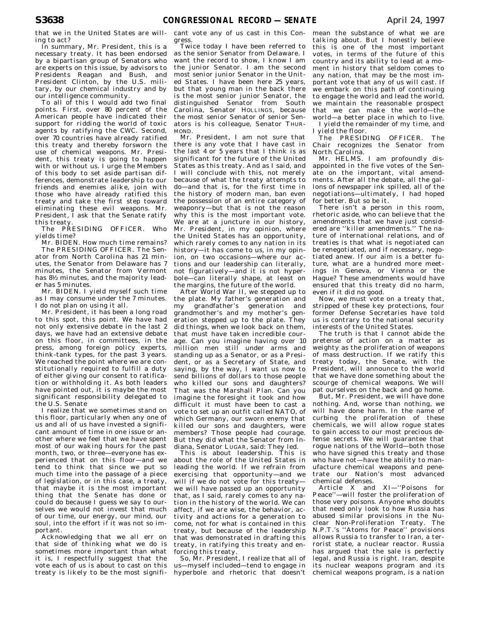that we in the United States are willing to act?

In summary, Mr. President, this is a necessary treaty. It has been endorsed by a bipartisan group of Senators who are experts on this issue, by advisors to Presidents Reagan and Bush, and President Clinton, by the U.S. military, by our chemical industry and by our intelligence community.

To all of this I would add two final points. First, over 80 percent of the American people have indicated their support for ridding the world of toxic agents by ratifying the CWC. Second, over 70 countries have already ratified this treaty and thereby forsworn the use of chemical weapons. Mr. President, this treaty is going to happen with or without us. I urge the Members of this body to set aside partisan differences, demonstrate leadership to our friends and enemies alike, join with those who have already ratified this treaty and take the first step toward eliminating these evil weapons. Mr. President, I ask that the Senate ratify this treaty.

The PRESIDING OFFICER. Who yields time?

Mr. BIDEN. How much time remains? The PRESIDING OFFICER. The Senator from North Carolina has 21 minutes, the Senator from Delaware has 7 minutes, the Senator from Vermont has 81⁄2 minutes, and the majority leader has 5 minutes.

Mr. BIDEN. I yield myself such time as I may consume under the 7 minutes. I do not plan on using it all.

Mr. President, it has been a long road to this spot, this point. We have had not only extensive debate in the last 2 days, we have had an extensive debate on this floor, in committees, in the press, among foreign policy experts, think-tank types, for the past 3 years. We reached the point where we are constitutionally required to fulfill a duty of either giving our consent to ratification or withholding it. As both leaders have pointed out, it is maybe the most significant responsibility delegated to the U.S. Senate

I realize that we sometimes stand on this floor, particularly when any one of us and all of us have invested a significant amount of time in one issue or another where we feel that we have spent most of our waking hours for the past month, two, or three—everyone has experienced that on this floor-and we tend to think that since we put so much time into the passage of a piece of legislation, or in this case, a treaty, that maybe it is the most important thing that the Senate has done or could do because I guess we say to ourselves we would not invest that much of our time, our energy, our mind, our soul, into the effort if it was not so important.

Acknowledging that we all err on that side of thinking what we do is sometimes more important than what it is, I respectfully suggest that the vote each of us is about to cast on this treaty is likely to be the most significant vote any of us cast in this Congress.

Twice today I have been referred to as the senior Senator from Delaware. I want the record to show, I know I am the junior Senator. I am the second most senior junior Senator in the United States. I have been here 25 years, but that young man in the back there is the most senior junior Senator, the distinguished Senator from South Carolina, Senator HOLLINGS, because the most senior Senator of senior Senators is his colleague, Senator THUR-MOND.

Mr. President, I am not sure that there is any vote that I have cast in the last 4 or 5 years that I think is as significant for the future of the United States as this treaty. And as I said, and I will conclude with this, not merely because of what the treaty attempts to do—and that is, for the first time in the history of modern man, ban even the possession of an entire category of weaponry—but that is not the reason why this is the most important vote. We are at a juncture in our history, Mr. President, in my opinion, where the United States has an opportunity, which rarely comes to any nation in its history—it has come to us, in my opinion, on two occasions—where our actions and our leadership can literally, not figuratively—and it is not hyperbole—can literally shape, at least on the margins, the future of the world.

After World War II, we stepped up to the plate. My father's generation and my grandfather's generation and grandmother's and my mother's generation stepped up to the plate. They did things, when we look back on them, that must have taken incredible courage. Can you imagine having over 10 million men still under arms and standing up as a Senator, or as a President, or as a Secretary of State, and saying, by the way, I want us now to send billions of dollars to those people who killed our sons and daughters? That was the Marshall Plan. Can you imagine the foresight it took and how difficult it must have been to cast a vote to set up an outfit called NATO, of which Germany, our sworn enemy that killed our sons and daughters, were members? Those people had courage. But they did what the Senator from Indiana, Senator LUGAR, said: They led.

This is about leadership. This is about the role of the United States in leading the world. If we refrain from exercising that opportunity—and we will if we do not vote for this treaty we will have passed up an opportunity that, as I said, rarely comes to any nation in the history of the world. We can affect, if we are wise, the behavior, activity and actions for a generation to come, not for what is contained in this treaty, but because of the leadership that was demonstrated in drafting this treaty, in ratifying this treaty and enforcing this treaty.

So, Mr. President, I realize that all of us—myself included—tend to engage in hyperbole and rhetoric that doesn't

mean the substance of what we are talking about. But I honestly believe this is one of the most important votes, in terms of the future of this country and its ability to lead at a moment in history that seldom comes to any nation, that may be the most important vote that any of us will cast. If we embark on this path of continuing to engage the world and lead the world, we maintain the reasonable prospect that we can make the world—the world—a better place in which to live.

I yield the remainder of my time, and I yield the floor.

The PRESIDING OFFICER. The Chair recognizes the Senator from North Carolina.

Mr. HELMS. I am profoundly disappointed in the five votes of the Senate on the important, vital amendments. After all the debate, all the gallons of newspaper ink spilled, all of the negotiations—ultimately, I had hoped for better. But so be it.

There isn't a person in this room, rhetoric aside, who can believe that the amendments that we have just considered are ''killer amendments.'' The nature of international relations, and of treaties is that what is negotiated can be renegotiated, and if necessary, negotiated anew. If our aim is a better future, what are a hundred more meetings in Geneva, or Vienna or the Hague? These amendments would have ensured that this treaty did no harm, even if it did no good.

Now, we must vote on a treaty that, stripped of these key protections, four former Defense Secretaries have told us is contrary to the national security interests of the United States.

The truth is that I cannot abide the pretense of action on a matter as weighty as the proliferation of weapons of mass destruction. If we ratify this treaty today, the Senate, with the President, will announce to the world that we have done something about the scourge of chemical weapons. We will pat ourselves on the back and go home.

But, Mr. President, we will have done nothing. And, worse than nothing, we will have done harm. In the name of curbing the proliferation of these chemicals, we will allow rogue states to gain access to our most precious defense secrets. We will guarantee that rogue nations of the World—both those who have signed this treaty and those who have not—have the ability to manufacture chemical weapons and penetrate our Nation's most advanced chemical defenses.

Article X and XI—''Poisons for Peace''—will foster the proliferation of those very poisons. Anyone who doubts that need only look to how Russia has abused similar provisions in the Nuclear Non-Proliferation Treaty. The N.P.T.'s ''Atoms for Peace'' provisions allows Russia to transfer to Iran, a terrorist state, a nuclear reactor. Russia has argued that the sale is perfectly legal, and Russia is right. Iran, despite its nuclear weapons program and its chemical weapons program, is a nation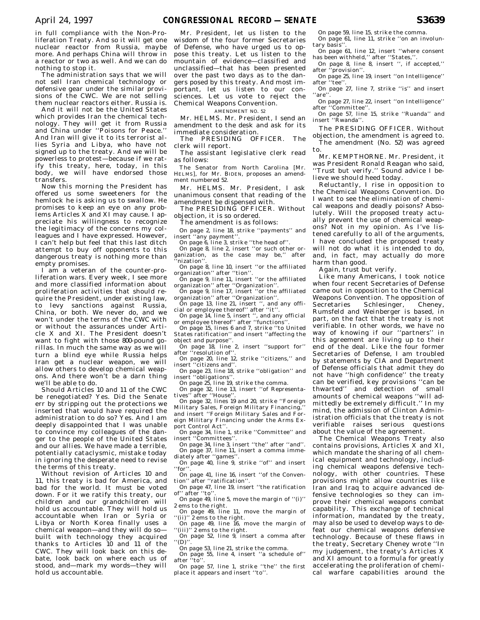in full compliance with the Non-Proliferation Treaty. And so it will get one nuclear reactor from Russia, maybe more. And perhaps China will throw in a reactor or two as well. And we can do nothing to stop it.

The administration says that we will not sell Iran chemical technology or defensive gear under the similar provisions of the CWC. We are not selling them nuclear reactors either. Russia is.

And it will not be the United States which provides Iran the chemical technology. They will get it from Russia and China under ''Poisons for Peace.'' And Iran will give it to its terrorist allies Syria and Libya, who have not signed up to the treaty. And we will be powerless to protest—because if we ratify this treaty, here, today, in this body, we will have endorsed those transfers.

Now this morning the President has offered us some sweeteners for the hemlock he is asking us to swallow. He promises to keep an eye on any problems Articles X and XI may cause. I appreciate his willingness to recognize the legitimacy of the concerns my colleagues and I have expressed. However, I can't help but feel that this last ditch attempt to buy off opponents to this dangerous treaty is nothing more than empty promises.

I am a veteran of the counter-proliferation wars. Every week, I see more and more classified information about proliferation activities that should require the President, under existing law, to levy sanctions against Russia, China, or both. We never do, and we won't under the terms of the CWC with or without the assurances under Article X and XI. The President doesn't want to fight with those 800-pound gorillas. In much the same way as we will turn a blind eye while Russia helps Iran get a nuclear weapon, we will allow others to develop chemical weapons. And there won't be a darn thing we'll be able to do.

Should Articles 10 and 11 of the CWC be renegotiated? Yes. Did the Senate err by stripping out the protections we inserted that would have required the administration to do so? Yes. And I am deeply disappointed that I was unable to convince my colleagues of the danger to the people of the United States and our allies. We have made a terrible, potentially cataclysmic, mistake today in ignoring the desperate need to revise the terms of this treaty.

Without revision of Articles 10 and 11, this treaty is bad for America, and bad for the world. It must be voted down. For it we ratify this treaty, our children and our grandchildren will hold us accountable. They will hold us accountable when Iran or Syria or Libya or North Korea finally uses a chemical weapon—and they will do so built with technology they acquired thanks to Articles 10 and 11 of the CWC. They will look back on this debate, look back on where each us of stood, and—mark my words—they will hold us accountable.

Mr. President, let us listen to the wisdom of the four former Secretaries of Defense, who have urged us to oppose this treaty. Let us listen to the mountain of evidence—classified and unclassified—that has been presented over the past two days as to the dangers posed by this treaty. And most important, let us listen to our consciences. Let us vote to reject the Chemical Weapons Convention.

AMENDMENT NO. 52

Mr. HELMS. Mr. President, I send an amendment to the desk and ask for its immediate consideration.

The PRESIDING OFFICER. The clerk will report.

The assistant legislative clerk read as follows:

The Senator from North Carolina [Mr. HELMS], for Mr. BIDEN, proposes an amendment numbered 52.

Mr. HELMS. Mr. President, I ask unanimous consent that reading of the amendment be dispensed with.

The PRESIDING OFFICER. Without objection, it is so ordered.

The amendment is as follows:

On page 2, line 18, strike ''payments'' and

insert ''any payment''.

On page 6, line 3, strike ''the head of''.

On page 8, line 2, insert "or such other or-<br>anization, as the case may be." after ganization, as the case may be," ''nization''.

On page 8, line 10, insert ''or the affiliated organization'' after ''tion''.

On page 9, line 11, insert ''or the affiliated organization'' after ''Organization''.

On page 9, line 17, insert ''or the affiliated organization'' after ''Organization''.

On page 13, line 21, insert '', and any official or employee thereof'' after ''it''.

On page 14, line 5, insert '', and any official or employee thereof'' after ''functions''.

On page 15, lines 6 and 7, strike ''to United States ratification'' and insert ''affecting the object and purpose''.

On page 18, line 2, insert ''support for'' after ''resolution of''.

On page 20, line 12, strike ''citizens,'' and insert ''citizens and''.

On page 23, line 18, strike ''obligation'' and insert ''obligations''.

On page 25, line 19, strike the comma.

On page 32, line 13, insert ''of Representatives'' after ''House''.

On page 32, lines 19 and 20, strike ''Foreign Military Sales, Foreign Military Financing,'' and insert ''Foreign Military Sales and Foreign Military Financing under the Arms Export Control Act''.

On page 34, line 1, strike ''Committee'' and insert ''Committees''.

On page 34, line 3, insert ''the'' after ''and''. On page 37, line 11, insert a comma immediately after ''games''.

On page 40, line 9, strike "of" and insert

'for' On page 41, line 16, insert ''of the Conven-

tion'' after ''ratification''. On page 47, line 19, insert ''the ratification

of'' after ''to''. On page 49, line 5, move the margin of ''(i)''

2 ems to the right. On page 49, line 11, move the margin of ''(ii)'' 2 ems to the right.

On page 49, line 16, move the margin of '(iii)'' 2 ems to the right.

On page 52, line 9, insert a comma after  $(m)$ ''

On page 53, line 21, strike the comma.

On page 55, line 4, insert ''a schedule of'' after ''to''.

On page 57, line 1, strike ''the'' the first place it appears and insert ''to''.

On page 59, line 15, strike the comma. On page 61, line 11, strike ''on an involuntary basis''.

On page 61, line 12, insert ''where consent has been withheld,'' after ''States,''. On page 8, line 8, insert '', if accepted,''

after ''provision''. On page 25, line 19, insert ''on Intelligence''

after ''tee''.

On page 27, line 7, strike ''is'' and insert ''are''.

On page 27, line 22, insert ''on Intelligence'' after ''Committee''.

On page 57, line 15, strike ''Ruanda'' and insert ''Rwanda''.

The PRESIDING OFFICER. Without objection, the amendment is agreed to. The amendment (No. 52) was agreed

to. Mr. KEMPTHORNE. Mr. President, it was President Ronald Reagan who said, ''Trust but verify.'' Sound advice I believe we should heed today.

Reluctantly, I rise in opposition to the Chemical Weapons Convention. Do I want to see the elimination of chemical weapons and deadly poisons? Absolutely. Will the proposed treaty actually prevent the use of chemical weapons? Not in my opinion. As I've listened carefully to all of the arguments, I have concluded the proposed treaty will not do what it is intended to do, and, in fact, may actually do more harm than good.

Again, trust but verify.

Like many Americans, I took notice when four recent Secretaries of Defense came out in opposition to the Chemical Weapons Convention. The opposition of Secretaries Schlesinger, Cheney, Rumsfeld and Weinberger is based, in part, on the fact that the treaty is not verifiable. In other words, we have no way of knowing if our ''partners'' in this agreement are living up to their end of the deal. Like the four former Secretaries of Defense, I am troubled by statements by CIA and Department of Defense officials that admit they do not have ''high confidence'' the treaty can be verified, key provisions ''can be thwarted'' and detection of small amounts of chemical weapons ''will admittedly be extremely difficult.'' In my mind, the admission of Clinton Administration officials that the treaty is not verifiable raises serious questions about the value of the agreement.

The Chemical Weapons Treaty also contains provisions, Articles X and XI, which mandate the sharing of all chemical equipment and technology, including chemical weapons defensive technology, with other countries. These provisions might allow countries like Iran and Iraq to acquire advanced defensive technologies so they can improve their chemical weapons combat capability. This exchange of technical information, mandated by the treaty, may also be used to develop ways to defeat our chemical weapons defensive technology. Because of these flaws in the treaty, Secretary Cheney wrote ''In my judgement, the treaty's Articles X and XI amount to a formula for greatly accelerating the proliferation of chemical warfare capabilities around the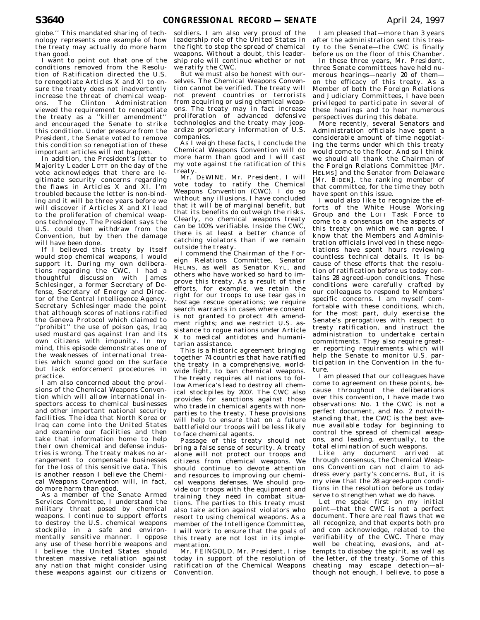globe.'' This mandated sharing of technology represents one example of how the treaty may actually do more harm than good.

I want to point out that one of the conditions removed from the Resolution of Ratification directed the U.S. to renegotiate Articles X and XI to ensure the treaty does not inadvertently increase the threat of chemical weapons. The Clinton Administration viewed the requirement to renegotiate the treaty as a "killer amendment" and encouraged the Senate to strike this condition. Under pressure from the President, the Senate voted to remove this condition so renegotiation of these important articles will not happen.

In addition, the President's letter to Majority Leader LOTT on the day of the vote acknowledges that there are legitimate security concerns regarding the flaws in Articles X and XI. I'm troubled because the letter is non-binding and it will be three years before we will discover if Articles X and XI lead to the proliferation of chemical weapons technology. The President says the U.S. could then withdraw from the Convention, but by then the damage will have been done.

If I believed this treaty by itself would stop chemical weapons, I would support it. During my own deliberations regarding the CWC, I had a thoughtful discussion with James Schlesinger, a former Secretary of Defense, Secretary of Energy and Director of the Central Intelligence Agency. Secretary Schlesinger made the point that although scores of nations ratified the Geneva Protocol which claimed to 'prohibit'' the use of poison gas, Iraq used mustard gas against Iran and its own citizens with impunity. In my mind, this episode demonstrates one of the weaknesses of international treaties which sound good on the surface but lack enforcement procedures in practice.

I am also concerned about the provisions of the Chemical Weapons Convention which will allow international inspectors access to chemical businesses and other important national security facilities. The idea that North Korea or Iraq can come into the United States and examine our facilities and then take that information home to help their own chemical and defense industries is wrong. The treaty makes no arrangement to compensate businesses for the loss of this sensitive data. This is another reason I believe the Chemical Weapons Convention will, in fact, do more harm than good.

As a member of the Senate Armed Services Committee, I understand the military threat posed by chemical weapons. I continue to support efforts to destroy the U.S. chemical weapons stockpile in a safe and environmentally sensitive manner. I oppose any use of these horrible weapons and I believe the United States should threaten massive retaliation against any nation that might consider using these weapons against our citizens or

soldiers. I am also very proud of the leadership role of the United States in the fight to stop the spread of chemical weapons. Without a doubt, this leadership role will continue whether or not we ratify the CWC.

But we must also be honest with ourselves. The Chemical Weapons Convention cannot be verified. The treaty will not prevent countries or terrorists from acquiring or using chemical weapons. The treaty may in fact increase proliferation of advanced defensive technologies and the treaty may jeopardize proprietary information of U.S. companies.

As I weigh these facts, I conclude the Chemical Weapons Convention will do more harm than good and I will cast my vote against the ratification of this treaty.

Mr. DEWINE. Mr. President, I will vote today to ratify the Chemical Weapons Convention (CWC). I do so without any illusions. I have concluded that it will be of marginal benefit, but that its benefits do outweigh the risks. Clearly, no chemical weapons treaty can be 100% verifiable. Inside the CWC, there is at least a better chance of catching violators than if we remain outside the treaty.

I commend the Chairman of the Foreign Relations Committee, Senator HELMS, as well as Senator KYL, and others who have worked so hard to improve this treaty. As a result of their efforts, for example, we retain the right for our troops to use tear gas in hostage rescue operations; we require search warrants in cases where consent is not granted to protect 4th amendment rights; and we restrict U.S. assistance to rogue nations under Article X to medical antidotes and humanitarian assistance.

This is a historic agreement bringing together 74 countries that have ratified the treaty in a comprehensive, worldwide fight, to ban chemical weapons. The treaty requires all nations to follow America's lead to destroy all chemical stockpiles by 2007. The CWC also provides for sanctions against those who trade in chemical agents with nonparties to the treaty. These provisions will help to ensure that on a future battlefield our troops will be less likely to face chemical agents.

Passage of this treaty should not bring a false sense of security. A treaty alone will not protect our troops and citizens from chemical weapons. We should continue to devote attention and resources to improving our chemical weapons defenses. We should provide our troops with the equipment and training they need in combat situations. The parties to this treaty must also take action against violators who resort to using chemical weapons. As a member of the Intelligence Committee, I will work to ensure that the goals of this treaty are not lost in its implementation.

Mr. FEINGOLD. Mr. President, I rise today in support of the resolution of ratification of the Chemical Weapons Convention.

I am pleased that—more than 3 years after the administration sent this treaty to the Senate—the CWC is finally before us on the floor of this Chamber.

In these three years, Mr. President, three Senate committees have held numerous hearings—nearly 20 of them on the efficacy of this treaty. As a Member of both the Foreign Relations and Judiciary Committees, I have been privileged to participate in several of these hearings and to hear numerous perspectives during this debate.

More recently, several Senators and Administration officials have spent a considerable amount of time negotiating the terms under which this treaty would come to the floor. And so I think we should all thank the Chairman of the Foreign Relations Committee [Mr. HELMS] and the Senator from Delaware [Mr. BIDEN], the ranking member of that committee, for the time they both have spent on this issue.

I would also like to recognize the efforts of the White House Working Group and the LOTT Task Force to come to a consensus on the aspects of this treaty on which we can agree. I know that the Members and Administration officials involved in these negotiations have spent hours reviewing countless technical details. It is because of these efforts that the resolution of ratification before us today contains 28 agreed-upon conditions. These conditions were carefully crafted by our colleagues to respond to Members' specific concerns. I am myself comfortable with these conditions, which, for the most part, duly exercise the Senate's prerogatives with respect to treaty ratification, and instruct the administration to undertake certain commitments. They also require greater reporting requirements which will help the Senate to monitor U.S. participation in the Convention in the future.

I am pleased that our colleagues have come to agreement on these points, because throughout the deliberations over this convention, I have made two observations: No. 1 the CWC is not a perfect document, and No. 2 notwithstanding that, the CWC is the best avenue available today for beginning to control the spread of chemical weapons, and leading, eventually, to the total elimination of such weapons.

Like any document arrived through consensus, the Chemical Weapons Convention can not claim to address every party's concerns. But, it is my view that the 28 agreed-upon conditions in the resolution before us today serve to strengthen what we do have.

Let me speak first on my initial point—that the CWC is not a perfect document. There are real flaws that we all recognize, and that experts both pro and con acknowledge, related to the verifiability of the CWC. There may well be cheating, evasions, and attempts to disobey the spirit, as well as the letter, of the treaty. Some of this cheating may escape detection—although not enough, I believe, to pose a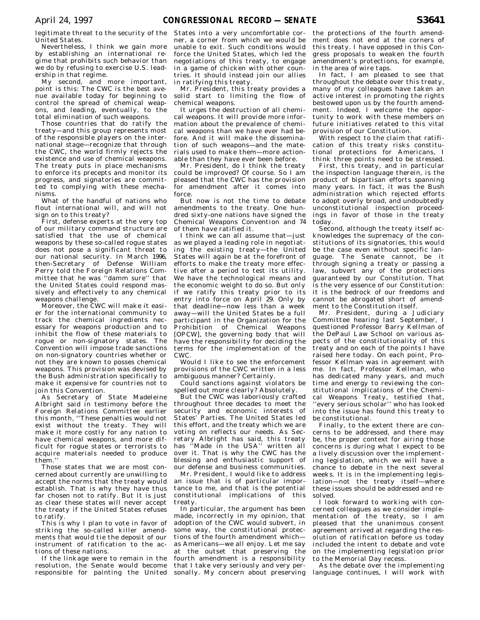legitimate threat to the security of the United States.

Nevertheless, I think we gain more by establishing an international regime that prohibits such behavior than we do by refusing to exercise U.S. leadership in that regime.

My second, and more important, point is this: The CWC is the best avenue available today for beginning to control the spread of chemical weapons, and leading, eventually, to the total elimination of such weapons.

Those countries that do ratify the treaty—and this group represents most of the responsible players on the international stage—recognize that through the CWC, the world firmly rejects the existence and use of chemical weapons. The treaty puts in place mechanisms to enforce its precepts and monitor its progress, and signatories are committed to complying with these mechanisms.

What of the handful of nations who flout international will, and will not sign on to this treaty?

First, defense experts at the very top of our military command structure are satisfied that the use of chemical weapons by these so-called rogue states does not pose a significant threat to our national security. In March 1996, then-Secretary of Defense William Perry told the Foreign Relations Committee that he was ''damm sure'' that the United States could respond massively and effectively to any chemical weapons challenge.

Moreover, the CWC will make it easier for the international community to track the chemical ingredients necessary for weapons production and to inhibit the flow of these materials to rogue or non-signatory states. The Convention will impose trade sanctions on non-signatory countries whether or not they are known to posses chemical weapons. This provision was devised by the Bush administration specifically to make it expensive for countries not to join this Convention.

As Secretary of State Madeleine Albright said in testimony before the Foreign Relations Committee earlier this month, ''These penalties would not exist without the treaty. They will make it more costly for any nation to have chemical weapons, and more difficult for rogue states or terrorists to acquire materials needed to produce them.''

Those states that we are most concerned about currently are unwilling to accept the norms that the treaty would establish. That is why they have thus far chosen not to ratify. But it is just as clear these states will never accept the treaty if the United States refuses to ratify.

This is why I plan to vote in favor of striking the so-called killer amendments that would tie the deposit of our instrument of ratification to the  $ac$ tions of these nations.

If the linkage were to remain in the resolution, the Senate would become responsible for painting the United

States into a very uncomfortable corner, a corner from which we would be unable to exit. Such conditions would force the United States, which led the negotiations of this treaty, to engage in a game of chicken with other countries. It should instead join our allies in ratifying this treaty.

Mr. President, this treaty provides a solid start to limiting the flow of chemical weapons.

It urges the destruction of all chemical weapons. It will provide more information about the prevalence of chemical weapons than we have ever had before. And it will make the dissemination of such weapons—and the materials used to make them—more actionable than they have ever been before.

Mr. President, do I think the treaty could be improved? Of course. So I am pleased that the CWC has the provision for amendment after it comes into force.

But now is not the time to debate amendments to the treaty. One hundred sixty-one nations have signed the Chemical Weapons Convention and 74 of them have ratified it.

I think we can all assume that—just as we played a leading role in negotiating the existing treaty—the United States will again be at the forefront of efforts to make the treaty more effective after a period to test its utility. We have the technological means and the economic weight to do so. But only if we ratify this treaty prior to its entry into force on April 29. Only by that deadline—now less than a week away—will the United States be a full participant in the Organization for the Prohibition of Chemical Weapons [OPCW], the governing body that will have the responsibility for deciding the terms for the implementation of the CWC.

Would I like to see the enforcement provisions of the CWC written in a less ambiguous manner? Certainly.

Could sanctions against violators be spelled out more clearly? Absolutely.

But the CWC was laboriously crafted throughout three decades to meet the security and economic interests of States' Parties. The United States led this effort, and the treaty which we are voting on reflects our needs. As Secretary Albright has said, this treaty has ''Made in the USA'' written all over it. That is why the CWC has the blessing and enthusiastic support of our defense and business communities.

Mr. President, I would like to address an issue that is of particular importance to me, and that is the potential constitutional implications of this treaty.

In particular, the argument has been made, incorrectly in my opinion, that adoption of the CWC would subvert, in some way, the constitutional protections of the fourth amendment which as Americans—we all enjoy. Let me say at the outset that preserving the fourth amendment is a responsibility that I take very seriously and very personally. My concern about preserving

the protections of the fourth amendment does not end at the corners of this treaty. I have opposed in this Congress proposals to weaken the fourth amendment's protections, for example, in the area of wire taps.

In fact, I am pleased to see that throughout the debate over this treaty, many of my colleagues have taken an active interest in promoting the rights bestowed upon us by the fourth amendment. Indeed, I welcome the opportunity to work with these members on future initiatives related to this vital provision of our Constitution.

With respect to the claim that ratification of this treaty risks constitutional protections for Americans, I think three points need to be stressed.

First, this treaty, and in particular the inspection language therein, is the product of bipartisan efforts spanning many years. In fact, it was the Bush administration which rejected efforts to adopt overly broad, and undoubtedly unconstitutional inspection proceedings in favor of those in the treaty today.

Second, although the treaty itself acknowledges the supremacy of the constitutions of its signatories, this would be the case even without specific language. The Senate cannot, be it through signing a treaty or passing a law, subvert any of the protections guaranteed by our Constitution. That is the very essence of our Constitution: it is the bedrock of our freedoms and cannot be abrogated short of amendment to the Constitution itself.

Mr. President, during a Judiciary Committee hearing last September, I questioned Professor Barry Kellman of the DePaul Law School on various aspects of the constitutionality of this treaty and on each of the points I have raised here today. On each point, Professor Kellman was in agreement with me. In fact, Professor Kellman, who has dedicated many years, and much time and energy to reviewing the constitutional implications of the Chemical Weapons Treaty, testified that, ''every serious scholar'' who has looked into the issue has found this treaty to be constitutional.

Finally, to the extent there are concerns to be addressed, and there may be, the proper context for airing those concerns is during what I expect to be a lively discussion over the implementing legislation, which we will have a chance to debate in the next several weeks. It is in the implementing legislation—not the treaty itself—where these issues should be addressed and resolved.

I look forward to working with concerned colleagues as we consider implementation of the treaty, so I am pleased that the unanimous consent agreement arrived at regarding the resolution of ratification before us today included the intent to debate and vote on the implementing legislation prior to the Memorial Day recess.

As the debate over the implementing language continues, I will work with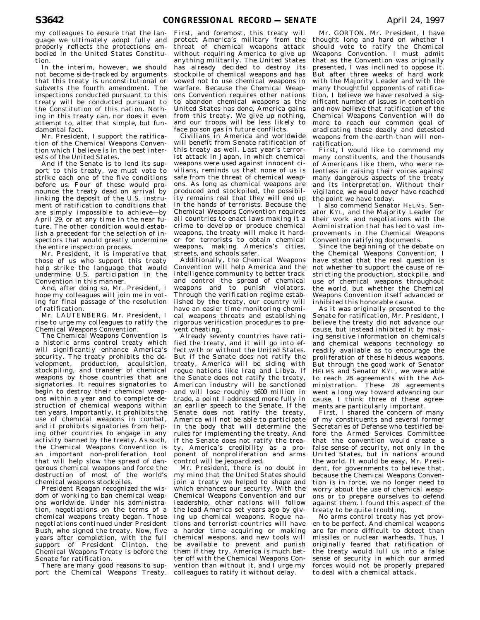my colleagues to ensure that the language we ultimately adopt fully and properly reflects the protections embodied in the United States Constitution.

In the interim, however, we should not become side-tracked by arguments that this treaty is unconstitutional or subverts the fourth amendment. The inspections conducted pursuant to this treaty will be conducted pursuant to the Constitution of this nation. Nothing in this treaty can, nor does it even attempt to, alter that simple, but fundamental fact.

Mr. President, I support the ratification of the Chemical Weapons Convention which I believe is in the best interests of the United States.

And if the Senate is to lend its support to this treaty, we must vote to strike each one of the five conditions before us. Four of these would pronounce the treaty dead on arrival by linking the deposit of the U.S. instrument of ratification to conditions that are simply impossible to achieve—by April 29, or at any time in the near future. The other condition would establish a precedent for the selection of inspectors that would greatly undermine the entire inspection process.

Mr. President, it is imperative that those of us who support this treaty help strike the language that would undermine U.S. participation in the Convention in this manner.

And, after doing so, Mr. President, I hope my colleagues will join me in voting for final passage of the resolution of ratification.

Mr. LAUTENBERG. Mr. President, I rise to urge my colleagues to ratify the Chemical Weapons Convention.

The Chemical Weapons Convention is a historic arms control treaty which will significantly enhance America's security. The treaty prohibits the development, production, acquisition, stockpiling, and transfer of chemical weapons by those countries that are signatories. It requires signatories to begin to destroy their chemical weapons within a year and to complete destruction of chemical weapons within ten years. Importantly, it prohibits the use of chemical weapons in combat, and it prohibits signatories from helping other countries to engage in any activity banned by the treaty. As such, the Chemical Weapons Convention is an important non-proliferation tool that will help slow the spread of dangerous chemical weapons and force the destruction of most of the world's chemical weapons stockpiles.

President Reagan recognized the wisdom of working to ban chemical weapons worldwide. Under his administration, negotiations on the terms of a chemical weapons treaty began. Those negotiations continued under President Bush, who signed the treaty. Now, five years after completion, with the full support of President Clinton, the Chemical Weapons Treaty is before the Senate for ratification.

There are many good reasons to support the Chemical Weapons Treaty.

First, and foremost, this treaty will protect America's military from the threat of chemical weapons attack without requiring America to give up anything militarily. The United States has already decided to destroy its stockpile of chemical weapons and has vowed not to use chemical weapons in warfare. Because the Chemical Weapons Convention requires other nations to abandon chemical weapons as the United States has done, America gains from this treaty. We give up nothing, and our troops will be less likely to face poison gas in future conflicts.

Civilians in America and worldwide will benefit from Senate ratification of this treaty as well. Last year's terrorist attack in Japan, in which chemical weapons were used against innocent civilians, reminds us that none of us is safe from the threat of chemical weapons. As long as chemical weapons are produced and stockpiled, the possibility remains real that they will end up in the hands of terrorists. Because the Chemical Weapons Convention requires all countries to enact laws making it a crime to develop or produce chemical weapons, the treaty will make it harder for terrorists to obtain chemical weapons, making America's cities, streets, and schools safer.

Additionally, the Chemical Weapons Convention will help America and the intelligence community to better track and control the spread of chemical weapons and to punish violators. Through the verification regime established by the treaty, our country will have an easier time monitoring chemical weapons threats and establishing rigorous verification procedures to prevent cheating.

Already seventy countries have ratified the treaty, and it will go into effect with or without the United States. But if the Senate does not ratify the treaty, America will be siding with rogue nations like Iraq and Libya. If the Senate does not ratify the treaty, American industry will be sanctioned and will lose roughly \$600 million in trade, a point I addressed more fully in an earlier speech to the Senate. If the Senate does not ratify the treaty, America will not be able to participate in the body that will determine the rules for implementing the treaty. And if the Senate does not ratify the treaty, America's credibility as a proponent of nonproliferation and arms control will be jeopardized.

Mr. President, there is no doubt in my mind that the United States should join a treaty we helped to shape and which enhances our security. With the Chemical Weapons Convention and our leadership, other nations will follow the lead America set years ago by giving up chemical weapons. Rogue nations and terrorist countries will have a harder time acquiring or making chemical weapons, and new tools will be available to prevent and punish them if they try. America is much better off with the Chemical Weapons Convention than without it, and I urge my colleagues to ratify it without delay.

Mr. GORTON. Mr. President, I have thought long and hard on whether I should vote to ratify the Chemical Weapons Convention. I must admit that as the Convention was originally presented, I was inclined to oppose it. But after three weeks of hard work with the Majority Leader and with the many thoughtful opponents of ratification, I believe we have resolved a significant number of issues in contention and now believe that ratification of the Chemical Weapons Convention will do more to reach our common goal of eradicating these deadly and detested weapons from the earth than will nonratification.

First, I would like to commend my many constituents, and the thousands of Americans like them, who were relentless in raising their voices against many dangerous aspects of the treaty and its interpretation. Without their vigilance, we would never have reached the point we have today.

I also commend Senator HELMS, Senator KYL, and the Majority Leader for their work and negotiations with the Administration that has led to vast improvements in the Chemical Weapons Convention ratifying documents.

Since the beginning of the debate on the Chemical Weapons Convention, I have stated that the real question is not whether to support the cause of restricting the production, stockpile, and use of chemical weapons throughout the world, but whether the Chemical Weapons Convention itself advanced or inhibited this honorable cause.

As it was originally presented to the Senate for ratification, Mr. President, I believe the treaty did not advance our cause, but instead inhibited it by making sensitive information on chemicals and chemical weapons technology so readily available as to encourage the proliferation of these hideous weapons. But through the good work of Senator HELMS and Senator KYL, we were able to reach 28 agreements with the Administration. These 28 agreements went a long way toward advancing our cause. I think three of these agreements are particularly important.

First, I shared the concern of many of my constituents and several former Secretaries of Defense who testified before the Armed Services Committee that the convention would create a false sense of security, not only in the United States, but in nations around the world. It would be easy, Mr. President, for governments to believe that, because the Chemical Weapons Convention is in force, we no longer need to worry about the use of chemical weapons or to prepare ourselves to defend against them. I found this aspect of the treaty to be quite troubling.

No arms control treaty has yet proven to be perfect. And chemical weapons are far more difficult to detect than missiles or nuclear warheads. Thus, I originally feared that ratification of the treaty would lull us into a false sense of security in which our armed forces would not be properly prepared to deal with a chemical attack.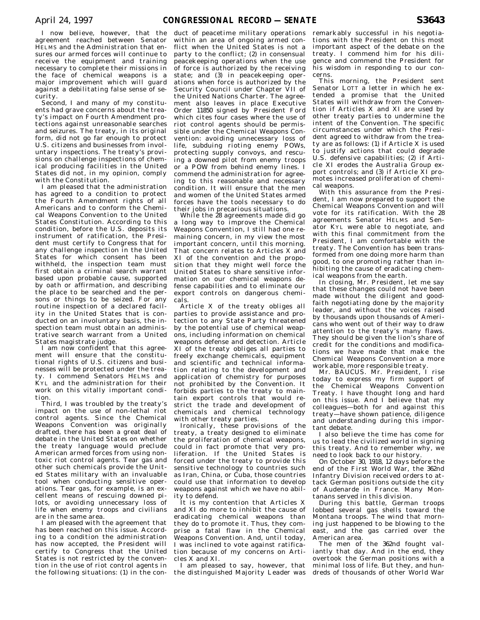I now believe, however, that the agreement reached between Senator HELMS and the Administration that ensures our armed forces will continue to receive the equipment and training necessary to complete their missions in the face of chemical weapons is a major improvement which will guard against a debilitating false sense of security.

Second, I and many of my constituents had grave concerns about the treaty's impact on Fourth Amendment protections against unreasonable searches and seizures. The treaty, in its original form, did not go far enough to protect U.S. citizens and businesses from involuntary inspections. The treaty's provisions on challenge inspections of chemical producing facilities in the United States did not, in my opinion, comply with the Constitution.

I am pleased that the administration has agreed to a condition to protect the Fourth Amendment rights of all Americans and to conform the Chemical Weapons Convention to the United States Constitution. According to this condition, before the U.S. deposits its instrument of ratification, the President must certify to Congress that for any challenge inspection in the United States for which consent has been withheld, the inspection team must first obtain a criminal search warrant based upon probable cause, supported by oath or affirmation, and describing the place to be searched and the persons or things to be seized. For any routine inspection of a declared facility in the United States that is conducted on an involuntary basis, the inspection team must obtain an administrative search warrant from a United States magistrate judge.

I am now confident that this agreement will ensure that the constitutional rights of U.S. citizens and businesses will be protected under the treaty. I commend Senators HELMS and KYL and the administration for their work on this vitally important condition.

Third, I was troubled by the treaty's impact on the use of non-lethal riot control agents. Since the Chemical Weapons Convention was originally drafted, there has been a great deal of debate in the United States on whether the treaty language would preclude American armed forces from using nontoxic riot control agents. Tear gas and other such chemicals provide the United States military with an invaluable tool when conducting sensitive operations. Tear gas, for example, is an excellent means of rescuing downed pilots, or avoiding unnecessary loss of life when enemy troops and civilians are in the same area.

I am pleased with the agreement that has been reached on this issue. According to a condition the administration has now accepted, the President will certify to Congress that the United States is not restricted by the convention in the use of riot control agents in the following situations: (1) in the con-

duct of peacetime military operations within an area of ongoing armed conflict when the United States is not a party to the conflict; (2) in consensual peacekeeping operations when the use of force is authorized by the receiving state; and (3) in peacekeeping operations when force is authorized by the Security Council under Chapter VII of the United Nations Charter. The agreement also leaves in place Executive Order 11850 signed by President Ford which cites four cases where the use of riot control agents should be permissible under the Chemical Weapons Convention: avoiding unnecessary loss of life, subduing rioting enemy POWs, protecting supply convoys, and rescuing a downed pilot from enemy troops or a POW from behind enemy lines. I commend the administration for agreeing to this reasonable and necessary condition. It will ensure that the men and women of the United States armed forces have the tools necessary to do their jobs in precarious situations.

While the 28 agreements made did go a long way to improve the Chemical Weapons Convention, I still had one remaining concern, in my view the most important concern, until this morning. That concern relates to Articles X and XI of the convention and the proposition that they might well force the United States to share sensitive information on our chemical weapons defense capabilities and to eliminate our export controls on dangerous chemicals.

Article X of the treaty obliges all parties to provide assistance and protection to any State Party threatened by the potential use of chemical weapons, including information on chemical weapons defense and detection. Article XI of the treaty obliges all parties to freely exchange chemicals, equipment and scientific and technical information relating to the development and application of chemistry for purposes not prohibited by the Convention. It forbids parties to the treaty to maintain export controls that would restrict the trade and development of chemicals and chemical technology with other treaty parties.

Ironically, these provisions of the treaty, a treaty designed to eliminate the proliferation of chemical weapons, could in fact promote that very proliferation. If the United States is forced under the treaty to provide this sensitive technology to countries such as Iran, China, or Cuba, those countries could use that information to develop weapons against which we have no ability to defend.

It is my contention that Articles X and XI do more to inhibit the cause of eradicating chemical weapons than they do to promote it. Thus, they comprise a fatal flaw in the Chemical Weapons Convention. And, until today, I was inclined to vote against ratification because of my concerns on Articles X and XI.

I am pleased to say, however, that the distinguished Majority Leader was remarkably successful in his negotiations with the President on this most important aspect of the debate on the treaty. I commend him for his diligence and commend the President for his wisdom in responding to our concerns.

This morning, the President sent Senator LOTT a letter in which he extended a promise that the United States will withdraw from the Convention if Articles X and XI are used by other treaty parties to undermine the intent of the Convention. The specific circumstances under which the President agreed to withdraw from the treaty are as follows: (1) if Article X is used to justify actions that could degrade U.S. defensive capabilities; (2) if Article XI erodes the Australia Group export controls; and (3) if Article XI promotes increased proliferation of chemical weapons.

With this assurance from the President, I am now prepared to support the Chemical Weapons Convention and will vote for its ratification. With the 28 agreements Senator HELMS and Senator KYL were able to negotiate, and with this final commitment from the President, I am comfortable with the treaty. The Convention has been transformed from one doing more harm than good, to one promoting rather than inhibiting the cause of eradicating chemical weapons from the earth.

In closing, Mr. President, let me say that these changes could not have been made without the diligent and goodfaith negotiating done by the majority leader, and without the voices raised by thousands upon thousands of Americans who went out of their way to draw attention to the treaty's many flaws. They should be given the lion's share of credit for the conditions and modifications we have made that make the Chemical Weapons Convention a more workable, more responsible treaty.

Mr. BAUCUS. Mr. President, I rise today to express my firm support of the Chemical Weapons Convention Treaty. I have thought long and hard on this issue. And  $\overline{I}$  believe that my colleagues—both for and against this treaty—have shown patience, diligence and understanding during this important debate.

I also believe the time has come for us to lead the civilized world in signing this treaty. And to remember why, we need to look back to our history.

On October 30, 1918, 12 days before the end of the First World War, the 362nd Infantry Division received orders to attack German positions outside the city of Audenarde in France. Many Montanans served in this division.

During this battle, German troops lobbed several gas shells toward the Montana troops. The wind that morning just happened to be blowing to the east, and the gas carried over the American area.

The men of the 362nd fought valiantly that day. And in the end, they overtook the German positions with a minimal loss of life. But they, and hundreds of thousands of other World War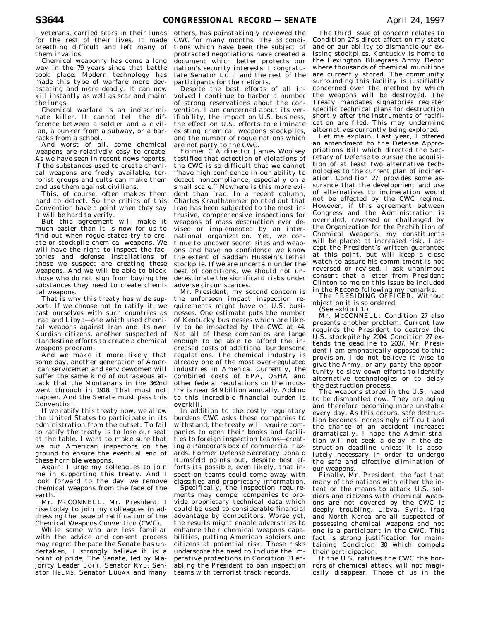I veterans, carried scars in their lungs for the rest of their lives. It made breathing difficult and left many of them invalids.

Chemical weaponry has come a long way in the 79 years since that battle took place. Modern technology has made this type of warfare more devastating and more deadly. It can now kill instantly as well as scar and maim the lungs.

Chemical warfare is an indiscriminate killer. It cannot tell the difference between a soldier and a civilian, a bunker from a subway, or a barracks from a school.

And worst of all, some chemical weapons are relatively easy to create. As we have seen in recent news reports, if the substances used to create chemical weapons are freely available, terrorist groups and cults can make them and use them against civilians.

This, of course, often makes them hard to detect. So the critics of this Convention have a point when they say it will be hard to verify.

But this agreement will make it much easier than it is now for us to find out when rogue states try to create or stockpile chemical weapons. We will have the right to inspect the factories and defense installations of those we suspect are creating these weapons. And we will be able to block those who do not sign from buying the substances they need to create chemical weapons.

That is why this treaty has wide support. If we choose not to ratify it, we cast ourselves with such countries as Iraq and Libya—one which used chemical weapons against Iran and its own Kurdish citizens, another suspected of clandestine efforts to create a chemical weapons program.

And we make it more likely that some day, another generation of American servicemen and servicewomen will suffer the same kind of outrageous attack that the Montanans in the 362nd went through in 1918. That must not happen. And the Senate must pass this Convention.

If we ratify this treaty now, we allow the United States to participate in its administration from the outset. To fail to ratify the treaty is to lose our seat at the table. I want to make sure that we put American inspectors on the ground to ensure the eventual end of these horrible weapons.

Again, I urge my colleagues to join me in supporting this treaty. And I look forward to the day we remove chemical weapons from the face of the earth.

Mr. MCCONNELL. Mr. President, I rise today to join my colleagues in addressing the issue of ratification of the Chemical Weapons Convention (CWC).

While some who are less familiar with the advice and consent process may regret the pace the Senate has undertaken, I strongly believe it is a point of pride. The Senate, led by Majority Leader LOTT, Senator KYL, Senator HELMS, Senator LUGAR and many

others, has painstakingly reviewed the CWC for many months. The 33 conditions which have been the subject of protracted negotiations have created a document which better protects our nation's security interests. I congratulate Senator LOTT and the rest of the participants for their efforts.

Despite the best efforts of all involved I continue to harbor a number of strong reservations about the convention. I am concerned about its verifiability, the impact on U.S. business, the effect on  $U.\dot{S}$ . efforts to eliminate existing chemical weapons stockpiles, and the number of rogue nations which are not party to the CWC.

Former CIA director James Woolsey testified that detection of violations of the CWC is so difficult that we cannot ''have high confidence in our ability to detect noncompliance, especially on a small scale.'' Nowhere is this more evident than Iraq. In a recent column, Charles Krauthammer pointed out that Iraq has been subjected to the most intrusive, comprehensive inspections for weapons of mass destruction ever devised or implemented by an international organization. Yet, we continue to uncover secret sites and weapons and have no confidence we know the extent of Saddam Hussein's lethal stockpile. If we are uncertain under the best of conditions, we should not underestimate the significant risks under adverse circumstances.

Mr. President, my second concern is the unforseen impact inspection requirements might have on U.S. businesses. One estimate puts the number of Kentucky businesses which are likely to be impacted by the CWC at 44. Not all of these companies are large enough to be able to afford the increased costs of additional burdensome regulations. The chemical industry is already one of the most over-regulated industries in America. Currently, the combined costs of EPA, OSHA and other federal regulations on the industry is near \$4.9 billion annually. Adding to this incredible financial burden is overkill.

In addition to the costly regulatory burdens CWC asks these companies to withstand, the treaty will require companies to open their books and facilities to foreign inspection teams—creating a Pandora's box of commercial hazards. Former Defense Secretary Donald Rumsfeld points out, despite best efforts its possible, even likely, that inspection teams could come away with classified and proprietary information.

Specifically, the inspection requirements may compel companies to provide proprietary technical data which could be used to considerable financial advantage by competitors. Worse yet, the results might enable adversaries to enhance their chemical weapons capabilities, putting American soldiers and citizens at potential risk. These risks underscore the need to include the imperative protections in Condition 31 enabling the President to ban inspection teams with terrorist track records.

The third issue of concern relates to Condition 27's direct affect on my state and on our ability to dismantle our existing stockpiles. Kentucky is home to the Lexington Bluegrass Army Depot where thousands of chemical munitions are currently stored. The community surrounding this facility is justifiably concerned over the method by which the weapons will be destroyed. The Treaty mandates signatories register specific technical plans for destruction shortly after the instruments of ratification are filed. This may undermine alternatives currently being explored.

Let me explain. Last year, I offered an amendment to the Defense Appropriations Bill which directed the Secretary of Defense to pursue the acquisition of at least two alternative technologies to the current plan of incineration. Condition 27, provides some assurance that the development and use of alternatives to incineration would not be affected by the CWC regime. However, if this agreement between Congress and the Administration is overruled, reversed or challenged by the Organization for the Prohibition of Chemical Weapons, my constituents will be placed at increased risk. I accept the President's written guarantee at this point, but will keep a close watch to assure his commitment is not reversed or revised. I ask unanimous consent that a letter from President Clinton to me on this issue be included in the RECORD following my remarks.

The PRESIDING OFFICER. Without objection it is so ordered.

(See exhibit 1.)

Mr. MCCONNELL. Condition 27 also presents another problem. Current law requires the President to destroy the U.S. stockpile by 2004. Condition 27 extends the deadline to 2007. Mr. President I am emphatically opposed to this provision. I do not believe it wise to give the Army, or any party the opportunity to slow down efforts to identify alternative technologies or to delay the destruction process.

The weapons stored in the U.S. need to be dismantled now. They are aging and therefore becoming more unstable every day. As this occurs, safe destruction becomes increasingly difficult and the chance of an accident increases dramatically. I hope the Administration will not seek a delay in the destruction deadline unless it is absolutely necessary in order to undergo the safe and effective elimination of our weapons.

Finally, Mr. President, the fact that many of the nations with either the intent or the means to attack U.S. soldiers and citizens with chemical weapons are not covered by the CWC is deeply troubling. Libya, Syria, Iraq and North Korea are all suspected of possessing chemical weapons and not one is a participant in the CWC. This fact is strong justification for maintaining Condition 30 which compels their participation.

If the U.S. ratifies the CWC the horrors of chemical attack will not magically disappear. Those of us in the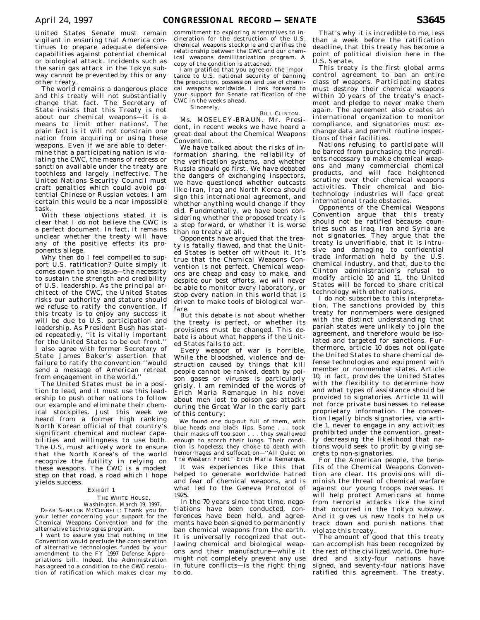United States Senate must remain vigilant in ensuring that America continues to prepare adequate defensive capabilities against potential chemical or biological attack. Incidents such as the sarin gas attack in the Tokyo subway cannot be prevented by this or any other treaty.

The world remains a dangerous place and this treaty will not substantially change that fact. The Secretary of State insists that this Treaty is not about our chemical weapons—it is a means to limit other nations'. The plain fact is it will not constrain one nation from acquiring or using these weapons. Even if we are able to determine that a participating nation is violating the CWC, the means of redress or sanction available under the treaty are toothless and largely ineffective. The United Nations Security Council must craft penalties which could avoid potential Chinese or Russian vetoes. I am certain this would be a near impossible task.

With these objections stated, it is clear that I do not believe the CWC is a perfect document. In fact, it remains unclear whether the treaty will have any of the positive effects its proponents allege.

Why then do I feel compelled to support U.S. ratification? Quite simply it comes down to one issue—the necessity to sustain the strength and credibility of U.S. leadership. As the principal architect of the CWC, the United States risks our authority and stature should we refuse to ratify the convention. If this treaty is to enjoy any success it will be due to U.S. participation and leadership. As President Bush has stated repeatedly, ''it is vitally important for the United States to be out front.'' I also agree with former Secretary of State James Baker's assertion that failure to ratify the convention ''would send a message of American retreat from engagement in the world.''

The United States must be in a position to lead, and it must use this leadership to push other nations to follow our example and eliminate their chemical stockpiles. Just this week we heard from a former high ranking North Korean official of that country's significant chemical and nuclear capabilities and willingness to use both. The U.S. must actively work to ensure that the North Korea's of the world recognize the futility in relying on these weapons. The CWC is a modest step on that road, a road which I hope yields success.

### EXHIBIT 1

## THE WHITE HOUSE,

*Washington, March 19, 1997.* DEAR SENATOR MCCONNELL: Thank you for your letter concerning your support for the Chemical Weapons Convention and for the alternative technologies program.

I want to assure you that nothing in the Convention would preclude the consideration of alternative technologies funded by your amendment to the FY 1997 Defense Appropriations bill. Indeed, the Administration has agreed to a condition to the CWC resolution of ratification which makes clear my

commitment to exploring alternatives to incineration for the destruction of the U.S. chemical weapons stockpile and clarifies the relationship between the CWC and our chemical weapons demilitarization program. A copy of the condition is attached.

I am gratified that you agree on the importance to U.S. national security of banning the production, possession and use of chemical weapons worldwide. I look forward to your support for Senate ratification of the CWC in the weeks ahead. Sincerely,

BILL CLINTON.

Ms. MOSELEY-BRAUN. Mr. President, in recent weeks we have heard a great deal about the Chemical Weapons Convention.

We have talked about the risks of information sharing, the reliability of the verification systems, and whether Russia should go first. We have debated the dangers of exchanging inspectors, we have questioned whether outcasts like Iran, Iraq and North Korea should sign this international agreement, and whether anything would change if they did. Fundmentally, we have been considering whether the proposed treaty is a step forward, or whether it is worse than no treaty at all.

Opponents have argued that the treaty is fatally flawed, and that the United States is better off without it. It's true that the Chemical Weapons Convention is not perfect. Chemical weapons are cheap and easy to make, and despite our best efforts, we will never be able to monitor every laboratory, or stop every nation in this world that is driven to make tools of biological warfare.

But this debate is not about whether the treaty is perfect, or whether its provisions must be changed. This debate is about what happens if the United States fails to act.

Every weapon of war is horrible. While the bloodshed, violence and destruction caused by things that kill people cannot be ranked, death by poison gases or viruses is particularly grisly. I am reminded of the words of Erich Maria Remarque in his novel about men lost to poison gas attacks during the Great War in the early part of this century:

We found one dug-out full of them, with blue heads and black lips. Some . . . took their masks off too soon . . . they swallowed enough to scorch their lungs. Their condition is hopeless; they choke to death with hemorrhages and suffocation—''All Quiet on The Western Front'' Erich Maria Remarque.

It was experiences like this that helped to generate worldwide hatred and fear of chemical weapons, and is what led to the Geneva Protocol of 1925.

In the 70 years since that time, negotiations have been conducted, conferences have been held, and agreements have been signed to permanently ban chemical weapons from the earth. It is universally recognized that outlawing chemical and biological weapons and their manufacture—while it might not completely prevent any use in future conflicts—is the right thing to do.

That's why it is incredible to me, less than a week before the ratification deadline, that this treaty has become a point of political division here in the U.S. Senate.

This treaty is the first global arms control agreement to ban an entire class of weapons. Participating states must destroy their chemical weapons within 10 years of the treaty's enactment and pledge to never make them again. The agreement also creates an international organization to monitor compliance, and signatories must exchange data and permit routine inspections of their facilities.

Nations refusing to participate will be barred from purchasing the ingredients necessary to make chemical weapons and many commercial chemical products, and will face heightened scrutiny over their chemical weapons activities. Their chemical and biotechnology industries will face great international trade obstacles.

Opponents of the Chemical Weapons Convention argue that this treaty should not be ratified because countries such as Iraq, Iran and Syria are not signatories. They argue that the treaty is unverifiable, that it is intrusive and damaging to confidential trade information held by the U.S. chemical industry, and that, due to the Clinton administration's refusal to modify article 10 and 11, the United States will be forced to share critical technology with other nations.

I do not subscribe to this interpretation. The sanctions provided by this treaty for nonmembers were designed with the distinct understanding that pariah states were unlikely to join the agreement, and therefore would be isolated and targeted for sanctions. Furthermore, article 10 does not obligate the United States to share chemical defense technologies and equipment with member or nonmember states. Article 10, in fact, provides the United States with the flexibility to determine how and what types of assistance should be provided to signatories. Article 11 will not force private businesses to release proprietary information. The convention legally binds signatories, via article 1, never to engage in any activities prohibited under the convention, greatly decreasing the likelihood that nations would seek to profit by giving secrets to non-signatories.

For the American people, the benefits of the Chemical Weapons Convention are clear. Its provisions will diminish the threat of chemical warfare against our young troops overseas. It will help protect Americans at home from terrorist attacks like the kind that occurred in the Tokyo subway. And it gives us new tools to help us track down and punish nations that violate this treaty.

The amount of good that this treaty can accomplish has been recognized by the rest of the civilized world. One hundred and sixty-four nations have signed, and seventy-four nations have ratified this agreement. The treaty,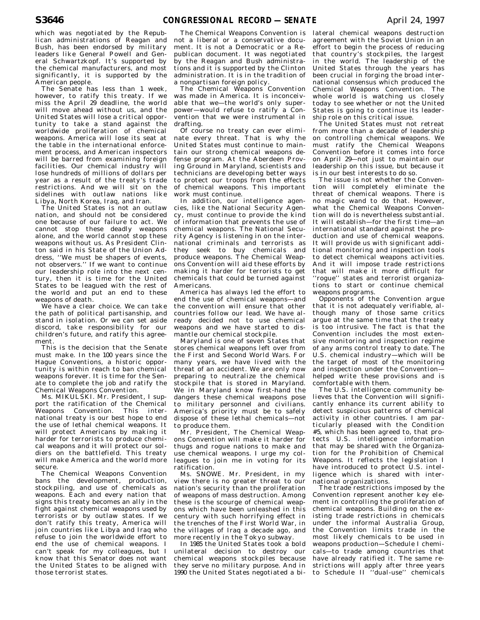which was negotiated by the Republican administrations of Reagan and Bush, has been endorsed by military leaders like General Powell and General Schwartzkopf. It's supported by the chemical manufacturers, and most significantly, it is supported by the American people.

The Senate has less than 1 week, however, to ratify this treaty. If we miss the April 29 deadline, the world will move ahead without us, and the United States will lose a critical opportunity to take a stand against the worldwide proliferation of chemical weapons. America will lose its seat at the table in the international enforcement process, and American inspectors will be barred from examining foreign facilities. Our chemical industry will lose hundreds of millions of dollars per year as a result of the treaty's trade restrictions. And we will sit on the sidelines with outlaw nations like Libya, North Korea, Iraq, and Iran.

The United States is not an outlaw nation, and should not be considered one because of our failure to act. We cannot stop these deadly weapons alone, and the world cannot stop these weapons without us. As President Clinton said in his State of the Union Address, ''We must be shapers of events, not observers.'' If we want to continue our leadership role into the next century, then it is time for the United States to be leagued with the rest of the world and put an end to these weapons of death.

We have a clear choice. We can take the path of political partisanship, and stand in isolation. Or we can set aside discord, take responsibility for our children's future, and ratify this agreement.

This is the decision that the Senate must make. In the 100 years since the Hague Conventions, a historic opportunity is within reach to ban chemical weapons forever. It is time for the Senate to complete the job and ratify the Chemical Weapons Convention.

Ms. MIKULSKI. Mr. President, I support the ratification of the Chemical Weapons Convention. This international treaty is our best hope to end the use of lethal chemical weapons. It will protect Americans by making it harder for terrorists to produce chemical weapons and it will protect our soldiers on the battlefield. This treaty will make America and the world more secure.

The Chemical Weapons Convention bans the development, production, stockpiling, and use of chemicals as weapons. Each and every nation that signs this treaty becomes an ally in the fight against chemical weapons used by terrorists or by outlaw states. If we don't ratify this treaty, America will join countries like Libya and Iraq who refuse to join the worldwide effort to end the use of chemical weapons. I can't speak for my colleagues, but I know that this Senator does not want the United States to be aligned with those terrorist states.

The Chemical Weapons Convention is not a liberal or a conservative document. It is not a Democratic or a Republican document. It was negotiated by the Reagan and Bush administrations and it is supported by the Clinton administration. It is in the tradition of a nonpartisan foreign policy.

The Chemical Weapons Convention was made in America. It is inconceivable that we—the world's only superpower—would refuse to ratify a Convention that we were instrumental in drafting.

Of course no treaty can ever eliminate every threat. That is why the United States must continue to maintain our strong chemical weapons defense program. At the Aberdeen Proving Ground in Maryland, scientists and technicians are developing better ways to protect our troops from the effects of chemical weapons. This important work must continue.

In addition, our intelligence agencies, like the National Security Agency, must continue to provide the kind of information that prevents the use of chemical weapons. The National Security Agency is listening in on the international criminals and terrorists as they seek to buy chemicals and produce weapons. The Chemical Weapons Convention will aid these efforts by making it harder for terrorists to get chemicals that could be turned against Americans.

America has always led the effort to end the use of chemical weapons—and the convention will ensure that other countries follow our lead. We have already decided not to use chemical weapons and we have started to dismantle our chemical stockpile.

Maryland is one of seven States that stores chemical weapons left over from the First and Second World Wars. For many years, we have lived with the threat of an accident. We are only now preparing to neutralize the chemical stockpile that is stored in Maryland. We in Maryland know first-hand the dangers these chemical weapons pose to military personnel and civilians. America's priority must be to safely dispose of these lethal chemicals—not to produce them.

Mr. President, The Chemical Weapons Convention will make it harder for thugs and rogue nations to make and use chemical weapons. I urge my colleagues to join me in voting for its ratification.

Ms. SNOWE. Mr. President, in my view there is no greater threat to our nation's security than the proliferation of weapons of mass destruction. Among these is the scourge of chemical weapons which have been unleashed in this century with such horrifying effect in the trenches of the First World War, in the villages of Iraq a decade ago, and more recently in the Tokyo subway.

In 1985 the United States took a bold unilateral decision to destroy our chemical weapons stockpiles because they serve no military purpose. And in 1990 the United States negotiated a bi-

lateral chemical weapons destruction agreement with the Soviet Union in an effort to begin the process of reducing that country's stockpiles, the largest in the world. The leadership of the United States through the years has been crucial in forging the broad international consensus which produced the Chemical Weapons Convention. The whole world is watching us closely today to see whether or not the United States is going to continue its leadership role on this critical issue.

The United States must not retreat from more than a decade of leadership on controlling chemical weapons. We must ratify the Chemical Weapons Convention before it comes into force on April 29—not just to maintain our leadership on this issue, but because it is in our best interests to do so.

The issue is not whether the Convention will completely eliminate the threat of chemical weapons. There is no magic wand to do that. However, what the Chemical Weapons Convention will do is nevertheless substantial. It will establish—for the first time—an international standard against the production and use of chemical weapons. It will provide us with significant additional monitoring and inspection tools to detect chemical weapons activities. And it will impose trade restrictions that will make it more difficult for ''rogue'' states and terrorist organizations to start or continue chemical weapons programs.

Opponents of the Convention argue that it is not adequately verifiable, although many of those same critics argue at the same time that the treaty is too intrusive. The fact is that the Convention includes the most extensive monitoring and inspection regime of any arms control treaty to date. The U.S. chemical industry—which will be the target of most of the monitoring and inspection under the Convention helped write these provisions and is comfortable with them.

The U.S. intelligence community believes that the Convention will significantly enhance its current ability to detect suspicious patterns of chemical activity in other countries. I am particularly pleased with the Condition #5, which has been agreed to, that protects U.S. intelligence information that may be shared with the Organization for the Prohibition of Chemical Weapons. It reflects the legislation I have introduced to protect U.S. intelligence which is shared with international organizations.

The trade restrictions imposed by the Convention represent another key element in controlling the proliferation of chemical weapons. Building on the existing trade restrictions in chemicals under the informal Australia Group, the Convention limits trade in the most likely chemicals to be used in weapons production—Schedule I chemicals—to trade among countries that have already ratified it. The same restrictions will apply after three years to Schedule II ''dual-use'' chemicals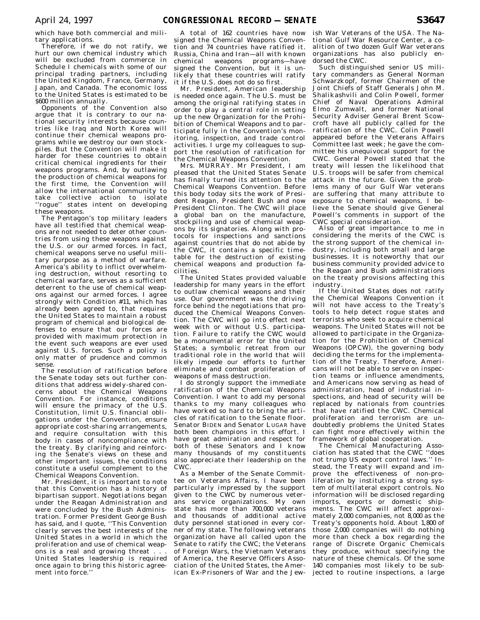which have both commercial and military applications.

Therefore, if we do not ratify, we hurt our own chemical industry which will be excluded from commerce in Schedule I chemicals with some of our principal trading partners, including the United Kingdom, France, Germany, Japan, and Canada. The economic loss to the United States is estimated to be \$600 million annually.

Opponents of the Convention also argue that it is contrary to our national security interests because countries like Iraq and North Korea will continue their chemical weapons programs while we destroy our own stockpiles. But the Convention will make it harder for these countries to obtain critical chemical ingredients for their weapons programs. And, by outlawing the production of chemical weapons for the first time, the Convention will allow the international community to take collective action to isolate ''rogue'' states intent on developing these weapons.

The Pentagon's top military leaders have all testified that chemical weapons are not needed to deter other countries from using these weapons against the U.S. or our armed forces. In fact, chemical weapons serve no useful military purpose as a method of warfare. America's ability to inflict overwhelming destruction, without resorting to chemical warfare, serves as a sufficient deterrent to the use of chemical weapons against our armed forces. I agree strongly with Condition #11, which has already been agreed to, that requires the United States to maintain a robust program of chemical and biological defenses to ensure that our forces are provided with maximum protection in the event such weapons are ever used against U.S. forces. Such a policy is only matter of prudence and common sense.

The resolution of ratification before the Senate today sets out further conditions that address widely-shared concerns about the Chemical Weapons Convention. For instance, conditions will ensure the primacy of the U.S. Constitution, limit U.S. financial obligations under the Convention, ensure appropriate cost-sharing arrangements, and require consultation with this body in cases of noncompliance with the treaty. By clarifying and reinforcing the Senate's views on these and other important issues, the conditions constitute a useful complement to the Chemical Weapons Convention.

Mr. President, it is important to note that this Convention has a history of bipartisan support. Negotiations began under the Reagan Administration and were concluded by the Bush Administration. Former President George Bush has said, and I quote, ''This Convention clearly serves the best interests of the United States in a world in which the proliferation and use of chemical weapons is a real and growing threat . . . United States leadership is required once again to bring this historic agreement into force.''

A total of 162 countries have now signed the Chemical Weapons Convention and 74 countries have ratified it. Russia, China and Iran—all with known chemical weapons programs—have signed the Convention, but it is unlikely that these countries will ratify it if the U.S. does not do so first.

Mr. President, American leadership is needed once again. The U.S. must be among the original ratifying states in order to play a central role in setting up the new Organization for the Prohibition of Chemical Weapons and to participate fully in the Convention's monitoring, inspection, and trade control activities. I urge my colleagues to support the resolution of ratification for the Chemical Weapons Convention.

Mrs. MURRAY. Mr President, I am pleased that the United States Senate has finally turned its attention to the Chemical Weapons Convention. Before this body today sits the work of President Reagan, President Bush and now President Clinton. The CWC will place a global ban on the manufacture, stockpiling and use of chemical weapons by its signatories. Along with protocols for inspections and sanctions against countries that do not abide by the CWC, it contains a specific timetable for the destruction of existing chemical weapons and production facilities.

The United States provided valuable leadership for many years in the effort to outlaw chemical weapons and their use. Our government was the driving force behind the negotiations that produced the Chemical Weapons Convention. The CWC will go into effect next week with or without U.S. participation. Failure to ratify the CWC would be a monumental error for the United States; a symbolic retreat from our traditional role in the world that will likely impede our efforts to further eliminate and combat proliferation of weapons of mass destruction.

I do strongly support the immediate ratification of the Chemical Weapons Convention. I want to add my personal thanks to my many colleagues who have worked so hard to bring the articles of ratification to the Senate floor. Senator BIDEN and Senator LUGAR have both been champions in this effort. I have great admiration and respect for both of these Senators and I know many thousands of my constituents also appreciate their leadership on the CWC.

As a Member of the Senate Committee on Veterans Affairs, I have been particularly impressed by the support given to the CWC by numerous veterans service organizations. My own state has more than 700,000 veterans and thousands of additional active duty personnel stationed in every corner of my state. The following veterans organization have all called upon the Senate to ratify the CWC; the Veterans of Foreign Wars, the Vietnam Veterans of America, the Reserve Officers Association of the United States, the American Ex-Prisoners of War and the Jew-

ish War Veterans of the USA. The National Gulf War Resource Center, a coalition of two dozen Gulf War veterans organizations has also publicly endorsed the CWC.

Such distinguished senior US military commanders as General Norman Schwarzkopf, former Chairmen of the Joint Chiefs of Staff Generals John M. Shalikashvili and Colin Powell, former Chief of Naval Operations Admiral Elmo Zumwalt, and former National Security Adviser General Brent Scowcroft have all publicly called for the ratification of the CWC. Colin Powell appeared before the Veterans Affairs Committee last week; he gave the committee his unequivocal support for the CWC. General Powell stated that the treaty will lessen the likelihood that U.S. troops will be safer from chemical attack in the future. Given the problems many of our Gulf War veterans are suffering that many attribute to exposure to chemical weapons, I believe the Senate should give General Powell's comments in support of the CWC special consideration.

Also of great importance to me in considering the merits of the CWC is the strong support of the chemical industry, including both small and large businesses. It is noteworthy that our business community provided advice to the Reagan and Bush administrations on the treaty provisions affecting this industry.

If the United States does not ratify the Chemical Weapons Convention it will not have access to the Treaty's tools to help detect rogue states and terrorists who seek to acquire chemical weapons. The United States will not be allowed to participate in the Organization for the Prohibition of Chemical Weapons (OPCW), the governing body deciding the terms for the implementation of the Treaty. Therefore, Americans will not be able to serve on inspection teams or influence amendments, and Americans now serving as head of administration, head of industrial inspections, and head of security will be replaced by nationals from countries that have ratified the CWC. Chemical proliferation and terrorism are undoubtedly problems the United States can fight more effectively within the framework of global cooperation.

The Chemical Manufacturing Association has stated that the CWC ''does not trump US export control laws.'' Instead, the Treaty will expand and improve the effectiveness of non-proliferation by instituting a strong system of multilateral export controls. No information will be disclosed regarding imports, exports or domestic shipments. The CWC will affect approximately 2,000 companies, not 8,000 as the Treaty's opponents hold. About 1,800 of those 2,000 companies will do nothing more than check a box regarding the range of Discrete Organic Chemicals they produce, without specifying the nature of these chemicals. Of the some 140 companies most likely to be subjected to routine inspections, a large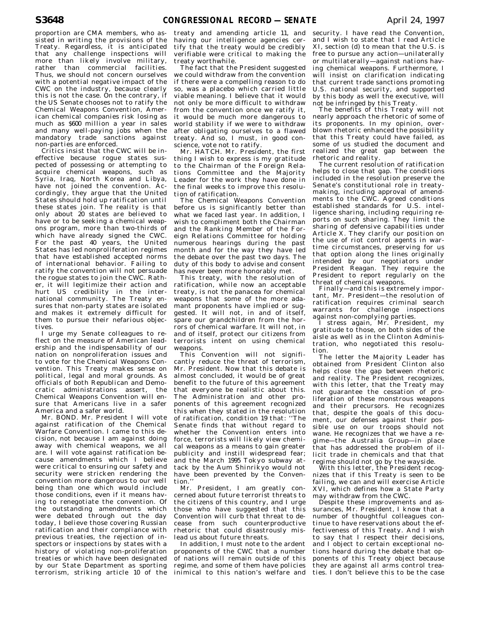proportion are CMA members, who assisted in writing the provisions of the Treaty. Regardless, it is anticipated that any challenge inspections will more than likely involve military, rather than commercial facilities. Thus, we should not concern ourselves with a potential negative impact of the CWC on the industry, because clearly this is not the case. On the contrary, if the US Senate chooses not to ratify the Chemical Weapons Convention, American chemical companies risk losing as much as \$600 million a year in sales and many well-paying jobs when the mandatory trade sanctions against non-parties are enforced.

Critics insist that the CWC will be ineffective because rogue states suspected of possessing or attempting to acquire chemical weapons, such as Syria, Iraq, North Korea and Libya, have not joined the convention. Accordingly, they argue that the United States should hold up ratification until these states join. The reality is that only about 20 states are believed to have or to be seeking a chemical weapons program, more than two-thirds of which have already signed the CWC. For the past 40 years, the United States has led nonproliferation regimes that have established accepted norms of international behavior. Failing to ratify the convention will not persuade the rogue states to join the CWC. Rather, it will legitimize their action and hurt US credibility in the international community. The Treaty ensures that non-party states are isolated and makes it extremely difficult for them to pursue their nefarious objectives.

I urge my Senate colleagues to reflect on the measure of American leadership and the indispensability of our nation on nonproliferation issues and to vote for the Chemical Weapons Convention. This Treaty makes sense on political, legal and moral grounds. As officials of both Republican and Democratic administrations assert, the Chemical Weapons Convention will ensure that Americans live in a safer America and a safer world.

Mr. BOND. Mr. President I will vote against ratification of the Chemical Warfare Convention. I came to this decision, not because I am against doing away with chemical weapons, we all are. I will vote against ratification because amendments which I believe were critical to ensuring our safety and security were stricken rendering the convention more dangerous to our well being than one which would include those conditions, even if it means having to renegotiate the convention. Of the outstanding amendments which were debated through out the day today, I believe those covering Russian ratification and their compliance with previous treaties, the rejection of inspectors or inspections by states with a history of violating non-proliferation treaties or which have been designated by our State Department as sporting terrorism, striking article 10 of the

treaty and amending article 11, and having our intelligence agencies certify that the treaty would be credibly verifiable were critical to making the treaty worthwhile.

The fact that the President suggested we could withdraw from the convention if there were a compelling reason to do so, was a placebo which carried little viable meaning. I believe that it would not only be more difficult to withdraw from the convention once we ratify it, it would be much more dangerous to world stability if we were to withdraw after obligating ourselves to a flawed treaty. And so, I must, in good conscience, vote not to ratify.

Mr. HATCH. Mr. President, the first thing I wish to express is my gratitude to the Chairman of the Foreign Relations Committee and the Majority Leader for the work they have done in the final weeks to improve this resolution of ratification.

The Chemical Weapons Convention before us is significantly better than what we faced last year. In addition, I wish to compliment both the Chairman and the Ranking Member of the Foreign Relations Committee for holding numerous hearings during the past month and for the way they have led the debate over the past two days. The duty of this body to advise and consent has never been more honorably met.

This treaty, with the resolution of ratification, while now an acceptable treaty, is not the panacea for chemical weapons that some of the more adamant proponents have implied or suggested. It will not, in and of itself, spare our grandchildren from the horrors of chemical warfare. It will not, in and of itself, protect our citizens from terrorists intent on using chemical weapons.

This Convention will not significantly reduce the threat of terrorism, Mr. President. Now that this debate is almost concluded, it would be of great benefit to the future of this agreement that everyone be realistic about this. The Administration and other proponents of this agreement recognized this when they stated in the resolution of ratification, condition 19 that: ''The Senate finds that without regard to whether the Convention enters into force, terrorists will likely view chemical weapons as a means to gain greater publicity and instill widespread fear; and the March 1995 Tokyo subway attack by the Aum Shinrikyo would not have been prevented by the Convention.''

Mr. President, I am greatly concerned about future terrorist threats to the citizens of this country, and I urge those who have suggested that this Convention will curb that threat to decease from such counterproductive rhetoric that could disastrously mislead us about future threats.

In addition, I must note to the ardent proponents of the CWC that a number of nations will remain outside of this regime, and some of them have policies inimical to this nation's welfare and

security. I have read the Convention, and I wish to state that I read Article XI, section (d) to mean that the U.S. is free to pursue any action—unilaterally or multilaterally—against nations having chemical weapons. Furthermore, I will insist on clarification indicating that current trade sanctions promoting U.S. national security, and supported by this body as well the executive, will not be infringed by this Treaty.

The benefits of this Treaty will not nearly approach the rhetoric of some of its proponents. In my opinion, overblown rhetoric enhanced the possibility that this Treaty could have failed, as some of us studied the document and realized the great gap between the rhetoric and reality.

The current resolution of ratification helps to close that gap. The conditions included in the resolution preserve the Senate's constitutional role in treatymaking, including approval of amendments to the CWC. Agreed conditions established standards for U.S. intelligence sharing, including requiring reports on such sharing. They limit the sharing of defensive capabilities under Article X. They clarify our position on the use of riot control agents in wartime circumstances, preserving for us that option along the lines originally intended by our negotiators under President Reagan. They require the President to report regularly on the threat of chemical weapons.

Finally—and this is extremely important, Mr. President—the resolution of ratification requires criminal search warrants for challenge inspections against non-complying parties.

I stress again, Mr. President, my gratitude to those, on both sides of the aisle as well as in the Clinton Administration, who negotiated this resolution.

The letter the Majority Leader has obtained from President Clinton also helps close the gap between rhetoric and reality. The President recognizes, with this letter, that the Treaty may not guarantee the cessation of proliferation of these monstrous weapons and their precursors. He recognizes that, despite the goals of this document, our defenses against their possible use on our troops should not wane. He recognizes that we have a regime—the Australia Group—in place that has addressed the problem of illicit trade in chemicals and that that regime should not go by the wayside.

With this letter, the President recognizes that if this Treaty is seen to be failing, we can and will exercise Article XVI, which defines how a State Party may withdraw from the CWC.

Despite these improvements and assurances, Mr. President, I know that a number of thoughtful colleagues continue to have reservations about the effectiveness of this Treaty. And I wish to say that I respect their decisions, and I object to certain exceptional notions heard during the debate that opponents of this Treaty object because they are against all arms control treaties. I don't believe this to be the case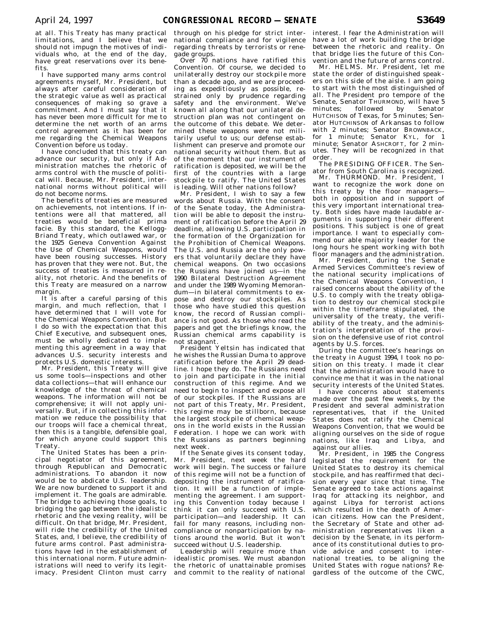at all. This Treaty has many practical limitations, and I believe that we should not impugn the motives of individuals who, at the end of the day, have great reservations over its benefits.

I have supported many arms control agreements myself, Mr. President, but always after careful consideration of the strategic value as well as practical consequences of making so grave a commitment. And I must say that it has never been more difficult for me to determine the net worth of an arms control agreement as it has been for me regarding the Chemical Weapons Convention before us today.

I have concluded that this treaty can advance our security, but only if Administration matches the rhetoric of arms control with the muscle of political will. Because, Mr. President, international norms without political will do not become norms.

The benefits of treaties are measured on achievements, not intentions. If intentions were all that mattered, all treaties would be beneficial prima facie. By this standard, the Kellogg-Briand Treaty, which outlawed war, or the 1925 Geneva Convention Against the Use of Chemical Weapons, would have been rousing successes. History has proven that they were not. But, the success of treaties is measured in reality, not rhetoric. And the benefits of this Treaty are measured on a narrow margin.

It is after a careful parsing of this margin, and much reflection, that I have determined that I will vote for the Chemical Weapons Convention. But I do so with the expectation that this Chief Executive, and subsequent ones, must be wholly dedicated to implementing this agreement in a way that advances U.S. security interests and protects U.S. domestic interests.

Mr. President, this Treaty will give us some tools—inspections and other data collections—that will enhance our knowledge of the threat of chemical weapons. The information will not be comprehensive; it will not apply universally. But, if in collecting this information we reduce the possibility that our troops will face a chemical threat, then this is a tangible, defensible goal, for which anyone could support this Treaty.

The United States has been a principal negotiator of this agreement, through Republican and Democratic administrations. To abandon it now would be to abdicate U.S. leadership. We are now burdened to support it and implement it. The goals are admirable. The bridge to achieving those goals, to bridging the gap between the idealistic rhetoric and the vexing reality, will be difficult. On that bridge, Mr. President, will ride the credibility of the United States, and, I believe, the credibility of future arms control. Past administrations have led in the establishment of this international norm. Future administrations will need to verify its legitimacy. President Clinton must carry

through on his pledge for strict international compliance and for vigilence regarding threats by terrorists or renegade groups.

Over 70 nations have ratified this Convention. Of course, we decided to unilaterally destroy our stockpile more than a decade ago, and we are proceeding as expeditiously as possible, restrained only by prudence regarding safety and the environment. We've known all along that our unilateral destruction plan was not contingent on the outcome of this debate. We determined these weapons were not militarily useful to us; our defense establishment can preserve and promote our national security without them. But as of the moment that our instrument of ratification is deposited, we will be the first of the countries with a large stockpile to ratify. The United States is leading. Will other nations follow?

Mr. President, I wish to say a few words about Russia. With the consent of the Senate today, the Administration will be able to deposit the instrument of ratification before the April 29 deadline, allowing U.S. participation in the formation of the Organization for the Prohibition of Chemical Weapons. The U.S. and Russia are the only powers that voluntarily declare they have chemical weapons. On two occasions the Russians have joined us—in the 1990 Bilateral Destruction Agreement and under the 1989 Wyoming Memorandum—in bilateral commitments to expose and destroy our stockpiles. As those who have studied this question know, the record of Russian compliance is not good. As those who read the papers and get the briefings know, the Russian chemical arms capability is not stagnant.

President Yeltsin has indicated that he wishes the Russian Duma to approve ratification before the April 29 deadline. I hope they do. The Russians need to join and participate in the initial construction of this regime. And we need to begin to inspect and expose all of our stockpiles. If the Russians are not part of this Treaty, Mr. President, this regime may be stillborn, because the largest stockpile of chemical weapons in the world exists in the Russian Federation. I hope we can work with the Russians as partners beginning next week.

If the Senate gives its consent today, Mr. President, next week the hard work will begin. The success or failure of this regime will not be a function of depositing the instrument of ratification. It will be a function of implementing the agreement. I am supporting this Convention today because I think it can only succeed with U.S. participation—and leadership. It can fail for many reasons, including noncompliance or nonparticipation by nations around the world. But it won't succeed without U.S. leadership.

Leadership will require more than idealistic promises. We must abandon the rhetoric of unattainable promises and commit to the reality of national

interest. I fear the Administration will have a lot of work building the bridge between the rhetoric and reality. On that bridge lies the future of this Convention and the future of arms control.

Mr. HELMS. Mr. President, let me state the order of distinguished speakers on this side of the aisle. I am going to start with the most distinguished of all. The President pro tempore of the Senate, Senator THURMOND, will have 5<br>minutes; followed by Senator minutes; followed by Senator HUTCHISON of Texas, for 5 minutes; Senator HUTCHINSON of Arkansas to follow with 2 minutes; Senator BROWNBACK, for 1 minute; Senator KYL, for 1 minute; Senator ASHCROFT, for 2 minutes. They will be recognized in that order.

The PRESIDING OFFICER. The Senator from South Carolina is recognized.

Mr. THURMOND. Mr. President, I want to recognize the work done on this treaty by the floor managers both in opposition and in support of this very important international treaty. Both sides have made laudable arguments in supporting their different positions. This subject is one of great importance. I want to especially commend our able majority leader for the long hours he spent working with both floor managers and the administration.

Mr. President, during the Senate Armed Services Committee's review of the national security implications of the Chemical Weapons Convention, I raised concerns about the ability of the U.S. to comply with the treaty obligation to destroy our chemical stockpile within the timeframe stipulated, the universality of the treaty, the verifiability of the treaty, and the administration's interpretation of the provision on the defensive use of riot control agents by U.S. forces.

During the committee's hearings on the treaty in August 1994, I took no position on this treaty. I made it clear that the administration would have to convince me that it was in the national security interests of the United States.

I have concerns about statements made over the past few weeks, by the President and several administration representatives, that if the United States does not ratify the Chemical Weapons Convention, that we would be aligning ourselves on the side of rogue nations, like Iraq and Libya, and against our allies.

Mr. President, in 1985 the Congress legislated the requirement for the United States to destroy its chemical stockpile, and has reaffirmed that decision every year since that time. The Senate agreed to take actions against Iraq for attacking its neighbor, and against Libya for terrorist actions which resulted in the death of American citizens. How can the President, the Secretary of State and other administration representatives liken a decision by the Senate, in its performance of its constitutional duties to provide advice and consent to international treaties, to be aligning the United States with rogue nations? Regardless of the outcome of the CWC,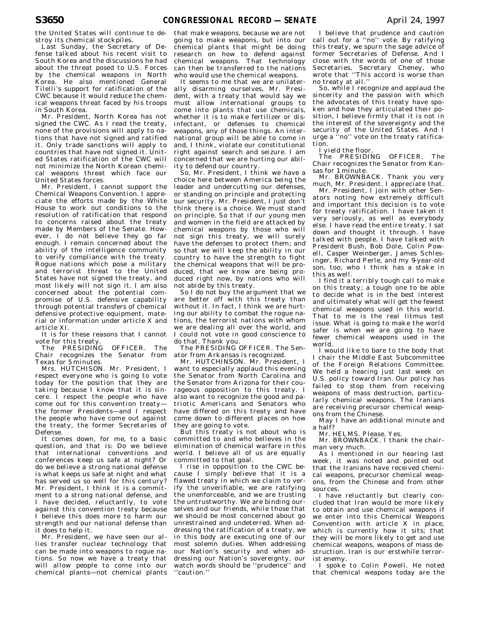the United States will continue to destroy its chemical stockpiles.

Last Sunday, the Secretary of Defense talked about his recent visit to South Korea and the discussions he had about the threat posed to U.S. Forces by the chemical weapons in North Korea. He also mentioned General Tilelli's support for ratification of the CWC because it would reduce the chemical weapons threat faced by his troops in South Korea.

Mr. President, North Korea has not signed the CWC. As I read the treaty, none of the provisions will apply to nations that have not signed and ratified it. Only trade sanctions will apply to countries that have not signed it. United States ratification of the CWC will not minimize the North Korean chemical weapons threat which face our United States forces.

Mr. President, I cannot support the Chemical Weapons Convention. I appreciate the efforts made by the White House to work out conditions to the resolution of ratification that respond to concerns raised about the treaty made by Members of the Senate. However, I do not believe they go far enough. I remain concerned about the ability of the intelligence community to verify compliance with the treaty. Rogue nations which pose a military and terrorist threat to the United States have not signed the treaty, and most likely will not sign it. I am also concerned about the potential compromise of U.S. defensive capability through potential transfers of chemical defensive protective equipment, material or information under article X and article XI.

It is for these reasons that I cannot vote for this treaty.

The PRESIDING OFFICER. The Chair recognizes the Senator from Texas for 5 minutes.

Mrs. HUTCHISON. Mr. President, I respect everyone who is going to vote today for the position that they are taking because I know that it is sincere. I respect the people who have come out for this convention treaty the former Presidents—and I respect the people who have come out against the treaty, the former Secretaries of Defense.

It comes down, for me, to a basic question, and that is: Do we believe that international conventions and conferences keep us safe at night? Or do we believe a strong national defense is what keeps us safe at night and what has served us so well for this century? Mr. President, I think it is a commitment to a strong national defense, and I have decided, reluctantly, to vote against this convention treaty because I believe this does more to harm our strength and our national defense than it does to help it.

Mr. President, we have seen our allies transfer nuclear technology that can be made into weapons to rogue nations. So now we have a treaty that will allow people to come into our chemical plants—not chemical plants

that make weapons, because we are not going to make weapons, but into our chemical plants that might be doing research on how to defend against chemical weapons. That technology can then be transferred to the nations who would use the chemical weapons.

It seems to me that we are unilaterally disarming ourselves, Mr. President, with a treaty that would say we must allow international groups to come into plants that use chemicals, whether it is to make fertilizer or disinfectant, or defenses to chemical weapons, any of those things. An international group will be able to come in and, I think, violate our constitutional right against search and seizure. I am concerned that we are hurting our ability to defend our country.

So, Mr. President, I think we have a choice here between America being the leader and undercutting our defenses, or standing on principle and protecting our security. Mr. President, I just don't think there is a choice. We must stand on principle. So that if our young men and women in the field are attacked by chemical weapons by those who will not sign this treaty, we will surely have the defenses to protect them; and so that we will keep the ability in our country to have the strength to fight the chemical weapons that will be produced, that we know are being produced right now, by nations who will not abide by this treaty.

So I do not buy the argument that we are better off with this treaty than without it. In fact, I think we are hurting our ability to combat the rogue nations, the terrorist nations with whom we are dealing all over the world, and I could not vote in good conscience to do that. Thank you.

The PRESIDING OFFICER. The Senator from Arkansas is recognized.

Mr. HUTCHINSON. Mr. President, I want to especially applaud this evening the Senator from North Carolina and the Senator from Arizona for their courageous opposition to this treaty. I also want to recognize the good and patriotic Americans and Senators who have differed on this treaty and have come down to different places on how they are going to vote.

But this treaty is not about who is committed to and who believes in the elimination of chemical warfare in this world. I believe all of us are equally committed to that goal.

I rise in opposition to the CWC because I simply believe that it is a flawed treaty in which we claim to verify the unverifiable, we are ratifying the unenforceable, and we are trusting the untrustworthy. We are binding ourselves and our friends, while those that we should be most concerned about go unrestrained and undeterred. When addressing the ratification of a treaty, we in this body are executing one of our most solemn duties. When addressing our Nation's security and when addressing our Nation's sovereignty, our watch words should be ''prudence'' and ''caution.''

I believe that prudence and caution call out for a ''no'' vote. By ratifying this treaty, we spurn the sage advice of former Secretaries of Defense. And I close with the words of one of those Secretaries, Secretary Cheney, who wrote that ''This accord is worse than no treaty at all.''

So, while I recognize and applaud the sincerity and the passion with which the advocates of this treaty have spoken and how they articulated their position, I believe firmly that it is not in the interest of the sovereignty and the security of the United States. And I urge a ''no'' vote on the treaty ratification.

I yield the floor.

The PRESIDING OFFICER. The Chair recognizes the Senator from Kansas for 1 minute.

Mr. BROWNBACK. Thank you very much, Mr. President. I appreciate that.

Mr. President, I join with other Senators noting how extremely difficult and important this decision is to vote for treaty ratification. I have taken it very seriously, as well as everybody else. I have read the entire treaty. I sat down and thought it through. I have talked with people. I have talked with President Bush, Bob Dole, Colin Powell, Casper Weinberger, James Schlesinger, Richard Perle, and my 9-year-old son, too, who I think has a stake in this as well.

I find it a terribly tough call to make on this treaty; a tough one to be able to decide what is in the best interest and ultimately what will get the fewest chemical weapons used in this world. That to me is the real litmus test issue. What is going to make the world safer is when we are going to have fewer chemical weapons used in the world.

I would like to bare to the body that I chair the Middle East Subcommittee of the Foreign Relations Committee. We held a hearing just last week on U.S. policy toward Iran. Our policy has failed to stop them from receiving weapons of mass destruction, particularly chemical weapons. The Iranians are receiving precursor chemical weapons from the Chinese.

May I have an additional minute and a half?

Mr. HELMS. Please. Yes.

Mr. BROWNBACK. I thank the chairman very much.

As I mentioned in our hearing last week, it was noted and pointed out that the Iranians have received chemical weapons, precursor chemical weapons, from the Chinese and from other sources.

I have reluctantly but clearly concluded that Iran would be more likely to obtain and use chemical weapons if we enter into this Chemical Weapons Convention with article X in place, which is currently how it sits; that they will be more likely to get and use chemical weapons, weapons of mass destruction. Iran is our erstwhile terrorist enemy.

I spoke to Colin Powell. He noted that chemical weapons today are the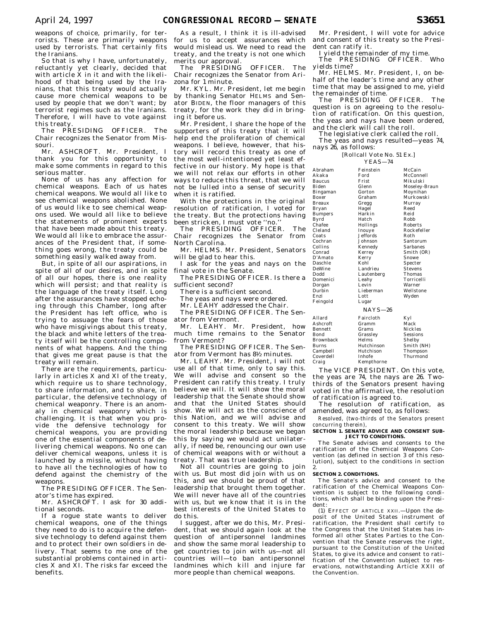weapons of choice, primarily, for terrorists. These are primarily weapons used by terrorists. That certainly fits the Iranians.

So that is why I have, unfortunately, reluctantly yet clearly, decided that with article  $\check{X}$  in it and with the likelihood of that being used by the Iranians, that this treaty would actually cause more chemical weapons to be used by people that we don't want; by terrorist regimes such as the Iranians. Therefore,  $\tilde{I}$  will have to vote against this treaty.

The PRESIDING OFFICER. The Chair recognizes the Senator from Missouri.

Mr. ASHCROFT. Mr. President, I thank you for this opportunity to make some comments in regard to this serious matter.

None of us has any affection for chemical weapons. Each of us hates chemical weapons. We would all like to see chemical weapons abolished. None of us would like to see chemical weapons used. We would all like to believe the statements of prominent experts that have been made about this treaty. We would all like to embrace the assurances of the President that, if something goes wrong, the treaty could be something easily walked away from.

But, in spite of all our aspirations, in spite of all of our desires, and in spite of all our hopes, there is one reality which will persist; and that reality is the language of the treaty itself. Long after the assurances have stopped echoing through this Chamber, long after the President has left office, who is trying to assuage the fears of those who have misgivings about this treaty, the black and white letters of the treaty itself will be the controlling components of what happens. And the thing that gives me great pause is that the treaty will remain.

There are the requirements, particularly in articles  $X$  and  $XI$  of the treaty, which require us to share technology, to share information, and to share, in particular, the defensive technology of chemical weaponry. There is an anomaly in chemical weaponry which is challenging. It is that when you provide the defensive technology for chemical weapons, you are providing one of the essential components of delivering chemical weapons. No one can deliver chemical weapons, unless it is launched by a missile, without having to have all the technologies of how to defend against the chemistry of the weapons.

The PRESIDING OFFICER. The Senator's time has expired.

Mr. ASHCROFT. I ask for 30 additional seconds.

If a rogue state wants to deliver chemical weapons, one of the things they need to do is to acquire the defensive technology to defend against them and to protect their own soldiers in delivery. That seems to me one of the substantial problems contained in articles X and XI. The risks far exceed the benefits.

As a result, I think it is ill-advised for us to accept assurances which would mislead us. We need to read the treaty, and the treaty is not one which merits our approval.

The PRESIDING OFFICER. The Chair recognizes the Senator from Arizona for 1 minute.

Mr. KYL. Mr. President, let me begin by thanking Senator HELMS and Senator BIDEN, the floor managers of this treaty, for the work they did in bringing it before us.

Mr. President, I share the hope of the supporters of this treaty that it will help end the proliferation of chemical weapons. I believe, however, that history will record this treaty as one of the most well-intentioned yet least effective in our history. My hope is that we will not relax our efforts in other ways to reduce this threat, that we will not be lulled into a sense of security when it is ratified.

With the protections in the original resolution of ratification, I voted for the treaty. But the protections having been stricken, I must vote ''no.''

The PRESIDING OFFICER. The Chair recognizes the Senator from North Carolina.

Mr. HELMS. Mr. President, Senators will be glad to hear this.

I ask for the yeas and nays on the final vote in the Senate.

The PRESIDING OFFICER. Is there a sufficient second?

There is a sufficient second.

The yeas and nays were ordered.

Mr. LEAHY addressed the Chair.

The PRESIDING OFFICER. The Senator from Vermont.

Mr. LEAHY. Mr. President, how much time remains to the Senator from Vermont?

The PRESIDING OFFICER. The Senator from Vermont has 81⁄2 minutes.

Mr. LEAHY. Mr. President, I will not use all of that time, only to say this. We will advise and consent so the President can ratify this treaty. I truly believe we will. It will show the moral leadership that the Senate should show and that the United States should show. We will act as the conscience of this Nation, and we will advise and consent to this treaty. We will show the moral leadership because we began this by saying we would act unilaterally, if need be, renouncing our own use of chemical weapons with or without a treaty. That was true leadership.

Not all countries are going to join with us. But most did join with us on this, and we should be proud of that leadership that brought them together. We will never have all of the countries with us, but we know that it is in the best interests of the United States to do this.

I suggest, after we do this, Mr. President, that we should again look at the question of antipersonnel landmines and show the same moral leadership to get countries to join with us—not all countries will—to ban antipersonnel landmines which kill and injure far more people than chemical weapons.

Mr. President, I will vote for advice and consent of this treaty so the President can ratify it.

I yield the remainder of my time.

The PRESIDING OFFICER. Who yields time?

Mr. HELMS. Mr. President, I, on behalf of the leader's time and any other time that may be assigned to me, yield the remainder of time.

The PRESIDING OFFICER. The question is on agreeing to the resolution of ratification. On this question, the yeas and nays have been ordered, and the clerk will call the roll.

The legislative clerk called the roll. The yeas and nays resulted—yeas 74, nays 26, as follows:

### [Rollcall Vote No. 51 Ex.] YEAS—74

|          | .          |                |
|----------|------------|----------------|
| Abraham  | Feinstein  | McCain         |
| Akaka    | Ford       | McConnell      |
| Baucus   | Frist      | Mikulski       |
| Biden    | Glenn      | Moseley-Braun  |
| Bingaman | Gorton     | Moynihan       |
| Boxer    | Graham     | Murkowski      |
| Breaux   | Gregg      | Murray         |
| Bryan    | Hagel      | Reed           |
| Bumpers  | Harkin     | Reid           |
| Byrd     | Hatch      | Robb           |
| Chafee   | Hollings   | Roberts        |
| Cleland  | Inouye     | Rockefeller    |
| Coats    | Jeffords.  | Roth           |
| Cochran  | Johnson    | Santorum       |
| Collins  | Kennedy    | Sarbanes       |
| Conrad   | Kerrey     | Smith (OR)     |
| D'Amato  | Kerry      | Snowe          |
| Daschle  | Kohl       | Specter        |
| DeWine   | Landrieu   | <b>Stevens</b> |
| Dodd     | Lautenberg | Thomas         |
| Domenici | Leahy      | Torricelli     |
| Dorgan   | Levin      | Warner         |
| Durbin   | Lieberman  | Wellstone      |
| Enzi     | Lott       | Wyden          |
| Feingold | Lugar      |                |
|          | $NAYS-26$  |                |
| Allard   | Faircloth  | Kyl            |

| Allard    | Faircíoth  | Kyl        |
|-----------|------------|------------|
| Ashcroft  | Gramm      | Mack       |
| Bennett   | Grams      | Nickles    |
| Bond      | Grassley   | Sessions   |
| Brownback | Helms      | Shelby     |
| Burns     | Hutchinson | Smith (NH) |
| Campbell  | Hutchison  | Thompson   |
| Coverdell | Inhofe     | Thurmond   |
| Craig     | Kempthorne |            |

The VICE PRESIDENT. On this vote, the yeas are 74, the nays are 26. Twothirds of the Senators present having voted in the affirmative, the resolution of ratification is agreed to.

The resolution of ratification, as amended, was agreed to, as follows:

*Resolved, (two-thirds of the Senators present concurring therein),*

### **SECTION 1. SENATE ADVICE AND CONSENT SUB-JECT TO CONDITIONS.**

The Senate advises and consents to the ratification of the Chemical Weapons Convention (as defined in section 3 of this resolution), subject to the conditions in section 2.

### **SECTION 2. CONDITIONS.**

The Senate's advice and consent to the ratification of the Chemical Weapons Convention is subject to the following conditions, which shall be binding upon the President:

(1) EFFECT OF ARTICLE XXII.—Upon the deposit of the United States instrument of ratification, the President shall certify to the Congress that the United States has informed all other States Parties to the Convention that the Senate reserves the right, pursuant to the Constitution of the United States, to give its advice and consent to ratification of the Convention subject to reservations, notwithstanding Article XXII of the Convention.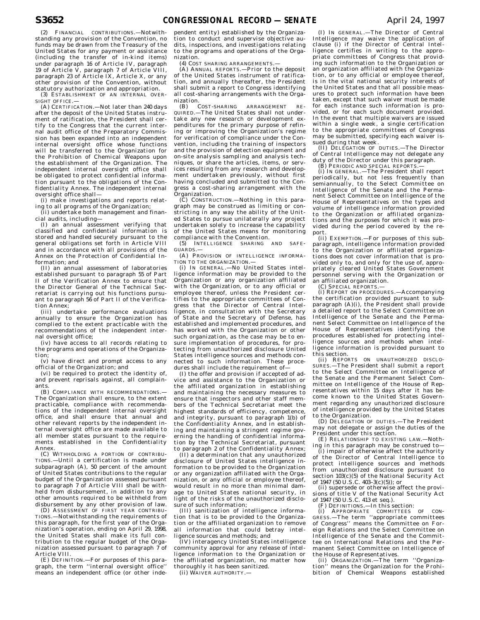(3) ESTABLISHMENT OF AN INTERNAL OVER-SIGHT OFFICE.—

(A) CERTIFICATION.—Not later than 240 days after the deposit of the United States instrument of ratification, the President shall certify to the Congress that the current internal audit office of the Preparatory Commission has been expanded into an independent internal oversight office whose functions will be transferred to the Organization for the Prohibition of Chemical Weapons upon the establishment of the Organization. The independent internal oversight office shall be obligated to protect confidential information pursuant to the obligations of the Confidentiality Annex. The independent internal oversight office shall—

(i) make investigations and reports relating to all programs of the Organization;

(ii) undertake both management and financial audits, including—

(I) an annual assessment verifying that classified and confidential information is stored and handled securely pursuant to the general obligations set forth in Article VIII and in accordance with all provisions of the Annex on the Protection of Confidential Information; and

(II) an annual assessment of laboratories established pursuant to paragraph 55 of Part II of the Verification Annex to ensure that the Director General of the Technical Secretariat is carrying out his functions pursuant to paragraph 56 of Part II of the Verification Annex;

(iii) undertake performance evaluations annually to ensure the Organization has complied to the extent practicable with the recommendations of the independent internal oversight office;

(iv) have access to all records relating to the programs and operations of the Organization;

(v) have direct and prompt access to any official of the Organization; and

(vi) be required to protect the identity of, and prevent reprisals against, all complainants.

(B) COMPLIANCE WITH RECOMMENDATIONS.— The Organization shall ensure, to the extent practicable, compliance with recommendations of the independent internal oversight office, and shall ensure that annual and other relevant reports by the independent internal oversight office are made available to all member states pursuant to the requirements established in the Confidentiality Annex.

(C) WITHHOLDING A PORTION OF CONTRIBU-TIONS.—Until a certification is made under subparagraph (A), 50 percent of the amount of United States contributions to the regular budget of the Organization assessed pursuant to paragraph 7 of Article VIII shall be withheld from disbursement, in addition to any other amounts required to be withheld from disbursement by any other provision of law.

(D) ASSESSMENT OF FIRST YEAR CONTRIBU-TIONS.—Notwithstanding the requirements of this paragraph, for the first year of the Organization's operation, ending on April 29, 1998, the United States shall make its full contribution to the regular budget of the Organization assessed pursuant to paragraph 7 of Article VIII.

(E) DEFINITION.—For purposes of this paragraph, the term ''internal oversight office'' means an independent office (or other inde-

pendent entity) established by the Organization to conduct and supervise objective audits, inspections, and investigations relating to the programs and operations of the Organization.

(4) COST SHARING ARRANGEMENTS.—

(A) ANNUAL REPORTS.—Prior to the deposit of the United States instrument of ratification, and annually thereafter, the President shall submit a report to Congress identifying all cost-sharing arrangements with the Organization.<br>(B) (

(B) COST-SHARING ARRANGEMENT RE-QUIRED.—The United States shall not undertake any new research or development expenditures for the primary purpose of refining or improving the Organization's regime for verification of compliance under the Convention, including the training of inspectors and the provision of detection equipment and on-site analysis sampling and analysis techniques, or share the articles, items, or services resulting from any research and development undertaken previously, without first having concluded and submitted to the Congress a cost-sharing arrangement with the Organization.

(C) CONSTRUCTION.—Nothing in this paragraph may be construed as limiting or constricting in any way the ability of the United States to pursue unilaterally any project undertaken solely to increase the capability of the United States means for monitoring compliance with the Convention.<br>
(5) INTELLIGENCE SHARING AND SAFE-

INTELLIGENCE SHARING GUARDS.—

(A) PROVISION OF INTELLIGENCE INFORMA-TION TO THE ORGANIZATION.—

(i) IN GENERAL.—No United States intelligence information may be provided to the Organization or any organization affiliated with the Organization, or to any official or employee thereof, unless the President certifies to the appropriate committees of Congress that the Director of Central Intelligence, in consultation with the Secretary of State and the Secretary of Defense, has established and implemented procedures, and has worked with the Organization or other such organization, as the case may be to ensure implementation of procedures, for protecting from unauthorized disclosure United States intelligence sources and methods connected to such information. These procedures shall include the requirement of-

(I) the offer and provision if accepted of advice and assistance to the Organization or the affiliated organization in establishing and maintaining the necessary measures to ensure that inspectors and other staff members of the Technical Secretariat meet the highest standards of efficiency, competence, and integrity, pursuant to paragraph 1(b) of the Confidentiality Annex, and in establishing and maintaining a stringent regime governing the handling of confidential information by the Technical Secretariat, pursuant to paragraph 2 of the Confidentiality Annex;

(II) a determination that any unauthorized disclosure of United States intelligence information to be provided to the Organization or any organization affiliated with the Organization, or any official or employee thereof, would result in no more than minimal damage to United States national security, in light of the risks of the unauthorized disclosure of such information;

(III) sanitization of intelligence information that is to be provided to the Organization or the affiliated organization to remove all information that could betray intelligence sources and methods; and

(IV) interagency United States intelligence community approval for any release of intelligence information to the Organization or the affiliated organization, no matter how thoroughly it has been sanitized.

(ii) WAIVER AUTHORITY.—

(I) IN GENERAL.—The Director of Central Intelligence may waive the application of clause (i) if the Director of Central Intelligence certifies in writing to the appropriate committees of Congress that providing such information to the Organization or an organization affiliated with the Organization, or to any official or employee thereof, is in the vital national security interests of the United States and that all possible measures to protect such information have been taken, except that such waiver must be made for each instance such information is provided, or for each such document provided. In the event that multiple waivers are issued within a single week, a single certification to the appropriate committees of Congress may be submitted, specifying each waiver issued during that week.

(II) DELEGATION OF DUTIES.—The Director of Central Intelligence may not delegate any duty of the Director under this paragraph.

(B) PERIODIC AND SPECIAL REPORTS

(i) IN GENERAL.—The President shall report periodically, but not less frequently than semiannually, to the Select Committee on Intelligence of the Senate and the Permanent Select Committee on Intelligence of the House of Representatives on the types and volume of intelligence information provided to the Organization or affiliated organizations and the purposes for which it was provided during the period covered by the report.

(ii) EXEMPTION.—For purposes of this subparagraph, intelligence information provided to the Organization or affiliated organizations does not cover information that is provided only to, and only for the use of, appropriately cleared United States Government personnel serving with the Organization or an affiliated organization.

(C) SPECIAL REPORTS.—

(i) REPORT ON PROCEDURES.—Accompanying the certification provided pursuant to sub-paragraph (A)(i), the President shall provide a detailed report to the Select Committee on Intelligence of the Senate and the Permanent Select Committee on Intelligence of the House of Representatives identifying the procedures established for protecting intel-ligence sources and methods when intelligence information is provided pursuant to this section.

(ii) REPORTS ON UNAUTHORIZED DISCLO-SURES.—The President shall submit a report to the Select Committee on Intelligence of the Senate and the Permanent Select Committee on Intelligence of the House of Representatives within 15 days after it has become known to the United States Government regarding any unauthorized disclosure of intelligence provided by the United States to the Organization.

(D) DELEGATION OF DUTIES.—The President may not delegate or assign the duties of the President under this section.

(E) RELATIONSHIP TO EXISTING LAW.—Nothing in this paragraph may be construed to—

(i) impair of otherwise affect the authority of the Director of Central Intelligence to protect intelligence sources and methods from unauthorized disclosure pursuant to section 103(c)(5) of the National Security Act of 1947 (50 U.S.C. 403-3(c)(5)); or

(ii) supersede or otherwise affect the provisions of title V of the National Security Act of 1947 (50 U.S.C. 413 et seq.).

(F) DEFINITIONS.—In this section:

(i) APPROPRIATE COMMITTEES OF CON-GRESS.—The term ''appropriate committees of Congress'' means the Committee on Foreign Relations and the Select Committee on Intelligence of the Senate and the Committee on International Relations and the Permanent Select Committee on Intelligence of the House of Representatives.

(ii) ORGANIZATION.—The term ''Organiza-tion'' means the Organization for the Prohibition of Chemical Weapons established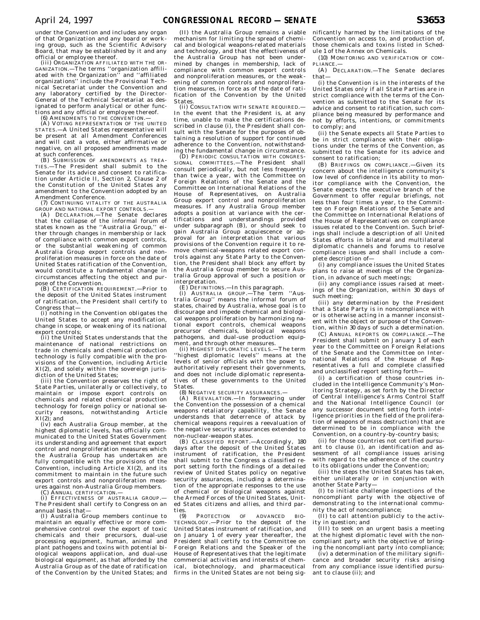under the Convention and includes any organ of that Organization and any board or working group, such as the Scientific Advisory Board, that may be established by it and any

official or employee thereof. (iii) ORGANIZATION AFFILIATED WITH THE OR-GANIZATION.—The terms ''organization affiliated with the Organization'' and ''affiliated organizations'' include the Provisional Technical Secretariat under the Convention and any laboratory certified by the Director-General of the Technical Secretariat as designated to perform analytical or other functions and any official or employee thereof.

(6) AMENDMENTS TO THE CONVENTION.—

(A) VOTING REPRESENTATION OF THE UNITED STATES.—A United States representative will be present at all Amendment Conferences and will cast a vote, either affirmative or negative, on all proposed amendments made

at such conferences. (B) SUBMISSION OF AMENDMENTS AS TREA-TIES.—The President shall submit to the Senate for its advice and consent to ratification under Article II, Section 2, Clause 2 of the Constitution of the United States any amendment to the Convention adopted by an Amendment Conference.

(7) CONTINUING VITALITY OF THE AUSTRALIA GROUP AND NATIONAL EXPORT CONTROLS.—

(A) DECLARATION.—The Senate declares that the collapse of the informal forum of states known as the ''Australia Group,'' either through changes in membership or lack of compliance with common export controls, or the substantial weakening of common Australia Group export controls and nonproliferation measures in force on the date of United States ratification of the Convention, would constitute a fundamental change in circumstances affecting the object and purpose of the Convention.

(B) CERTIFICATION REQUIREMENT.—Prior to the deposit of the United States instrument of ratification, the President shall certify to Congress that—

(i) nothing in the Convention obligates the United States to accept any modification, change in scope, or weakening of its national export controls;

(ii) the United States understands that the maintenance of national restrictions on trade in chemicals and chemical production technology is fully compatible with the provisions of the Convention, including Article XI(2), and solely within the sovereign jurisdiction of the United States;

(iii) the Convention preserves the right of State Parties, unilaterally or collectively, to maintain or impose export controls on chemicals and related chemical production technology for foreign policy or national security reasons, notwithstanding Article  $XI(2)$ : and

(iv) each Australia Group member, at the highest diplomatic levels, has officially communicated to the United States Government its understanding and agreement that export control and nonproliferation measures which the Australia Group has undertaken are fully compatible with the provisions of the Convention, including Article XI(2), and its commitment to maintain in the future such export controls and nonproliferation measures against non-Australia Group members.

(C) ANNUAL CERTIFICATION.—

(i) EFFECTIVENESS OF AUSTRALIA GROUP.— The President shall certify to Congress on an annual basis that—

(I) Australia Group members continue to maintain an equally effective or more comprehensive control over the export of toxic chemicals and their precursors, dual-use processing equipment, human, animal and plant pathogens and toxins with potential biological weapons application, and dual-use biological equipment, as that afforded by the Australia Group as of the date of ratification of the Convention by the United States; and

(II) the Australia Group remains a viable mechanism for limiting the spread of chemical and biological weapons-related materials and technology, and that the effectiveness of the Australia Group has not been undermined by changes in membership, lack of compliance with common export controls and nonproliferation measures, or the weakening of common controls and nonproliferation measures, in force as of the date of ratification of the Convention by the United States.

(ii) CONSULTATION WITH SENATE REQUIRED.— In the event that the President is, at any time, unable to make the certifications described in clause (i), the President shall consult with the Senate for the purposes of obtaining a resolution of support for continued adherence to the Convention, notwithstanding the fundamental change in circumstance.

(D) PERIODIC CONSULTATION WITH CONGRES-SIONAL COMMITTEES.—The President shall consult periodically, but not less frequently than twice a year, with the Committee on Foreign Relations of the Senate and the Committee on International Relations of the House of Representatives, on Australia Group export control and nonproliferation measures. If any Australia Group member adopts a position at variance with the certifications and understandings provided under subparagraph (B), or should seek to gain Australia Group acquiescence or approval for an interpretation that various provisions of the Convention require it to remove chemical-weapons related export controls against any State Party to the Convention, the President shall block any effort by the Australia Group member to secure Australia Group approval of such a position or interpretation.

(E) DEFINITIONS.—In this paragraph.

(i) AUSTRALIA GROUP.—The term ''Australia Group'' means the informal forum of states, chaired by Australia, whose goal is to discourage and impede chemical and biological weapons proliferation by harmonizing national export controls, chemical weapons precursor chemicals, biological weapons pathogens, and dual-use production equipment, and through other measures.

(ii) HIGHEST DIPLOMATIC LEVELS.—The term 'highest diplomatic levels'' means at the levels of senior officials with the power to authoritatively represent their governments, and does not include diplomatic representatives of these governments to the United **States** 

(8) NEGATIVE SECURITY ASSURANCES.—

(A) REEVALATION.—In forswearing under the Convention the possession of a chemical weapons retaliatory capability, the Senate understands that deterrence of attack by chemical weapons requires a reevaluation of the negative security assurances extended to non-nuclear-weapon states.

(B) CLASSIFIED REPORT.—Accordingly, 180 days after the deposit of the United States instrument of ratification, the President shall submit to the Congress a classified report setting forth the findings of a detailed review of United States policy on negative security assurances, including a determination of the appropriate responses to the use of chemical or biological weapons against the Armed Forces of the United States, United States citizens and allies, and third parties.<br>(9)

PROTECTION OF ADVANCED BIO-TECHNOLOGY.—Prior to the deposit of the United States instrument of ratification, and on January 1 of every year thereafter, the President shall certify to the Committee on Foreign Relations and the Speaker of the House of Representatives that the legitimate commercial activities and interests of chemical, biotechnology, and pharmaceutical firms in the United States are not being sig-

nificantly harmed by the limitations of the Convention on access to, and production of, those chemicals and toxins listed in Schedule 1 of the Annex on Chemicals.

(10) MONITORING AND VERIFICATION OF COM-PLIANCE.—

(A) DECLARATION.—The Senate declares that—

(i) the Convention is in the interests of the United States only if all State Parties are in strict compliance with the terms of the Convention as submitted to the Senate for its advice and consent to ratification, such compliance being measured by performance and not by efforts, intentions, or commitments to comply; and

(ii) the Senate expects all State Parties to be in strict compliance with their obligations under the terms of the Convention, as submitted to the Senate for its advice and consent to ratification;

(B) BRIEFINGS ON COMPLIANCE.—Given its concern about the intelligence community's low level of confidence in its ability to monitor compliance with the Convention, the Senate expects the executive branch of the Government to offer regular briefings, not less than four times a year, to the Committee on Foreign Relations of the Senate and the Committee on International Relations of the House of Representatives on compliance issues related to the Convention. Such briefings shall include a description of all United States efforts in bilateral and multilateral diplomatic channels and forums to resolve compliance issues and shall include a complete description of—

(i) any compliance issues the United States plans to raise at meetings of the Organization, in advance of such meetings;

(ii) any compliance issues raised at meetings of the Organization, within 30 days of such meeting;

(iii) any determination by the President that a State Party is in noncompliance with or is otherwise acting in a manner inconsistent with the object or purpose of the Convention, within 30 days of such a determination.

 $(C)$  ANNUAL REPORTS ON COMPLIANCE  $\text{---}$ The President shall submit on January 1 of each year to the Committee on Foreign Relations of the Senate and the Committee on International Relations of the House of Representatives a full and complete classified and unclassified report setting forth—

(i) a certification of those countries included in the Intelligence Community's Monitoring Strategy, as set forth by the Director of Central Intelligence's Arms Control Staff and the National Intelligence Council (or any successor document setting forth intelligence priorities in the field of the proliferation of weapons of mass destruction) that are determined to be in compliance with the Convention, on a country-by-country basis;

(ii) for those countries not certified pursuant to clause (i), an identification and assessment of all compliance issues arising with regard to the adherence of the country to its obligations under the Convention;

(iii) the steps the United States has taken either unilaterally or in conjunction with another State Party—

(I) to initiate challenge inspections of the noncompliant party with the objective of demonstrating to the international community the act of noncompliance;

(II) to call attention publicly to the activity in question; and

(III) to seek on an urgent basis a meeting at the highest diplomatic level with the noncompliant party with the objective of bringing the noncompliant party into compliance;

(iv) a determination of the military significance and broader security risks arising from any compliance issue identified pursuant to clause (ii); and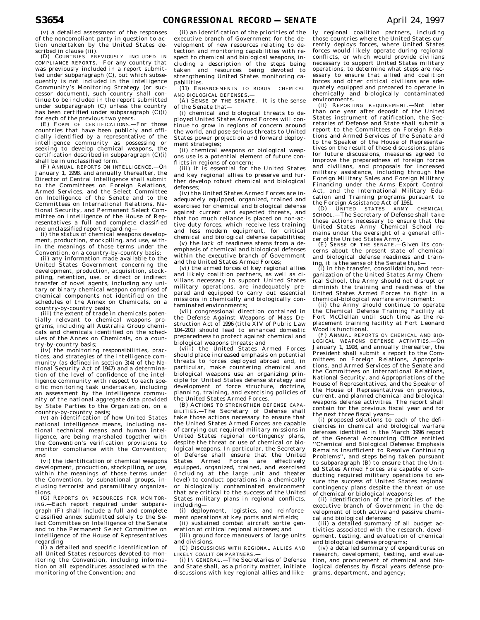(v) a detailed assessment of the responses of the noncompliant party in question to action undertaken by the United States described in clause (iii).

(D) COUNTRIES PREVIOUSLY INCLUDED IN COMPLIANCE REPORTS.—For any country that was previously included in a report submitted under subparagraph (C), but which subsequently is not included in the Intelligence Community's Monitoring Strategy (or successor document), such country shall continue to be included in the report submitted under subparagraph (C) unless the country has been certified under subparagraph (C)(i) for each of the previous two years.

(E) FORM OF CERTIFICATIONS.—For those countries that have been publicly and officially identified by a representative of the intelligence community as possessing or seeking to develop chemical weapons, the certification described in subparagraph  $(C)(i)$ shall be in unclassified form.

(F) ANNUAL REPORTS ON INTELLIGENCE.—On January 1, 1998, and annually thereafter, the Director of Central Intelligence shall submit to the Committees on Foreign Relations, Armed Services, and the Select Committee on Intelligence of the Senate and to the Committees on International Relations, National Security, and Permanent Select Committee on Intelligence of the House of Representatives a full and complete classified and unclassified report regarding—

(i) the status of chemical weapons development, production, stockpiling, and use, within the meanings of those terms under the Convention, on a country-by-country basis;

(ii) any information made available to the United States Government concerning the development, production, acquisition, stockpiling, retention, use, or direct or indirect transfer of novel agents, including any unitary or binary chemical weapon comprised of chemical components not identified on the schedules of the Annex on Chemicals, on a country-by-country basis;

(iii) the extent of trade in chemicals potentially relevant to chemical weapons programs, including all Australia Group chemicals and chemicals identified on the schedules of the Annex on Chemicals, on a country-by-country basis;

(iv) the monitoring responsibilities, practices, and strategies of the intelligence community (as defined in section 3(4) of the National Security Act of 1947) and a determination of the level of confidence of the intelligence community with respect to each specific monitoring task undertaken, including an assessment by the intelligence community of the national aggregate data provided by State Parties to the Organization, on a

country-by-country basis; (v) an identification of how United States national intelligence means, including national technical means and human intelligence, are being marshaled together with the Convention's verification provisions to monitor compliance with the Convention; and

(vi) the identification of chemical weapons development, production, stockpiling, or use, within the meanings of those terms under the Convention, by subnational groups, including terrorist and paramilitary organizations.

(G) REPORTS ON RESOURCES FOR MONITOR-ING.—Each report required under subparagraph (F) shall include a full and complete classified annex submitted solely to the Select Committee on Intelligence of the Senate and to the Permanent Select Committee on Intelligence of the House of Representatives regarding—

(i) a detailed and specific identification of all United States resources devoted to monitoring the Convention, including information on all expenditures associated with the monitoring of the Convention; and

(ii) an identification of the priorities of the executive branch of Government for the development of new resources relating to detection and monitoring capabilities with respect to chemical and biological weapons, including a description of the steps being taken and resources being devoted to strengthening United States monitoring capabilities.

(11) ENHANCEMENTS TO ROBUST CHEMICAL AND BIOLOGICAL DEFENSES.—

(A) SENSE OF THE SENATE.—It is the sense of the Senate that—

(i) chemical and biological threats to deployed United States Armed Forces will continue to grow in regions of concern around the world, and pose serious threats to United States power projection and forward deployment strategies;

(ii) chemical weapons or biological weapons use is a potential element of future conflicts in regions of concern;

(iii) it is essential for the United States and key regional allies to preserve and further develop robust chemical and biological defenses;

(iv) the United States Armed Forces are inadequately equipped, organized, trained and exercised for chemical and biological defense against current and expected threats, and that too much reliance is placed on non-active duty forces, which receive less training and less modern equipment, for critical chemical and biological defense capabilities;

(v) the lack of readiness stems from a deemphasis of chemical and biological defenses within the executive branch of Government and the United States Armed Forces;

(vi) the armed forces of key regional allies and likely coalition partners, as well as civilians necessary to support United States military operations, are inadequately prepared and equipped to carry out essential missions in chemically and biologically contaminated environments;

(vii) congressional direction contained in the Defense Against Weapons of Mass Destruction Act of 1996 (title XIV of Public Law 104–201) should lead to enhanced domestic preparedness to protect against chemical and biological weapons threats; and

(viii) the United States Armed Forces should place increased emphasis on potential threats to forces deployed abroad and, in particular, make countering chemical and biological weapons use an organizing principle for United States defense strategy and development of force structure, doctrine, planning, training, and exercising policies of the United States Armed Forces.

(B) ACTIONS TO STRENGTHEN DEFENSE CAPA-BILITIES.—The Secretary of Defense shall take those actions necessary to ensure that the United States Armed Forces are capable of carrying out required military missions in United States regional contingency plans, despite the threat or use of chemical or biological weapons. In particular, the Secretary of Defense shall ensure that the United States Armed Forces are effectively equipped, organized, trained, and exercised (including at the large unit and theater level) to conduct operations in a chemically or biologically contaminated environment that are critical to the success of the United States military plans in regional conflicts, including—

(i) deployment, logistics, and reinforcement operations at key ports and airfields;

(ii) sustained combat aircraft sortie generation at critical regional airbases; and

(iii) ground force maneuvers of large units and divisions.

(C) DISCUSSIONS WITH REGIONAL ALLIES AND LIKELY COALITION PARTNERS.—

(i) IN GENERAL.—The Secretaries of Defense and State shall, as a priority matter, initiate discussions with key regional allies and like-

ly regional coalition partners, including those countries where the United States currently deploys forces, where United States forces would likely operate during regional conflicts, or which would provide civilians necessary to support United States military operations, to determine what steps are necessary to ensure that allied and coalition forces and other critical civilians are adequately equipped and prepared to operate in chemically and biologically contaminated environments.

(ii) REPORTING REQUIREMENT.—Not later than one year after deposit of the United States instrument of ratification, the Secretaries of Defense and State shall submit a report to the Committees on Foreign Relations and Armed Services of the Senate and to the Speaker of the House of Representatives on the result of these discussions, plans for future discussions, measures agreed to improve the preparedness of foreign forces and civilians, and proposals for increased military assistance, including through the Foreign Military Sales and Foreign Military Financing under the Arms Export Control Act, and the International Military Education and Training programs pursuant to the Foreign Assistance Act of 1961.

(D) UNITED STATES ARMY CHEMICAL SCHOOL.—The Secretary of Defense shall take those actions necessary to ensure that the United States Army Chemical School remains under the oversight of a general officer of the United States Army. (E) SENSE OF THE SENATE.—Given its con-

cerns about the present state of chemical and biological defense readiness and training, it is the sense of the Senate that—

(i) in the transfer, consolidation, and reorganization of the United States Army Chemical School, the Army should not disrupt or diminish the training and readiness of the United States Armed Forces to fight in a chemical-biological warfare environment;

(ii) the Army should continue to operate the Chemical Defense Training Facility at Fort McClellan until such time as the replacement training facility at Fort Leonard Wood is functional.

(F) ANNUAL REPORTS ON CHEMICAL AND BIO-LOGICAL WEAPONS DEFENSE ACTIVITIES.—On January 1, 1998, and annually thereafter, the President shall submit a report to the Committees on Foreign Relations, Appropriations, and Armed Services of the Senate and the Committees on International Relations, National Security, and Appropriations of the House of Representatives, and the Speaker of the House of Representatives on previous, current, and planned chemical and biological weapons defense activities. The report shall contain for the previous fiscal year and for the next three fiscal years—

(i) proposed solutions to each of the deficiencies in chemical and biological warfare defenses identified in the March 1996 report of the General Accounting Office entitled ''Chemical and Biological Defense: Emphasis Remains Insufficient to Resolve Continuing Problems'', and steps being taken pursuant to subparagraph  $(B)$  to ensure that the United States Armed Forces are capable of conducting required military operations to ensure the success of United States regional contingency plans despite the threat or use

of chemical or biological weapons; (ii) identification of the priorities of the executive branch of Government in the development of both active and passive chemical and biological defenses; (iii) a detailed summary of all budget ac-

tivities associated with the research, development, testing, and evaluation of chemical and biological defense programs;

(iv) a detailed summary of expenditures on research, development, testing, and evaluation, and procurement of chemical and biological defenses by fiscal years defense programs, department, and agency;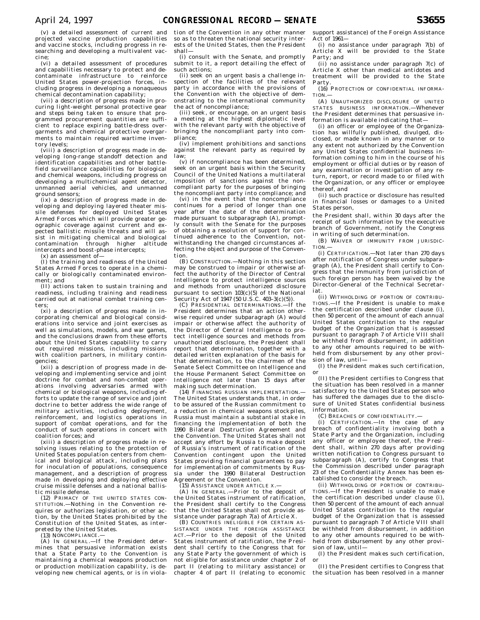(v) a detailed assessment of current and projected vaccine production capabilities and vaccine stocks, including progress in researching and developing a multivalent vaccine;

(vi) a detailed assessment of procedures and capabilities necessary to protect and decontaminate infrastructure to reinforce United States power-projection forces, including progress in developing a nonaqueous chemical decontamination capability;

(vii) a description of progress made in procuring light-weight personal protective gear and steps being taken to ensure that programmed procurement quantities are sufficient to replace expiring battle-dress overgarments and chemical protective overgarments to maintain required wartime inventory levels;

(viii) a description of progress made in developing long-range standoff detection and identification capabilities and other battlefield surveillance capabilities for biological and chemical weapons, including progress on developing a multichemical agent detector, unmanned aerial vehicles, and unmanned ground sensors;

(ix) a description of progress made in developing and deploying layered theater missile defenses for deployed United States Armed Forces which will provide greater geographic coverage against current and expected ballistic missile threats and will assist in mitigating chemical and biological contamination through higher altitude intercepts and boost-phase intercepts;

 $(x)$  an assessment of —

(I) the training and readiness of the United States Armed Forces to operate in a chemically or biologically contaminated environment; and

(II) actions taken to sustain training and readiness, including training and readiness carried out at national combat training centers;

(xi) a description of progress made in incorporating chemical and biological considerations into service and joint exercises as well as simulations, models, and war games, and the conclusions drawn from these efforts about the United States capability to carry out required missions, including missions with coalition partners, in military contingencies;

(xii) a description of progress made in developing and implementing service and joint doctrine for combat and non-combat operations involving adversaries armed with chemical or biological weapons, including efforts to update the range of service and joint doctrine to better address the wide range of military activities, including deployment, reinforcement, and logistics operations in support of combat operations, and for the conduct of such operations in concert with coalition forces; and

(xiii) a description of progress made in resolving issues relating to the protection of United States population centers from chemical and biological attack, including plans for inoculation of populations, consequence management, and a description of progress made in developing and deploying effective cruise missile defenses and a national ballistic missile defense.

(12) PRIMACY OF THE UNITED STATES CON-STITUTION.—Nothing in the Convention requires or authorizes legislation, or other action, by the United States prohibited by the Constitution of the United States, as interpreted by the United States.

(13) NONCOMPLIANCE.—

(A) IN GENERAL.—If the President determines that persuasive information exists that a State Party to the Convention is maintaining a chemical weapons production or production mobilization capability, is developing new chemical agents, or is in violation of the Convention in any other manner so as to threaten the national security interests of the United States, then the President shall—

(i) consult with the Senate, and promptly submit to it, a report detailing the effect of such actions;

(ii) seek on an urgent basis a challenge inspection of the facilities of the relevant party in accordance with the provisions of the Convention with the objective of demonstrating to the international community the act of noncompliance;

(iii) seek, or encourage, on an urgent basis a meeting at the highest diplomatic level with the relevant party with the objective of bringing the noncompliant party into compliance;

(iv) implement prohibitions and sanctions against the relevant party as required by law;

(v) if noncompliance has been determined, seek on an urgent basis within the Security Council of the United Nations a multilateral imposition of sanctions against the noncompliant party for the purposes of bringing the noncompliant party into compliance; and

(vi) in the event that the noncompliance continues for a period of longer than one year after the date of the determination made pursuant to subparagraph (A), promptly consult with the Senate for the purposes of obtaining a resolution of support for continued adherence to the Convention, notwithstanding the changed circumstances affecting the object and purpose of the Convention.

(B) CONSTRUCTION.—Nothing in this section may be construed to impair or otherwise affect the authority of the Director of Central Intelligence to protect intelligence sources and methods from unauthorized disclosure pursuant to section 103(c)(5) of the National Security Act of 1947 (50 U.S.C. 403–3(c)(5)).

(C) PRESIDENTIAL DETERMINATIONS.—If the President determines that an action otherwise required under subparagraph (A) would impair or otherwise affect the authority of the Director of Central Intelligence to protect intelligence sources and methods from unauthorized disclosure, the President shall report that determination, together with a detailed written explanation of the basis for that determination, to the chairmen of the Senate Select Committee on Intelligence and the House Permanent Select Committee on Intelligence not later than 15 days after making such determination.

(14) FINANCING RUSSIAN IMPLEMENTATION.— The United States understands that, in order to be assured of the Russian commitment to a reduction in chemical weapons stockpiles, Russia must maintain a substantial stake in financing the implementation of both the 1990 Bilateral Destruction Agreement and the Convention. The United States shall not accept any effort by Russia to make deposit of Russia's instrument of ratification of the Convention contingent upon the United States providing financial guarantees to pay for implementation of commitments by Russia under the 1990 Bilateral Destruction Agreement or the Convention.

(15) ASSISTANCE UNDER ARTICLE X.—

(A) IN GENERAL.—Prior to the deposit of the United States instrument of ratification, the President shall certify to the Congress that the United States shall not provide assistance under paragraph 7(a) of Article X.

(B) COUNTRIES INELIGIBLE FOR CERTAIN AS-SISTANCE UNDER THE FOREIGN ASSISTANCE ACT.—Prior to the deposit of the United States instrument of ratification, the President shall certify to the Congress that for any State Party the government of which is not eligible for assistance under chapter 2 of part II (relating to military assistance) or chapter 4 of part II (relating to economic support assistance) of the Foreign Assistance Act of 1961—

(i) no assistance under paragraph 7(b) of Article X will be provided to the State Party; and

(ii) no assistance under paragraph 7(c) of Article X other than medical antidotes and treatment will be provided to the State Party.

(16) PROTECTION OF CONFIDENTIAL INFORMA-TION.—

(A) UNAUTHORIZED DISCLOSURE OF UNITED STATES BUSINESS INFORMATION.—Whenever the President determines that persuasive information is available indicating that—

(i) an officer or employee of the Organization has willfully published, divulged, disclosed, or made known in any manner or to any extent not authorized by the Convention any United States confidential business information coming to him in the course of his employment or official duties or by reason of any examination or investigation of any return, report, or record made to or filed with the Organization, or any officer or employee thereof, and

(ii) such practice or disclosure has resulted in financial losses or damages to a United States person,

the President shall, within 30 days after the receipt of such information by the executive branch of Government, notify the Congress in writing of such determination.

(B) WAIVER OF IMMUNITY FROM JURISDIC- $TION$  —

(i) CERTIFICATION.—Not later than 270 days after notification of Congress under subparagraph (A), the President shall certify to Congress that the immunity from jurisdiction of such foreign person has been waived by the Director-General of the Technical Secretariat.

(ii) WITHHOLDING OF PORTION OF CONTRIBU-TIONS.—If the President is unable to make the certification described under clause (i), then 50 percent of the amount of each annual United States contribution to the regular budget of the Organization that is assessed pursuant to paragraph 7 of Article VIII shall be withheld from disbursement, in addition to any other amounts required to be withheld from disbursement by any other provision of law, until—

(I) the President makes such certification, or

(II) the President certifies to Congress that the situation has been resolved in a manner satisfactory to the United States person who has suffered the damages due to the disclosure of United States confidential business information.

(C) BREACHES OF CONFIDENTIALITY.—

(i) CERTIFICATION.—In the case of any breach of confidentiality involving both a State Party and the Organization, including any officer or employee thereof, the President shall, within 270 days after providing written notification to Congress pursuant to subparagraph (A), certify to Congress that the Commission described under paragraph 23 of the Confidentiality Annex has been established to consider the breach.

(ii) WITHHOLDING OF PORTION OF CONTRIBU-TIONS.—If the President is unable to make the certification described under clause (i), then 50 percent of the amount of each annual United States contribution to the regular budget of the Organization that is assessed pursuant to paragraph 7 of Article VIII shall be withheld from disbursement, in addition to any other amounts required to be withheld from disbursement by any other provision of law, until—

(I) the President makes such certification, or

(II) the President certifies to Congress that the situation has been resolved in a manner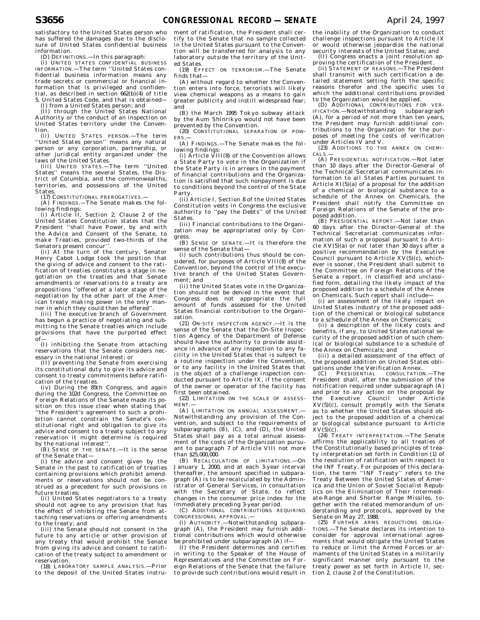satisfactory to the United States person who has suffered the damages due to the disclosure of United States confidential business information.

(D) DEFINITIONS.—In this paragraph:

(i) UNITED STATES CONFIDENTIAL BUSINESS INFORMATION.—The term ''United States confidential business information means any trade secrets or commercial or financial information that is privileged and confidential, as described in section 662(b)(4) of title 5, United States Code, and that is obtained—

(I) from a United States person; and

(II) through the United States National Authority or the conduct of an inspection on United States territory under the Convention.

(ii) UNITED STATES PERSON.—The term ''United States person'' means any natural person or any corporation, partnership, or other juridical entity organized under the

laws of the United States. (iii) UNITED STATES.—The term ''United States'' means the several States, the District of Columbia, and the commonwealths, territories, and possessions of the United

States. (17) CONSTITUTIONAL PREROGATIVES.—

(A) FINDINGS.—The Senate makes the fol-

lowing findings: (i) Article II, Section 2, Clause 2 of the United States Constitution states that the President ''shall have Power, by and with the Advice and Consent of the Senate, to make Treaties, provided two-thirds of the Senators present concur''.<br>(ii) At the turn of the

the turn of the century, Senator Henry Cabot Lodge took the position that the giving of advice and consent to the ratification of treaties constitutes a stage in negotiation on the treaties and that Senate amendments or reservations to a treaty are propositions ''offered at a later stage of the negotiation by the other part of the American treaty making power in the only manner in which they could then be offered

(iii) The executive branch of Government has begun a practice of negotiating and submitting to the Senate treaties which include provisions that have the purported effect  $of$ 

(I) inhibiting the Senate from attaching reservations that the Senate considers necessary in the national interest; or

(II) preventing the Senate from exercising its constitutional duty to give its advice and consent to treaty commitments before ratifi-

cation of the treaties. (iv) During the 85th Congress, and again during the 102d Congress, the Committee on Foreign Relations of the Senate made its position on this issue clear when stating that ''the President's agreement to such a prohibition cannot constrain the Senate's constitutional right and obligation to give its advice and consent to a treaty subject to any reservation it might determine is required by the national interest'

(B) SENSE OF THE SENATE.—It is the sense of the Senate that—

(i) the advice and consent given by the Senate in the past to ratification of treaties containing provisions which prohibit amendments or reservations should not be construed as a precedent for such provisions in future treaties;

(ii) United States negotiators to a treaty should not agree to any provision that has the effect of inhibiting the Senate from attaching reservations or offering amendments to the treaty; and

(iii) the Senate should not consent in the future to any article or other provision of any treaty that would prohibit the Senate from giving its advice and consent to ratification of the treaty subject to amendment or reservation.

(18) LABORATORY SAMPLE ANALYSIS.—Prior to the deposit of the United States instru-

ment of ratification, the President shall certify to the Senate that no sample collected in the United States pursuant to the Convention will be transferred for analysis to any laboratory outside the territory of the United States.

(19) EFFECT ON TERRORISM.—The Senate finds that—

(A) without regard to whether the Convention enters into force, terrorists will likely view chemical weapons as a means to gain greater publicity and instill widespread fear; and

(B) the March 1995 Tokyo subway attack by the Aum Shinrikyo would not have been prevented by the Convention.

(20) CONSTITUTIONAL SEPARATION OF POW-ERS.—

(A) FINDINGS.—The Senate makes the fol-

lowing findings: (i) Article VIII(8) of the Convention allows a State Party to vote in the Organization if the State Party is in arrears in the payment of financial contributions and the Organization is satisfied that such nonpayment is due to conditions beyond the control of the State **Party** 

(ii) Article I, Section 8 of the United States Constitution vests in Congress the exclusive authority to ''pay the Debts'' of the United **States** 

(iii) Financial contributions to the Organization may be appropriated only by Congress.

(B) SENSE OF SENATE.—It is therefore the sense of the Senate that—

(i) such contributions thus should be considered, for purposes of Article VIII(8) of the Convention, beyond the control of the executive branch of the United States Government; and

(ii) the United States vote in the Organization should not be denied in the event that Congress does not appropriate the full amount of funds assessed for the United States financial contribution to the Organization.

(21) ON-SITE INSPECTION AGENCY.—It is the sense of the Senate that the On-Site Inspection Agency of the Department of Defense should have the authority to provide assistance in advance of any inspection to any facility in the United States that is subject to a routine inspection under the Convention, or to any facility in the United States that is the object of a challenge inspection conducted pursuant to Article IX, if the consent of the owner or operator of the facility has first been obtained.

(22) LIMITATION ON THE SCALE OF ASSESS-MENT.

(A) LIMITATION ON ANNUAL ASSESSMENT.— Notwithstanding any provision of the Convention, and subject to the requirements of subparagraphs  $(B)$ ,  $(C)$ , and  $(D)$ , the United States shall pay as a total annual assessment of the costs of the Organization pursuant to paragraph 7 of Article VIII not more than \$25,000,000.

(B) RECALCULATION OF LIMITATIONS.—On January 1, 2000, and at each 3-year interval thereafter, the amount specified in subparagraph (A) is to be recalculated by the Administrator of General Services, in consultation with the Secretary of State, to reflect changes in the consumer price index for the immediately preceding 3-year period.

(C) ADDITIONAL CONTRIBUTIONS REQUIRING CONGRESSIONAL APPROVAL.—

(i) AUTHORITY.—Notwithstanding subparagraph (A), the President may furnish additional contributions which would otherwise be prohibited under subparagraph (A) if—

(I) the President determines and certifies in writing to the Speaker of the House of Representatives and the Committee on Foreign Relations of the Senate that the failure to provide such contributions would result in the inability of the Organization to conduct challenge inspections pursuant to Article IX or would otherwise jeopardize the national security interests of the United States; and (II) Congress enacts a joint resolution ap-

proving the certification of the President.

(ii) STATEMENT OF REASONS.—The President shall transmit with such certification a detailed statement setting forth the specific reasons therefor and the specific uses to which the additional contributions provided to the Organization would be applied.

(D) ADDITIONAL CONTRIBUTIONS FOR VER-IFICATION.—Notwithstanding subparagraph (A), for a period of not more than ten years, the President may furnish additional contributions to the Organization for the purposes of meeting the costs of verification under Articles IV and V.

(23) ADDITIONS TO THE ANNEX ON CHEMI-CAL<sub>S</sub>

(A) PRESIDENTIAL NOTIFICATION.—Not later than 10 days after the Director-General of the Technical Secretariat communicates information to all States Parties pursuant to Article  $XI(5)(a)$  of a proposal for the addition of a chemical or biological substance to a schedule of the Annex on Chemicals, the President shall notify the Committee on Foreign Relations of the Senate of the proposed addition.

(B) PRESIDENTIAL REPORT.—Not later than 60 days after the Director-General of the Technical Secretariat communicates information of such a proposal pursuant to Article XV(5)(a) or not later than 30 days after a positive recommendation by the Executive Council pursuant to Article  $XV(5)(c)$ , whichever is sooner, the President shall submit to the Committee on Foreign Relations of the Senate a report, in classified and unclassified form, detailing the likely impact of the proposed addition to a schedule of the Annex

on Chemicals. Such report shall include— (i) an assessment of the likely impact on United States industry of the proposed addition of the chemical or biological substance to a schedule of the Annex on Chemicals;

(ii) a description of the likely costs and benefits, if any, to United States national security of the proposed addition of such chemical or biological substance to a schedule of the Annex on Chemicals; and

(iii) a detailed assessment of the effect of the proposed addition on United States obligations under the Verification Annex.<br>
(C) PRESIDENTIAL CONSULTATION

PRESIDENTIAL CONSULTATION.—The President shall, after the submission of the notification required under subparagraph (A) and prior to any action on the proposal by<br>the Executive Council under Article Executive Council under Article XV(5)(c), consult promptly with the Senate as to whether the United States should object to the proposed addition of a chemical or biological substance pursuant to Article  $XV(5)(c)$ .

(24) TREATY INTERPRETATION.—The Senate affirms the applicability to all treaties of the Constitutionally based principles of treaty interpretation set forth in Condition (1) of the resolution of ratification with respect to the INF Treaty. For purposes of this declaration, the term ''INF Treaty'' refers to the Treaty Between the United States of America and the Union of Soviet Socialist Republics on the Elimination of Their Intermediate-Range and Shorter Range Missiles, together with the related memorandum of understanding and protocols, approved by the Senate on May 27, 1988.

(25) FURTHER ARMS REDUCTIONS OBLIGA-TIONS.—The Senate declares its intention to consider for approval international agreements that would obligate the United States to reduce or limit the Armed Forces or armaments of the United States in a militarily significant manner only pursuant to the treaty power as set forth in Article II, section 2, clause 2 of the Constitution.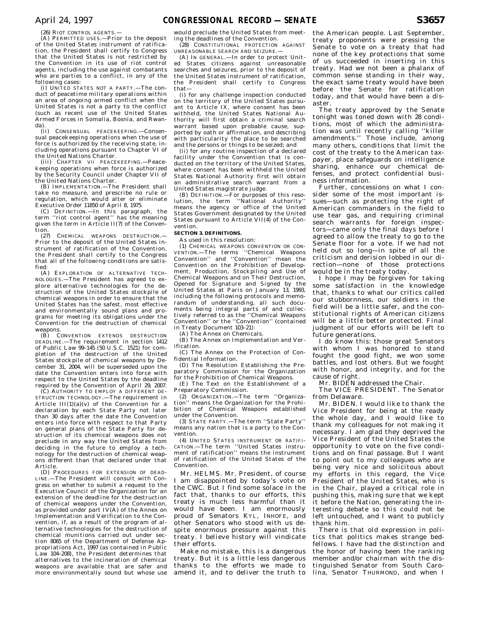(26) RIOT CONTROL AGENTS.—

(A) PERMITTED USES.—Prior to the deposit of the United States instrument of ratification, the President shall certify to Congress that the United States is not restricted by the Convention in its use of riot control agents, including the use against combatants who are parties to a conflict, in any of the following cases:

(i) UNITED STATES NOT A PARTY.—The conduct of peacetime military operations within an area of ongoing armed conflict when the United States is not a party to the conflict (such as recent use of the United States Armed Forces in Somalia, Bosnia, and Rwanda).

(ii) CONSENSUAL PEACEKEEPING -Consensual peacekeeping operations when the use of force is authorized by the receiving state, including operations pursuant to Chapter VI of

the United Nations Charter. (iii) CHAPTER VII PEACEKEEPING.—Peacekeeping operations when force is authorized by the Security Council under Chapter VII of the United Nations Charter.

(B) IMPLEMENTATION.—The President shall take no measure, and prescribe no rule or regulation, which would alter or eliminate Executive Order 11850 of April 8, 1975.

(C) DEFINITION.—In this paragraph, the term ''riot control agent'' has the meaning given the term in Article II(7) of the Convention.

(27) CHEMICAL WEAPONS DESTRUCTION.— Prior to the deposit of the United States instrument of ratification of the Convention, the President shall certify to the Congress that all of the following conditions are satisfied:

(A) EXPLORATION OF ALTERNATIVE TECH-NOLOGIES.—The President has agreed to explore alternative technologies for the destruction of the United States stockpile of chemical weapons in order to ensure that the United States has the safest, most effective and environmentally sound plans and programs for meeting its obligations under the Convention for the destruction of chemical weapons.

(B) CONVENTION EXTENDS DESTRUCTION DEADLINE.—The requirement in section 1412 of Public Law 99–145 (50 U.S.C. 1521) for completion of the destruction of the United States stockpile of chemical weapons by December 31, 2004, will be superseded upon the date the Convention enters into force with respect to the United States by the deadline required by the Convention of April 29, 2007.

(C) AUTHORITY TO EMPLOY A DIFFERENT DE-STRUCTION TECHNOLOGY.—The requirement in Article  $III(1)(a)(v)$  of the Convention for a declaration by each State Party not later than 30 days after the date the Convention enters into force with respect to that Party on general plans of the State Party for destruction of its chemical weapons does not preclude in any way the United States from deciding in the future to employ a technology for the destruction of chemical weapons different than that declared under that Article.

(D) PROCEDURES FOR EXTENSION OF DEAD-LINE.—The President will consult with Congress on whether to submit a request to the Executive Council of the Organization for an extension of the deadline for the destruction of chemical weapons under the Convention, as provided under part IV(A) of the Annex on Implementation and Verification to the Convention, if, as a result of the program of alternative technologies for the destruction of chemical munitions carried out under section 8065 of the Department of Defense Appropriations Act, 1997 (as contained in Public Law 104–208), the President determines that alternatives to the incineration of chemical weapons are available that are safer and more environmentally sound but whose use

would preclude the United States from meeting the deadlines of the Convention.

(28) CONSTITUTIONAL PROTECTION AGAINST UNREASONABLE SEARCH AND SEIZURE.—

(A) IN GENERAL.—In order to protect United States citizens against unreasonable searches and seizures, prior to the deposit of the United States instrument of ratification, the President shall certify to Congress that—

(i) for any challenge inspection conducted on the territory of the United States pursuant to Article IX, where consent has been withheld, the United States National Authority will first obtain a criminal search warrant based upon probable cause, supported by oath or affirmation, and describing with particularity the place to be searched and the persons or things to be seized; and

(ii) for any routine inspection of a declared facility under the Convention that is conducted on the territory of the United States, where consent has been withheld the United States National Authority first will obtain an administrative search warrant from a United States magistrate judge.

(B) DEFINITION.—For purposes of this resolution, the term ''National Authority'' means the agency or office of the United States Government designated by the United States pursuant to Article VII(4) of the Convention.

## **SECTION 3. DEFINITIONS.**

As used in this resolution:

(1) CHEMICAL WEAPONS CONVENTION OR CON-VENTION.—The terms ''Chemical Weapons Convention" and "Convention" mean the Convention on the Prohibition of Development, Production, Stockpiling and Use of Chemical Weapons and on Their Destruction, Opened for Signature and Signed by the United States at Paris on January 13, 1993, including the following protocols and memorandum of understanding, all such documents being integral parts of and collectively referred to as the ''Chemical Weapons Convention'' or the ''Convention'' (contained in Treaty Document 103–21):

(A) The Annex on Chemicals.

(B) The Annex on Implementation and Verification.

(C) The Annex on the Protection of Confidential Information.

(D) The Resolution Establishing the Preparatory Commission for the Organization for the Prohibition of Chemical Weapons.

(E) The Text on the Establishment of a Preparatory Commission.

(2) ORGANIZATION.—The term ''Organiza-tion'' means the Organization for the Prohibition of Chemical Weapons established under the Convention.

(3) STATE PARTY.—The term ''State Party'' means any nation that is a party to the Convention.

(4) UNITED STATES INSTRUMENT OR RATIFI-CATION.—The term ''United States instrument of ratification'' means the instrument of ratification of the United States of the Convention.

Mr. HELMS. Mr. President, of course I am disappointed by today's vote on the CWC. But I find some solace in the fact that, thanks to our efforts, this treaty is much less harmful than it would have been. I am enormously proud of Senators KYL, INHOFE, and other Senators who stood with us despite enormous pressure against this treaty. I believe history will vindicate their efforts.

Make no mistake, this is a dangerous treaty. But it is a little less dangerous thanks to the efforts we made to amend it, and to deliver the truth to

the American people. Last September, treaty proponents were pressing the Senate to vote on a treaty that had none of the key protections that some of us succeeded in inserting in this treaty. Had we not been a phalanx of common sense standing in their way, the exact same treaty would have been before the Senate for ratification today, and that would have been a disaster.

The treaty approved by the Senate tonight was toned down with 28 conditions, most of which the administration was until recently calling ''killer amendments.'' Those include, among many others, conditions that limit the cost of the treaty to the American taxpayer, place safeguards on intelligence sharing, enhance our chemical defenses, and protect confidential business information.

Further, concessions on what I consider some of the most important issues—such as protecting the right of American commanders in the field to use tear gas, and requiring criminal search warrants for foreign inspectors—came only the final days before I agreed to allow the treaty to go to the Senate floor for a vote. If we had not held out so long—in spite of all the criticism and derision lobbed in our direction—none of those protections would be in the treaty today.

I hope I may be forgiven for taking some satisfaction in the knowledge that, thanks to what our critics called our stubbornness, our soldiers in the field will be a little safer, and the constitutional rights of American citizens will be a little better protected. Final judgment of our efforts will be left to future generations.

I do know this: those great Senators with whom I was honored to stand fought the good fight, we won some battles, and lost others. But we fought with honor, and integrity, and for the cause of right.

Mr. BIDEN addressed the Chair.

The VICE PRESIDENT. The Senator from Delaware.

Mr. BIDEN. I would like to thank the Vice President for being at the ready the whole day, and I would like to thank my colleagues for not making it necessary. I am glad they deprived the Vice President of the United States the opportunity to vote on the five conditions and on final passage. But I want to point out to my colleagues who are being very nice and solicitous about my efforts in this regard, the Vice President of the United States, who is in the Chair, played a critical role in pushing this, making sure that we kept it before the Nation, generating the interesting debate so this could not be left untouched, and I want to publicly thank him.

There is that old expression in politics that politics makes strange bedfellows. I have had the distinction and the honor of having been the ranking member and/or chairman with the distinguished Senator from South Carolina, Senator THURMOND, and when I